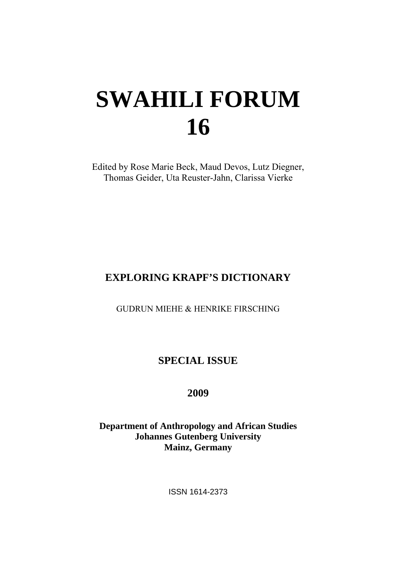# **SWAHILI FORUM 16**

Edited by Rose Marie Beck, Maud Devos, Lutz Diegner, Thomas Geider, Uta Reuster-Jahn, Clarissa Vierke

# **EXPLORING KRAPF'S DICTIONARY**

GUDRUN MIEHE & HENRIKE FIRSCHING

# **SPECIAL ISSUE**

**2009** 

**Department of Anthropology and African Studies Johannes Gutenberg University Mainz, Germany** 

ISSN 1614-2373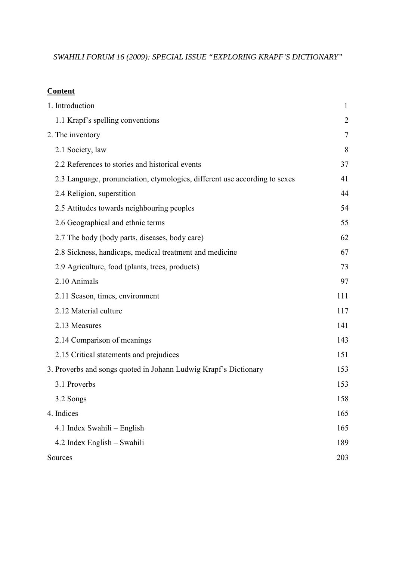*SWAHILI FORUM 16 (2009): SPECIAL ISSUE "EXPLORING KRAPF'S DICTIONARY"*

#### **Content**

| 1. Introduction                                                            | $\mathbf{1}$   |
|----------------------------------------------------------------------------|----------------|
| 1.1 Krapf's spelling conventions                                           | $\overline{2}$ |
| 2. The inventory                                                           | $\tau$         |
| 2.1 Society, law                                                           | 8              |
| 2.2 References to stories and historical events                            | 37             |
| 2.3 Language, pronunciation, etymologies, different use according to sexes | 41             |
| 2.4 Religion, superstition                                                 | 44             |
| 2.5 Attitudes towards neighbouring peoples                                 | 54             |
| 2.6 Geographical and ethnic terms                                          | 55             |
| 2.7 The body (body parts, diseases, body care)                             | 62             |
| 2.8 Sickness, handicaps, medical treatment and medicine                    | 67             |
| 2.9 Agriculture, food (plants, trees, products)                            | 73             |
| 2.10 Animals                                                               | 97             |
| 2.11 Season, times, environment                                            | 111            |
| 2.12 Material culture                                                      | 117            |
| 2.13 Measures                                                              | 141            |
| 2.14 Comparison of meanings                                                | 143            |
| 2.15 Critical statements and prejudices                                    | 151            |
| 3. Proverbs and songs quoted in Johann Ludwig Krapf's Dictionary           | 153            |
| 3.1 Proverbs                                                               | 153            |
| 3.2 Songs                                                                  | 158            |
| 4. Indices                                                                 | 165            |
| 4.1 Index Swahili – English                                                | 165            |
| 4.2 Index English - Swahili                                                | 189            |
| Sources                                                                    | 203            |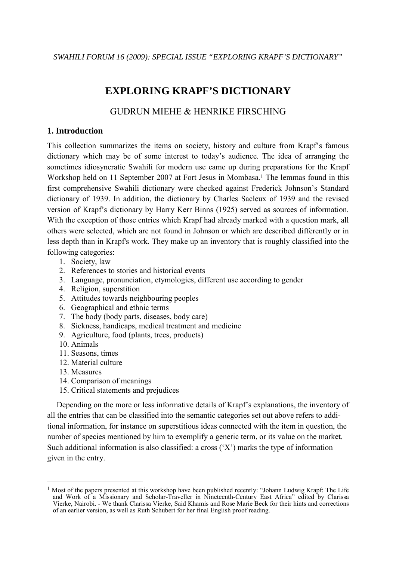*SWAHILI FORUM 16 (2009): SPECIAL ISSUE "EXPLORING KRAPF'S DICTIONARY"*

## **EXPLORING KRAPF'S DICTIONARY**

## GUDRUN MIEHE & HENRIKE FIRSCHING

#### **1. Introduction**

This collection summarizes the items on society, history and culture from Krapf's famous dictionary which may be of some interest to today's audience. The idea of arranging the sometimes idiosyncratic Swahili for modern use came up during preparations for the Krapf Workshop held on 11 September 2007 at Fort Jesus in Mombasa.<sup>1</sup> The lemmas found in this first comprehensive Swahili dictionary were checked against Frederick Johnson's Standard dictionary of 1939. In addition, the dictionary by Charles Sacleux of 1939 and the revised version of Krapf's dictionary by Harry Kerr Binns (1925) served as sources of information. With the exception of those entries which Krapf had already marked with a question mark, all others were selected, which are not found in Johnson or which are described differently or in less depth than in Krapf's work. They make up an inventory that is roughly classified into the following categories:

- 1. Society, law
- 2. References to stories and historical events
- 3. Language, pronunciation, etymologies, different use according to gender
- 4. Religion, superstition
- 5. Attitudes towards neighbouring peoples
- 6. Geographical and ethnic terms
- 7. The body (body parts, diseases, body care)
- 8. Sickness, handicaps, medical treatment and medicine
- 9. Agriculture, food (plants, trees, products)
- 10. Animals
- 11. Seasons, times
- 12. Material culture
- 13. Measures

 $\overline{a}$ 

- 14. Comparison of meanings
- 15. Critical statements and prejudices

Depending on the more or less informative details of Krapf's explanations, the inventory of all the entries that can be classified into the semantic categories set out above refers to additional information, for instance on superstitious ideas connected with the item in question, the number of species mentioned by him to exemplify a generic term, or its value on the market. Such additional information is also classified: a cross  $(X')$  marks the type of information given in the entry.

<sup>&</sup>lt;sup>1</sup> Most of the papers presented at this workshop have been published recently: "Johann Ludwig Krapf: The Life and Work of a Missionary and Scholar-Traveller in Nineteenth-Century East Africa" edited by Clarissa Vierke, Nairobi. - We thank Clarissa Vierke, Said Khamis and Rose Marie Beck for their hints and corrections of an earlier version, as well as Ruth Schubert for her final English proof reading.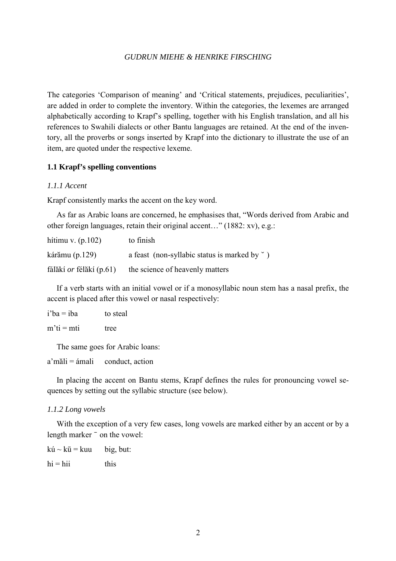The categories 'Comparison of meaning' and 'Critical statements, prejudices, peculiarities', are added in order to complete the inventory. Within the categories, the lexemes are arranged alphabetically according to Krapf's spelling, together with his English translation, and all his references to Swahili dialects or other Bantu languages are retained. At the end of the inventory, all the proverbs or songs inserted by Krapf into the dictionary to illustrate the use of an item, are quoted under the respective lexeme.

#### **1.1 Krapf's spelling conventions**

#### *1.1.1 Accent*

Krapf consistently marks the accent on the key word.

 As far as Arabic loans are concerned, he emphasises that, "Words derived from Arabic and other foreign languages, retain their original accent…" (1882: xv), e.g.:

| hítimu v. $(p.102)$            | to finish                                             |
|--------------------------------|-------------------------------------------------------|
| kárămu $(p.129)$               | a feast (non-syllabic status is marked by $\degree$ ) |
| fálăkí <i>or</i> félăkí (p.61) | the science of heavenly matters                       |

If a verb starts with an initial vowel or if a monosyllabic noun stem has a nasal prefix, the accent is placed after this vowel or nasal respectively:

| $i'ba = iba$ | to steal |
|--------------|----------|
| $m'ti = mti$ | tree     |

The same goes for Arabic loans:

 $a'm\ddot{a}l = \dot{a}m\dot{a}l$  conduct, action

In placing the accent on Bantu stems, Krapf defines the rules for pronouncing vowel sequences by setting out the syllabic structure (see below).

#### *1.1.2 Long vowels*

 With the exception of a very few cases, long vowels are marked either by an accent or by a length marker  $\overline{\phantom{a}}$  on the vowel:

 $k\acute{u} \sim k\bar{u} = kuu$  $big, but:$  $h_i = h_{ii}$  this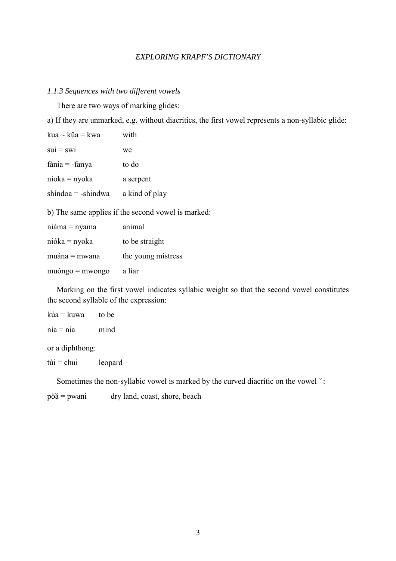#### *1.1.3 Sequences with two different vowels*

There are two ways of marking glides:

a) If they are unmarked, e.g. without diacritics, the first vowel represents a non-syllabic glide:

| kua ~ kŭa = kwa                                    | with               |  |  |
|----------------------------------------------------|--------------------|--|--|
| $sui = swi$                                        | we                 |  |  |
| fánia $=$ -fanya                                   | to do              |  |  |
| nioka = nyoka                                      | a serpent          |  |  |
| $shindoa = -shindwa$                               | a kind of play     |  |  |
| b) The same applies if the second vowel is marked: |                    |  |  |
| niáma = nyama                                      | animal             |  |  |
| nióka = nyoka                                      | to be straight     |  |  |
| muána = mwana                                      | the young mistress |  |  |
| $mu\_{0} = m\n$                                    | a liar             |  |  |

 Marking on the first vowel indicates syllabic weight so that the second vowel constitutes the second syllable of the expression:

| kúa = kuwa      | to be |
|-----------------|-------|
| $nia = nia$     | mind  |
| or a diphthong: |       |

 $túi = chui$  leopard

Sometimes the non-syllabic vowel is marked by the curved diacritic on the vowel  $\degree$ :

poa = pwani dry land, coast, shore, beach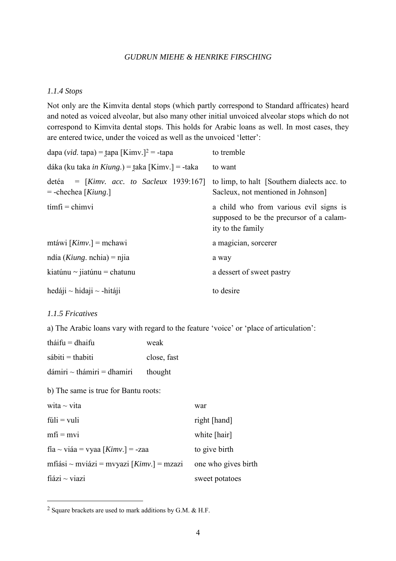#### *1.1.4 Stops*

Not only are the Kimvita dental stops (which partly correspond to Standard affricates) heard and noted as voiced alveolar, but also many other initial unvoiced alveolar stops which do not correspond to Kimvita dental stops. This holds for Arabic loans as well. In most cases, they are entered twice, under the voiced as well as the unvoiced 'letter':

| dapa (vid. tapa) = tapa [Kimv.] <sup>2</sup> = -tapa                | to tremble                                                                                              |
|---------------------------------------------------------------------|---------------------------------------------------------------------------------------------------------|
| dáka (ku taka <i>in Kiung</i> .) = taka [Kimv.] = -taka             | to want                                                                                                 |
| detéa = $[Kimv.$ acc. to Sacleux 1939:167]<br>$=$ -chechea [Kiung.] | to limp, to halt [Southern dialects acc. to<br>Sacleux, not mentioned in Johnson                        |
| $\text{timfi} = \text{chimvi}$                                      | a child who from various evil signs is<br>supposed to be the precursor of a calam-<br>ity to the family |
| mtáwi $[Kimv.]$ = mchawi                                            | a magician, sorcerer                                                                                    |
| ndía ( <i>Kiung</i> . nchia) = njia                                 | a way                                                                                                   |
| kiatúnu ~ jiatúnu = chatunu                                         | a dessert of sweet pastry                                                                               |
| hedáji $\sim$ hidaji $\sim$ -hitáji                                 | to desire                                                                                               |

#### *1.1.5 Fricatives*

 $\overline{a}$ 

a) The Arabic loans vary with regard to the feature 'voice' or 'place of articulation':

| tháifu $=$ dhaifu                          | weak        |                     |
|--------------------------------------------|-------------|---------------------|
| $s$ ábiti = thabiti                        | close, fast |                     |
| $dámiri \sim thámiri = dhamiri$            | thought     |                     |
| b) The same is true for Bantu roots:       |             |                     |
| wita $\sim$ vita                           |             | war                 |
| $f$ úli = vuli                             |             | right [hand]        |
| $mfi = mvi$                                |             | white [hair]        |
| fía ~ viáa = vyaa [ $Kimv.$ ] = -zaa       |             | to give birth       |
| mfiási ~ mviázi = mvyazi $[Kimv.]$ = mzazi |             | one who gives birth |
| $fi$ ázi ~ viazi                           |             | sweet potatoes      |

<sup>2</sup> Square brackets are used to mark additions by G.M. & H.F.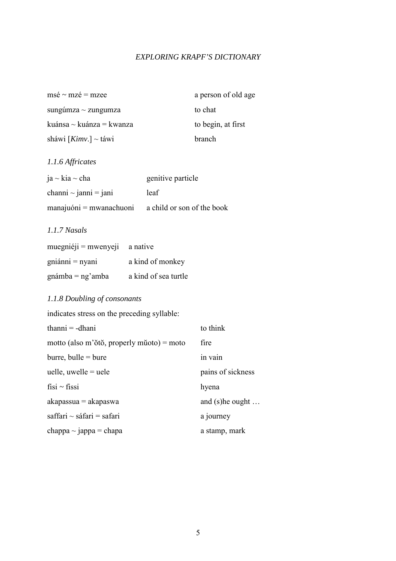| $ms\acute{e} \sim mz\acute{e} \equiv mzee$ | a person of old age |
|--------------------------------------------|---------------------|
| sungúmza $\sim$ zungumza                   | to chat             |
| kuánsa $\sim$ kuánza = kwanza              | to begin, at first  |
| sháwi [ $Kimv.$ ] ~ táwi                   | branch              |

#### *1.1.6 Affricates*

| $ja \sim kia \sim cha$     | genitive particle          |
|----------------------------|----------------------------|
| channi $\sim$ janni = jani | leaf                       |
| $manajuóni = mwanachuoni$  | a child or son of the book |

#### *1.1.7 Nasals*

| $muegni'eji = mwenyeji$ | a native             |
|-------------------------|----------------------|
| $gni$ ánni = nyani      | a kind of monkey     |
| $gnámba = ng'amba$      | a kind of sea turtle |

#### *1.1.8 Doubling of consonants*

indicates stress on the preceding syllable:  $thanni = -dhani$  to think motto (also m'ŏtŏ, properly mŭoto) = moto fire  $burre, \text{bulle} = \text{bure}$  in vain uelle, uwelle  $=$  uele pains of sickness fisi ~ fissi hyena  $akapasua = akapaswa$  and (s)he ought ...  $saffari \sim s$ áfari = safari a journey  $chappa \sim jappa = chapa$  a stamp, mark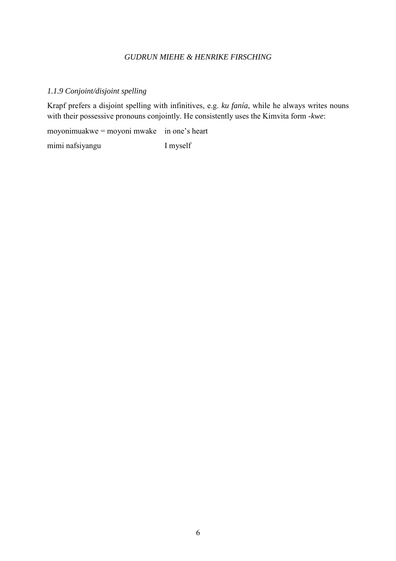#### *1.1.9 Conjoint/disjoint spelling*

Krapf prefers a disjoint spelling with infinitives, e.g. *ku fanía*, while he always writes nouns with their possessive pronouns conjointly. He consistently uses the Kimvita form -*kwe*:

moyonimuakwe = moyoni mwake in one's heart

mimi nafsiyangu I myself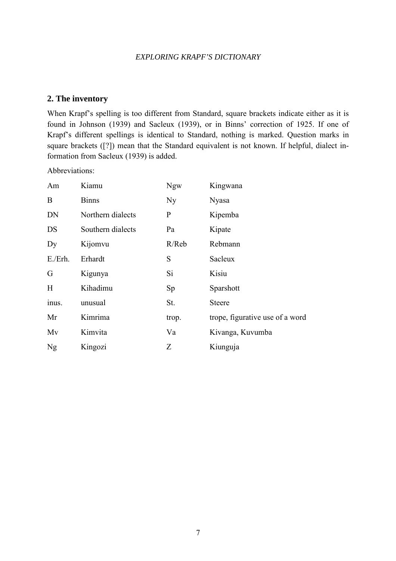#### **2. The inventory**

When Krapf's spelling is too different from Standard, square brackets indicate either as it is found in Johnson (1939) and Sacleux (1939), or in Binns' correction of 1925. If one of Krapf's different spellings is identical to Standard, nothing is marked. Question marks in square brackets ([?]) mean that the Standard equivalent is not known. If helpful, dialect information from Sacleux (1939) is added.

Abbreviations:

| Am         | Kiamu             | <b>Ngw</b>     | Kingwana                        |
|------------|-------------------|----------------|---------------------------------|
| B          | <b>Binns</b>      | N <sub>y</sub> | <b>Nyasa</b>                    |
| DN         | Northern dialects | $\mathbf{P}$   | Kipemba                         |
| DS         | Southern dialects | Pa             | Kipate                          |
| Dy         | Kijomvu           | R/Reb          | Rebmann                         |
| $E$ ./Erh. | Erhardt           | S              | Sacleux                         |
| G          | Kigunya           | Si             | Kisiu                           |
| H          | Kihadimu          | Sp             | Sparshott                       |
| inus.      | unusual           | St.            | <b>Steere</b>                   |
| Mr         | Kimrima           | trop.          | trope, figurative use of a word |
| Mv         | Kimvita           | Va             | Kivanga, Kuvumba                |
| Ng         | Kingozi           | Ζ              | Kiunguja                        |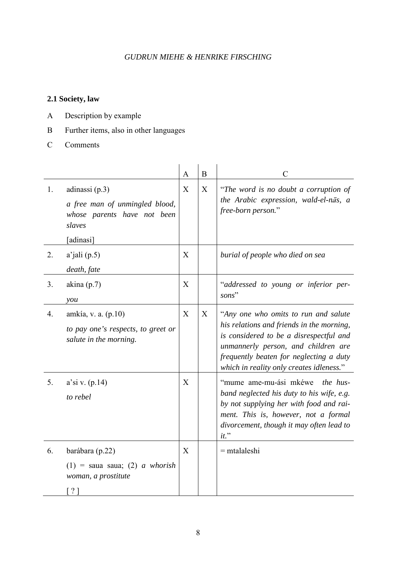## **2.1 Society, law**

- A Description by example
- B Further items, also in other languages
- C Comments

|    |                                                                                                          | $\mathbf{A}$ | $\overline{B}$ | $\mathcal{C}$                                                                                                                                                                                                                                              |
|----|----------------------------------------------------------------------------------------------------------|--------------|----------------|------------------------------------------------------------------------------------------------------------------------------------------------------------------------------------------------------------------------------------------------------------|
| 1. | adinassi $(p.3)$<br>a free man of unmingled blood,<br>whose parents have not been<br>slaves<br>[adinasi] | X            | X              | "The word is no doubt a corruption of<br>the Arabic expression, wald-el-nās, a<br>free-born person."                                                                                                                                                       |
| 2. | $a'$ jali (p.5)<br>death, fate                                                                           | X            |                | burial of people who died on sea                                                                                                                                                                                                                           |
| 3. | akina $(p.7)$<br>you                                                                                     | X            |                | "addressed to young or inferior per-<br>sons"                                                                                                                                                                                                              |
| 4. | amkía, v. a. (p.10)<br>to pay one's respects, to greet or<br>salute in the morning.                      | X            | X              | "Any one who omits to run and salute<br>his relations and friends in the morning,<br>is considered to be a disrespectful and<br>unmannerly person, and children are<br>frequently beaten for neglecting a duty<br>which in reality only creates idleness." |
| 5. | $a$ 'si v. (p.14)<br>to rebel                                                                            | X            |                | "mume ame-mu-ási mkéwe<br><i>the hus-</i><br>band neglected his duty to his wife, e.g.<br>by not supplying her with food and rai-<br>ment. This is, however, not a formal<br>divorcement, though it may often lead to<br>$it.$ "                           |
| 6. | barábara (p.22)<br>$(1)$ = saua saua; (2) <i>a whorish</i><br>woman, a prostitute<br>$\lceil ? \rceil$   | X            |                | $=$ mtalaleshi                                                                                                                                                                                                                                             |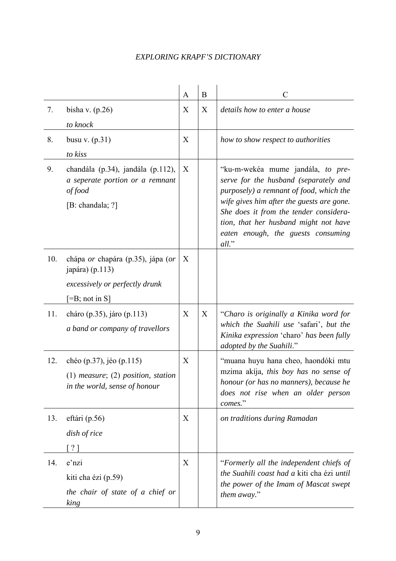|     |                                                                                                                                                   | A | B | C                                                                                                                                                                                                                                                                                                    |
|-----|---------------------------------------------------------------------------------------------------------------------------------------------------|---|---|------------------------------------------------------------------------------------------------------------------------------------------------------------------------------------------------------------------------------------------------------------------------------------------------------|
| 7.  | bisha v. $(p.26)$<br>to knock                                                                                                                     | X | X | details how to enter a house                                                                                                                                                                                                                                                                         |
| 8.  | busu v. $(p.31)$<br>to kiss                                                                                                                       | X |   | how to show respect to authorities                                                                                                                                                                                                                                                                   |
| 9.  | chandála (p.34), jandála (p.112),<br>a seperate portion or a remnant<br>of food<br>[B: chandala; $?$ ]                                            | X |   | "ku-m-wekéa mume jandála, to pre-<br>serve for the husband (separately and<br>purposely) a remnant of food, which the<br>wife gives him after the guests are gone.<br>She does it from the tender considera-<br>tion, that her husband might not have<br>eaten enough, the guests consuming<br>all." |
| 10. | chápa <i>or</i> chapára (p.35), jápa ( <i>or</i><br>japára) $(p.113)$<br>excessively or perfectly drunk<br>$\left[ =B; \text{ not in } S \right]$ | X |   |                                                                                                                                                                                                                                                                                                      |
| 11. | cháro (p.35), járo (p.113)<br>a band or company of travellors                                                                                     | X | X | "Charo is originally a Kinika word for<br>which the Suahili use 'safari', but the<br>Kinika expression 'charo' has been fully<br>adopted by the Suahili."                                                                                                                                            |
| 12. | chéo (p.37), jéo (p.115)<br>$(1)$ measure; $(2)$ position, station<br>in the world, sense of honour                                               | X |   | "muana huyu hana cheo, haondóki mtu<br>mzima akija, this boy has no sense of<br>honour (or has no manners), because he<br>does not rise when an older person<br>comes."                                                                                                                              |
| 13. | eftári (p.56)<br>dish of rice<br>[ ? ]                                                                                                            | X |   | on traditions during Ramadan                                                                                                                                                                                                                                                                         |
| 14. | e'nzi<br>kiti cha ézi (p.59)<br>the chair of state of a chief or<br>king                                                                          | X |   | "Formerly all the independent chiefs of<br>the Suahili coast had a kiti cha ézi until<br>the power of the Imam of Mascat swept<br>them away."                                                                                                                                                        |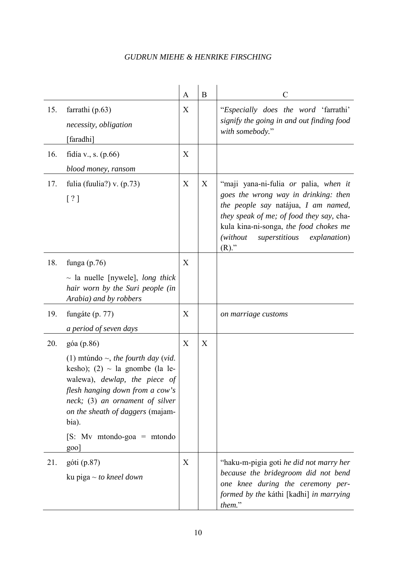|     |                                                                                                                                                                                                                                                                                         | A                | B | $\mathcal{C}$                                                                                                                                                                                                                                                                       |
|-----|-----------------------------------------------------------------------------------------------------------------------------------------------------------------------------------------------------------------------------------------------------------------------------------------|------------------|---|-------------------------------------------------------------------------------------------------------------------------------------------------------------------------------------------------------------------------------------------------------------------------------------|
| 15. | farrathi $(p.63)$<br>necessity, obligation<br>[faradhi]                                                                                                                                                                                                                                 | X                |   | "Especially does the word 'farrathi'<br>signify the going in and out finding food<br>with somebody."                                                                                                                                                                                |
| 16. | fidía v., s. $(p.66)$<br>blood money, ransom                                                                                                                                                                                                                                            | X                |   |                                                                                                                                                                                                                                                                                     |
| 17. | fulia (fuulia?) v. $(p.73)$<br>[ ? ]                                                                                                                                                                                                                                                    | X                | X | "maji yana-ni-fulia <i>or</i> palia, when it<br>goes the wrong way in drinking: then<br>the people say natájua, I am named,<br>they speak of me; of food they say, cha-<br>kula kina-ni-songa, the food chokes me<br>(without)<br>superstitious<br><i>explanation</i> )<br>$(R)$ ." |
| 18. | funga $(p.76)$<br>$\sim$ la nuelle [nywele], <i>long thick</i><br>hair worn by the Suri people (in<br>Arabia) and by robbers                                                                                                                                                            | X                |   |                                                                                                                                                                                                                                                                                     |
| 19. | fungáte (p. 77)<br>a period of seven days                                                                                                                                                                                                                                               | X                |   | on marriage customs                                                                                                                                                                                                                                                                 |
| 20. | góa (p.86)<br>(1) mtúndo $\sim$ , the fourth day (vid.<br>kesho); (2) ~ la gnombe (la le-<br>walewa), dewlap, the piece of<br>flesh hanging down from a cow's<br>neck; (3) an ornament of silver<br>on the sheath of daggers (majam-<br>bia).<br>[S: My mtondo-goa = mtondo<br>$g_{00}$ | $\boldsymbol{X}$ | X |                                                                                                                                                                                                                                                                                     |
| 21. | góti (p.87)<br>ku piga ~ <i>to kneel down</i>                                                                                                                                                                                                                                           | X                |   | "haku-m-pigia goti he did not marry her<br>because the bridegroom did not bend<br>one knee during the ceremony per-<br>formed by the káthi [kadhi] in marrying<br>them."                                                                                                            |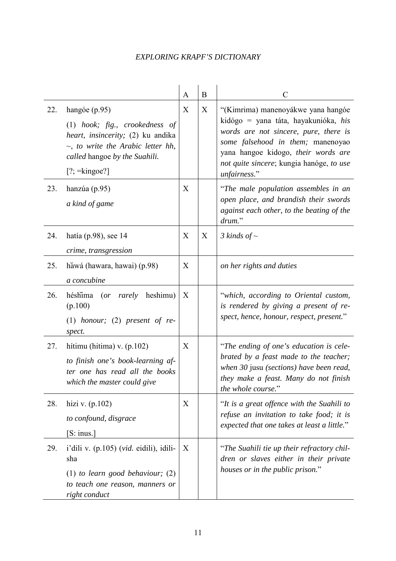|     |                                                                                                                                                                                               | $\mathbf{A}$ | $\bf{B}$ | $\mathcal{C}$                                                                                                                                                                                                                                               |
|-----|-----------------------------------------------------------------------------------------------------------------------------------------------------------------------------------------------|--------------|----------|-------------------------------------------------------------------------------------------------------------------------------------------------------------------------------------------------------------------------------------------------------------|
| 22. | hangóe (p.95)<br>$(1)$ hook; fig., crookedness of<br>heart, insincerity; (2) ku andika<br>$\sim$ , to write the Arabic letter hh,<br>called hangoe by the Suahili.<br>$[?; =\text{kingoe}$ ?] | X            | X        | "(Kimrima) manenoyákwe yana hangóe<br>kidógo = yana táta, hayakunióka, his<br>words are not sincere, pure, there is<br>some falsehood in them; manenoyao<br>yana hangoe kidogo, their words are<br>not quite sincere; kungia hanóge, to use<br>unfairness." |
| 23. | hanzúa (p.95)<br>a kind of game                                                                                                                                                               | X            |          | "The male population assembles in an<br>open place, and brandish their swords<br>against each other, to the beating of the<br>drum."                                                                                                                        |
| 24. | hatía (p.98), see $14$<br>crime, transgression                                                                                                                                                | X            | X        | 3 kinds of $\sim$                                                                                                                                                                                                                                           |
| 25. | hăwá (hawara, hawai) (p.98)<br>a concubine                                                                                                                                                    | X            |          | on her rights and duties                                                                                                                                                                                                                                    |
| 26. | heshimu)<br>héshima<br>(<br>rarely<br>(p.100)<br>(1) honour; (2) present of $re$ -<br>spect.                                                                                                  | X            |          | "which, according to Oriental custom,<br>is rendered by giving a present of re-<br>spect, hence, honour, respect, present."                                                                                                                                 |
| 27. | hítimu (hitima) v. $(p.102)$<br>to finish one's book-learning af-<br>ter one has read all the books<br>which the master could give                                                            | X            |          | "The ending of one's education is cele-<br>brated by a feast made to the teacher;<br>when 30 jusu (sections) have been read,<br>they make a feast. Many do not finish<br>the whole course."                                                                 |
| 28. | hizi v. $(p.102)$<br>to confound, disgrace<br>$[S:$ inus.]                                                                                                                                    | X            |          | "It is a great offence with the Suahili to<br>refuse an invitation to take food; it is<br>expected that one takes at least a little."                                                                                                                       |
| 29. | i'dili v. (p.105) (vid. eidili), idili-<br>sha<br>$(1)$ to learn good behaviour; $(2)$<br>to teach one reason, manners or<br>right conduct                                                    | X            |          | "The Suahili tie up their refractory chil-<br>dren or slaves either in their private<br>houses or in the public prison."                                                                                                                                    |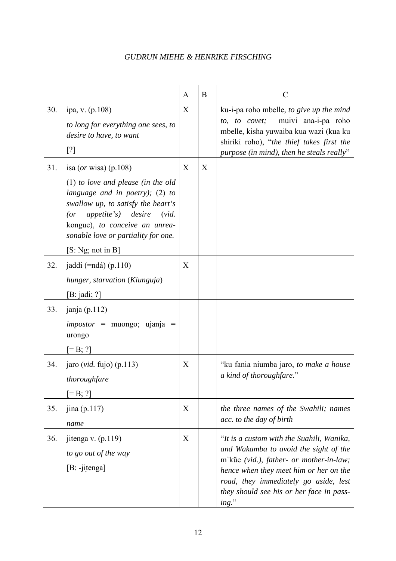|     |                                                                                                                                                                                                                                                                                                   | A | $\bf{B}$ | C                                                                                                                                                                                                                                                                        |
|-----|---------------------------------------------------------------------------------------------------------------------------------------------------------------------------------------------------------------------------------------------------------------------------------------------------|---|----------|--------------------------------------------------------------------------------------------------------------------------------------------------------------------------------------------------------------------------------------------------------------------------|
| 30. | ipa, v. (p.108)<br>to long for everything one sees, to<br>desire to have, to want<br>[?]                                                                                                                                                                                                          | X |          | ku-i-pa roho mbelle, to give up the mind<br>muivi ana-i-pa roho<br>to, to covet;<br>mbelle, kisha yuwaiba kua wazi (kua ku<br>shiriki roho), "the thief takes first the<br>purpose (in mind), then he steals really"                                                     |
| 31. | isa ( <i>or</i> wisa) (p.108)<br>$(1)$ to love and please (in the old<br>language and in poetry); $(2)$ to<br>swallow up, to satisfy the heart's<br><i>appetite's</i> ) <i>desire</i><br>(vid.<br>(<br>kongue), to conceive an unrea-<br>sonable love or partiality for one.<br>[S: Ng; not in B] | X | X        |                                                                                                                                                                                                                                                                          |
| 32. | jaddi (= $ndá$ ) (p.110)<br>hunger, starvation (Kiunguja)<br>[B: jadi; ?]                                                                                                                                                                                                                         | X |          |                                                                                                                                                                                                                                                                          |
| 33. | janja $(p.112)$<br>$impostor$ = muongo; ujanja =<br>urongo<br>$[=B; ?]$                                                                                                                                                                                                                           |   |          |                                                                                                                                                                                                                                                                          |
| 34. | jaro (vid. fujo) (p.113)<br>thoroughfare<br>$[=B; ?]$                                                                                                                                                                                                                                             | X |          | "ku fania niumba jaro, to make a house<br>a kind of thoroughfare."                                                                                                                                                                                                       |
| 35. | jina (p.117)<br>name                                                                                                                                                                                                                                                                              | X |          | the three names of the Swahili; names<br>acc. to the day of birth                                                                                                                                                                                                        |
| 36. | jitenga v. $(p.119)$<br>to go out of the way<br>$[B: -j$ itenga]                                                                                                                                                                                                                                  | X |          | "It is a custom with the Suahili, Wanika,<br>and Wakamba to avoid the sight of the<br>m'kŭe (vid.), father- or mother-in-law;<br>hence when they meet him or her on the<br>road, they immediately go aside, lest<br>they should see his or her face in pass-<br>$ing.$ " |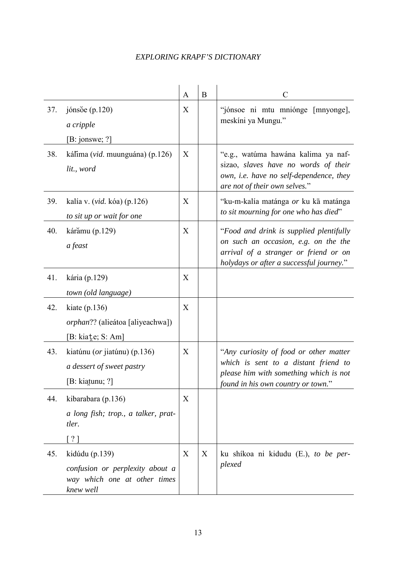|     |                                                                                                | A | B | $\mathcal{C}$                                                                                                                                                        |
|-----|------------------------------------------------------------------------------------------------|---|---|----------------------------------------------------------------------------------------------------------------------------------------------------------------------|
| 37. | jónsŏe $(p.120)$<br>a cripple<br>[B:jonswe; ?]                                                 | X |   | "jónsoe ni mtu mniónge [mnyonge],<br>meskíni ya Mungu."                                                                                                              |
| 38. | kálima (vid. muunguána) (p.126)<br>lit., word                                                  | X |   | "e.g., watúma hawána kalima ya naf-<br>sizao, slaves have no words of their<br>own, i.e. have no self-dependence, they<br>are not of their own selves."              |
| 39. | kalía v. (vid. kóa) (p.126)<br>to sit up or wait for one                                       | X |   | "ku-m-kalía matánga or ku kā matánga<br>to sit mourning for one who has died"                                                                                        |
| 40. | kárămu (p.129)<br>a feast                                                                      | X |   | "Food and drink is supplied plentifully<br>on such an occasion, e.g. on the the<br>arrival of a stranger or friend or on<br>holydays or after a successful journey." |
| 41. | kária (p.129)<br>town (old language)                                                           | X |   |                                                                                                                                                                      |
| 42. | kiate $(p.136)$<br><i>orphan</i> ?? (alieátoa [aliyeachwa])<br>[B: kiate; S: Am]               | X |   |                                                                                                                                                                      |
| 43. | kiatúnu ( <i>or</i> jiatúnu) (p.136)<br>a dessert of sweet pastry<br>[B: kiatunu; ?]           | X |   | "Any curiosity of food or other matter<br>which is sent to a distant friend to<br>please him with something which is not<br>found in his own country or town."       |
| 44. | kibarabara (p.136)<br>a long fish; trop., a talker, prat-<br>tler.<br>[ ? ]                    | X |   |                                                                                                                                                                      |
| 45. | kidúdu (p.139)<br>confusion or perplexity about a<br>way which one at other times<br>knew well | X | X | ku shikoa ni kidudu (E.), to be per-<br>plexed                                                                                                                       |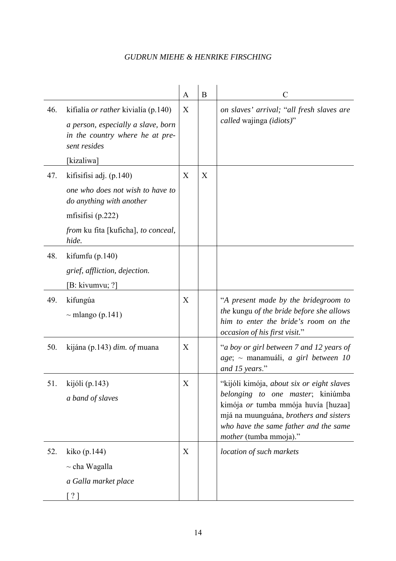|     |                                                                                                                                     | A | B | $\mathcal{C}$                                                                                                                                                                                                                             |
|-----|-------------------------------------------------------------------------------------------------------------------------------------|---|---|-------------------------------------------------------------------------------------------------------------------------------------------------------------------------------------------------------------------------------------------|
| 46. | kifialía <i>or rather</i> kivialía (p.140)<br>a person, especially a slave, born<br>in the country where he at pre-<br>sent resides | X |   | on slaves' arrival; "all fresh slaves are<br>called wajinga (idiots)"                                                                                                                                                                     |
|     | [kizaliwa]                                                                                                                          |   |   |                                                                                                                                                                                                                                           |
| 47. | kifisifisi adj. (p.140)<br>one who does not wish to have to<br>do anything with another                                             | X | X |                                                                                                                                                                                                                                           |
|     | mfisifisi $(p.222)$                                                                                                                 |   |   |                                                                                                                                                                                                                                           |
|     | from ku fita [kuficha], to conceal,<br>hide.                                                                                        |   |   |                                                                                                                                                                                                                                           |
| 48. | kifumfu $(p.140)$                                                                                                                   |   |   |                                                                                                                                                                                                                                           |
|     | grief, affliction, dejection.                                                                                                       |   |   |                                                                                                                                                                                                                                           |
|     | [B: kivumvu; ?]                                                                                                                     |   |   |                                                                                                                                                                                                                                           |
| 49. | kifungúa<br>$\sim$ mlango (p.141)                                                                                                   | X |   | "A present made by the bridegroom to<br>the kungu of the bride before she allows<br>him to enter the bride's room on the<br>occasion of his first visit."                                                                                 |
| 50. | kijána (p.143) dim. of muana                                                                                                        | X |   | "a boy or girl between 7 and 12 years of<br>$age$ ; ~ manamuáli, a girl between 10<br>and 15 years."                                                                                                                                      |
| 51. | kijóli (p. 143)<br>a band of slaves                                                                                                 | X |   | "kijóli kimója, about six or eight slaves<br>belonging to one master; kiniúmba<br>kimója or tumba mmója huvía [huzaa]<br>mjá na muunguána, brothers and sisters<br>who have the same father and the same<br><i>mother</i> (tumba mmoja)." |
| 52. | kiko (p. 144)<br>$\sim$ cha Wagalla<br>a Galla market place<br>21                                                                   | X |   | location of such markets                                                                                                                                                                                                                  |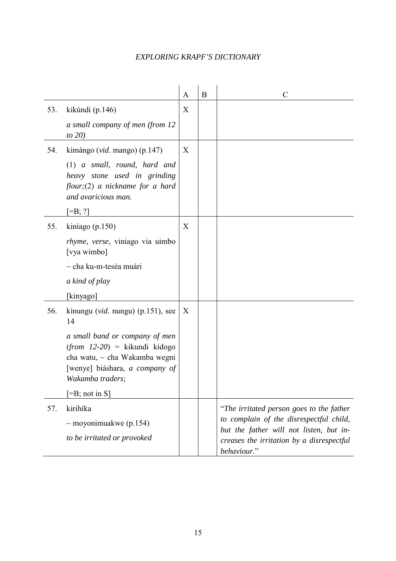|     |                                                                                                                                                                                                                                                               | A | B | $\mathcal{C}$                                                                                                                                                                              |
|-----|---------------------------------------------------------------------------------------------------------------------------------------------------------------------------------------------------------------------------------------------------------------|---|---|--------------------------------------------------------------------------------------------------------------------------------------------------------------------------------------------|
| 53. | kikúndi (p.146)<br>a small company of men (from 12<br>to $20$                                                                                                                                                                                                 | X |   |                                                                                                                                                                                            |
| 54. | kimángo (vid. mango) (p.147)<br>$(1)$ a small, round, hard and<br>heavy stone used in grinding<br>$flow; (2)$ a nickname for a hard<br>and avaricious man.<br>$[=B; ?]$                                                                                       | X |   |                                                                                                                                                                                            |
| 55. | kiníago (p.150)<br><i>rhyme, verse, viniago via uimbo</i><br>[vya wimbo]<br>$\sim$ cha ku-m-teséa muári<br>a kind of play<br>[kinyago]                                                                                                                        | X |   |                                                                                                                                                                                            |
| 56. | kinungu ( <i>vid.</i> nungu) $(p.151)$ , see<br>14<br>a small band or company of men<br>$(from$ 12-20) = kikundi kidogo<br>cha watu, $\sim$ cha Wakamba wegni<br>[wenye] biáshara, a company of<br>Wakamba traders;<br>$\left[ =B; \text{ not in } S \right]$ | X |   |                                                                                                                                                                                            |
| 57. | kirihíka<br>~ moyonimuakwe (p.154)<br>to be irritated or provoked                                                                                                                                                                                             |   |   | "The irritated person goes to the father<br>to complain of the disrespectful child,<br>but the father will not listen, but in-<br>creases the irritation by a disrespectful<br>behaviour." |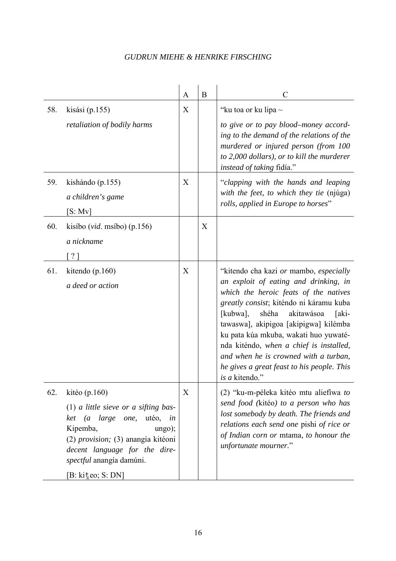|     |                                                                                                                                                                                                                                                                     | $\mathbf{A}$ | $\mathbf B$ | $\overline{C}$                                                                                                                                                                                                                                                                                                                                                                                                                                               |
|-----|---------------------------------------------------------------------------------------------------------------------------------------------------------------------------------------------------------------------------------------------------------------------|--------------|-------------|--------------------------------------------------------------------------------------------------------------------------------------------------------------------------------------------------------------------------------------------------------------------------------------------------------------------------------------------------------------------------------------------------------------------------------------------------------------|
| 58. | kisási $(p.155)$                                                                                                                                                                                                                                                    | X            |             | "ku toa or ku lipa $\sim$                                                                                                                                                                                                                                                                                                                                                                                                                                    |
|     | retaliation of bodily harms                                                                                                                                                                                                                                         |              |             | to give or to pay blood–money accord-<br>ing to the demand of the relations of the<br>murdered or injured person (from 100<br>to 2,000 dollars), or to kill the murderer<br><i>instead of taking fidía.</i> "                                                                                                                                                                                                                                                |
| 59. | kishándo (p.155)<br>a children's game<br>[S: Mv]                                                                                                                                                                                                                    | X            |             | "clapping with the hands and leaping<br>with the feet, to which they tie (njúga)<br>rolls, applied in Europe to horses"                                                                                                                                                                                                                                                                                                                                      |
| 60. | kisíbo ( <i>vid.</i> msíbo) (p.156)<br>a nickname<br>$\frac{1}{2}$                                                                                                                                                                                                  |              | X           |                                                                                                                                                                                                                                                                                                                                                                                                                                                              |
| 61. | kitendo (p.160)<br>a deed or action                                                                                                                                                                                                                                 | X            |             | "kitendo cha kazi or mambo, especially<br>an exploit of eating and drinking, in<br>which the heroic feats of the natives<br>greatly consist; kiténdo ni káramu kuba<br>shéha<br>akitawásoa<br>[kubwa],<br>[aki-<br>tawaswa], akipigoa [akipigwa] kilémba<br>ku pata kúa mkuba, wakati huo yuwaté-<br>nda kiténdo, when a chief is installed,<br>and when he is crowned with a turban,<br>he gives a great feast to his people. This<br><i>is a</i> kitendo." |
| 62. | kitéo (p.160)<br>$(1)$ a little sieve or a sifting bas-<br>large<br>utéo,<br>ket<br>one,<br>$\left( a\right)$<br>in<br>Kipemba,<br>ungo);<br>(2) provision; (3) anangía kitéoni<br>decent language for the dire-<br>spectful anangía damúni.<br>$[B: kit_0; S: DN]$ | X            |             | (2) "ku-m-péleka kitéo mtu aliefíwa to<br>send food (kitéo) to a person who has<br>lost somebody by death. The friends and<br>relations each send one pishi of rice or<br>of Indian corn or mtama, to honour the<br>unfortunate mourner."                                                                                                                                                                                                                    |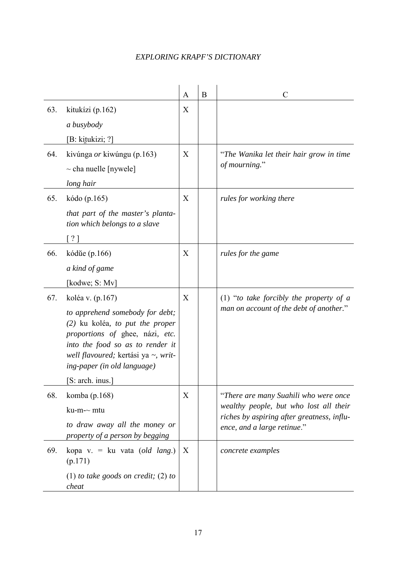|     |                                                                                                                                                                                                                   | A | B | $\mathcal{C}$                                                                   |
|-----|-------------------------------------------------------------------------------------------------------------------------------------------------------------------------------------------------------------------|---|---|---------------------------------------------------------------------------------|
| 63. | kitukízi (p.162)                                                                                                                                                                                                  | X |   |                                                                                 |
|     | a busybody                                                                                                                                                                                                        |   |   |                                                                                 |
|     | $[B: k$ itukizi; ?]                                                                                                                                                                                               |   |   |                                                                                 |
| 64. | kivúnga <i>or</i> kiwúngu (p.163)                                                                                                                                                                                 | X |   | "The Wanika let their hair grow in time                                         |
|     | $\sim$ cha nuelle [nywele]                                                                                                                                                                                        |   |   | of mourning."                                                                   |
|     | long hair                                                                                                                                                                                                         |   |   |                                                                                 |
| 65. | kódo (p.165)                                                                                                                                                                                                      | X |   | rules for working there                                                         |
|     | that part of the master's planta-<br>tion which belongs to a slave                                                                                                                                                |   |   |                                                                                 |
|     | $\lceil ? \rceil$                                                                                                                                                                                                 |   |   |                                                                                 |
| 66. | kódŭe (p.166)                                                                                                                                                                                                     | X |   | rules for the game                                                              |
|     | a kind of game                                                                                                                                                                                                    |   |   |                                                                                 |
|     | [kodwe; S: Mv]                                                                                                                                                                                                    |   |   |                                                                                 |
| 67. | koléa v. (p.167)                                                                                                                                                                                                  | X |   | (1) "to take forcibly the property of $a$                                       |
|     | to apprehend somebody for debt;<br>$(2)$ ku koléa, to put the proper<br>proportions of ghee, názi, etc.<br>into the food so as to render it<br>well flavoured; kertási ya ~, writ-<br>ing-paper (in old language) |   |   | man on account of the debt of another."                                         |
|     | [S: arch. inus.]                                                                                                                                                                                                  |   |   |                                                                                 |
| 68. | komba (p.168)<br>ku-m-~ mtu                                                                                                                                                                                       | X |   | "There are many Suahili who were once<br>wealthy people, but who lost all their |
|     | to draw away all the money or<br>property of a person by begging                                                                                                                                                  |   |   | riches by aspiring after greatness, influ-<br>ence, and a large retinue."       |
| 69. | kopa v. = ku vata (old lang.)<br>(p.171)                                                                                                                                                                          | X |   | concrete examples                                                               |
|     | (1) to take goods on credit; (2) to<br>cheat                                                                                                                                                                      |   |   |                                                                                 |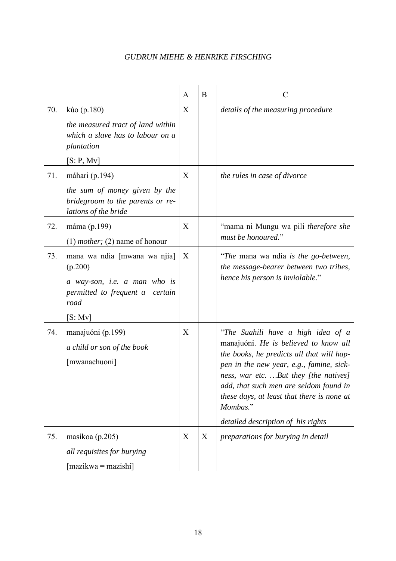|     |                                                                                                                                         | A | $\bf{B}$ | $\mathcal{C}$                                                                                                                                                                                                                                                                                                                                           |
|-----|-----------------------------------------------------------------------------------------------------------------------------------------|---|----------|---------------------------------------------------------------------------------------------------------------------------------------------------------------------------------------------------------------------------------------------------------------------------------------------------------------------------------------------------------|
| 70. | kúo (p.180)<br>the measured tract of land within<br>which a slave has to labour on a<br>plantation<br>[S: P, Mv]                        | X |          | details of the measuring procedure                                                                                                                                                                                                                                                                                                                      |
| 71. | máhari (p.194)<br>the sum of money given by the<br>bridegroom to the parents or re-<br>lations of the bride                             | X |          | the rules in case of divorce                                                                                                                                                                                                                                                                                                                            |
| 72. | máma (p.199)<br>$(1)$ <i>mother</i> ; $(2)$ name of honour                                                                              | X |          | "mama ni Mungu wa pili therefore she<br>must be honoured."                                                                                                                                                                                                                                                                                              |
| 73. | mana wa ndia [mwana wa njia]<br>(p.200)<br>a way-son, <i>i.e.</i> a man who is<br>permitted to frequent a<br>certain<br>road<br>[S: Mv] | X |          | "The mana wa ndia is the go-between,<br>the message-bearer between two tribes,<br>hence his person is inviolable."                                                                                                                                                                                                                                      |
| 74. | manajuóni (p.199)<br>a child or son of the book<br>[mwanachuoni]                                                                        | X |          | "The Suahili have a high idea of a<br>manajuóni. He is believed to know all<br>the books, he predicts all that will hap-<br>pen in the new year, e.g., famine, sick-<br>ness, war etc. But they [the natives]<br>add, that such men are seldom found in<br>these days, at least that there is none at<br>Mombas."<br>detailed description of his rights |
| 75. | masíkoa (p.205)<br>all requisites for burying<br>$[\text{maxikwa} = \text{maxishi}]$                                                    | X | X        | preparations for burying in detail                                                                                                                                                                                                                                                                                                                      |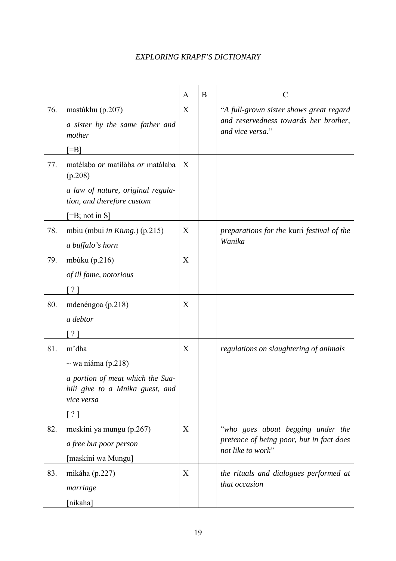|     |                                                                                                                              | A | B | $\mathcal{C}$                                                                                        |
|-----|------------------------------------------------------------------------------------------------------------------------------|---|---|------------------------------------------------------------------------------------------------------|
| 76. | mastúkhu (p.207)<br>a sister by the same father and<br>mother                                                                | X |   | "A full-grown sister shows great regard<br>and reservedness towards her brother,<br>and vice versa." |
|     | $\equiv$ B                                                                                                                   |   |   |                                                                                                      |
| 77. | matélaba or matílaba or matálaba<br>(p.208)                                                                                  | X |   |                                                                                                      |
|     | a law of nature, original regula-<br>tion, and therefore custom                                                              |   |   |                                                                                                      |
|     | $[=B; not in S]$                                                                                                             |   |   |                                                                                                      |
| 78. | mbiu (mbui <i>in Kiung.</i> ) (p.215)<br>a buffalo's horn                                                                    | X |   | preparations for the kurri festival of the<br>Wanika                                                 |
| 79. | mbúku $(p.216)$<br>of ill fame, notorious<br>$\left[ \begin{array}{c} \gamma \\ \gamma \end{array} \right]$                  | X |   |                                                                                                      |
| 80. | mdenéngoa (p.218)<br>a debtor<br>$\lceil ? \rceil$                                                                           | X |   |                                                                                                      |
| 81. | m'dha<br>$\sim$ wa niáma (p.218)<br>a portion of meat which the Sua-<br>hili give to a Mnika guest, and<br>vice versa<br>? 1 | X |   | regulations on slaughtering of animals                                                               |
| 82. | meskíni ya mungu (p.267)<br>a free but poor person<br>[maskini wa Mungu]                                                     | X |   | "who goes about begging under the<br>pretence of being poor, but in fact does<br>not like to work"   |
| 83. | mikáha (p.227)<br>marriage<br>[nikaha]                                                                                       | X |   | the rituals and dialogues performed at<br>that occasion                                              |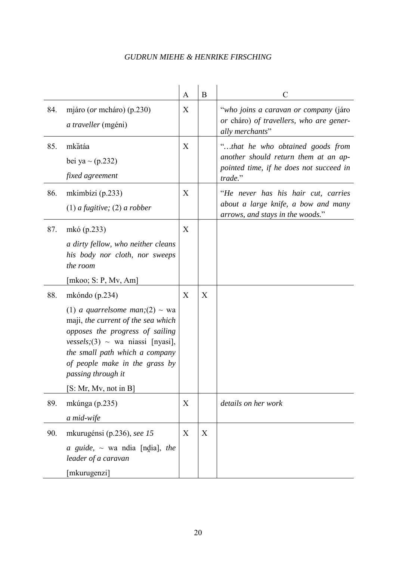|     |                                                                                                                                                                                                                                                                                                | $\mathbf{A}$ | $\bf{B}$ | C                                                                                                                              |
|-----|------------------------------------------------------------------------------------------------------------------------------------------------------------------------------------------------------------------------------------------------------------------------------------------------|--------------|----------|--------------------------------------------------------------------------------------------------------------------------------|
| 84. | mjáro ( <i>or</i> mcháro) (p.230)<br>a traveller (mgéni)                                                                                                                                                                                                                                       | X            |          | "who joins a caravan or company (járo<br>or cháro) of travellers, who are gener-<br>ally merchants"                            |
| 85. | mkătáa<br>bei ya $\sim$ (p.232)<br>fixed agreement                                                                                                                                                                                                                                             | X            |          | "that he who obtained goods from<br>another should return them at an ap-<br>pointed time, if he does not succeed in<br>trade." |
| 86. | mkimbízi (p.233)<br>$(1)$ a fugitive; $(2)$ a robber                                                                                                                                                                                                                                           | X            |          | "He never has his hair cut, carries<br>about a large knife, a bow and many<br>arrows, and stays in the woods."                 |
| 87. | mkó (p.233)<br>a dirty fellow, who neither cleans<br>his body nor cloth, nor sweeps<br>the room<br>[mkoo; S: P, Mv, Am]                                                                                                                                                                        | X            |          |                                                                                                                                |
| 88. | mkóndo $(p.234)$<br>(1) a quarrelsome man; (2) $\sim$ wa<br>maji, the current of the sea which<br>opposes the progress of sailing<br>vessels; (3) $\sim$ wa niassi [nyasi],<br>the small path which a company<br>of people make in the grass by<br>passing through it<br>[S: Mr, Mv, not in B] | X            | X        |                                                                                                                                |
| 89. | mkúnga (p.235)<br>a mid-wife                                                                                                                                                                                                                                                                   | X            |          | details on her work                                                                                                            |
| 90. | mkurugénsi (p.236), see 15<br><i>a</i> guide, $\sim$ wa ndia [ndia], the<br>leader of a caravan<br>[mkurugenzi]                                                                                                                                                                                | X            | X        |                                                                                                                                |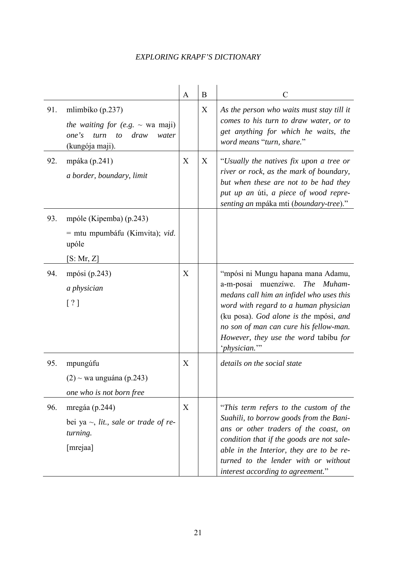|     |                                                                                                                      | A | B | $\overline{C}$                                                                                                                                                                                                                                                                                         |
|-----|----------------------------------------------------------------------------------------------------------------------|---|---|--------------------------------------------------------------------------------------------------------------------------------------------------------------------------------------------------------------------------------------------------------------------------------------------------------|
| 91. | mlimbíko (p.237)<br>the waiting for (e.g. $\sim$ wa maji)<br>one's<br>turn<br>draw<br>to<br>water<br>(kungója maji). |   | X | As the person who waits must stay till it<br>comes to his turn to draw water, or to<br>get anything for which he waits, the<br>word means "turn, share."                                                                                                                                               |
| 92. | mpáka (p.241)<br>a border, boundary, limit                                                                           | X | X | "Usually the natives fix upon a tree or<br>river or rock, as the mark of boundary,<br>but when these are not to be had they<br>put up an úti, a piece of wood repre-<br>senting an mpáka mti (boundary-tree)."                                                                                         |
| 93. | mpóle (Kipemba) (p.243)<br>$=$ mtu mpumbáfu (Kimvita); <i>vid.</i><br>upóle<br>[S: Mr, Z]                            |   |   |                                                                                                                                                                                                                                                                                                        |
| 94. | mpósi (p.243)<br>a physician<br>[ ? ]                                                                                | X |   | "mpósi ni Mungu hapana mana Adamu,<br>a-m-posai muenzíwe. The Muham-<br>medans call him an infidel who uses this<br>word with regard to a human physician<br>(ku posa). God alone is the mpósi, and<br>no son of man can cure his fellow-man.<br>However, they use the word tabibu for<br>'physician." |
| 95. | mpungúfu<br>$(2)$ ~ wa unguána (p.243)<br>one who is not born free                                                   | X |   | details on the social state                                                                                                                                                                                                                                                                            |
| 96. | mregáa (p.244)<br>bei ya $\sim$ , lit., sale or trade of re-<br>turning.<br>[mrejaa]                                 | X |   | "This term refers to the custom of the<br>Suahili, to borrow goods from the Bani-<br>ans or other traders of the coast, on<br>condition that if the goods are not sale-<br>able in the Interior, they are to be re-<br>turned to the lender with or without<br>interest according to agreement."       |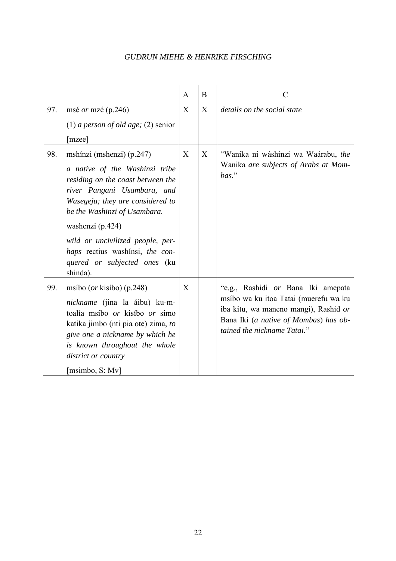|     |                                                                                                                                                                                                                                                                                                                                            | A                | B | $\mathcal{C}$                                                                                                                                                                                |
|-----|--------------------------------------------------------------------------------------------------------------------------------------------------------------------------------------------------------------------------------------------------------------------------------------------------------------------------------------------|------------------|---|----------------------------------------------------------------------------------------------------------------------------------------------------------------------------------------------|
| 97. | msé <i>or</i> mzé (p.246)                                                                                                                                                                                                                                                                                                                  | $\boldsymbol{X}$ | X | details on the social state                                                                                                                                                                  |
|     | (1) a person of old age; (2) senior<br>[mzee]                                                                                                                                                                                                                                                                                              |                  |   |                                                                                                                                                                                              |
| 98. | mshinzi (mshenzi) (p.247)<br>a native of the Washinzi tribe<br>residing on the coast between the<br>river Pangani Usambara, and<br>Wasegeju; they are considered to<br>be the Washinzi of Usambara.<br>washenzi (p.424)<br>wild or uncivilized people, per-<br>haps rectius washinsi, the con-<br>quered or subjected ones (ku<br>shinda). | X                | X | "Wanika ni wáshinzi wa Waárabu, the<br>Wanika are subjects of Arabs at Mom-<br>bas."                                                                                                         |
| 99. | msíbo ( <i>or</i> kisíbo) (p.248)<br><i>nickname</i> (jina la áibu) ku-m-<br>toalía msíbo <i>or</i> kisíbo <i>or</i> simo<br>katika jimbo (nti pia ote) zima, to<br>give one a nickname by which he<br>is known throughout the whole<br>district or country<br>[msimbo, S: Mv]                                                             | X                |   | "e.g., Rashidi or Bana Iki amepata<br>msíbo wa ku itoa Tatai (muerefu wa ku<br>iba kitu, wa maneno mangi), Rashid or<br>Bana Iki (a native of Mombas) has ob-<br>tained the nickname Tatai." |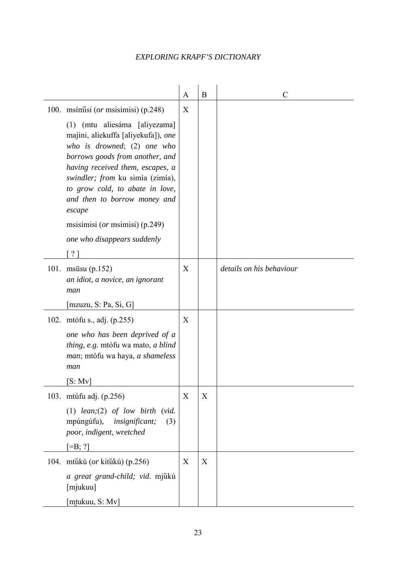|                                                                                                                                                                                                                                                                                             | A | B | $\mathcal{C}$            |
|---------------------------------------------------------------------------------------------------------------------------------------------------------------------------------------------------------------------------------------------------------------------------------------------|---|---|--------------------------|
| 100. msímisi ( <i>or</i> msisímisi) (p.248)                                                                                                                                                                                                                                                 | X |   |                          |
| (1) (mtu aliesáma [aliyezama]<br>majini, aliekuffa [aliyekufa]), one<br>who is drowned; (2) one who<br>borrows goods from another, and<br>having received them, escapes, a<br>swindler; from ku simía (zimía),<br>to grow cold, to abate in love,<br>and then to borrow money and<br>escape |   |   |                          |
| msisímisi ( <i>or</i> msimisi) (p.249)                                                                                                                                                                                                                                                      |   |   |                          |
| one who disappears suddenly                                                                                                                                                                                                                                                                 |   |   |                          |
|                                                                                                                                                                                                                                                                                             |   |   |                          |
| 101. msūsu (p.152)<br>an idiot, a novice, an ignorant<br>man                                                                                                                                                                                                                                | X |   | details on his behaviour |
| [mzuzu, S: Pa, Si, G]                                                                                                                                                                                                                                                                       |   |   |                          |
| 102. mtófu s., adj. (p.255)                                                                                                                                                                                                                                                                 | X |   |                          |
| one who has been deprived of a<br>thing, e.g. mtófu wa mato, a blind<br>man; mtófu wa haya, a shameless<br>man                                                                                                                                                                              |   |   |                          |
| [S: Mv]                                                                                                                                                                                                                                                                                     |   |   |                          |
| 103. mtúfu adj. (p.256)                                                                                                                                                                                                                                                                     | X | X |                          |
| (1) $lean; (2)$ of low birth (vid.<br>mpúngúfu),<br><i>insignificant;</i><br>(3)<br>poor, indigent, wretched                                                                                                                                                                                |   |   |                          |
| $[=B; ?]$                                                                                                                                                                                                                                                                                   |   |   |                          |
| 104. mtůkú (or kitůkú) (p.256)                                                                                                                                                                                                                                                              | X | X |                          |
| a great grand-child; vid. mjukú<br>[mjukuu]                                                                                                                                                                                                                                                 |   |   |                          |
| [mtukuu, S: Mv]                                                                                                                                                                                                                                                                             |   |   |                          |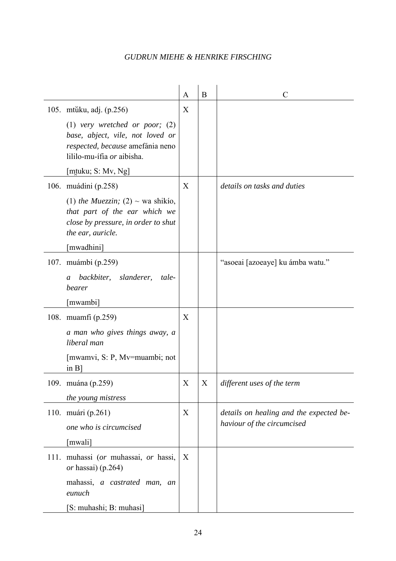|      |                                                                                                                                                                                            | A | B | C                                                                     |
|------|--------------------------------------------------------------------------------------------------------------------------------------------------------------------------------------------|---|---|-----------------------------------------------------------------------|
|      | 105. mtŭku, adj. (p.256)<br>$(1)$ very wretched or poor; $(2)$<br>base, abject, vile, not loved or<br>respected, because amefánia neno<br>lililo-mu-ífia or aibisha.<br>[mtuku; S: Mv, Ng] | X |   |                                                                       |
|      | 106. muádini (p.258)<br>(1) the Muezzin; (2) $\sim$ wa shikio,<br>that part of the ear which we<br>close by pressure, in order to shut<br>the ear, auricle.<br>[mwadhini]                  | X |   | details on tasks and duties                                           |
|      | 107. muámbi (p.259)<br>backbiter, slanderer,<br>tale-<br>a<br>bearer<br>[mwambi]                                                                                                           |   |   | "asoeai [azoeaye] ku ámba watu."                                      |
|      | 108. muamfi (p.259)<br>a man who gives things away, a<br>liberal man<br>[mwamvi, S: P, Mv=muambi; not<br>$\overline{a}$ in B                                                               | X |   |                                                                       |
|      | 109. muána (p.259)<br>the young mistress                                                                                                                                                   | X | X | different uses of the term                                            |
|      | 110. muári (p.261)<br>one who is circumcised<br>[mwali]                                                                                                                                    | X |   | details on healing and the expected be-<br>haviour of the circumcised |
| 111. | muhassi (or muhassai, or hassi,<br>or hassai) $(p.264)$<br>mahassi, a castrated man, an<br>eunuch<br>[S: muhashi; B: muhasi]                                                               | X |   |                                                                       |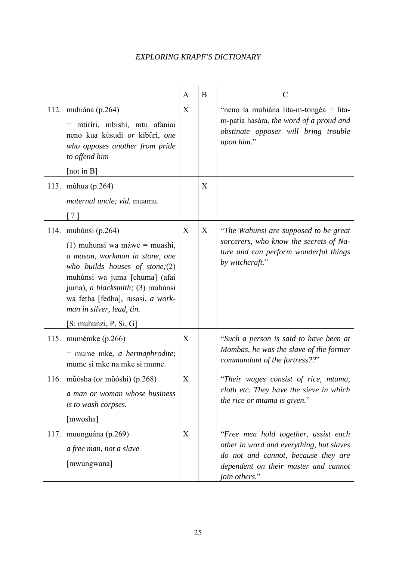|      |                                                                                                                                                                                                                                                                                                 | A                | B | $\mathcal{C}$                                                                                                                                                                    |
|------|-------------------------------------------------------------------------------------------------------------------------------------------------------------------------------------------------------------------------------------------------------------------------------------------------|------------------|---|----------------------------------------------------------------------------------------------------------------------------------------------------------------------------------|
|      | 112. muhiána (p.264)<br>= mtiríri, mbishi, mtu afaniai<br>neno kua kúsudi or kibūri, one<br>who opposes another from pride<br>to offend him<br>[not in $B$ ]                                                                                                                                    | X                |   | "neno la muhiána lita-m-tongéa = lita-<br>m-patía hasára, the word of a proud and<br>obstinate opposer will bring trouble<br>upon him."                                          |
|      | 113. múhua (p.264)<br>maternal uncle; vid. muamu.<br>$\lceil ? \rceil$                                                                                                                                                                                                                          |                  | X |                                                                                                                                                                                  |
|      | 114. muhúnsi (p.264)<br>(1) muhunsi wa máwe = muashi,<br>a mason, workman in stone, one<br>who builds houses of stone; $(2)$<br>muhúnsi wa juma [chuma] (afai<br>juma), a blacksmith; (3) muhúnsi<br>wa fetha [fedha], rusasi, a work-<br>man in silver, lead, tin.<br>$[S:$ muhunzi, P, Si, G] | $\boldsymbol{X}$ | X | "The Wahunsi are supposed to be great<br>sorcerers, who know the secrets of Na-<br>ture and can perform wonderful things<br>by witchcraft."                                      |
|      | 115. mumémke (p.266)<br>$=$ mume mke, <i>a</i> hermaphrodite;<br>mume si mke na mke si mume.                                                                                                                                                                                                    | X                |   | "Such a person is said to have been at<br>Mombas, he was the slave of the former<br>commandant of the fortress??"                                                                |
|      | 116. műósha (or műóshi) (p.268)<br>a man or woman whose business<br>is to wash corpses.<br>[mwosha]                                                                                                                                                                                             | X                |   | "Their wages consist of rice, mtama,<br>cloth etc. They have the sieve in which<br>the rice or mtama is given."                                                                  |
| 117. | muunguána (p.269)<br>a free man, not a slave<br>[mwungwana]                                                                                                                                                                                                                                     | X                |   | "Free men hold together, assist each<br>other in word and everything, but slaves<br>do not and cannot, because they are<br>dependent on their master and cannot<br>join others." |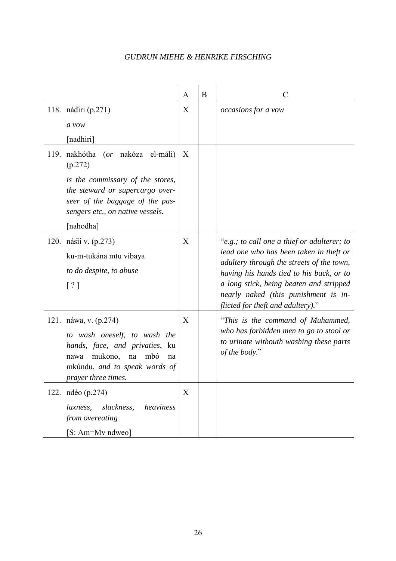|                                                                                                                                                                                       | A | B | C                                                                                                                                                                                                                                                                                                       |
|---------------------------------------------------------------------------------------------------------------------------------------------------------------------------------------|---|---|---------------------------------------------------------------------------------------------------------------------------------------------------------------------------------------------------------------------------------------------------------------------------------------------------------|
| 118. nádíri (p.271)<br>$a$ vow                                                                                                                                                        | X |   | occasions for a vow                                                                                                                                                                                                                                                                                     |
| [nadhiri]                                                                                                                                                                             |   |   |                                                                                                                                                                                                                                                                                                         |
| 119. nakhótha<br>( <i>or</i> nakóza el-máli)<br>(p.272)                                                                                                                               | X |   |                                                                                                                                                                                                                                                                                                         |
| is the commissary of the stores,<br>the steward or supercargo over-<br>seer of the baggage of the pas-<br>sengers etc., on native vessels.<br>[nahodha]                               |   |   |                                                                                                                                                                                                                                                                                                         |
| 120. násii v. (p.273)<br>ku-m-tukána mtu vibaya<br>to do despite, to abuse<br>$\lceil ? \rceil$                                                                                       | X |   | "e.g.; to call one a thief or adulterer; to<br>lead one who has been taken in theft or<br>adultery through the streets of the town,<br>having his hands tied to his back, or to<br>a long stick, being beaten and stripped<br>nearly naked (this punishment is in-<br>flicted for theft and adultery)." |
| 121. náwa, v. (p.274)<br>to wash oneself, to wash the<br>hands, face, and privaties, ku<br>mukono,<br>mbó<br>na<br>nawa<br>na<br>mkúndu, and to speak words of<br>prayer three times. | X |   | "This is the command of Muhammed,<br>who has forbidden men to go to stool or<br>to urinate withouth washing these parts<br>of the body."                                                                                                                                                                |
| 122. ndéo (p.274)<br>slackness,<br>heaviness<br><i>laxness,</i><br>from overeating<br>[S: Am=Mv ndweo]                                                                                | X |   |                                                                                                                                                                                                                                                                                                         |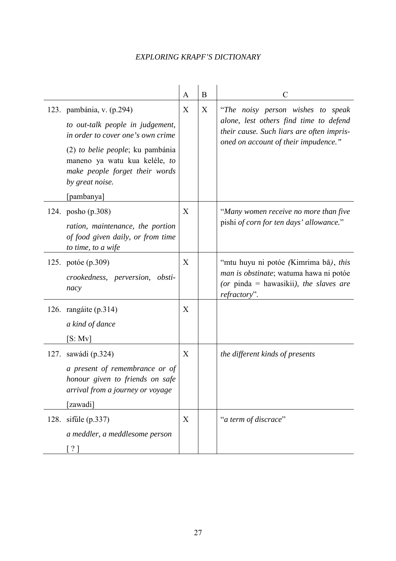|                                                                                                                                                                                                                                            | A                | B | C                                                                                                                                                                |
|--------------------------------------------------------------------------------------------------------------------------------------------------------------------------------------------------------------------------------------------|------------------|---|------------------------------------------------------------------------------------------------------------------------------------------------------------------|
| 123. pambánia, v. (p.294)<br>to out-talk people in judgement,<br>in order to cover one's own crime<br>(2) to belie people; ku pambánia<br>maneno ya watu kua keléle, to<br>make people forget their words<br>by great noise.<br>[pambanya] | X                | X | "The noisy person wishes to speak<br>alone, lest others find time to defend<br>their cause. Such liars are often impris-<br>oned on account of their impudence." |
| 124. posho (p.308)<br>ration, maintenance, the portion<br>of food given daily, or from time<br>to time, to a wife                                                                                                                          | X                |   | "Many women receive no more than five<br>pishi of corn for ten days' allowance."                                                                                 |
| 125. potóe (p.309)<br>crookedness, perversion, obsti-<br>nacy                                                                                                                                                                              | X                |   | "mtu huyu ni potóe (Kimrima bā), this<br>man is obstinate; watuma hawa ni potóe<br>(or pinda = hawasikii), the slaves are<br>refractory".                        |
| 126. rangáite (p.314)<br>a kind of dance<br>[S: Mv]                                                                                                                                                                                        | X                |   |                                                                                                                                                                  |
| 127. sawádi (p.324)<br>a present of remembrance or of<br>honour given to friends on safe<br>arrival from a journey or voyage<br>[zawadi]                                                                                                   | X                |   | the different kinds of presents                                                                                                                                  |
| 128. sifule (p.337)<br>a meddler, a meddlesome person<br>$\lceil ? \rceil$                                                                                                                                                                 | $\boldsymbol{X}$ |   | "a term of discrace"                                                                                                                                             |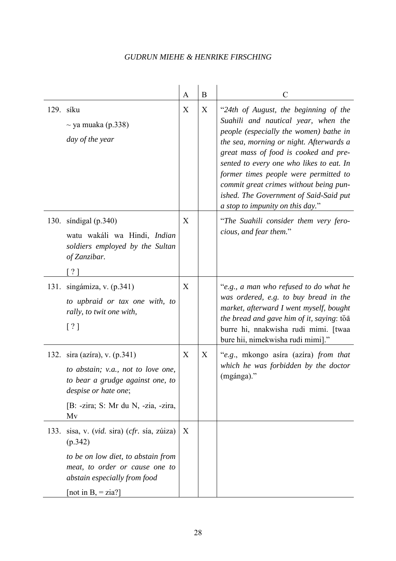|      |                                                                                                                                                                                   | A | B | C                                                                                                                                                                                                                                                                                                                                                                                                                       |
|------|-----------------------------------------------------------------------------------------------------------------------------------------------------------------------------------|---|---|-------------------------------------------------------------------------------------------------------------------------------------------------------------------------------------------------------------------------------------------------------------------------------------------------------------------------------------------------------------------------------------------------------------------------|
|      | 129. síku<br>$\sim$ ya muaka (p.338)<br>day of the year                                                                                                                           | X | X | "24th of August, the beginning of the<br>Suahili and nautical year, when the<br>people (especially the women) bathe in<br>the sea, morning or night. Afterwards a<br>great mass of food is cooked and pre-<br>sented to every one who likes to eat. In<br>former times people were permitted to<br>commit great crimes without being pun-<br>ished. The Government of Said-Said put<br>a stop to impunity on this day." |
| 130. | síndigal $(p.340)$<br>watu wakáli wa Hindi, Indian<br>soldiers employed by the Sultan<br>of Zanzibar.<br>$\gamma$ ]                                                               | X |   | "The Suahili consider them very fero-<br>cious, and fear them."                                                                                                                                                                                                                                                                                                                                                         |
| 131. | singámiza, v. (p.341)<br>to upbraid or tax one with, to<br>rally, to twit one with,<br>[ ? ]                                                                                      | X |   | "e.g., a man who refused to do what he<br>was ordered, e.g. to buy bread in the<br>market, afterward I went myself, bought<br>the bread and gave him of it, saying: to a<br>burre hi, nnakwisha rudi mimi. [twaa<br>bure hii, nimekwisha rudi mimi]."                                                                                                                                                                   |
|      | 132. sira (azíra), v. (p.341)<br>to abstain; v.a., not to love one,<br>to bear a grudge against one, to<br>despise or hate one;<br>[B: -zira; S: Mr du N, -zia, -zira,<br>Mv      | X | X | "e.g., mkongo asira (azira) from that<br>which he was forbidden by the doctor<br>(mgánga)."                                                                                                                                                                                                                                                                                                                             |
| 133. | sisa, v. (vid. sira) (cfr. sía, zúiza)<br>(p.342)<br>to be on low diet, to abstain from<br>meat, to order or cause one to<br>abstain especially from food<br>[not in B, $=$ zia?] | X |   |                                                                                                                                                                                                                                                                                                                                                                                                                         |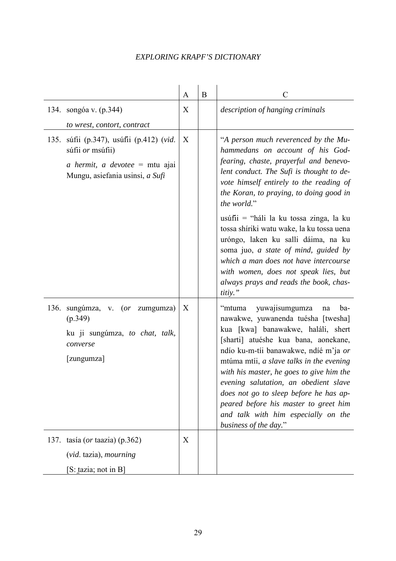|      |                                                                                                                                                               | A      | B | $\overline{C}$                                                                                                                                                                                                                                                                                                                                                                                                                                                                                                                                                                   |
|------|---------------------------------------------------------------------------------------------------------------------------------------------------------------|--------|---|----------------------------------------------------------------------------------------------------------------------------------------------------------------------------------------------------------------------------------------------------------------------------------------------------------------------------------------------------------------------------------------------------------------------------------------------------------------------------------------------------------------------------------------------------------------------------------|
|      | 134. songóa v. (p.344)                                                                                                                                        | X      |   | description of hanging criminals                                                                                                                                                                                                                                                                                                                                                                                                                                                                                                                                                 |
| 135. | to wrest, contort, contract<br>súfii (p.347), usúfii (p.412) (vid.<br>súfii or msúfii)<br>a hermit, a devotee $=$ mtu ajai<br>Mungu, asiefania usinsi, a Sufi | X      |   | "A person much reverenced by the Mu-<br>hammedans on account of his God-<br>fearing, chaste, prayerful and benevo-<br>lent conduct. The Sufi is thought to de-<br>vote himself entirely to the reading of<br>the Koran, to praying, to doing good in<br>the world."<br>usúfii = "háli la ku tossa zinga, la ku<br>tossa shíriki watu wake, la ku tossa uena<br>uróngo, laken ku salli dáima, na ku<br>soma juo, a state of mind, guided by<br>which a man does not have intercourse<br>with women, does not speak lies, but<br>always prays and reads the book, chas-<br>titiy." |
| 136. | sungúmza, v. (or zumgumza)<br>(p.349)<br>ku ji sungúmza, to chat, talk,<br>converse<br>[zungumza]<br>137. tasía (or taazia) (p.362)<br>(vid. tazia), mourning | X<br>X |   | yuwajisumgumza<br>"mtuma<br>ba-<br>na<br>nawakwe, yuwanenda tuésha [twesha]<br>kua [kwa] banawakwe, haláli, shert<br>[sharti] atuéshe kua bana, aonekane,<br>ndío ku-m-tíi banawakwe, ndíé m'ja or<br>mtúma mtíi, a slave talks in the evening<br>with his master, he goes to give him the<br>evening salutation, an obedient slave<br>does not go to sleep before he has ap-<br>peared before his master to greet him<br>and talk with him especially on the<br>business of the day."                                                                                           |
|      | [S: tazia; not in B]                                                                                                                                          |        |   |                                                                                                                                                                                                                                                                                                                                                                                                                                                                                                                                                                                  |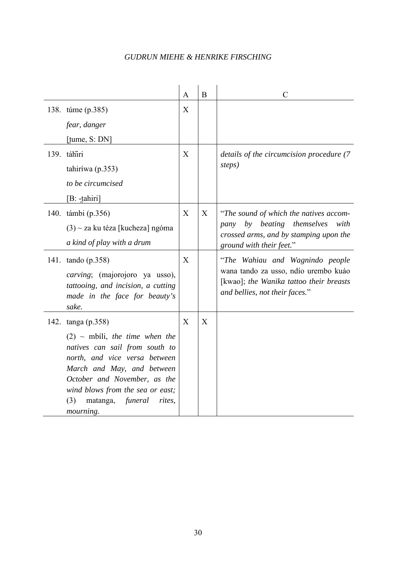|                                                                                                                                                                                                                                                                | $\mathbf{A}$   | $\mathbf{B}$ | $\mathcal{C}$                                                                                                                                        |
|----------------------------------------------------------------------------------------------------------------------------------------------------------------------------------------------------------------------------------------------------------------|----------------|--------------|------------------------------------------------------------------------------------------------------------------------------------------------------|
| 138. túme (p.385)                                                                                                                                                                                                                                              | X              |              |                                                                                                                                                      |
| fear, danger                                                                                                                                                                                                                                                   |                |              |                                                                                                                                                      |
| $[$ tume, S: DN $]$                                                                                                                                                                                                                                            |                |              |                                                                                                                                                      |
| 139. táhíri                                                                                                                                                                                                                                                    | X              |              | details of the circumcision procedure (7)                                                                                                            |
| tahiriwa (p. 353)                                                                                                                                                                                                                                              |                |              | steps)                                                                                                                                               |
| to be circumcised                                                                                                                                                                                                                                              |                |              |                                                                                                                                                      |
| [B: -tahiri]                                                                                                                                                                                                                                                   |                |              |                                                                                                                                                      |
| 140. támbi (p.356)                                                                                                                                                                                                                                             | $\overline{X}$ | X            | "The sound of which the natives accom-                                                                                                               |
| $(3)$ ~ za ku téza [kucheza] ngóma                                                                                                                                                                                                                             |                |              | pany by beating themselves<br>with                                                                                                                   |
| a kind of play with a drum                                                                                                                                                                                                                                     |                |              | crossed arms, and by stamping upon the<br>ground with their feet."                                                                                   |
| 141. tando (p.358)<br><i>carving</i> ; (majorojoro ya usso),<br>tattooing, and incision, a cutting<br>made in the face for beauty's<br>sake.                                                                                                                   | X              |              | "The Wahiau and Wagnindo people<br>wana tando za usso, ndío urembo kuáo<br>[kwao]; the Wanika tattoo their breasts<br>and bellies, not their faces." |
| 142. tanga (p.358)                                                                                                                                                                                                                                             | X              | X            |                                                                                                                                                      |
| $(2)$ ~ mbili, the time when the<br>natives can sail from south to<br>north, and vice versa between<br>March and May, and between<br>October and November, as the<br>wind blows from the sea or east;<br>(3)<br>matanga, <i>funeral</i><br>rites,<br>mourning. |                |              |                                                                                                                                                      |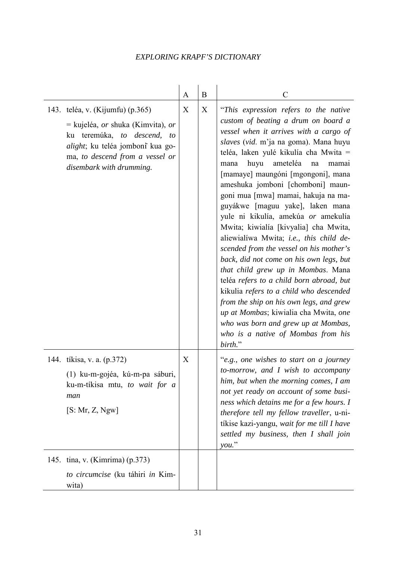|                                                                                                                                                                                                                                    | A | B | $\mathcal{C}$                                                                                                                                                                                                                                                                                                                                                                                                                                                                                                                                                                                                                                                                                                                                                                                                                                                                                                                       |
|------------------------------------------------------------------------------------------------------------------------------------------------------------------------------------------------------------------------------------|---|---|-------------------------------------------------------------------------------------------------------------------------------------------------------------------------------------------------------------------------------------------------------------------------------------------------------------------------------------------------------------------------------------------------------------------------------------------------------------------------------------------------------------------------------------------------------------------------------------------------------------------------------------------------------------------------------------------------------------------------------------------------------------------------------------------------------------------------------------------------------------------------------------------------------------------------------------|
| 143. teléa, v. (Kijumfu) (p.365)<br>$=$ kujeléa, <i>or</i> shuka (Kimvita), <i>or</i><br>ku teremúka, to descend,<br>to<br><i>alight</i> ; ku teléa jomboni kua go-<br>ma, to descend from a vessel or<br>disembark with drumming. | X | X | "This expression refers to the native<br>custom of beating a drum on board a<br>vessel when it arrives with a cargo of<br>slaves (vid. m'ja na goma). Mana huyu<br>teléa, laken yulé kikulía cha Mwita =<br>huyu<br>ameteléa<br>mana<br>na<br>mamai<br>[mamaye] maungóni [mgongoni], mana<br>ameshuka jomboni [chomboni] maun-<br>goni mua [mwa] mamai, hakuja na ma-<br>guyákwe [maguu yake], laken mana<br>yule ni kikulía, amekúa or amekulía<br>Mwita; kiwialía [kivyalia] cha Mwita,<br>aliewialíwa Mwita; i.e., this child de-<br>scended from the vessel on his mother's<br>back, did not come on his own legs, but<br>that child grew up in Mombas. Mana<br>teléa refers to a child born abroad, but<br>kikulia refers to a child who descended<br>from the ship on his own legs, and grew<br>up at Mombas; kiwialia cha Mwita, one<br>who was born and grew up at Mombas,<br>who is a native of Mombas from his<br>birth." |
| 144. tíkisa, v. a. (p.372)<br>(1) ku-m-gojéa, kú-m-pa sáburi,<br>ku-m-tíkisa mtu, to wait for a<br>man<br>[S: Mr, Z, Ngw]                                                                                                          | X |   | "e.g., one wishes to start on a journey<br>to-morrow, and I wish to accompany<br>him, but when the morning comes, I am<br>not yet ready on account of some busi-<br>ness which detains me for a few hours. I<br>therefore tell my fellow traveller, u-ni-<br>tíkise kazi-yangu, wait for me till I have<br>settled my business, then I shall join<br>you."                                                                                                                                                                                                                                                                                                                                                                                                                                                                                                                                                                          |
| 145. tina, v. (Kimrima) (p.373)<br>to circumcise (ku táhiri in Kim-<br>wita)                                                                                                                                                       |   |   |                                                                                                                                                                                                                                                                                                                                                                                                                                                                                                                                                                                                                                                                                                                                                                                                                                                                                                                                     |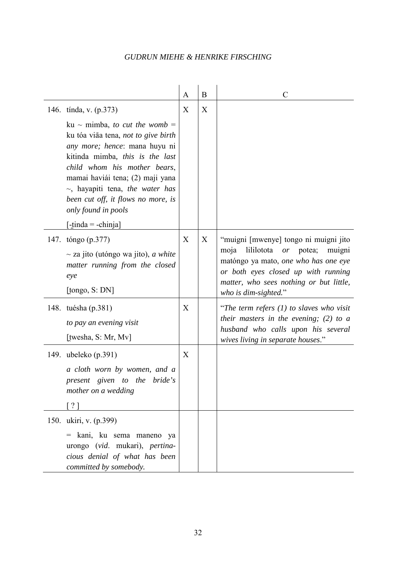|                                                                                                                                                                                                                                                                                                                                                                                    | A | B | C                                                                                                                                                                                                                                           |
|------------------------------------------------------------------------------------------------------------------------------------------------------------------------------------------------------------------------------------------------------------------------------------------------------------------------------------------------------------------------------------|---|---|---------------------------------------------------------------------------------------------------------------------------------------------------------------------------------------------------------------------------------------------|
| 146. tínda, v. (p.373)<br>ku ~ mimba, to cut the womb =<br>ku tóa viãa tena, not to give birth<br>any more; hence: mana huyu ni<br>kitinda mimba, this is the last<br>child whom his mother bears,<br>mamai haviái tena; (2) maji yana<br>$\sim$ , hayapiti tena, the water has<br>been cut off, it flows no more, is<br>only found in pools<br>$[-\text{tinda} = -\text{chinja}]$ | X | X |                                                                                                                                                                                                                                             |
| 147. tóngo (p.377)<br>$\sim$ za jito (utóngo wa jito), <i>a white</i><br>matter running from the closed<br>eye<br>[tongo, S: DN]                                                                                                                                                                                                                                                   | X | X | "muigni [mwenye] tongo ni muigni jito<br>lililotota<br>or potea;<br>moja<br>muigni<br>matóngo ya mato, <i>one who has one eye</i><br>or both eyes closed up with running<br>matter, who sees nothing or but little,<br>who is dim-sighted." |
| 148. tuésha (p.381)<br>to pay an evening visit<br>[twesha, $S: Mr, Mv$ ]                                                                                                                                                                                                                                                                                                           | X |   | "The term refers $(1)$ to slaves who visit<br>their masters in the evening; $(2)$ to a<br>husband who calls upon his several<br>wives living in separate houses."                                                                           |
| 149. ubeleko (p.391)<br>a cloth worn by women, and a<br>present given to the bride's<br>mother on a wedding<br>[ ? ]                                                                                                                                                                                                                                                               | X |   |                                                                                                                                                                                                                                             |
| 150. ukiri, v. (p.399)<br>= kani, ku sema maneno ya<br>urongo (vid. mukari), pertina-<br>cious denial of what has been<br>committed by somebody.                                                                                                                                                                                                                                   |   |   |                                                                                                                                                                                                                                             |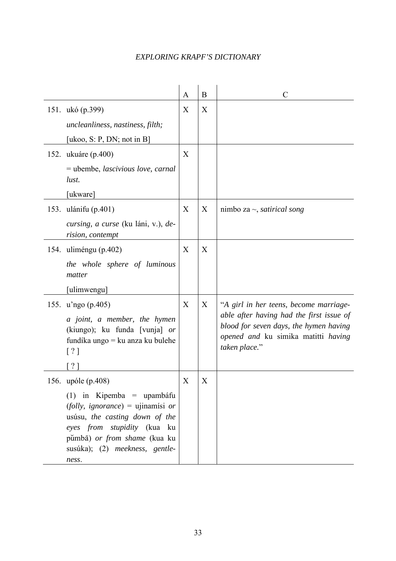|                                                                                                                                                                                                              | A                         | B | $\overline{C}$                                                                                                                             |
|--------------------------------------------------------------------------------------------------------------------------------------------------------------------------------------------------------------|---------------------------|---|--------------------------------------------------------------------------------------------------------------------------------------------|
| 151. ukó (p.399)                                                                                                                                                                                             | X                         | X |                                                                                                                                            |
| uncleanliness, nastiness, filth;                                                                                                                                                                             |                           |   |                                                                                                                                            |
| [ukoo, S: P, DN; not in B]                                                                                                                                                                                   |                           |   |                                                                                                                                            |
| 152. ukuáre (p.400)                                                                                                                                                                                          | X                         |   |                                                                                                                                            |
| $=$ ubembe, <i>lascivious love</i> , <i>carnal</i><br>lust.                                                                                                                                                  |                           |   |                                                                                                                                            |
| [ukware]                                                                                                                                                                                                     |                           |   |                                                                                                                                            |
| 153. ulánifu (p.401)                                                                                                                                                                                         | X                         | X | nimbo za $\sim$ , <i>satirical song</i>                                                                                                    |
| cursing, a curse (ku láni, v.), de-<br>rision, contempt                                                                                                                                                      |                           |   |                                                                                                                                            |
| 154. uliméngu (p.402)                                                                                                                                                                                        | X                         | X |                                                                                                                                            |
| the whole sphere of luminous<br>matter                                                                                                                                                                       |                           |   |                                                                                                                                            |
| [ulimwengu]                                                                                                                                                                                                  |                           |   |                                                                                                                                            |
| 155. u'ngo (p.405)                                                                                                                                                                                           | X                         | X | "A girl in her teens, become marriage-                                                                                                     |
| a joint, a member, the hymen<br>(kiungo); ku funda [vunja] or<br>fundíka ungo = ku anza ku bulehe<br>[ ? ]                                                                                                   |                           |   | able after having had the first issue of<br>blood for seven days, the hymen having<br>opened and ku simika matitti having<br>taken place." |
|                                                                                                                                                                                                              |                           |   |                                                                                                                                            |
| 156. upóle (p.408)                                                                                                                                                                                           | $\boldsymbol{\mathrm{X}}$ | X |                                                                                                                                            |
| $(1)$ in Kipemba = upambáfu<br>(folly, ignorance) = ujinamisi or<br>usúsu, the casting down of the<br>eyes from stupidity (kua ku<br>pumbā) or from shame (kua ku<br>susúka); (2) meekness, gentle-<br>ness. |                           |   |                                                                                                                                            |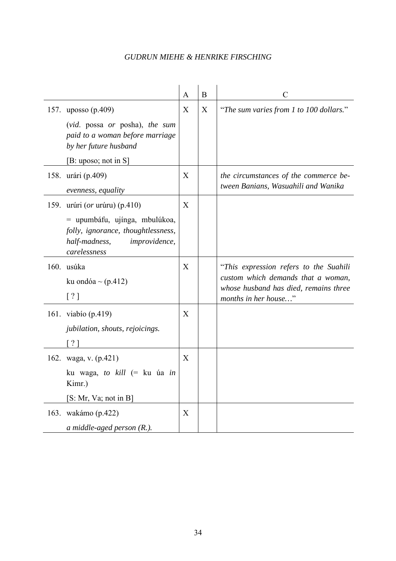|      |                                                                                                                              | A                | B | C                                                                                                                                             |
|------|------------------------------------------------------------------------------------------------------------------------------|------------------|---|-----------------------------------------------------------------------------------------------------------------------------------------------|
|      | 157. uposso (p.409)                                                                                                          | $\boldsymbol{X}$ | X | "The sum varies from 1 to 100 dollars."                                                                                                       |
|      | (vid. possa or posha), the sum<br>paid to a woman before marriage<br>by her future husband                                   |                  |   |                                                                                                                                               |
|      | [B: uposo; not in S]                                                                                                         |                  |   |                                                                                                                                               |
|      | 158. urári (p.409)<br>evenness, equality                                                                                     | X                |   | the circumstances of the commerce be-<br>tween Banians, Wasuahili and Wanika                                                                  |
|      | 159. urúri ( <i>or</i> urúru) (p.410)                                                                                        | X                |   |                                                                                                                                               |
|      | = upumbáfu, ujínga, mbulúkoa,<br>folly, ignorance, thoughtlessness,<br>half-madness,<br><i>improvidence,</i><br>carelessness |                  |   |                                                                                                                                               |
|      | 160. usúka<br>ku ondóa ~ (p.412)<br>[ ? ]                                                                                    | X                |   | "This expression refers to the Suahili<br>custom which demands that a woman,<br>whose husband has died, remains three<br>months in her house" |
|      | 161. viabio (p.419)<br>jubilation, shouts, rejoicings.<br>$\lceil ? \rceil$                                                  | X                |   |                                                                                                                                               |
|      | 162. waga, v. (p.421)<br>ku waga, <i>to kill</i> (= ku úa <i>in</i><br>Kimr.)<br>[S: Mr, Va; not in B]                       | X                |   |                                                                                                                                               |
| 163. | wakámo (p.422)<br>a middle-aged person $(R1)$ .                                                                              | X                |   |                                                                                                                                               |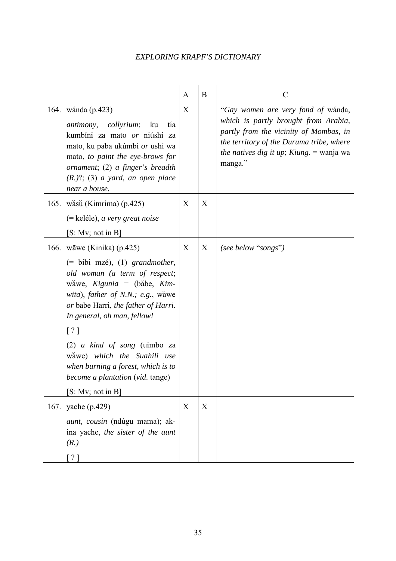|                                                                                                                                                                                                                                                                                                                                                                                                                                                          | A | B | C                                                                                                                                                                                                                                |
|----------------------------------------------------------------------------------------------------------------------------------------------------------------------------------------------------------------------------------------------------------------------------------------------------------------------------------------------------------------------------------------------------------------------------------------------------------|---|---|----------------------------------------------------------------------------------------------------------------------------------------------------------------------------------------------------------------------------------|
| 164. wánda (p.423)<br>antimony,<br><i>collyrium</i> ;<br>ku<br>tía<br>kumbíni za mato or niúshi za<br>mato, ku paba ukúmbi or ushi wa<br>mato, to paint the eye-brows for<br>ornament; (2) a finger's breadth<br>$(R.)?$ ; (3) a yard, an open place<br>near a house.                                                                                                                                                                                    | X |   | "Gay women are very fond of wanda,<br>which is partly brought from Arabia,<br>partly from the vicinity of Mombas, in<br>the territory of the Duruma tribe, where<br><i>the natives dig it up; Kiung.</i> $=$ wanja wa<br>manga." |
| 165. wăsŭ (Kimrima) (p.425)<br>$(=$ keléle), a very great noise<br>[S: Mv; not in B]                                                                                                                                                                                                                                                                                                                                                                     | X | X |                                                                                                                                                                                                                                  |
| 166. wāwe (Kinika) (p.425)<br>$(=\text{bibi } m z \hat{e}), (1) \ \ \text{grandmother},$<br>old woman (a term of respect;<br>wăwe, Kigunia = (băbe, Kim-<br>wita), father of N.N.; e.g., wawe<br>or babe Harri, the father of Harri.<br>In general, oh man, fellow!<br>$\lceil ? \rceil$<br>(2) $a$ kind of song (uimbo za<br>wawe) which the Suahili use<br>when burning a forest, which is to<br>become a plantation (vid. tange)<br>[S: Mv; not in B] | X | X | (see below "songs")                                                                                                                                                                                                              |
| 167. yache (p.429)<br><i>aunt, cousin</i> (ndúgu mama); ak-<br>ina yache, the sister of the aunt<br>(R.)<br>$\lceil ? \rceil$                                                                                                                                                                                                                                                                                                                            | X | X |                                                                                                                                                                                                                                  |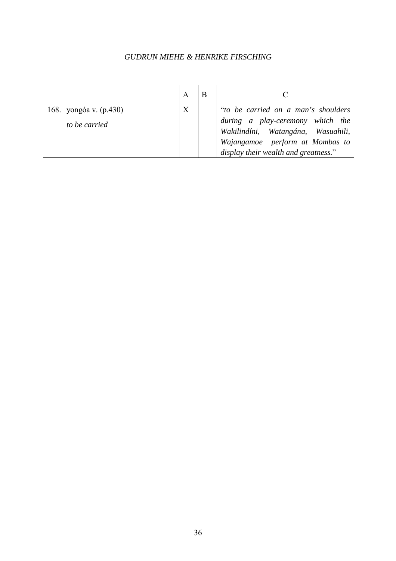| 168. yongóa v. (p.430)<br>to be carried | X | "to be carried on a man's shoulders<br>during a play-ceremony which the<br>Wakilindíni, Watangána, Wasuahili,<br>Wajangamoe perform at Mombas to<br>display their wealth and greatness." |
|-----------------------------------------|---|------------------------------------------------------------------------------------------------------------------------------------------------------------------------------------------|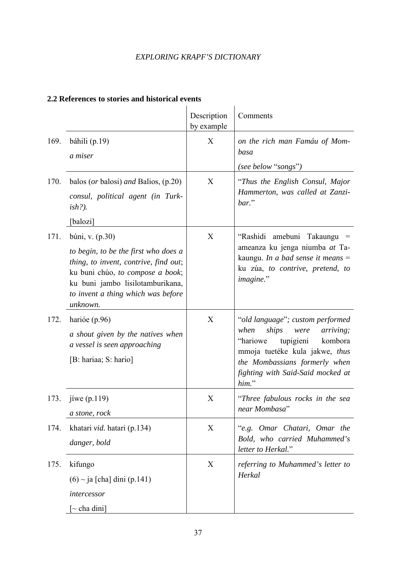|      |                                                                                                                                                                                                                            | Description<br>by example | Comments                                                                                                                                                                                                                    |
|------|----------------------------------------------------------------------------------------------------------------------------------------------------------------------------------------------------------------------------|---------------------------|-----------------------------------------------------------------------------------------------------------------------------------------------------------------------------------------------------------------------------|
| 169. | báhili (p.19)<br>a miser                                                                                                                                                                                                   | X                         | on the rich man Famáu of Mom-<br>basa                                                                                                                                                                                       |
| 170. | balos (or balosi) and Balios, $(p.20)$<br>consul, political agent (in Turk-<br>$ish$ ?).<br>[balozi]                                                                                                                       | X                         | (see below "songs")<br>"Thus the English Consul, Major<br>Hammerton, was called at Zanzi-<br>bar."                                                                                                                          |
| 171. | búni, v. (p.30)<br>to begin, to be the first who does a<br>thing, to invent, contrive, find out;<br>ku buni chúo, to compose a book;<br>ku buni jambo lisilotamburikana,<br>to invent a thing which was before<br>unknown. | X                         | "Rashidi<br>amebuni Takaungu<br>$=$<br>ameanza ku jenga niumba at Ta-<br>kaungu. In a bad sense it means $=$<br>ku zúa, to contrive, pretend, to<br>imagine."                                                               |
| 172. | harióe (p.96)<br>a shout given by the natives when<br>a vessel is seen approaching<br>[B: hariaa; S: hario]                                                                                                                | X                         | "old language"; custom performed<br>ships<br>when<br>arriving;<br>were<br>"hariowe<br>tupigieni<br>kombora<br>mmoja tuetéke kula jakwe, thus<br>the Mombassians formerly when<br>fighting with Said-Said mocked at<br>him." |
| 173. | jíwe $(p.119)$<br>a stone, rock                                                                                                                                                                                            | X                         | "Three fabulous rocks in the sea<br>near Mombasa"                                                                                                                                                                           |
| 174. | khatari vid. hatari (p.134)<br>danger, bold                                                                                                                                                                                | X                         | "e.g. Omar Chatari, Omar the<br>Bold, who carried Muhammed's<br>letter to Herkal."                                                                                                                                          |
| 175. | kifungo<br>$(6)$ ~ ja [cha] dini (p.141)<br>intercessor<br>$[\sim$ cha dini]                                                                                                                                               | X                         | referring to Muhammed's letter to<br>Herkal                                                                                                                                                                                 |

### **2.2 References to stories and historical events**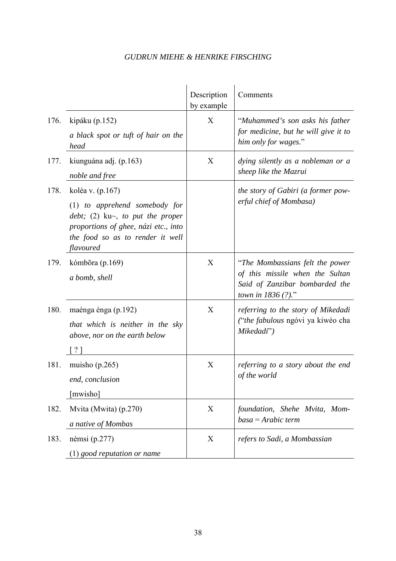|      |                                                                                                                                                                                         | Description<br>by example | Comments                                                                                                                                        |
|------|-----------------------------------------------------------------------------------------------------------------------------------------------------------------------------------------|---------------------------|-------------------------------------------------------------------------------------------------------------------------------------------------|
| 176. | kipáku $(p.152)$<br>a black spot or tuft of hair on the<br>head                                                                                                                         | X                         | "Muhammed's son asks his father<br>for medicine, but he will give it to<br>him only for wages."                                                 |
| 177. | kiunguána adj. (p.163)<br>noble and free                                                                                                                                                | X                         | dying silently as a nobleman or a<br>sheep like the Mazrui                                                                                      |
| 178. | koléa v. (p.167)<br>$(1)$ to apprehend somebody for<br>debt; (2) ku $\sim$ , to put the proper<br>proportions of ghee, názi etc., into<br>the food so as to render it well<br>flavoured |                           | the story of Gabiri (a former pow-<br>erful chief of Mombasa)                                                                                   |
| 179. | kómbóra (p.169)<br>a bomb, shell                                                                                                                                                        | X                         | "The Mombassians felt the power<br>of this missile when the Sultan<br>Said of Zanzibar bombarded the<br><i>town in <math>1836</math> (?).</i> " |
| 180. | maénga énga (p.192)<br>that which is neither in the sky<br>above, nor on the earth below                                                                                                | X                         | referring to the story of Mikedadi<br>("the fabulous ngóvi ya kiwéo cha<br>Mikedadi")                                                           |
| 181. | muisho $(p.265)$<br>end, conclusion<br>mwisho]                                                                                                                                          | X                         | referring to a story about the end<br>of the world                                                                                              |
| 182. | Mvita (Mwita) (p.270)<br>a native of Mombas                                                                                                                                             | X                         | foundation, Shehe Mvita, Mom-<br>$basa = Arabic term$                                                                                           |
| 183. | némsi $(p.277)$<br>$(1)$ good reputation or name                                                                                                                                        | X                         | refers to Sadi, a Mombassian                                                                                                                    |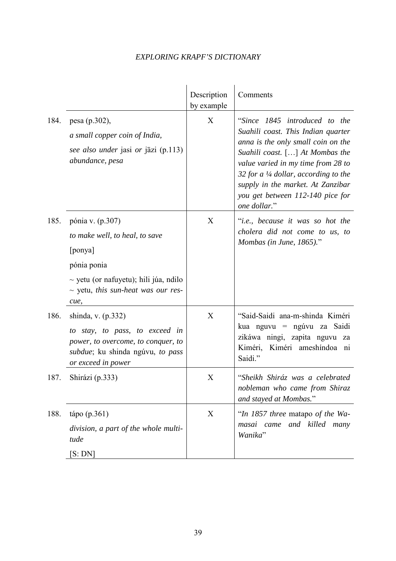|      |                                                                                                                                                                               | Description<br>by example | Comments                                                                                                                                                                                                                                                                                                                              |
|------|-------------------------------------------------------------------------------------------------------------------------------------------------------------------------------|---------------------------|---------------------------------------------------------------------------------------------------------------------------------------------------------------------------------------------------------------------------------------------------------------------------------------------------------------------------------------|
| 184. | pesa (p.302),<br>a small copper coin of India,<br>see also under jasi or jāzi (p.113)<br>abundance, pesa                                                                      | X                         | "Since 1845 introduced to the<br>Suahili coast. This Indian quarter<br>anna is the only small coin on the<br>Suahili coast. $[\dots]$ At Mombas the<br>value varied in my time from 28 to<br>32 for a $\frac{1}{4}$ dollar, according to the<br>supply in the market. At Zanzibar<br>you get between 112-140 pice for<br>one dollar." |
| 185. | pónia v. (p.307)<br>to make well, to heal, to save<br>[ponya]<br>pónia ponia<br>$\sim$ yetu (or nafuyetu); hili júa, ndilo<br>$\sim$ yetu, this sun-heat was our res-<br>cue, | X                         | " <i>i.e.</i> , because it was so hot the<br>cholera did not come to us, to<br>Mombas (in June, $1865$ )."                                                                                                                                                                                                                            |
| 186. | shinda, v. (p.332)<br>to stay, to pass, to exceed in<br>power, to overcome, to conquer, to<br>subdue; ku shinda ngúvu, to pass<br>or exceed in power                          | X                         | "Said-Saidi ana-m-shinda Kiméri<br>kua nguvu = ngúvu za Saidi<br>zikáwa ningi, zapita nguvu za<br>Kiméri ameshíndoa ni<br>Kiméri,<br>Saidi."                                                                                                                                                                                          |
| 187. | Shirázi (p.333)                                                                                                                                                               | X                         | "Sheikh Shiráz was a celebrated<br>nobleman who came from Shiraz<br>and stayed at Mombas."                                                                                                                                                                                                                                            |
| 188. | tápo (p.361)<br>division, a part of the whole multi-<br>tude<br>[S:DN]                                                                                                        | X                         | "In 1857 three matapo of the Wa-<br>masai came and killed<br>many<br>Wanika"                                                                                                                                                                                                                                                          |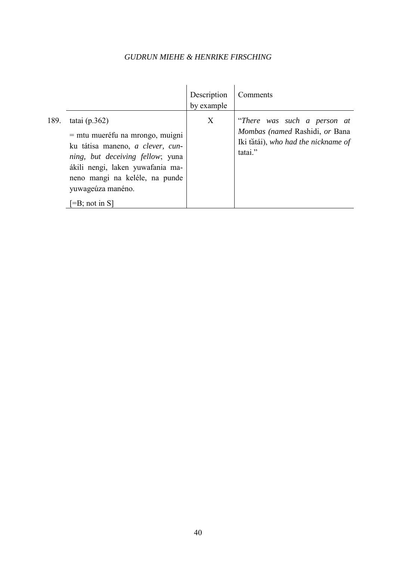|      |                                                                                                                                                                                                                                                          | Description<br>by example | Comments                                                                                                        |
|------|----------------------------------------------------------------------------------------------------------------------------------------------------------------------------------------------------------------------------------------------------------|---------------------------|-----------------------------------------------------------------------------------------------------------------|
| 189. | tatai $(p.362)$<br>$=$ mtu mueréfu na mrongo, muigni<br>ku tátisa maneno, a clever, cun-<br>ning, but deceiving fellow; yuna<br>ákili nengi, laken yuwafania ma-<br>neno mangi na keléle, na punde<br>yuwageúza manéno.<br>$\left[-B\right]$ ; not in S] | X                         | "There was such a person at<br>Mombas (named Rashidi, or Bana<br>Iki tătái), who had the nickname of<br>tatai." |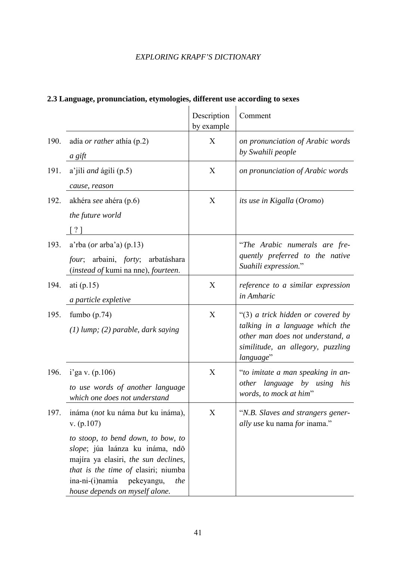|      |                                                                                                                                                                                          | Description<br>by example | Comment                                                                                                                                                    |
|------|------------------------------------------------------------------------------------------------------------------------------------------------------------------------------------------|---------------------------|------------------------------------------------------------------------------------------------------------------------------------------------------------|
| 190. | adía <i>or rather</i> athía (p.2)<br>a gift                                                                                                                                              | X                         | on pronunciation of Arabic words<br>by Swahili people                                                                                                      |
| 191. | a'jili <i>and</i> ágili (p.5)<br>cause, reason                                                                                                                                           | X                         | on pronunciation of Arabic words                                                                                                                           |
| 192. | akhéra see ahéra (p.6)<br>the future world<br>$\lceil ? \rceil$                                                                                                                          | X                         | its use in Kigalla (Oromo)                                                                                                                                 |
| 193. | $a'$ rba ( <i>or</i> arba'a) (p.13)<br>four; arbaini, forty; arbatáshara<br>(instead of kumi na nne), fourteen.                                                                          |                           | "The Arabic numerals are fre-<br>quently preferred to the native<br>Suahili expression."                                                                   |
| 194. | ati $(p.15)$<br>a particle expletive                                                                                                                                                     | X                         | reference to a similar expression<br>in Amharic                                                                                                            |
| 195. | fumbo $(p.74)$<br>$(1)$ lump; $(2)$ parable, dark saying                                                                                                                                 | X                         | "(3) a trick hidden or covered by<br>talking in a language which the<br>other man does not understand, a<br>similitude, an allegory, puzzling<br>language" |
| 196. | $i'$ ga v. (p.106)<br>to use words of another language<br>which one does not understand                                                                                                  | X                         | "to imitate a man speaking in an-<br>other language by using his<br>words, to mock at him"                                                                 |
| 197. | ináma (not ku náma but ku ináma),<br>v. (p.107)<br>to stoop, to bend down, to bow, to                                                                                                    | X                         | "N.B. Slaves and strangers gener-<br>ally use ku nama for inama."                                                                                          |
|      | slope; júa laánza ku ináma, ndō<br>majíra ya elasiri, the sun declines,<br>that is the time of elasiri; niumba<br>ina-ni-(i)namía<br>pekeyangu,<br>the<br>house depends on myself alone. |                           |                                                                                                                                                            |

# **2.3 Language, pronunciation, etymologies, different use according to sexes**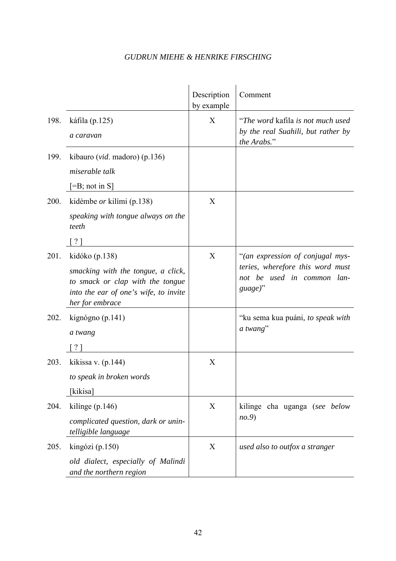|      |                                                                                                                                                      | Description<br>by example | Comment                                                                                                       |
|------|------------------------------------------------------------------------------------------------------------------------------------------------------|---------------------------|---------------------------------------------------------------------------------------------------------------|
| 198. | káfila (p.125)<br>a caravan                                                                                                                          | X                         | "The word kafila is not much used"<br>by the real Suahili, but rather by<br>the Arabs."                       |
| 199. | kibauro (vid. madoro) (p.136)<br>miserable talk<br>$[=B; not in S]$                                                                                  |                           |                                                                                                               |
| 200. | kidémbe <i>or</i> kilími (p.138)<br>speaking with tongue always on the<br>teeth<br>$\lceil ? \rceil$                                                 | X                         |                                                                                                               |
| 201. | kidóko (p.138)<br>smacking with the tongue, a click,<br>to smack or clap with the tongue<br>into the ear of one's wife, to invite<br>her for embrace | X                         | "(an expression of conjugal mys-<br>teries, wherefore this word must<br>not be used in common lan-<br>guage)" |
| 202. | $\text{kignógno}\ (p.141)$<br>a twang                                                                                                                |                           | "ku sema kua puáni, to speak with<br>a twang"                                                                 |
| 203. | kikissa v. $(p.144)$<br>to speak in broken words<br>[kikisa]                                                                                         | X                         |                                                                                                               |
| 204. | kilinge $(p.146)$<br>complicated question, dark or unin-<br>telligible language                                                                      | X                         | kilinge cha uganga (see below<br>no.9                                                                         |
| 205. | kingózi (p.150)<br>old dialect, especially of Malindi<br>and the northern region                                                                     | X                         | used also to outfox a stranger                                                                                |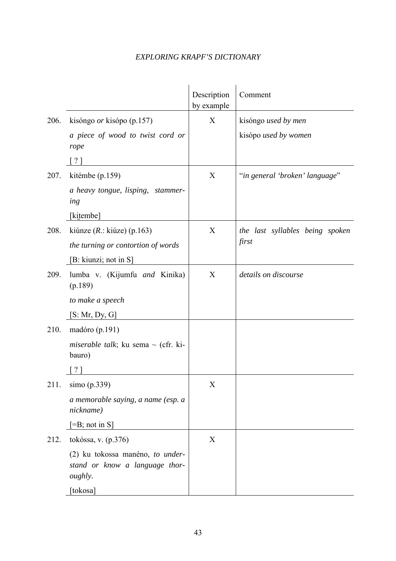|      |                                                                                      | Description<br>by example | Comment                         |
|------|--------------------------------------------------------------------------------------|---------------------------|---------------------------------|
| 206. | kisóngo <i>or</i> kisópo (p.157)                                                     | X                         | kisóngo used by men             |
|      | a piece of wood to twist cord or<br>rope                                             |                           | kisópo used by women            |
|      | $\lceil ? \rceil$                                                                    |                           |                                 |
| 207. | kitémbe (p.159)                                                                      | X                         | "in general 'broken' language"  |
|      | a heavy tongue, lisping, stammer-<br>ing                                             |                           |                                 |
|      | [kitembe]                                                                            |                           |                                 |
| 208. | kiúnze ( $R$ .: kiúze) (p.163)                                                       | X                         | the last syllables being spoken |
|      | the turning or contortion of words                                                   |                           | first                           |
|      | [B: kiunzi; not in S]                                                                |                           |                                 |
| 209. | lumba v. (Kijumfu and Kinika)<br>(p.189)                                             | X                         | details on discourse            |
|      | to make a speech                                                                     |                           |                                 |
|      | [S: Mr, Dy, G]                                                                       |                           |                                 |
| 210. | madóro (p.191)                                                                       |                           |                                 |
|      | <i>miserable talk</i> ; ku sema $\sim$ (cfr. ki-<br>bauro)                           |                           |                                 |
|      |                                                                                      |                           |                                 |
| 211. | simo (p.339)                                                                         | X                         |                                 |
|      | a memorable saying, a name (esp. a<br>nickname)                                      |                           |                                 |
|      | $\left[ =\!\!\frac{\text{B}}{\text{B}} \right]$ ; not in S]                          |                           |                                 |
| 212. | tokóssa, v. (p.376)                                                                  | X                         |                                 |
|      | (2) ku tokossa manéno, to under-<br>stand or know a language thor-<br><i>oughly.</i> |                           |                                 |
|      | [tokosa]                                                                             |                           |                                 |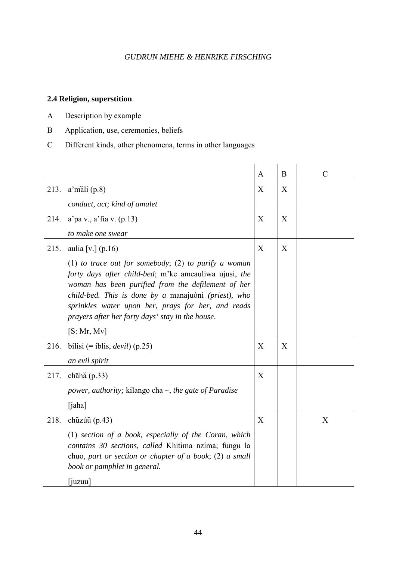### **2.4 Religion, superstition**

- A Description by example
- B Application, use, ceremonies, beliefs
- C Different kinds, other phenomena, terms in other languages

|                                                                                                                                                                                                                                                                                                                                       | A       | B |               |
|---------------------------------------------------------------------------------------------------------------------------------------------------------------------------------------------------------------------------------------------------------------------------------------------------------------------------------------|---------|---|---------------|
|                                                                                                                                                                                                                                                                                                                                       |         |   | $\mathcal{C}$ |
| 213.<br>$a'm$ ali $(p.8)$                                                                                                                                                                                                                                                                                                             | X       | X |               |
| conduct, act; kind of amulet                                                                                                                                                                                                                                                                                                          |         |   |               |
| $a'$ pa v., $a'$ fia v. (p.13)                                                                                                                                                                                                                                                                                                        | X       | X |               |
| to make one swear                                                                                                                                                                                                                                                                                                                     |         |   |               |
| aulia [v.] $(p.16)$                                                                                                                                                                                                                                                                                                                   | X       | X |               |
| (1) to trace out for somebody; (2) to purify a woman<br>forty days after child-bed; m'ke ameauliwa ujusi, the<br>woman has been purified from the defilement of her<br>child-bed. This is done by a manajuóni (priest), who<br>sprinkles water upon her, prays for her, and reads<br>prayers after her forty days' stay in the house. |         |   |               |
| [S: Mr, Mv]                                                                                                                                                                                                                                                                                                                           |         |   |               |
| bílisi (= iblis, <i>devil</i> ) (p.25)                                                                                                                                                                                                                                                                                                | X       | X |               |
| an evil spirit                                                                                                                                                                                                                                                                                                                        |         |   |               |
| chāhā $(p.33)$                                                                                                                                                                                                                                                                                                                        | X       |   |               |
| <i>power, authority;</i> kilango cha $\sim$ <i>, the gate of Paradise</i>                                                                                                                                                                                                                                                             |         |   |               |
| [iaha]                                                                                                                                                                                                                                                                                                                                |         |   |               |
| chuzúu (p.43)                                                                                                                                                                                                                                                                                                                         | X       |   | X             |
| $(1)$ section of a book, especially of the Coran, which<br>contains 30 sections, called Khitima nzíma; fungu la<br>chuo, part or section or chapter of a book; $(2)$ a small<br>book or pamphlet in general.                                                                                                                          |         |   |               |
|                                                                                                                                                                                                                                                                                                                                       | [iuzuu] |   |               |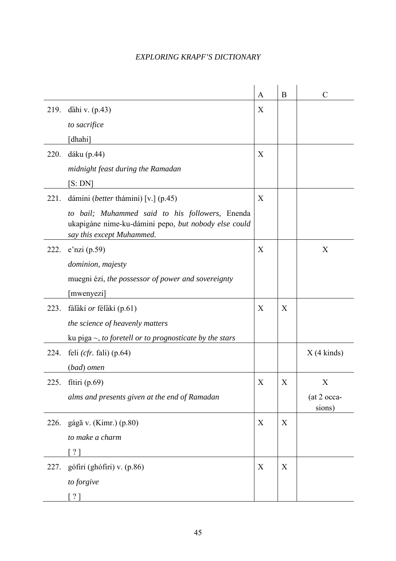|      |                                                                                                                                      | A | B | $\mathcal{C}$         |
|------|--------------------------------------------------------------------------------------------------------------------------------------|---|---|-----------------------|
| 219. | dăhi v. $(p.43)$                                                                                                                     | X |   |                       |
|      | to sacrifice                                                                                                                         |   |   |                       |
|      | [dhahi]                                                                                                                              |   |   |                       |
| 220. | dáku (p.44)                                                                                                                          | X |   |                       |
|      | midnight feast during the Ramadan                                                                                                    |   |   |                       |
|      | [S:DN]                                                                                                                               |   |   |                       |
| 221. | dámini (better thámini) [v.] (p.45)                                                                                                  | X |   |                       |
|      | to bail; Muhammed said to his followers, Enenda<br>ukapigáne nime-ku-dámini pepo, but nobody else could<br>say this except Muhammed. |   |   |                       |
| 222. | $e'$ nzi (p.59)                                                                                                                      | X |   | X                     |
|      | dominion, majesty                                                                                                                    |   |   |                       |
|      | muegni ézi, the possessor of power and sovereignty                                                                                   |   |   |                       |
|      | [mwenyezi]                                                                                                                           |   |   |                       |
| 223. | fálăkí or félăkí (p.61)                                                                                                              | X | X |                       |
|      | the science of heavenly matters                                                                                                      |   |   |                       |
|      | ku piga $\sim$ , to foretell or to prognosticate by the stars                                                                        |   |   |                       |
| 224. | feli $(cfr.$ fali) $(p.64)$                                                                                                          |   |   | $X(4 \text{ kinds})$  |
|      | (bad) omen                                                                                                                           |   |   |                       |
| 225. | fitiri $(p.69)$                                                                                                                      | X | X | X                     |
|      | alms and presents given at the end of Ramadan                                                                                        |   |   | (at 2 occa-<br>sions) |
|      | 226. gágă v. (Kimr.) (p.80)                                                                                                          | X | X |                       |
|      | to make a charm                                                                                                                      |   |   |                       |
|      | $\lceil ? \rceil$                                                                                                                    |   |   |                       |
| 227. | gófiri (ghófiri) v. (p.86)                                                                                                           | X | X |                       |
|      | to forgive                                                                                                                           |   |   |                       |
|      | [ ? ]                                                                                                                                |   |   |                       |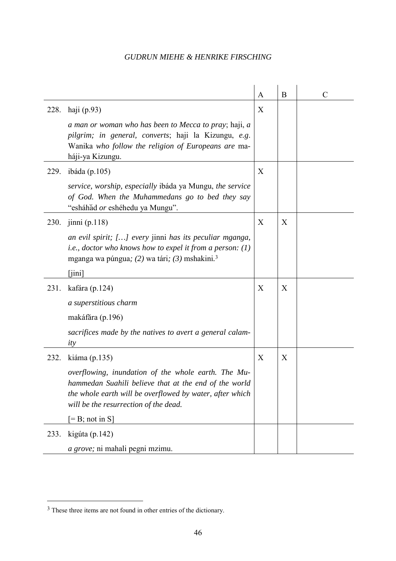|      |                                                                                                                                                                                                                   | A | B | $\mathcal{C}$ |
|------|-------------------------------------------------------------------------------------------------------------------------------------------------------------------------------------------------------------------|---|---|---------------|
| 228. | haji $(p.93)$                                                                                                                                                                                                     | X |   |               |
|      | a man or woman who has been to Mecca to pray; haji, a<br>pilgrim; in general, converts; haji la Kizungu, e.g.<br>Wanika who follow the religion of Europeans are ma-<br>háji-ya Kizungu.                          |   |   |               |
| 229. | ibáda (p.105)                                                                                                                                                                                                     | X |   |               |
|      | service, worship, especially ibáda ya Mungu, the service<br>of God. When the Muhammedans go to bed they say<br>"esháhăd or eshéhedu ya Mungu".                                                                    |   |   |               |
| 230. | jinni(p.118)                                                                                                                                                                                                      | X | X |               |
|      | an evil spirit; [] every jinni has its peculiar mganga,<br><i>i.e., doctor who knows how to expel it from a person:</i> $(l)$<br>mganga wa púngua; (2) wa tári; (3) mshakini. <sup>3</sup>                        |   |   |               |
|      | $\lceil$ jini]                                                                                                                                                                                                    |   |   |               |
| 231. | kafára (p.124)                                                                                                                                                                                                    | X | X |               |
|      | a superstitious charm                                                                                                                                                                                             |   |   |               |
|      | makáfăra (p.196)                                                                                                                                                                                                  |   |   |               |
|      | sacrifices made by the natives to avert a general calam-<br>ity                                                                                                                                                   |   |   |               |
| 232. | kiáma (p.135)                                                                                                                                                                                                     | X | X |               |
|      | overflowing, inundation of the whole earth. The Mu-<br>hammedan Suahili believe that at the end of the world<br>the whole earth will be overflowed by water, after which<br>will be the resurrection of the dead. |   |   |               |
|      | $[=B; not in S]$                                                                                                                                                                                                  |   |   |               |
| 233. | kigúta (p.142)                                                                                                                                                                                                    |   |   |               |
|      | a grove; ni mahali pegni mzimu.                                                                                                                                                                                   |   |   |               |

 $\overline{\phantom{a}}$ 

 $\overline{a}$ 

<sup>&</sup>lt;sup>3</sup> These three items are not found in other entries of the dictionary.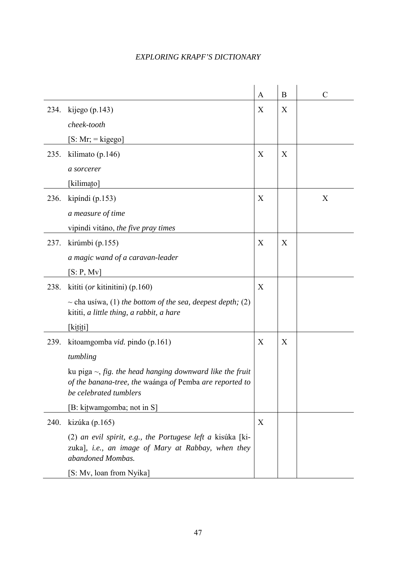|      |                                                                                                                                                     | A | B | $\mathcal{C}$ |
|------|-----------------------------------------------------------------------------------------------------------------------------------------------------|---|---|---------------|
| 234. | kijego $(p.143)$                                                                                                                                    | X | X |               |
|      | cheek-tooth                                                                                                                                         |   |   |               |
|      | $[S: Mr; = kigego]$                                                                                                                                 |   |   |               |
| 235. | kilimato (p.146)                                                                                                                                    | X | X |               |
|      | a sorcerer                                                                                                                                          |   |   |               |
|      | [kilimato]                                                                                                                                          |   |   |               |
| 236. | kipíndi $(p.153)$                                                                                                                                   | X |   | X             |
|      | a measure of time                                                                                                                                   |   |   |               |
|      | vipindi vitáno, the five pray times                                                                                                                 |   |   |               |
| 237. | kirúmbi (p.155)                                                                                                                                     | X | X |               |
|      | a magic wand of a caravan-leader                                                                                                                    |   |   |               |
|      | [S: P, Mv]                                                                                                                                          |   |   |               |
| 238. | kitíti ( <i>or</i> kitinitini) (p.160)                                                                                                              | X |   |               |
|      | $\sim$ cha usiwa, (1) the bottom of the sea, deepest depth; (2)<br>kititi, a little thing, a rabbit, a hare                                         |   |   |               |
|      | [kititi]                                                                                                                                            |   |   |               |
| 239. | kitoamgomba vid. pindo (p.161)                                                                                                                      | X | X |               |
|      | tumbling                                                                                                                                            |   |   |               |
|      | ku piga $\sim$ , fig. the head hanging downward like the fruit<br>of the banana-tree, the waánga of Pemba are reported to<br>be celebrated tumblers |   |   |               |
|      | [B: kitwamgomba; not in S]                                                                                                                          |   |   |               |
| 240. | kizúka (p.165)                                                                                                                                      | X |   |               |
|      | (2) an evil spirit, e.g., the Portugese left a kisúka [ki-<br>zuka], i.e., an image of Mary at Rabbay, when they<br>abandoned Mombas.               |   |   |               |
|      | [S: Mv, loan from Nyika]                                                                                                                            |   |   |               |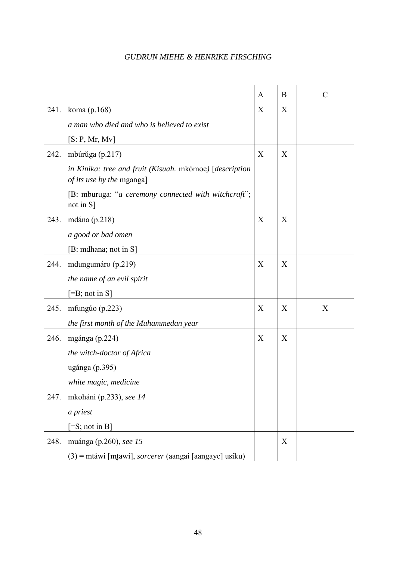|      |                                                                                      | A | B | $\mathcal{C}$ |
|------|--------------------------------------------------------------------------------------|---|---|---------------|
| 241. | koma (p.168)                                                                         | X | X |               |
|      | a man who died and who is believed to exist                                          |   |   |               |
|      | [S: P, Mr, Mv]                                                                       |   |   |               |
| 242. | mbúrŭga (p.217)                                                                      | X | X |               |
|      | in Kinika: tree and fruit (Kisuah. mkómoe) [description<br>of its use by the mganga] |   |   |               |
|      | [B: mburuga: "a ceremony connected with witchcraft";<br>not in $S$ ]                 |   |   |               |
| 243. | mdána $(p.218)$                                                                      | X | X |               |
|      | a good or bad omen                                                                   |   |   |               |
|      | [B: mdhana; not in S]                                                                |   |   |               |
| 244. | mdungumáro (p.219)                                                                   | X | X |               |
|      | the name of an evil spirit                                                           |   |   |               |
|      | $[=B; not in S]$                                                                     |   |   |               |
| 245. | mfungúo (p.223)                                                                      | X | X | X             |
|      | the first month of the Muhammedan year                                               |   |   |               |
| 246. | mgánga (p.224)                                                                       | X | X |               |
|      | the witch-doctor of Africa                                                           |   |   |               |
|      | ugánga (p.395)                                                                       |   |   |               |
|      | white magic, medicine                                                                |   |   |               |
| 247. | mkoháni (p.233), see 14                                                              |   |   |               |
|      | a priest                                                                             |   |   |               |
|      | $[=S; not in B]$                                                                     |   |   |               |
| 248. | muánga (p.260), see 15                                                               |   | X |               |
|      | $(3)$ = mtáwi [mtawi], sorcerer (aangai [aangaye] usíku)                             |   |   |               |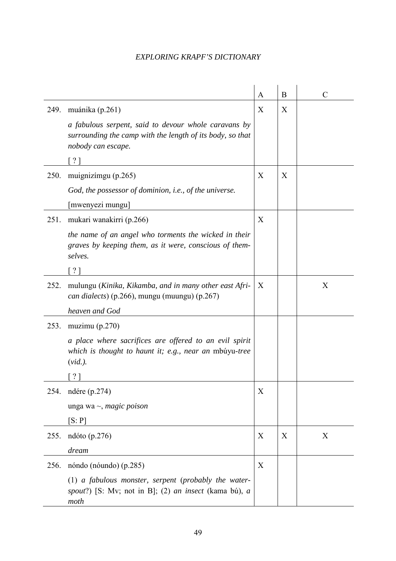|      |                                                                                                                                         | A | $\bf{B}$ | $\mathcal{C}$ |
|------|-----------------------------------------------------------------------------------------------------------------------------------------|---|----------|---------------|
| 249. | muánika (p.261)                                                                                                                         | X | X        |               |
|      | a fabulous serpent, said to devour whole caravans by<br>surrounding the camp with the length of its body, so that<br>nobody can escape. |   |          |               |
|      | $\lceil ? \rceil$                                                                                                                       |   |          |               |
| 250. | muignizímgu (p.265)                                                                                                                     | X | X        |               |
|      | God, the possessor of dominion, i.e., of the universe.                                                                                  |   |          |               |
|      | [mwenyezi mungu]                                                                                                                        |   |          |               |
| 251. | mukari wanakirri (p.266)                                                                                                                | X |          |               |
|      | the name of an angel who torments the wicked in their<br>graves by keeping them, as it were, conscious of them-<br>selves.              |   |          |               |
|      | $\lceil ? \rceil$                                                                                                                       |   |          |               |
| 252. | mulungu (Kinika, Kikamba, and in many other east Afri-<br><i>can dialects</i> ) (p.266), mungu (muungu) (p.267)                         | X |          | X             |
|      | heaven and God                                                                                                                          |   |          |               |
| 253. | muzimu $(p.270)$                                                                                                                        |   |          |               |
|      | a place where sacrifices are offered to an evil spirit<br>which is thought to haunt it; e.g., near an mbuyu-tree<br>$(vid.)$ .          |   |          |               |
|      | $\lceil ? \rceil$                                                                                                                       |   |          |               |
| 254. | ndére (p.274)                                                                                                                           | X |          |               |
|      | unga wa $\sim$ , <i>magic poison</i>                                                                                                    |   |          |               |
|      | [S: P]                                                                                                                                  |   |          |               |
| 255. | ndóto (p.276)                                                                                                                           | X | X        | X             |
|      | dream                                                                                                                                   |   |          |               |
| 256. | nóndo (nóundo) (p.285)                                                                                                                  | X |          |               |
|      | (1) a fabulous monster, serpent (probably the water-<br>spout?) [S: Mv; not in B]; (2) an insect (kama bú), a<br>moth                   |   |          |               |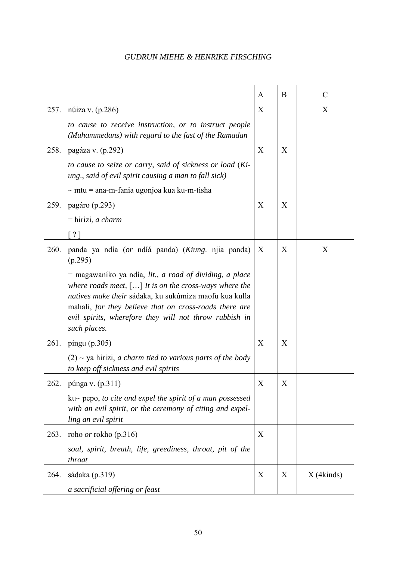| 257. | núiza v. (p.286)                                                                                                                                                                                                                                                                                                  | A<br>X | B | $\mathcal{C}$<br>X |
|------|-------------------------------------------------------------------------------------------------------------------------------------------------------------------------------------------------------------------------------------------------------------------------------------------------------------------|--------|---|--------------------|
|      | to cause to receive instruction, or to instruct people<br>(Muhammedans) with regard to the fast of the Ramadan                                                                                                                                                                                                    |        |   |                    |
| 258. | pagáza v. (p.292)                                                                                                                                                                                                                                                                                                 | X      | X |                    |
|      | to cause to seize or carry, said of sickness or load (Ki-<br>ung., said of evil spirit causing a man to fall sick)                                                                                                                                                                                                |        |   |                    |
|      | $\sim$ mtu = ana-m-fania ugonjoa kua ku-m-tisha                                                                                                                                                                                                                                                                   |        |   |                    |
| 259. | pagáro (p.293)                                                                                                                                                                                                                                                                                                    | X      | X |                    |
|      | $=$ hirizi, a charm                                                                                                                                                                                                                                                                                               |        |   |                    |
|      | $\lceil ? \rceil$                                                                                                                                                                                                                                                                                                 |        |   |                    |
| 260. | panda ya ndía (or ndíá panda) (Kiung. njia panda)<br>(p.295)                                                                                                                                                                                                                                                      | X      | X | X                  |
|      | = magawaníko ya ndía, lit., a road of dividing, a place<br>where roads meet, $[]$ It is on the cross-ways where the<br>natives make their sádaka, ku sukúmiza maofu kua kulla<br>mahali, for they believe that on cross-roads there are<br>evil spirits, wherefore they will not throw rubbish in<br>such places. |        |   |                    |
| 261. | pingu $(p.305)$                                                                                                                                                                                                                                                                                                   | X      | X |                    |
|      | $(2)$ ~ ya hirizi, a charm tied to various parts of the body<br>to keep off sickness and evil spirits                                                                                                                                                                                                             |        |   |                    |
| 262. | púnga v. (p.311)                                                                                                                                                                                                                                                                                                  | X      | X |                    |
|      | $ku\sim$ pepo, to cite and expel the spirit of a man possessed<br>with an evil spirit, or the ceremony of citing and expel-<br>ling an evil spirit                                                                                                                                                                |        |   |                    |
| 263. | roho <i>or</i> rokho (p.316)                                                                                                                                                                                                                                                                                      | X      |   |                    |
|      | soul, spirit, breath, life, greediness, throat, pit of the<br>throat                                                                                                                                                                                                                                              |        |   |                    |
| 264. | sádaka (p.319)                                                                                                                                                                                                                                                                                                    | X      | X | $X$ (4kinds)       |
|      | a sacrificial offering or feast                                                                                                                                                                                                                                                                                   |        |   |                    |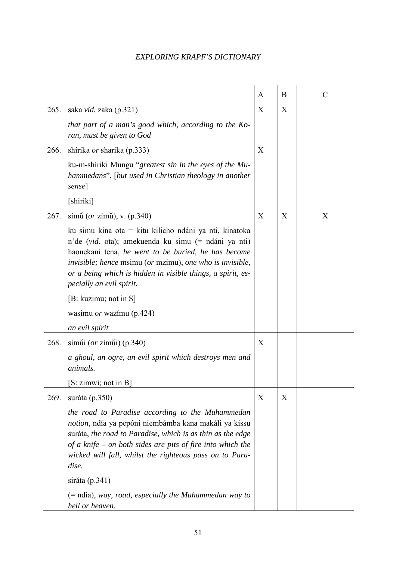|      |                                                                                                                                                                                                                                                                                                                             | A | B | $\mathcal{C}$ |
|------|-----------------------------------------------------------------------------------------------------------------------------------------------------------------------------------------------------------------------------------------------------------------------------------------------------------------------------|---|---|---------------|
| 265. | saka vid. zaka (p.321)                                                                                                                                                                                                                                                                                                      | X | X |               |
|      | that part of a man's good which, according to the Ko-<br>ran, must be given to God                                                                                                                                                                                                                                          |   |   |               |
| 266. | shírika <i>or</i> sharika (p.333)                                                                                                                                                                                                                                                                                           | X |   |               |
|      | ku-m-shiriki Mungu "greatest sin in the eyes of the Mu-<br>hammedans", [but used in Christian theology in another<br>sense]                                                                                                                                                                                                 |   |   |               |
|      | [shiriki]                                                                                                                                                                                                                                                                                                                   |   |   |               |
| 267. | símu (or zímu), v. $(p.340)$                                                                                                                                                                                                                                                                                                | X | X | X             |
|      | ku simu kina ota = kitu kilicho ndáni ya nti, kinatoka<br>n'de (vid. ota); amekuenda ku simu (= ndáni ya nti)<br>haonekani tena, he went to be buried, he has become<br>invisible; hence msimu (or mzimu), one who is invisible,<br>or a being which is hidden in visible things, a spirit, es-<br>pecially an evil spirit. |   |   |               |
|      | [B: kuzimu; not in S]                                                                                                                                                                                                                                                                                                       |   |   |               |
|      | wasimu <i>or</i> wazimu (p.424)                                                                                                                                                                                                                                                                                             |   |   |               |
|      | an evil spirit                                                                                                                                                                                                                                                                                                              |   |   |               |
| 268. | símui $(or zímii)$ (p.340)                                                                                                                                                                                                                                                                                                  | X |   |               |
|      | a ghoul, an ogre, an evil spirit which destroys men and<br>animals.                                                                                                                                                                                                                                                         |   |   |               |
|      | $S: zimwi$ ; not in B                                                                                                                                                                                                                                                                                                       |   |   |               |
| 269. | suráta (p.350)                                                                                                                                                                                                                                                                                                              | X | X |               |
|      | the road to Paradise according to the Muhammedan<br>notion, ndía ya pepóni niembámba kana makáli ya kissu<br>suráta, the road to Paradise, which is as thin as the edge<br>of a knife – on both sides are pits of fire into which the<br>wicked will fall, whilst the righteous pass on to Para-<br>dise.                   |   |   |               |
|      | siráta $(p.341)$                                                                                                                                                                                                                                                                                                            |   |   |               |
|      | $(=$ ndía), way, road, especially the Muhammedan way to<br>hell or heaven.                                                                                                                                                                                                                                                  |   |   |               |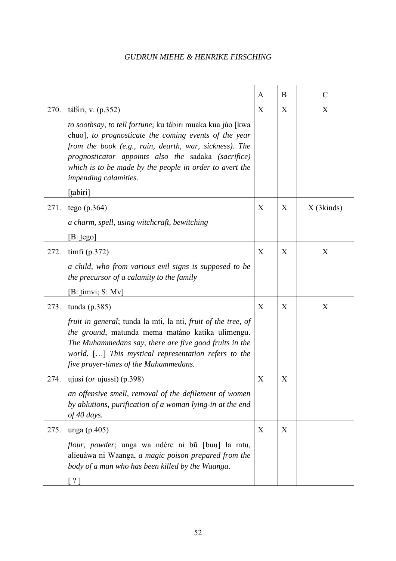|      |                                                                                                                                                                                                                                                                                                                                      | A           | B | $\mathcal{C}$ |
|------|--------------------------------------------------------------------------------------------------------------------------------------------------------------------------------------------------------------------------------------------------------------------------------------------------------------------------------------|-------------|---|---------------|
| 270. | tábiri, v. $(p.352)$                                                                                                                                                                                                                                                                                                                 | X           | X | X             |
|      | to soothsay, to tell fortune; ku tábiri muaka kua júo [kwa<br>chuo], to prognosticate the coming events of the year<br>from the book (e.g., rain, dearth, war, sickness). The<br>prognosticator appoints also the sadaka (sacrifice)<br>which is to be made by the people in order to avert the<br>impending calamities.<br>[tabiri] |             |   |               |
| 271. | tego $(p.364)$                                                                                                                                                                                                                                                                                                                       | X           | X | $X$ (3kinds)  |
|      | a charm, spell, using witchcraft, bewitching                                                                                                                                                                                                                                                                                         |             |   |               |
|      | $[B: \text{tego}]$                                                                                                                                                                                                                                                                                                                   |             |   |               |
| 272. | tímfi $(p.372)$                                                                                                                                                                                                                                                                                                                      | X           | X | X             |
|      | a child, who from various evil signs is supposed to be<br>the precursor of a calamity to the family                                                                                                                                                                                                                                  |             |   |               |
|      | $[B: \text{timvi}; S: Mv]$                                                                                                                                                                                                                                                                                                           |             |   |               |
| 273. | tunda $(p.385)$                                                                                                                                                                                                                                                                                                                      | X           | X | X             |
|      | fruit in general; tunda la mti, la nti, fruit of the tree, of<br>the ground, matunda mema matáno katika ulimengu.<br>The Muhammedans say, there are five good fruits in the<br>world. [] This mystical representation refers to the<br>five prayer-times of the Muhammedans.                                                         |             |   |               |
| 274. | ujusi ( <i>or</i> ujussi) (p.398)                                                                                                                                                                                                                                                                                                    | $\mathbf X$ | X |               |
|      | an offensive smell, removal of the defilement of women<br>by ablutions, purification of a woman lying-in at the end<br>of 40 days.                                                                                                                                                                                                   |             |   |               |
| 275. | unga $(p.405)$                                                                                                                                                                                                                                                                                                                       | X           | X |               |
|      | <i>flour, powder</i> ; unga wa ndére ni bū [buu] la mtu,<br>alieuáwa ni Waanga, a magic poison prepared from the<br>body of a man who has been killed by the Waanga.                                                                                                                                                                 |             |   |               |
|      | $\gamma$                                                                                                                                                                                                                                                                                                                             |             |   |               |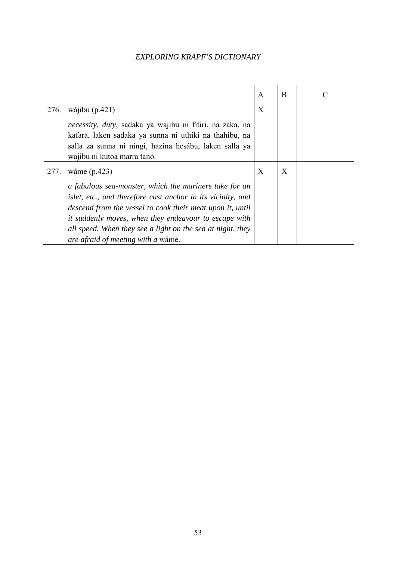|      |                                                                                                                                                                                                                                                                                                                                                        | $\mathsf{A}$ | B |  |
|------|--------------------------------------------------------------------------------------------------------------------------------------------------------------------------------------------------------------------------------------------------------------------------------------------------------------------------------------------------------|--------------|---|--|
| 276. | wájibu $(p.421)$                                                                                                                                                                                                                                                                                                                                       | X            |   |  |
|      | <i>necessity, duty, sadaka ya wajibu ni fitiri, na zaka, na</i><br>kafara, laken sadaka ya sunna ni uthiki na thahibu, na<br>salla za sunna ni ningi, hazina hesábu, laken salla ya<br>wajibu ni kutoa marra tano.                                                                                                                                     |              |   |  |
| 277. | wáme (p.423)                                                                                                                                                                                                                                                                                                                                           | X            | X |  |
|      | a fabulous sea-monster, which the mariners take for an<br>islet, etc., and therefore cast anchor in its vicinity, and<br>descend from the vessel to cook their meat upon it, until<br>it suddenly moves, when they endeavour to escape with<br>all speed. When they see a light on the sea at night, they<br><i>are afraid of meeting with a wame.</i> |              |   |  |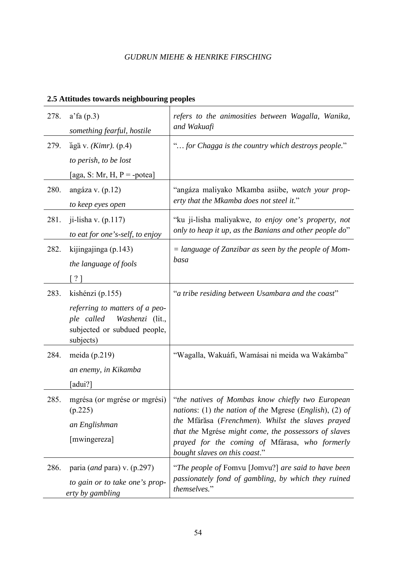|      | 2.5 Attitudes towards neighbouring peoples                                                                                       |                                                                                                                                                                                                                                                                                                             |
|------|----------------------------------------------------------------------------------------------------------------------------------|-------------------------------------------------------------------------------------------------------------------------------------------------------------------------------------------------------------------------------------------------------------------------------------------------------------|
| 278. | a'fa(p.3)<br>something fearful, hostile                                                                                          | refers to the animosities between Wagalla, Wanika,<br>and Wakuafi                                                                                                                                                                                                                                           |
| 279. | $\tilde{a}$ gā v. ( <i>Kimr</i> ). (p.4)<br>to perish, to be lost<br>[aga, S: Mr, H, $P = -potea$ ]                              | " for Chagga is the country which destroys people."                                                                                                                                                                                                                                                         |
| 280. | angáza v. $(p.12)$<br>to keep eyes open                                                                                          | "angáza maliyako Mkamba asiibe, watch your prop-<br>erty that the Mkamba does not steel it."                                                                                                                                                                                                                |
| 281. | ji-lisha v. $(p.117)$<br>to eat for one's-self, to enjoy                                                                         | "ku ji-lisha maliyakwe, to enjoy one's property, not<br>only to heap it up, as the Banians and other people do"                                                                                                                                                                                             |
| 282. | kijingajinga (p.143)<br>the language of fools<br>$\lceil ? \rceil$                                                               | $=$ language of Zanzibar as seen by the people of Mom-<br>basa                                                                                                                                                                                                                                              |
| 283. | kishénzi (p.155)<br>referring to matters of a peo-<br>Washenzi (lit.,<br>ple called<br>subjected or subdued people,<br>subjects) | "a tribe residing between Usambara and the coast"                                                                                                                                                                                                                                                           |
| 284. | meida $(p.219)$<br>an enemy, in Kikamba<br>[adui?]                                                                               | "Wagalla, Wakuáfi, Wamásai ni meida wa Wakámba"                                                                                                                                                                                                                                                             |
| 285. | mgrésa (or mgrése or mgrési)<br>(p.225)<br>an Englishman<br>[mwingereza]                                                         | "the natives of Mombas know chiefly two European<br>nations: (1) the nation of the Mgrese (English), (2) of<br>the Mfárăsa (Frenchmen). Whilst the slaves prayed<br>that the Mgrése might come, the possessors of slaves<br>prayed for the coming of Mfárasa, who formerly<br>bought slaves on this coast." |
| 286. | paria ( <i>and</i> para) v. $(p.297)$<br>to gain or to take one's prop-<br>erty by gambling                                      | "The people of Fomvu [Jomvu?] are said to have been<br>passionately fond of gambling, by which they ruined<br>themselves."                                                                                                                                                                                  |

# **2.5 Attitudes towards neighbouring peoples**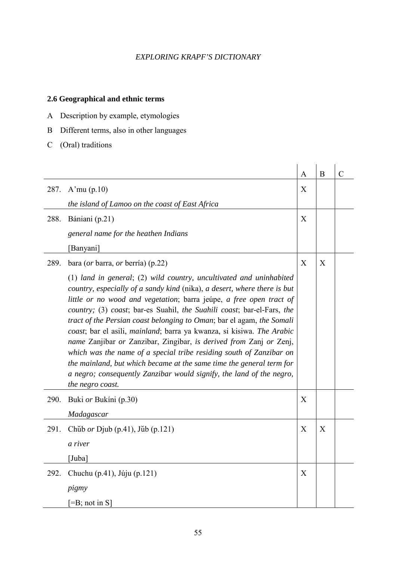### **2.6 Geographical and ethnic terms**

- A Description by example, etymologies
- B Different terms, also in other languages
- C (Oral) traditions

|      |                                                                                                                                                                                                                                                                                                                                                                                                                                                                                                                                                                                                                                                                                                                                                                         | $\mathbf{A}$ | B | $\mathcal{C}$ |
|------|-------------------------------------------------------------------------------------------------------------------------------------------------------------------------------------------------------------------------------------------------------------------------------------------------------------------------------------------------------------------------------------------------------------------------------------------------------------------------------------------------------------------------------------------------------------------------------------------------------------------------------------------------------------------------------------------------------------------------------------------------------------------------|--------------|---|---------------|
| 287. | A'mu $(p.10)$                                                                                                                                                                                                                                                                                                                                                                                                                                                                                                                                                                                                                                                                                                                                                           | X            |   |               |
|      | the island of Lamoo on the coast of East Africa                                                                                                                                                                                                                                                                                                                                                                                                                                                                                                                                                                                                                                                                                                                         |              |   |               |
| 288. | Bániani (p.21)                                                                                                                                                                                                                                                                                                                                                                                                                                                                                                                                                                                                                                                                                                                                                          | X            |   |               |
|      | general name for the heathen Indians                                                                                                                                                                                                                                                                                                                                                                                                                                                                                                                                                                                                                                                                                                                                    |              |   |               |
|      | [Banyani]                                                                                                                                                                                                                                                                                                                                                                                                                                                                                                                                                                                                                                                                                                                                                               |              |   |               |
| 289. | bara (or barra, or berría) (p.22)                                                                                                                                                                                                                                                                                                                                                                                                                                                                                                                                                                                                                                                                                                                                       | X            | X |               |
|      | $(1)$ land in general; $(2)$ wild country, uncultivated and uninhabited<br>country, especially of a sandy kind (nika), a desert, where there is but<br>little or no wood and vegetation; barra jeupe, a free open tract of<br>country; (3) coast; bar-es Suahil, the Suahili coast; bar-el-Fars, the<br>tract of the Persian coast belonging to Oman; bar el agam, the Somali<br>coast; bar el asili, mainland; barra ya kwanza, si kisiwa. The Arabic<br>name Zanjibar or Zanzibar, Zingibar, is derived from Zanj or Zenj,<br>which was the name of a special tribe residing south of Zanzibar on<br>the mainland, but which became at the same time the general term for<br>a negro; consequently Zanzibar would signify, the land of the negro,<br>the negro coast. |              |   |               |
| 290. | Buki or Bukíni (p.30)                                                                                                                                                                                                                                                                                                                                                                                                                                                                                                                                                                                                                                                                                                                                                   | X            |   |               |
|      | Madagascar                                                                                                                                                                                                                                                                                                                                                                                                                                                                                                                                                                                                                                                                                                                                                              |              |   |               |
| 291. | Chub or Djub $(p.41)$ , Jub $(p.121)$                                                                                                                                                                                                                                                                                                                                                                                                                                                                                                                                                                                                                                                                                                                                   | X            | X |               |
|      | a river                                                                                                                                                                                                                                                                                                                                                                                                                                                                                                                                                                                                                                                                                                                                                                 |              |   |               |
|      | [Juba]                                                                                                                                                                                                                                                                                                                                                                                                                                                                                                                                                                                                                                                                                                                                                                  |              |   |               |
| 292. | Chuchu (p.41), Júju (p.121)                                                                                                                                                                                                                                                                                                                                                                                                                                                                                                                                                                                                                                                                                                                                             | X            |   |               |
|      | pigmy                                                                                                                                                                                                                                                                                                                                                                                                                                                                                                                                                                                                                                                                                                                                                                   |              |   |               |
|      | $[=B; not in S]$                                                                                                                                                                                                                                                                                                                                                                                                                                                                                                                                                                                                                                                                                                                                                        |              |   |               |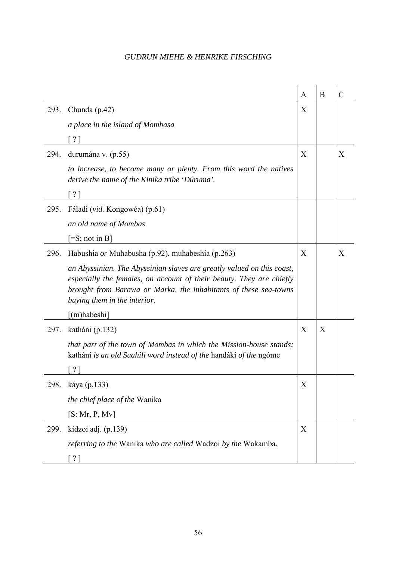|      |                                                                                                                                                                                                                                                    | A | B | C |
|------|----------------------------------------------------------------------------------------------------------------------------------------------------------------------------------------------------------------------------------------------------|---|---|---|
| 293. | Chunda $(p.42)$                                                                                                                                                                                                                                    | X |   |   |
|      | a place in the island of Mombasa                                                                                                                                                                                                                   |   |   |   |
|      | $?$ ]                                                                                                                                                                                                                                              |   |   |   |
| 294. | durumána v. (p.55)                                                                                                                                                                                                                                 | X |   | X |
|      | to increase, to become many or plenty. From this word the natives<br>derive the name of the Kinika tribe 'Dúruma'.                                                                                                                                 |   |   |   |
|      | [?]                                                                                                                                                                                                                                                |   |   |   |
| 295. | Fáladi (vid. Kongowéa) (p.61)                                                                                                                                                                                                                      |   |   |   |
|      | an old name of Mombas                                                                                                                                                                                                                              |   |   |   |
|      | $\left[ =S; \text{ not in } B \right]$                                                                                                                                                                                                             |   |   |   |
| 296. | Habushia <i>or</i> Muhabusha (p.92), muhabeshia (p.263)                                                                                                                                                                                            | X |   | X |
|      | an Abyssinian. The Abyssinian slaves are greatly valued on this coast,<br>especially the females, on account of their beauty. They are chiefly<br>brought from Barawa or Marka, the inhabitants of these sea-towns<br>buying them in the interior. |   |   |   |
|      | $\lceil$ (m) habeshi                                                                                                                                                                                                                               |   |   |   |
| 297. | katháni (p.132)                                                                                                                                                                                                                                    | X | X |   |
|      | that part of the town of Mombas in which the Mission-house stands;<br>katháni is an old Suahili word instead of the handáki of the ngóme                                                                                                           |   |   |   |
|      | $\gamma$                                                                                                                                                                                                                                           |   |   |   |
| 298. | káya (p.133)                                                                                                                                                                                                                                       | X |   |   |
|      | the chief place of the Wanika                                                                                                                                                                                                                      |   |   |   |
|      | [S: Mr, P, Mv]                                                                                                                                                                                                                                     |   |   |   |
| 299. | kidzoi adj. (p.139)                                                                                                                                                                                                                                | X |   |   |
|      | referring to the Wanika who are called Wadzoi by the Wakamba.                                                                                                                                                                                      |   |   |   |
|      | $\lceil ? \rceil$                                                                                                                                                                                                                                  |   |   |   |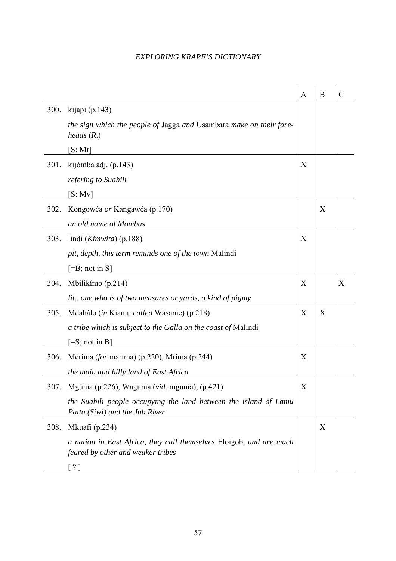|      |                                                                                                          | A | B | $\overline{C}$ |
|------|----------------------------------------------------------------------------------------------------------|---|---|----------------|
| 300. | kijapi $(p.143)$                                                                                         |   |   |                |
|      | the sign which the people of Jagga and Usambara make on their fore-<br>heads $(R.)$                      |   |   |                |
|      | [S:Mr]                                                                                                   |   |   |                |
| 301. | kijómba adj. (p.143)                                                                                     | X |   |                |
|      | refering to Suahili                                                                                      |   |   |                |
|      | [S: Mv]                                                                                                  |   |   |                |
| 302. | Kongowéa <i>or</i> Kangawéa (p.170)                                                                      |   | X |                |
|      | an old name of Mombas                                                                                    |   |   |                |
| 303. | lindi (Kimwita) (p.188)                                                                                  | X |   |                |
|      | pit, depth, this term reminds one of the town Malindi                                                    |   |   |                |
|      | $=$ B; not in S]                                                                                         |   |   |                |
| 304. | Mbilikímo (p.214)                                                                                        | X |   | X              |
|      | lit., one who is of two measures or yards, a kind of pigmy                                               |   |   |                |
| 305. | Mdahálo (in Kiamu called Wásanie) (p.218)                                                                | X | X |                |
|      | a tribe which is subject to the Galla on the coast of Malindi                                            |   |   |                |
|      | $[=S; not in B]$                                                                                         |   |   |                |
| 306. | Meríma (for maríma) (p.220), Mríma (p.244)                                                               | X |   |                |
|      | the main and hilly land of East Africa                                                                   |   |   |                |
| 307. | Mgúnia (p.226), Wagúnia (vid. mgunia), (p.421)                                                           | X |   |                |
|      | the Suahili people occupying the land between the island of Lamu<br>Patta (Siwi) and the Jub River       |   |   |                |
| 308. | Mkuafi (p.234)                                                                                           |   | X |                |
|      | a nation in East Africa, they call themselves Eloigob, and are much<br>feared by other and weaker tribes |   |   |                |
|      | $\lceil ? \rceil$                                                                                        |   |   |                |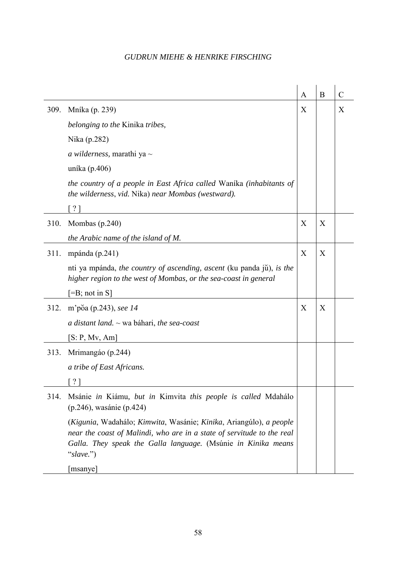|      |                                                                                                                                                                                                                            | A | B           | $\mathcal{C}$ |
|------|----------------------------------------------------------------------------------------------------------------------------------------------------------------------------------------------------------------------------|---|-------------|---------------|
| 309. | Mníka (p. 239)                                                                                                                                                                                                             | X |             | X             |
|      | belonging to the Kinika tribes,                                                                                                                                                                                            |   | X<br>X<br>X |               |
|      | Nika (p.282)                                                                                                                                                                                                               |   |             |               |
|      | <i>a wilderness</i> , marathi ya $\sim$                                                                                                                                                                                    |   |             |               |
|      | uníka (p.406)                                                                                                                                                                                                              |   |             |               |
|      | the country of a people in East Africa called Wanika (inhabitants of<br>the wilderness, vid. Nika) near Mombas (westward).                                                                                                 |   |             |               |
|      | $\lceil ? \rceil$                                                                                                                                                                                                          |   |             |               |
| 310. | Mombas $(p.240)$                                                                                                                                                                                                           | X |             |               |
|      | the Arabic name of the island of M.                                                                                                                                                                                        |   |             |               |
| 311. | mpánda $(p.241)$                                                                                                                                                                                                           | X |             |               |
|      | nti ya mpánda, the country of ascending, ascent (ku panda jŭ), is the<br>higher region to the west of Mombas, or the sea-coast in general                                                                                  |   |             |               |
|      | $[=B; not in S]$                                                                                                                                                                                                           |   |             |               |
| 312. | m'põa (p.243), see 14                                                                                                                                                                                                      | X |             |               |
|      | a distant land. $\sim$ wa báhari, the sea-coast                                                                                                                                                                            |   |             |               |
|      | [S: P, Mv, Am]                                                                                                                                                                                                             |   |             |               |
| 313. | Mrimangáo (p.244)                                                                                                                                                                                                          |   |             |               |
|      | a tribe of East Africans.                                                                                                                                                                                                  |   |             |               |
|      |                                                                                                                                                                                                                            |   |             |               |
| 314. | Msánie in Kiámu, but in Kimvita this people is called Mdahálo<br>(p.246), wasánie (p.424)                                                                                                                                  |   |             |               |
|      | (Kigunia, Wadahálo; Kimwita, Wasánie; Kinika, Ariangúlo), a people<br>near the coast of Malindi, who are in a state of servitude to the real<br>Galla. They speak the Galla language. (Msúnie in Kinika means<br>"slave.") |   |             |               |
|      | [msanye]                                                                                                                                                                                                                   |   |             |               |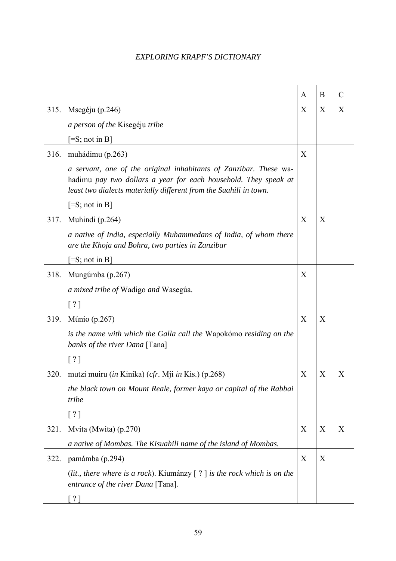|      |                                                                                                                                                                                                           | A | B | $\mathcal{C}$ |
|------|-----------------------------------------------------------------------------------------------------------------------------------------------------------------------------------------------------------|---|---|---------------|
| 315. | Msegéju (p.246)                                                                                                                                                                                           | X | X | X             |
|      | <i>a person of the Kisegéju tribe</i>                                                                                                                                                                     |   |   |               |
|      | $[=S; not in B]$                                                                                                                                                                                          |   |   |               |
| 316. | muhádimu (p.263)                                                                                                                                                                                          | X |   |               |
|      | a servant, one of the original inhabitants of Zanzibar. These wa-<br>hadimu pay two dollars a year for each household. They speak at<br>least two dialects materially different from the Suahili in town. |   |   |               |
|      | $\left[ =S; \text{ not in } B \right]$                                                                                                                                                                    |   |   |               |
| 317. | Muhindi (p.264)                                                                                                                                                                                           | X | X |               |
|      | a native of India, especially Muhammedans of India, of whom there<br>are the Khoja and Bohra, two parties in Zanzibar                                                                                     |   |   |               |
|      | $[=S; not in B]$                                                                                                                                                                                          |   |   |               |
| 318. | Mungúmba (p.267)                                                                                                                                                                                          | X |   |               |
|      | a mixed tribe of Wadigo and Wasegúa.                                                                                                                                                                      |   |   |               |
|      | [ ? ]                                                                                                                                                                                                     |   |   |               |
| 319. | Múnio (p.267)                                                                                                                                                                                             | X | X |               |
|      | is the name with which the Galla call the Wapokómo residing on the<br>banks of the river Dana [Tana]                                                                                                      |   |   |               |
|      | $\lceil ? \rceil$                                                                                                                                                                                         |   |   |               |
| 320. | mutzi muiru ( <i>in</i> Kinika) ( <i>cfr.</i> Mji <i>in</i> Kis.) (p.268)                                                                                                                                 | X | X | X             |
|      | the black town on Mount Reale, former kaya or capital of the Rabbai<br>tribe                                                                                                                              |   |   |               |
|      | $\lceil ? \rceil$                                                                                                                                                                                         |   |   |               |
| 321. | Mvita (Mwita) (p.270)                                                                                                                                                                                     | X | X | X             |
|      | a native of Mombas. The Kisuahili name of the island of Mombas.                                                                                                                                           |   |   |               |
| 322. | pamámba (p.294)                                                                                                                                                                                           | X | X |               |
|      | (lit., there where is a rock). Kiumánzy $[ ? ]$ is the rock which is on the<br>entrance of the river Dana [Tana].                                                                                         |   |   |               |
|      | $\lceil ? \rceil$                                                                                                                                                                                         |   |   |               |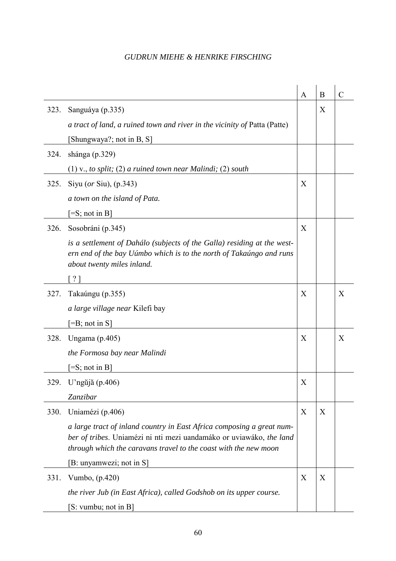|      |                                                                                                                                                                                                                  | A | B | $\overline{C}$ |
|------|------------------------------------------------------------------------------------------------------------------------------------------------------------------------------------------------------------------|---|---|----------------|
| 323. | Sanguáya (p.335)                                                                                                                                                                                                 |   | X |                |
|      | a tract of land, a ruined town and river in the vicinity of Patta (Patte)                                                                                                                                        |   |   |                |
|      | [Shungwaya?; not in B, S]                                                                                                                                                                                        |   |   |                |
| 324. | shánga (p.329)                                                                                                                                                                                                   |   |   |                |
|      | $(1)$ v., to split; $(2)$ a ruined town near Malindi; $(2)$ south                                                                                                                                                |   |   |                |
| 325. | Siyu (or Siu), $(p.343)$                                                                                                                                                                                         | X |   |                |
|      | a town on the island of Pata.                                                                                                                                                                                    |   |   |                |
|      | $[=S; not in B]$                                                                                                                                                                                                 |   |   |                |
| 326. | Sosobráni (p.345)                                                                                                                                                                                                | X |   |                |
|      | is a settlement of Dahálo (subjects of the Galla) residing at the west-<br>ern end of the bay Uúmbo which is to the north of Takaúngo and runs<br>about twenty miles inland.                                     |   |   |                |
|      | 21                                                                                                                                                                                                               |   |   |                |
| 327. | Takaúngu (p.355)                                                                                                                                                                                                 | X |   | X              |
|      | a large village near Kilefi bay                                                                                                                                                                                  |   |   |                |
|      | $[=B; not in S]$                                                                                                                                                                                                 |   |   |                |
| 328. | Ungama $(p.405)$                                                                                                                                                                                                 | X |   | X              |
|      | the Formosa bay near Malindi                                                                                                                                                                                     |   |   |                |
|      | $=$ S; not in B]                                                                                                                                                                                                 |   |   |                |
| 329. | U'ngŭjă (p.406)                                                                                                                                                                                                  | X |   |                |
|      | Zanzibar                                                                                                                                                                                                         |   |   |                |
| 330. | Uniamézi (p.406)                                                                                                                                                                                                 | X | X |                |
|      | a large tract of inland country in East Africa composing a great num-<br>ber of tribes. Uniamézi ni nti mezi uandamáko or uviawáko, the land<br>through which the caravans travel to the coast with the new moon |   |   |                |
|      | [B: unyamwezi; not in S]                                                                                                                                                                                         |   |   |                |
| 331. | Vumbo, (p.420)                                                                                                                                                                                                   | X | X |                |
|      | the river Jub (in East Africa), called Godshob on its upper course.                                                                                                                                              |   |   |                |
|      | [S: vumbu; not in B]                                                                                                                                                                                             |   |   |                |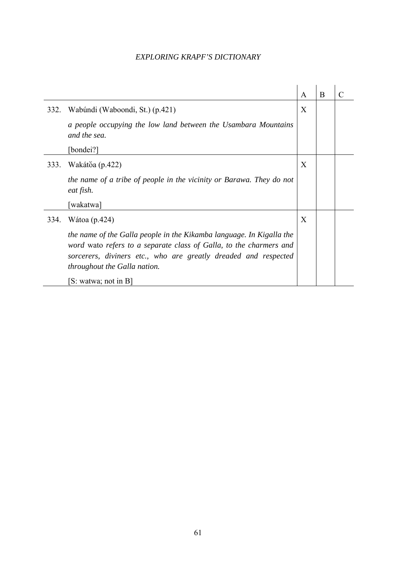|      |                                                                                                                                                                                                                                                      | $\mathsf{A}$ | B | C |
|------|------------------------------------------------------------------------------------------------------------------------------------------------------------------------------------------------------------------------------------------------------|--------------|---|---|
| 332. | Wabúndi (Waboondi, St.) (p.421)                                                                                                                                                                                                                      | X            |   |   |
|      | a people occupying the low land between the Usambara Mountains<br>and the sea.                                                                                                                                                                       |              |   |   |
|      | [bondei?]                                                                                                                                                                                                                                            |              |   |   |
| 333. | Wakátŏa (p.422)                                                                                                                                                                                                                                      | X            |   |   |
|      | the name of a tribe of people in the vicinity or Barawa. They do not<br>eat fish.                                                                                                                                                                    |              |   |   |
|      | [wakatwa]                                                                                                                                                                                                                                            |              |   |   |
| 334. | Wátoa (p. 424)                                                                                                                                                                                                                                       | X            |   |   |
|      | the name of the Galla people in the Kikamba language. In Kigalla the<br>word wato refers to a separate class of Galla, to the charmers and<br>sorcerers, diviners etc., who are greatly dreaded and respected<br><i>throughout the Galla nation.</i> |              |   |   |
|      | [S: watwa; not in B]                                                                                                                                                                                                                                 |              |   |   |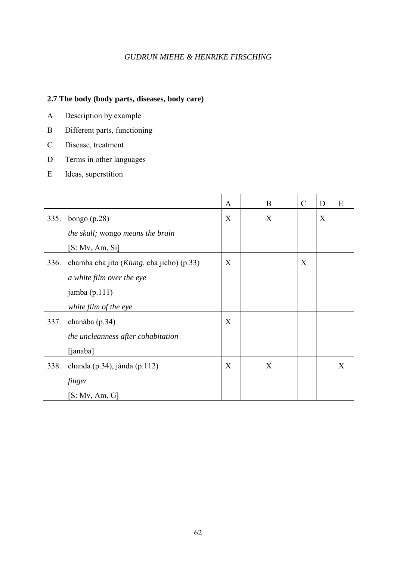### **2.7 The body (body parts, diseases, body care)**

- A Description by example
- B Different parts, functioning
- C Disease, treatment
- D Terms in other languages
- E Ideas, superstition

|      |                                                    | A | B | $\mathcal{C}$ | D | E |
|------|----------------------------------------------------|---|---|---------------|---|---|
| 335. | bongo $(p.28)$                                     | X | X |               | X |   |
|      | the skull; wongo means the brain                   |   |   |               |   |   |
|      | [S: Mv, Am, Si]                                    |   |   |               |   |   |
| 336. | chamba cha jito ( <i>Kiung</i> . cha jicho) (p.33) | X |   | X             |   |   |
|      | a white film over the eye                          |   |   |               |   |   |
|      | jamba $(p.111)$                                    |   |   |               |   |   |
|      | white film of the eye                              |   |   |               |   |   |
| 337. | chanába (p.34)                                     | X |   |               |   |   |
|      | the uncleanness after cohabitation                 |   |   |               |   |   |
|      | [janaba]                                           |   |   |               |   |   |
| 338. | chanda (p. 34), jánda (p. 112)                     | X | X |               |   | X |
|      | finger                                             |   |   |               |   |   |
|      | [S: Mv, Am, G]                                     |   |   |               |   |   |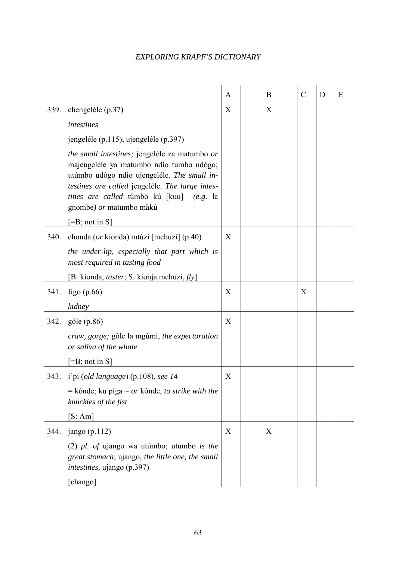|      |                                                                                                                                                                                                                                                                    | A | B | $\mathcal{C}$ | D | E |
|------|--------------------------------------------------------------------------------------------------------------------------------------------------------------------------------------------------------------------------------------------------------------------|---|---|---------------|---|---|
| 339. | chengeléle (p.37)                                                                                                                                                                                                                                                  | X | X |               |   |   |
|      | intestines                                                                                                                                                                                                                                                         |   |   |               |   |   |
|      | jengeléle (p.115), ujengeléle (p.397)                                                                                                                                                                                                                              |   |   |               |   |   |
|      | the small intestines; jengeléle za matumbo or<br>majengeléle ya matumbo ndío tumbo ndógo;<br>utúmbo udógo ndío ujengeléle. The small in-<br>testines are called jengeléle. The large intes-<br>tines are called túmbo kú [kuu] (e.g. la<br>gnombe) or matumbo măkú |   |   |               |   |   |
|      | $\left[ =B; \text{ not in } S \right]$                                                                                                                                                                                                                             |   |   |               |   |   |
| 340. | chonda (or kionda) mtúzi [mchuzi] (p.40)                                                                                                                                                                                                                           | X |   |               |   |   |
|      | the under-lip, especially that part which is<br>most required in tasting food                                                                                                                                                                                      |   |   |               |   |   |
|      | [B: kionda, <i>taster</i> ; S: kionja mchuzi, $fly$ ]                                                                                                                                                                                                              |   |   |               |   |   |
| 341. | figo $(p.66)$                                                                                                                                                                                                                                                      | X |   | X             |   |   |
|      | kidney                                                                                                                                                                                                                                                             |   |   |               |   |   |
| 342. | góle (p.86)                                                                                                                                                                                                                                                        | X |   |               |   |   |
|      | craw, gorge; góle la mgúmi, the expectoration<br>or saliva of the whale                                                                                                                                                                                            |   |   |               |   |   |
|      | $[=B; not in S]$                                                                                                                                                                                                                                                   |   |   |               |   |   |
|      | 343. <i>i'pi (old language)</i> (p.108), see 14                                                                                                                                                                                                                    | X |   |               |   |   |
|      | $=$ kónde; ku piga $\sim$ or kónde, to strike with the<br>knuckles of the fist                                                                                                                                                                                     |   |   |               |   |   |
|      | [S:Am]                                                                                                                                                                                                                                                             |   |   |               |   |   |
| 344. | jango (p.112)                                                                                                                                                                                                                                                      | X | X |               |   |   |
|      | (2) pl. of ujángo wa utúmbo; utumbo is the<br>great stomach; ujango, the little one, the small<br><i>intestines</i> , ujango (p.397)                                                                                                                               |   |   |               |   |   |
|      | [chango]                                                                                                                                                                                                                                                           |   |   |               |   |   |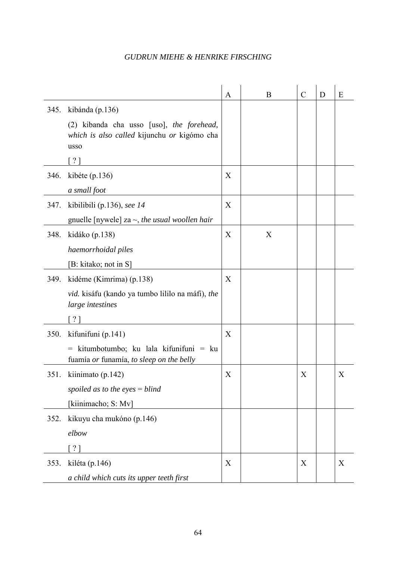|      |                                                                                                  | A | B | $\mathcal{C}$ | D | E |
|------|--------------------------------------------------------------------------------------------------|---|---|---------------|---|---|
| 345. | kibánda (p.136)                                                                                  |   |   |               |   |   |
|      | (2) kibanda cha usso [uso], the forehead,<br>which is also called kijunchu or kigómo cha<br>usso |   |   |               |   |   |
|      | [ ? ]                                                                                            |   |   |               |   |   |
| 346. | kibéte $(p.136)$                                                                                 | X |   |               |   |   |
|      | a small foot                                                                                     |   |   |               |   |   |
| 347. | kibilibili (p.136), see $14$                                                                     | X |   |               |   |   |
|      | gnuelle [nywele] za $\sim$ , the usual woollen hair                                              |   |   |               |   |   |
| 348. | kidáko (p.138)                                                                                   | X | X |               |   |   |
|      | haemorrhoidal piles                                                                              |   |   |               |   |   |
|      | [B: kitako; not in S]                                                                            |   |   |               |   |   |
| 349. | kidéme (Kimrima) (p.138)                                                                         | X |   |               |   |   |
|      | vid. kisáfu (kando ya tumbo lililo na máfi), the<br>large intestines                             |   |   |               |   |   |
|      | $\lceil ? \rceil$                                                                                |   |   |               |   |   |
| 350. | kifunifuni (p.141)                                                                               | X |   |               |   |   |
|      | $=$ kitumbotumbo; ku lala kifunifuni $=$ ku<br>fuamía or funamía, to sleep on the belly          |   |   |               |   |   |
| 351. | kiinimato (p.142)                                                                                | X |   | X             |   | X |
|      | spoiled as to the eyes $=$ blind                                                                 |   |   |               |   |   |
|      | [kiinimacho; S: Mv]                                                                              |   |   |               |   |   |
| 352. | kikuyu cha mukóno (p.146)                                                                        |   |   |               |   |   |
|      | elbow                                                                                            |   |   |               |   |   |
|      | $\lceil ? \rceil$                                                                                |   |   |               |   |   |
| 353. | kiléta (p.146)                                                                                   | X |   | X             |   | X |
|      | a child which cuts its upper teeth first                                                         |   |   |               |   |   |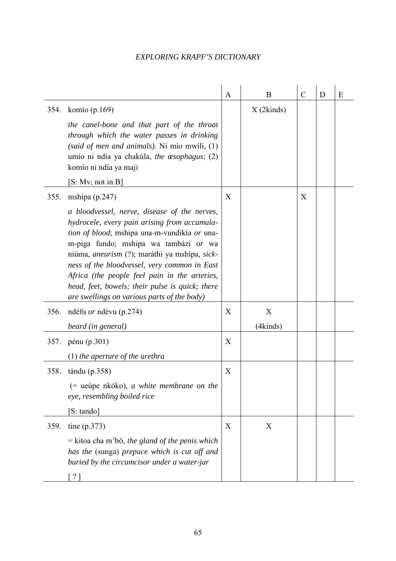|      |                                                                                                                                                                                                                                                                                                                                                                                                                                                  | A | B            | $\mathcal{C}$ | D | Ε |
|------|--------------------------------------------------------------------------------------------------------------------------------------------------------------------------------------------------------------------------------------------------------------------------------------------------------------------------------------------------------------------------------------------------------------------------------------------------|---|--------------|---------------|---|---|
|      | 354. komío (p.169)                                                                                                                                                                                                                                                                                                                                                                                                                               |   | $X$ (2kinds) |               |   |   |
|      | the canel-bone and that part of the throat<br>through which the water passes in drinking<br>(said of men and animals). Ni mio mwili, $(1)$<br>umío ni ndía ya chakúla, the œsophagus; (2)<br>komío ni ndía ya maji                                                                                                                                                                                                                               |   |              |               |   |   |
|      | [S: Mv; not in B]                                                                                                                                                                                                                                                                                                                                                                                                                                |   |              |               |   |   |
| 355. | mshipa $(p.247)$                                                                                                                                                                                                                                                                                                                                                                                                                                 | X |              | X             |   |   |
|      | a bloodvessel, nerve, disease of the nerves,<br>hydrocele, every pain arising from accumula-<br>tion of blood; mshipa una-m-vundikía or una-<br>m-piga fundo; mshipa wa tambázi or wa<br>niúma, <i>aneurism</i> (?); maráthi ya mshípa, sick-<br>ness of the bloodvessel, very common in East<br>Africa (the people feel pain in the arteries,<br>head, feet, bowels; their pulse is quick; there<br>are swellings on various parts of the body) |   |              |               |   |   |
| 356. | ndéfu <i>or</i> ndévu (p.274)                                                                                                                                                                                                                                                                                                                                                                                                                    | X | X            |               |   |   |
|      | beard (in general)                                                                                                                                                                                                                                                                                                                                                                                                                               |   | (4kinds)     |               |   |   |
|      | 357. pénu (p.301)                                                                                                                                                                                                                                                                                                                                                                                                                                | X |              |               |   |   |
|      | $(1)$ the aperture of the urethra                                                                                                                                                                                                                                                                                                                                                                                                                |   |              |               |   |   |
| 358. | $t$ ándu (p.358)                                                                                                                                                                                                                                                                                                                                                                                                                                 | X |              |               |   |   |
|      | (= ueúpe nkóko), a white membrane on the<br>eye, resembling boiled rice                                                                                                                                                                                                                                                                                                                                                                          |   |              |               |   |   |
|      | [S: tando]                                                                                                                                                                                                                                                                                                                                                                                                                                       |   |              |               |   |   |
| 359. | tine $(p.373)$                                                                                                                                                                                                                                                                                                                                                                                                                                   | X | X            |               |   |   |
|      | $=$ kitoa cha m'bō, the gland of the penis which<br>has the (sunga) prepuce which is cut off and<br>buried by the circumcisor under a water-jar                                                                                                                                                                                                                                                                                                  |   |              |               |   |   |
|      | $\lceil ? \rceil$                                                                                                                                                                                                                                                                                                                                                                                                                                |   |              |               |   |   |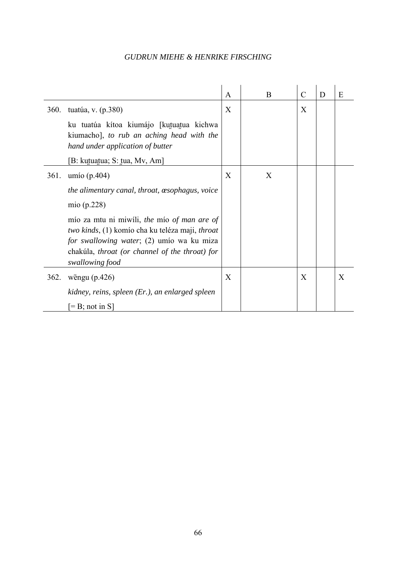|             |                                                                                                                                                                                                                  | $\mathbf{A}$ | B | $\mathcal{C}$ | D | E |
|-------------|------------------------------------------------------------------------------------------------------------------------------------------------------------------------------------------------------------------|--------------|---|---------------|---|---|
| <b>360.</b> | tuatúa, v. (p.380)                                                                                                                                                                                               | X            |   | X             |   |   |
|             | ku tuatúa kítoa kiumájo [kutuatua kichwa<br>kiumacho], to rub an aching head with the<br>hand under application of butter                                                                                        |              |   |               |   |   |
|             | [B: kutuatua; S: tua, Mv, Am]                                                                                                                                                                                    |              |   |               |   |   |
| 361.        | umío (p. $404$ )                                                                                                                                                                                                 | X            | X |               |   |   |
|             | the alimentary canal, throat, $\alpha$ sophagus, voice                                                                                                                                                           |              |   |               |   |   |
|             | mio $(p.228)$                                                                                                                                                                                                    |              |   |               |   |   |
|             | mío za mtu ni miwíli, the mío of man are of<br>two kinds, (1) komío cha ku teléza maji, throat<br>for swallowing water; (2) umio wa ku miza<br>chakúla, throat (or channel of the throat) for<br>swallowing food |              |   |               |   |   |
| 362.        | wēngu $(p.426)$                                                                                                                                                                                                  | X            |   | X             |   | X |
|             | kidney, reins, spleen (Er.), an enlarged spleen                                                                                                                                                                  |              |   |               |   |   |
|             | $\left[=B;\text{ not in }S\right]$                                                                                                                                                                               |              |   |               |   |   |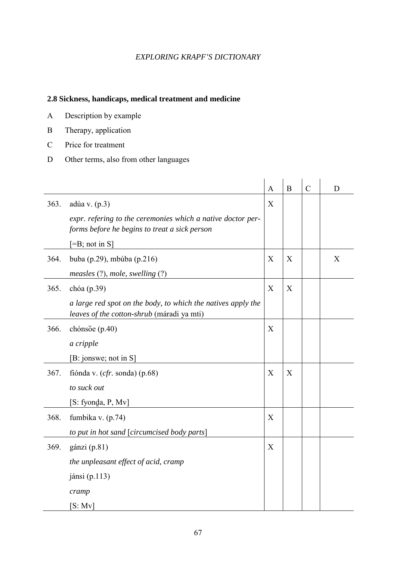### **2.8 Sickness, handicaps, medical treatment and medicine**

- A Description by example
- B Therapy, application
- C Price for treatment
- D Other terms, also from other languages

|      |                                                                                                              | $\mathbf{A}$ | B | $\overline{C}$ | D |
|------|--------------------------------------------------------------------------------------------------------------|--------------|---|----------------|---|
| 363. | adúa v. (p.3)                                                                                                | X            |   |                |   |
|      | expr. refering to the ceremonies which a native doctor per-<br>forms before he begins to treat a sick person |              |   |                |   |
|      | $[=B; not in S]$                                                                                             |              |   |                |   |
| 364. | buba (p.29), mbúba (p.216)                                                                                   | X            | X |                | X |
|      | measles $(?)$ , mole, swelling $(?)$                                                                         |              |   |                |   |
| 365. | chóa (p.39)                                                                                                  | X            | X |                |   |
|      | a large red spot on the body, to which the natives apply the<br>leaves of the cotton-shrub (máradi ya mti)   |              |   |                |   |
| 366. | chónso $e(p.40)$                                                                                             | X            |   |                |   |
|      | a cripple                                                                                                    |              |   |                |   |
|      | [B: jonswe; not in S]                                                                                        |              |   |                |   |
| 367. | fiónda v. $(cfr. sonda)$ (p.68)                                                                              | X            | X |                |   |
|      | to suck out                                                                                                  |              |   |                |   |
|      | [S: fyonda, P, Mv]                                                                                           |              |   |                |   |
| 368. | fumbika v. (p.74)                                                                                            | X            |   |                |   |
|      | to put in hot sand [circumcised body parts]                                                                  |              |   |                |   |
| 369. | gánzi (p.81)                                                                                                 | X            |   |                |   |
|      | the unpleasant effect of acid, cramp                                                                         |              |   |                |   |
|      | jánsi (p.113)                                                                                                |              |   |                |   |
|      | cramp                                                                                                        |              |   |                |   |
|      | [S: Mv]                                                                                                      |              |   |                |   |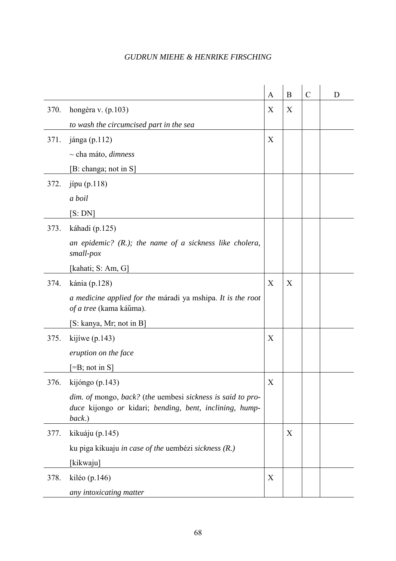|      |                                                                                                                                 | A | B | $\mathcal{C}$ | D |
|------|---------------------------------------------------------------------------------------------------------------------------------|---|---|---------------|---|
| 370. | hongéra v. (p.103)                                                                                                              | X | X |               |   |
|      | to wash the circumcised part in the sea                                                                                         |   |   |               |   |
| 371. | jánga (p.112)                                                                                                                   | X |   |               |   |
|      | $\sim$ cha máto, <i>dimness</i>                                                                                                 |   |   |               |   |
|      | [B: changa; not in S]                                                                                                           |   |   |               |   |
| 372. | jípu $(p.118)$                                                                                                                  |   |   |               |   |
|      | a boil                                                                                                                          |   |   |               |   |
|      | [S:DN]                                                                                                                          |   |   |               |   |
| 373. | káhadi (p.125)                                                                                                                  |   |   |               |   |
|      | an epidemic? $(R.)$ ; the name of a sickness like cholera,<br>small-pox                                                         |   |   |               |   |
|      | [kahati; S: Am, G]                                                                                                              |   |   |               |   |
| 374. | kánia (p.128)                                                                                                                   | X | X |               |   |
|      | a medicine applied for the máradi ya mshipa. It is the root<br>of a tree (kama káŭma).                                          |   |   |               |   |
|      | [S: kanya, Mr; not in B]                                                                                                        |   |   |               |   |
| 375. | kijíwe $(p.143)$                                                                                                                | X |   |               |   |
|      | eruption on the face                                                                                                            |   |   |               |   |
|      | $=$ B; not in S]                                                                                                                |   |   |               |   |
| 376. | kijóngo (p.143)                                                                                                                 | Х |   |               |   |
|      | dim. of mongo, back? (the uembesi sickness is said to pro-<br>duce kijongo or kidari; bending, bent, inclining, hump-<br>back.) |   |   |               |   |
| 377. | kikuáju (p.145)                                                                                                                 |   | X |               |   |
|      | ku piga kikuaju in case of the uembézi sickness (R.)                                                                            |   |   |               |   |
|      | [kikwaju]                                                                                                                       |   |   |               |   |
| 378. | kiléo (p.146)                                                                                                                   | X |   |               |   |
|      | any intoxicating matter                                                                                                         |   |   |               |   |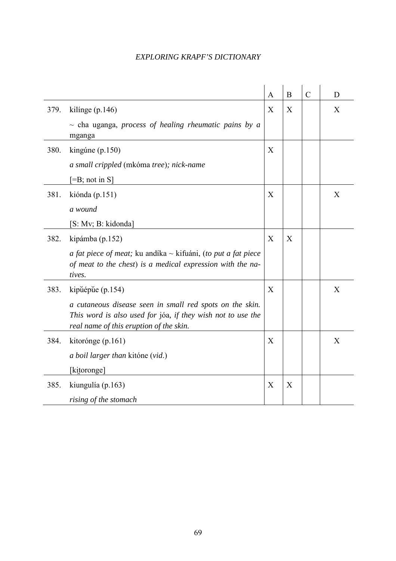|      |                                                                                                                                                                    | $\mathbf{A}$ | $\bf{B}$ | $\overline{C}$ | D |
|------|--------------------------------------------------------------------------------------------------------------------------------------------------------------------|--------------|----------|----------------|---|
| 379. | kilinge $(p.146)$                                                                                                                                                  | X            | X        |                | X |
|      | $\sim$ cha uganga, process of healing rheumatic pains by a<br>mganga                                                                                               |              |          |                |   |
| 380. | kingúne (p.150)                                                                                                                                                    | X            |          |                |   |
|      | a small crippled (mkóma tree); nick-name                                                                                                                           |              |          |                |   |
|      | $[=B; not in S]$                                                                                                                                                   |              |          |                |   |
| 381. | kiónda (p.151)                                                                                                                                                     | X            |          |                | X |
|      | a wound                                                                                                                                                            |              |          |                |   |
|      | [S: Mv; B: kidonda]                                                                                                                                                |              |          |                |   |
| 382. | kipámba (p.152)                                                                                                                                                    | X            | X        |                |   |
|      | a fat piece of meat; ku andíka $\sim$ kifuáni, (to put a fat piece<br>of meat to the chest) is a medical expression with the na-<br>tives.                         |              |          |                |   |
| 383. | kipŭépŭe (p.154)                                                                                                                                                   | X            |          |                | X |
|      | a cutaneous disease seen in small red spots on the skin.<br>This word is also used for jóa, if they wish not to use the<br>real name of this eruption of the skin. |              |          |                |   |
| 384. | kitorónge (p.161)                                                                                                                                                  | X            |          |                | X |
|      | a boil larger than kitóne (vid.)                                                                                                                                   |              |          |                |   |
|      | [kitoronge]                                                                                                                                                        |              |          |                |   |
| 385. | kiungulía (p.163)                                                                                                                                                  | X            | X        |                |   |
|      | rising of the stomach                                                                                                                                              |              |          |                |   |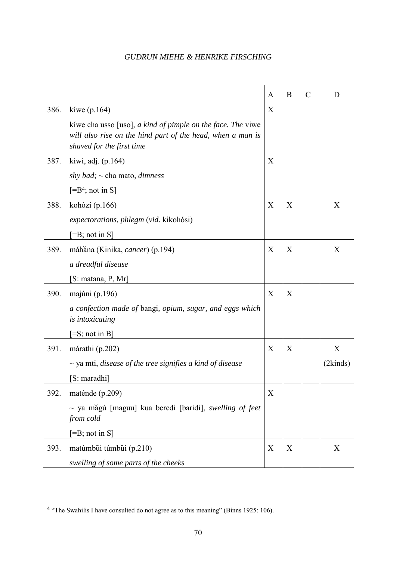|      |                                                                                                                                                          | A | B | $\mathcal{C}$ | D        |
|------|----------------------------------------------------------------------------------------------------------------------------------------------------------|---|---|---------------|----------|
| 386. | kíwe $(p.164)$                                                                                                                                           | X |   |               |          |
|      | kiwe cha usso [uso], $a$ kind of pimple on the face. The viwe<br>will also rise on the hind part of the head, when a man is<br>shaved for the first time |   |   |               |          |
| 387. | kiwi, adj. (p.164)                                                                                                                                       | X |   |               |          |
|      | shy bad; $\sim$ cha mato, dimness                                                                                                                        |   |   |               |          |
|      | $[=B4; not in S]$                                                                                                                                        |   |   |               |          |
| 388. | kohózi (p.166)                                                                                                                                           | X | X |               | X        |
|      | <i>expectorations, phlegm (vid. kikohósi)</i>                                                                                                            |   |   |               |          |
|      | $[=B; not in S]$                                                                                                                                         |   |   |               |          |
| 389. | máhăna (Kinika, cancer) (p.194)                                                                                                                          | X | X |               | X        |
|      | a dreadful disease                                                                                                                                       |   |   |               |          |
|      | [S: matana, P, Mr]                                                                                                                                       |   |   |               |          |
| 390. | majúni (p.196)                                                                                                                                           | X | X |               |          |
|      | a confection made of bangi, opium, sugar, and eggs which<br>is intoxicating                                                                              |   |   |               |          |
|      | $\left[ =S; \text{not in } B \right]$                                                                                                                    |   |   |               |          |
| 391. | márathi (p.202)                                                                                                                                          | X | X |               | X        |
|      | $\sim$ ya mti, disease of the tree signifies a kind of disease                                                                                           |   |   |               | (2kinds) |
|      | [S: maradhi]                                                                                                                                             |   |   |               |          |
| 392. | maténde (p.209)                                                                                                                                          | X |   |               |          |
|      | $\sim$ ya măgú [maguu] kua beredi [baridi], swelling of feet<br>from cold                                                                                |   |   |               |          |
|      | $[=B; not in S]$                                                                                                                                         |   |   |               |          |
| 393. | matúmbŭi túmbŭi (p.210)                                                                                                                                  | X | X |               | X        |
|      | swelling of some parts of the cheeks                                                                                                                     |   |   |               |          |

 $\overline{a}$ 

<sup>&</sup>lt;sup>4</sup> "The Swahilis I have consulted do not agree as to this meaning" (Binns 1925: 106).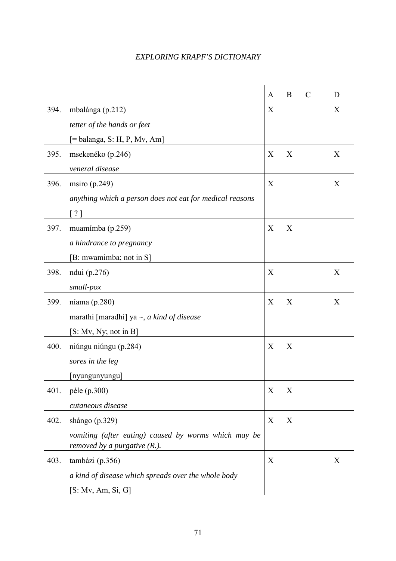|      |                                                          | $\mathbf{A}$ | B | $\mathcal{C}$ | D |
|------|----------------------------------------------------------|--------------|---|---------------|---|
| 394. | mbalánga (p.212)                                         | X            |   |               | X |
|      | tetter of the hands or feet                              |              |   |               |   |
|      | $[=$ balanga, S: H, P, Mv, Am]                           |              |   |               |   |
| 395. | msekenéko (p.246)                                        | X            | X |               | X |
|      | veneral disease                                          |              |   |               |   |
| 396. | msiro $(p.249)$                                          | X            |   |               | X |
|      | anything which a person does not eat for medical reasons |              |   |               |   |
|      | $\lceil ? \rceil$                                        |              |   |               |   |
| 397. | muamímba (p.259)                                         | X            | X |               |   |
|      | a hindrance to pregnancy                                 |              |   |               |   |
|      | [B: mwamimba; not in S]                                  |              |   |               |   |
| 398. | ndui (p.276)                                             | X            |   |               | X |
|      | small-pox                                                |              |   |               |   |
| 399. | níama $(p.280)$                                          | X            | X |               | X |
|      | marathi [maradhi] ya $\sim$ , <i>a kind of disease</i>   |              |   |               |   |
|      | [S: Mv, Ny; not in B]                                    |              |   |               |   |
| 400. | niúngu niúngu (p.284)                                    | X            | X |               |   |
|      | sores in the leg                                         |              |   |               |   |
|      | [nyungunyungu]                                           |              |   |               |   |
| 401. | péle (p.300)                                             | X            | X |               |   |
|      | cutaneous disease                                        |              |   |               |   |
| 402. | shángo (p.329)                                           | X            | X |               |   |
|      | vomiting (after eating) caused by worms which may be     |              |   |               |   |
|      | removed by a purgative $(R1)$ .                          |              |   |               |   |
| 403. | tambázi (p.356)                                          | X            |   |               | X |
|      | a kind of disease which spreads over the whole body      |              |   |               |   |
|      | [S: Mv, Am, Si, G]                                       |              |   |               |   |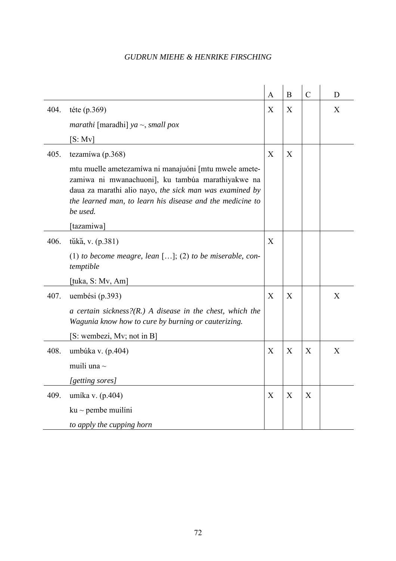|      |                                                                                                                                                                                                                                                | $\mathbf{A}$ | B            | $\mathcal{C}$ | D |
|------|------------------------------------------------------------------------------------------------------------------------------------------------------------------------------------------------------------------------------------------------|--------------|--------------|---------------|---|
| 404. | téte (p.369)                                                                                                                                                                                                                                   | X            | X            |               | X |
|      | <i>marathi</i> [maradhi] <i>ya</i> $\sim$ , <i>small pox</i>                                                                                                                                                                                   |              |              |               |   |
|      | [S: Mv]                                                                                                                                                                                                                                        |              |              |               |   |
| 405. | tezamíwa (p.368)                                                                                                                                                                                                                               | X            | X            |               |   |
|      | mtu muelle ametezamíwa ni manajuóni [mtu mwele amete-<br>zamiwa ni mwanachuoni], ku tambúa marathiyakwe na<br>daua za marathi alio nayo, the sick man was examined by<br>the learned man, to learn his disease and the medicine to<br>be used. |              |              |               |   |
|      | [tazamiwa]                                                                                                                                                                                                                                     |              |              |               |   |
| 406. | tūkă, v. (p.381)                                                                                                                                                                                                                               | X            |              |               |   |
|      | (1) to become meagre, lean $[]$ ; (2) to be miserable, con-<br>temptible                                                                                                                                                                       |              |              |               |   |
|      | [tuka, S: Mv, Am]                                                                                                                                                                                                                              |              |              |               |   |
| 407. | uembési (p.393)                                                                                                                                                                                                                                | X            | X            |               | X |
|      | a certain sickness? $(R)$ A disease in the chest, which the<br>Wagunia know how to cure by burning or cauterizing.                                                                                                                             |              |              |               |   |
|      | [S: wembezi, Mv; not in B]                                                                                                                                                                                                                     |              |              |               |   |
| 408. | umbúka v. (p.404)                                                                                                                                                                                                                              | X            | $\mathbf{X}$ | X             | X |
|      | muili una $\sim$                                                                                                                                                                                                                               |              |              |               |   |
|      | [getting sores]                                                                                                                                                                                                                                |              |              |               |   |
| 409. | umíka v. (p.404)                                                                                                                                                                                                                               | X            | X            | X             |   |
|      | $ku \sim$ pembe muilíni                                                                                                                                                                                                                        |              |              |               |   |
|      | to apply the cupping horn                                                                                                                                                                                                                      |              |              |               |   |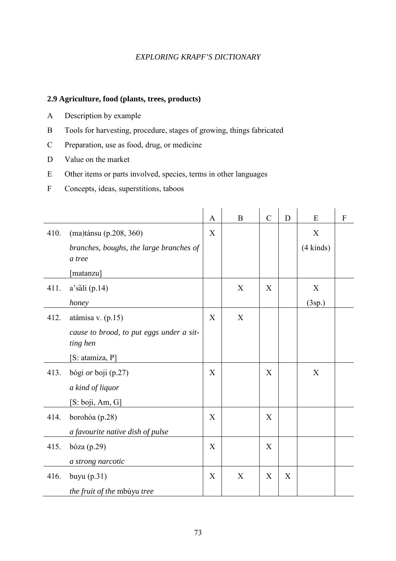#### **2.9 Agriculture, food (plants, trees, products)**

- A Description by example
- B Tools for harvesting, procedure, stages of growing, things fabricated
- C Preparation, use as food, drug, or medicine
- D Value on the market
- E Other items or parts involved, species, terms in other languages
- F Concepts, ideas, superstitions, taboos

|      |                                                      | A                         | $\bf{B}$ | $\mathcal{C}$ | D | E           | $\boldsymbol{\mathrm{F}}$ |
|------|------------------------------------------------------|---------------------------|----------|---------------|---|-------------|---------------------------|
| 410. | (ma)tánsu (p.208, 360)                               | X                         |          |               |   | X           |                           |
|      | branches, boughs, the large branches of<br>a tree    |                           |          |               |   | $(4$ kinds) |                           |
|      | [matanzu]                                            |                           |          |               |   |             |                           |
| 411. | $a$ 'săli (p.14)                                     |                           | X        | X             |   | X           |                           |
|      | honey                                                |                           |          |               |   | (3sp.)      |                           |
| 412. | atámisa v. (p.15)                                    | X                         | X        |               |   |             |                           |
|      | cause to brood, to put eggs under a sit-<br>ting hen |                           |          |               |   |             |                           |
|      | [S: atamiza, P]                                      |                           |          |               |   |             |                           |
| 413. | bógi or boji (p.27)                                  | $\boldsymbol{\mathrm{X}}$ |          | X             |   | $\mathbf X$ |                           |
|      | a kind of liquor                                     |                           |          |               |   |             |                           |
|      | [S: boji, Am, G]                                     |                           |          |               |   |             |                           |
| 414. | borohóa (p.28)                                       | X                         |          | X             |   |             |                           |
|      | a favourite native dish of pulse                     |                           |          |               |   |             |                           |
| 415. | bóza $(p.29)$                                        | $\boldsymbol{\mathrm{X}}$ |          | $\mathbf X$   |   |             |                           |
|      | a strong narcotic                                    |                           |          |               |   |             |                           |
| 416. | buyu $(p.31)$                                        | X                         | X        | X             | X |             |                           |
|      | the fruit of the mbúyu tree                          |                           |          |               |   |             |                           |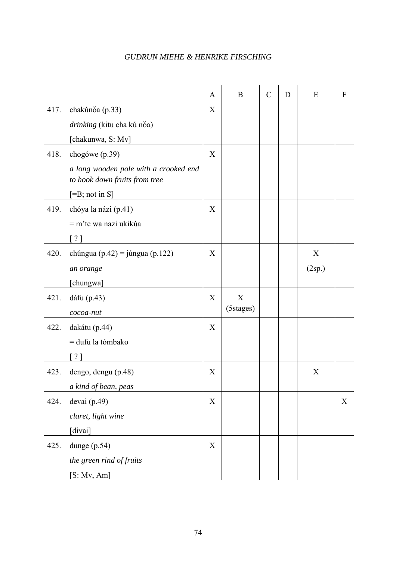|      |                                                                        | $\mathbf{A}$ | B         | $\mathcal{C}$ | D | E      | $\boldsymbol{F}$ |
|------|------------------------------------------------------------------------|--------------|-----------|---------------|---|--------|------------------|
| 417. | chakúnŏa (p.33)                                                        | X            |           |               |   |        |                  |
|      | drinking (kitu cha kú nŏa)                                             |              |           |               |   |        |                  |
|      | [chakunwa, S: Mv]                                                      |              |           |               |   |        |                  |
| 418. | chogówe (p.39)                                                         | X            |           |               |   |        |                  |
|      | a long wooden pole with a crooked end<br>to hook down fruits from tree |              |           |               |   |        |                  |
|      | $[=B; not in S]$                                                       |              |           |               |   |        |                  |
| 419. | chóya la názi (p.41)                                                   | X            |           |               |   |        |                  |
|      | $=$ m'te wa nazi ukikúa                                                |              |           |               |   |        |                  |
|      | $\lceil ? \rceil$                                                      |              |           |               |   |        |                  |
| 420. | chúngua (p.42) = júngua (p.122)                                        | X            |           |               |   | X      |                  |
|      | an orange                                                              |              |           |               |   | (2sp.) |                  |
|      | [chungwa]                                                              |              |           |               |   |        |                  |
| 421. | dáfu (p.43)                                                            | X            | X         |               |   |        |                  |
|      | cocoa-nut                                                              |              | (5stages) |               |   |        |                  |
| 422. | dakátu (p.44)                                                          | X            |           |               |   |        |                  |
|      | = dufu la tómbako                                                      |              |           |               |   |        |                  |
|      | [ ? ]                                                                  |              |           |               |   |        |                  |
| 423. | dengo, dengu (p.48)                                                    | X            |           |               |   | X      |                  |
|      | a kind of bean, peas                                                   |              |           |               |   |        |                  |
| 424. | devai (p.49)                                                           | X            |           |               |   |        | X                |
|      | claret, light wine                                                     |              |           |               |   |        |                  |
|      | [divai]                                                                |              |           |               |   |        |                  |
| 425. | dunge $(p.54)$                                                         | $\mathbf X$  |           |               |   |        |                  |
|      | the green rind of fruits                                               |              |           |               |   |        |                  |
|      | [S: Mv, Am]                                                            |              |           |               |   |        |                  |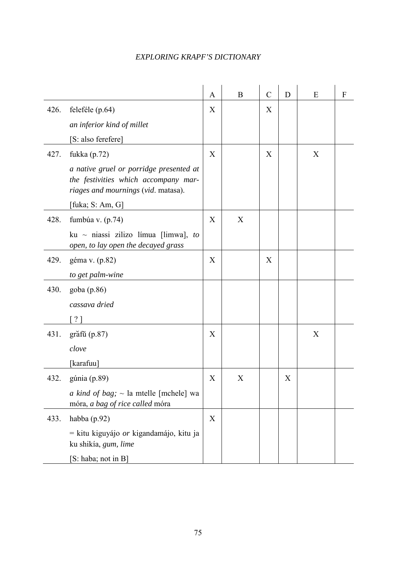|      |                                                                                                                        | A | B | $\mathcal{C}$ | D | E | F |
|------|------------------------------------------------------------------------------------------------------------------------|---|---|---------------|---|---|---|
| 426. | feleféle (p.64)                                                                                                        | X |   | X             |   |   |   |
|      | an inferior kind of millet                                                                                             |   |   |               |   |   |   |
|      | [S: also ferefere]                                                                                                     |   |   |               |   |   |   |
| 427. | fukka (p.72)                                                                                                           | X |   | X             |   | X |   |
|      | a native gruel or porridge presented at<br>the festivities which accompany mar-<br>riages and mournings (vid. matasa). |   |   |               |   |   |   |
|      | [fuka; S: Am, G]                                                                                                       |   |   |               |   |   |   |
| 428. | fumbúa v. $(p.74)$                                                                                                     | X | X |               |   |   |   |
|      | ku ~ niassi zilizo límua [limwa], to<br>open, to lay open the decayed grass                                            |   |   |               |   |   |   |
| 429. | géma v. (p.82)                                                                                                         | X |   | X             |   |   |   |
|      | to get palm-wine                                                                                                       |   |   |               |   |   |   |
| 430. | goba (p.86)                                                                                                            |   |   |               |   |   |   |
|      | cassava dried                                                                                                          |   |   |               |   |   |   |
|      | $\lceil ? \rceil$                                                                                                      |   |   |               |   |   |   |
| 431. | grăf $\tilde{u}$ (p.87)                                                                                                | X |   |               |   | X |   |
|      | clove                                                                                                                  |   |   |               |   |   |   |
|      | [karafuu]                                                                                                              |   |   |               |   |   |   |
| 432. | gúnia $(p.89)$                                                                                                         | X | X |               | X |   |   |
|      | <i>a kind of bag</i> ; $\sim$ la mtelle [mchele] wa<br>móra, a bag of rice called móra                                 |   |   |               |   |   |   |
| 433. | habba (p.92)                                                                                                           | X |   |               |   |   |   |
|      | $=$ kitu kiguyájo <i>or</i> kigandamájo, kitu ja<br>ku shikía, gum, lime                                               |   |   |               |   |   |   |
|      | [S: haba; not in B]                                                                                                    |   |   |               |   |   |   |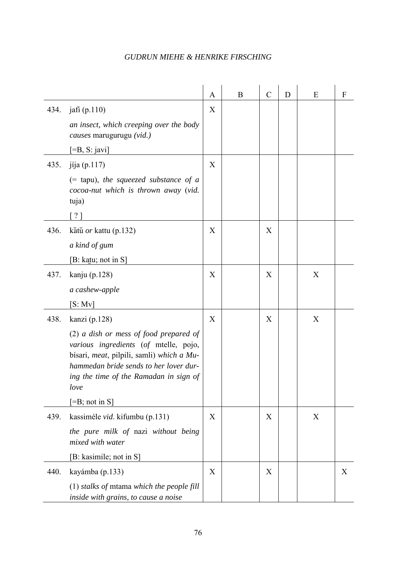|      |                                                                                                                                                                                                                            | A | B | $\mathcal{C}$ | D | E | $\boldsymbol{F}$ |
|------|----------------------------------------------------------------------------------------------------------------------------------------------------------------------------------------------------------------------------|---|---|---------------|---|---|------------------|
| 434. | jafi (p.110)<br>an insect, which creeping over the body                                                                                                                                                                    | X |   |               |   |   |                  |
|      | causes marugurugu (vid.)                                                                                                                                                                                                   |   |   |               |   |   |                  |
|      | $\left[ =B, S:$ javi]                                                                                                                                                                                                      |   |   |               |   |   |                  |
| 435. | jíja $(p.117)$                                                                                                                                                                                                             | X |   |               |   |   |                  |
|      | $(=$ tapu), the squeezed substance of a<br>cocoa-nut which is thrown away (vid.<br>tuja)                                                                                                                                   |   |   |               |   |   |                  |
|      | $\lceil$ ? ]                                                                                                                                                                                                               |   |   |               |   |   |                  |
| 436. | kătŭ <i>or</i> kattu (p.132)                                                                                                                                                                                               | X |   | X             |   |   |                  |
|      | a kind of gum                                                                                                                                                                                                              |   |   |               |   |   |                  |
|      | [B: katu; not in S]                                                                                                                                                                                                        |   |   |               |   |   |                  |
| 437. | kanju (p.128)                                                                                                                                                                                                              | X |   | X             |   | X |                  |
|      | a cashew-apple                                                                                                                                                                                                             |   |   |               |   |   |                  |
|      | [S: Mv]                                                                                                                                                                                                                    |   |   |               |   |   |                  |
| 438. | kanzi (p.128)                                                                                                                                                                                                              | X |   | X             |   | X |                  |
|      | $(2)$ a dish or mess of food prepared of<br>various ingredients (of mtelle, pojo,<br>bísari, meat, pilpili, samli) which a Mu-<br>hammedan bride sends to her lover dur-<br>ing the time of the Ramadan in sign of<br>love |   |   |               |   |   |                  |
|      | $\left[ =B; \text{not in } S \right]$                                                                                                                                                                                      |   |   |               |   |   |                  |
| 439. | kassiméle vid. kifumbu (p.131)                                                                                                                                                                                             | X |   | X             |   | X |                  |
|      | the pure milk of nazi without being<br>mixed with water                                                                                                                                                                    |   |   |               |   |   |                  |
|      | [B: kasimile; not in S]                                                                                                                                                                                                    |   |   |               |   |   |                  |
| 440. | kayámba (p.133)                                                                                                                                                                                                            | X |   | X             |   |   | X                |
|      | $(1)$ stalks of mtama which the people fill<br>inside with grains, to cause a noise                                                                                                                                        |   |   |               |   |   |                  |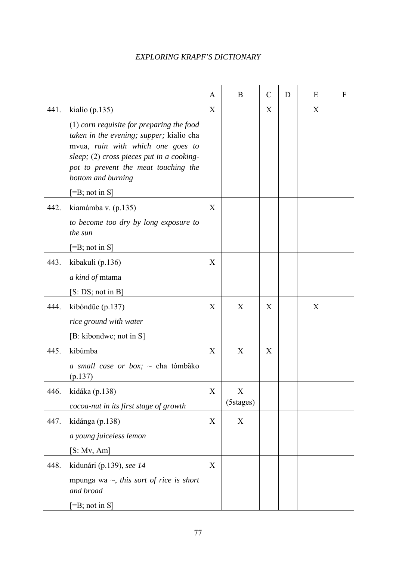|      |                                                                                                                                                                                                                                                                                        | A | B              | $\mathcal{C}$ | D | E | F |
|------|----------------------------------------------------------------------------------------------------------------------------------------------------------------------------------------------------------------------------------------------------------------------------------------|---|----------------|---------------|---|---|---|
| 441. | kialio (p.135)<br>$(1)$ corn requisite for preparing the food<br><i>taken in the evening; supper; kialio cha</i><br>mvua, rain with which one goes to<br>sleep; $(2)$ cross pieces put in a cooking-<br>pot to prevent the meat touching the<br>bottom and burning<br>$[=B; not in S]$ | X |                | X             |   | X |   |
| 442. | kiamámba v. (p.135)<br>to become too dry by long exposure to<br>the sun<br>$[=B; not in S]$                                                                                                                                                                                            | X |                |               |   |   |   |
| 443. | kibakuli (p.136)<br>a kind of mtama<br>[S:DS; not in B]                                                                                                                                                                                                                                | X |                |               |   |   |   |
| 444. | kibóndŭe (p.137)<br>rice ground with water<br>[B: kibondwe; not in S]                                                                                                                                                                                                                  | X | X              | X             |   | X |   |
| 445. | kibúmba<br>a small case or box; $\sim$ cha tómbăko<br>(p.137)                                                                                                                                                                                                                          | X | X              | X             |   |   |   |
| 446. | kidáka (p.138)<br>cocoa-nut in its first stage of growth                                                                                                                                                                                                                               | X | X<br>(5stages) |               |   |   |   |
| 447. | kidánga (p.138)<br>a young juiceless lemon<br>[S: Mv, Am]                                                                                                                                                                                                                              | X | X              |               |   |   |   |
| 448. | kidunári (p.139), see 14<br>mpunga wa $\sim$ , this sort of rice is short<br>and broad<br>$[=B; not in S]$                                                                                                                                                                             | X |                |               |   |   |   |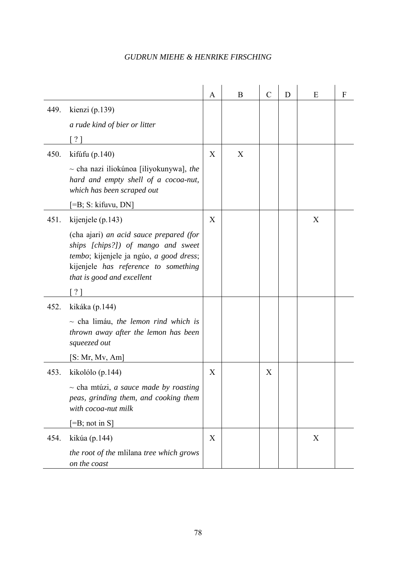|      |                                                                                                                                                                                                | A | B | $\mathcal{C}$ | D | E | F |
|------|------------------------------------------------------------------------------------------------------------------------------------------------------------------------------------------------|---|---|---------------|---|---|---|
| 449. | kienzi (p.139)<br>a rude kind of bier or litter                                                                                                                                                |   |   |               |   |   |   |
|      | $\lceil$ ? ]                                                                                                                                                                                   |   |   |               |   |   |   |
| 450. | kifúfu $(p.140)$                                                                                                                                                                               | X | X |               |   |   |   |
|      | $\sim$ cha nazi iliokúnoa [iliyokunywa], the<br>hard and empty shell of a cocoa-nut,<br>which has been scraped out                                                                             |   |   |               |   |   |   |
|      | $[=B; S: kifuvu, DN]$                                                                                                                                                                          |   |   |               |   |   |   |
| 451. | kijenjele (p.143)                                                                                                                                                                              | X |   |               |   | X |   |
|      | (cha ajari) an acid sauce prepared (for<br>ships [chips?]) of mango and sweet<br>tembo; kijenjele ja ngúo, a good dress;<br>kijenjele has reference to something<br>that is good and excellent |   |   |               |   |   |   |
|      | ? ]                                                                                                                                                                                            |   |   |               |   |   |   |
| 452. | kikáka (p.144)                                                                                                                                                                                 |   |   |               |   |   |   |
|      | $\sim$ cha limáu, the lemon rind which is<br>thrown away after the lemon has been<br>squeezed out                                                                                              |   |   |               |   |   |   |
|      | [S: Mr, Mv, Am]                                                                                                                                                                                |   |   |               |   |   |   |
| 453. | kikolólo (p.144)                                                                                                                                                                               | X |   | X             |   |   |   |
|      | $\sim$ cha mtúzi, <i>a sauce made by roasting</i><br>peas, grinding them, and cooking them<br>with cocoa-nut milk                                                                              |   |   |               |   |   |   |
|      | $\left[ =B; \text{ not in } S \right]$                                                                                                                                                         |   |   |               |   |   |   |
| 454. | kikúa (p.144)                                                                                                                                                                                  | X |   |               |   | X |   |
|      | the root of the millana tree which grows<br>on the coast                                                                                                                                       |   |   |               |   |   |   |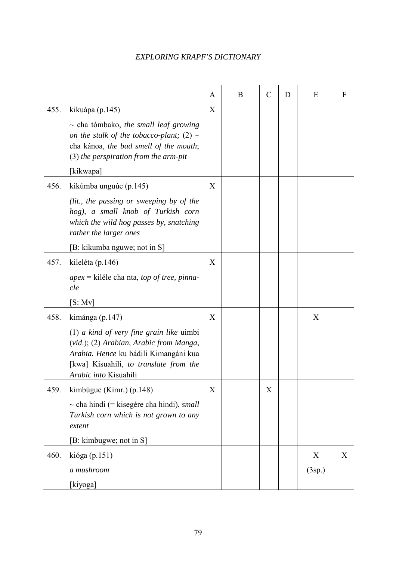|      |                                                                                                                                                                                                                      | A | B | $\mathcal{C}$ | D | E           | F |
|------|----------------------------------------------------------------------------------------------------------------------------------------------------------------------------------------------------------------------|---|---|---------------|---|-------------|---|
| 455. | kikuápa (p.145)<br>$\sim$ cha tómbako, the small leaf growing<br>on the stalk of the tobacco-plant; (2) $\sim$<br>cha kánoa, the bad smell of the mouth;<br>$(3)$ the perspiration from the arm-pit<br>[kikwapa]     | X |   |               |   |             |   |
| 456. | kikúmba unguúe (p.145)<br>(lit., the passing or sweeping by of the<br>hog), a small knob of Turkish corn<br>which the wild hog passes by, snatching<br>rather the larger ones<br>[B: kikumba nguwe; not in S]        | X |   |               |   |             |   |
| 457. | kileléta (p.146)<br>$apex =$ kiléle cha nta, <i>top of tree</i> , <i>pinna</i> -<br>cle<br>[S: Mv]                                                                                                                   | X |   |               |   |             |   |
| 458. | kimánga (p.147)<br>$(1)$ a kind of very fine grain like uimbi<br>(vid.); (2) Arabian, Arabic from Manga,<br>Arabia. Hence ku bádili Kimangáni kua<br>[kwa] Kisuahili, to translate from the<br>Arabic into Kisuahili | X |   |               |   | X           |   |
| 459. | kimbúgue (Kimr.) (p.148)<br>$\sim$ cha hindi (= kisegére cha hindi), <i>small</i><br>Turkish corn which is not grown to any<br>extent<br>[B: kimbugwe; not in S]                                                     | X |   | X             |   |             |   |
| 460. | kióga (p.151)<br>a mushroom<br>[kiyoga]                                                                                                                                                                              |   |   |               |   | X<br>(3sp.) | X |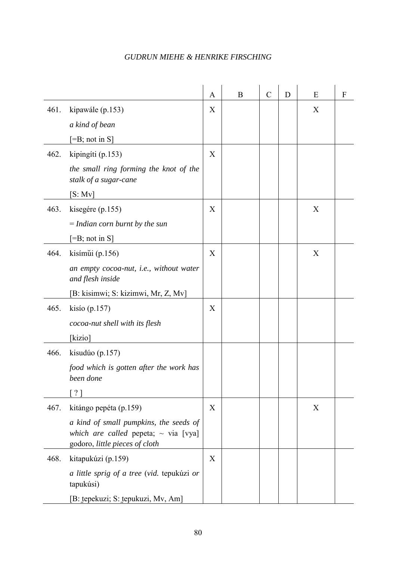|      |                                                                                                                       | A | B | $\mathcal{C}$ | D | Ε                | F |
|------|-----------------------------------------------------------------------------------------------------------------------|---|---|---------------|---|------------------|---|
| 461. | kipawále (p.153)                                                                                                      | X |   |               |   | X                |   |
|      | a kind of bean                                                                                                        |   |   |               |   |                  |   |
|      | $[=B; not in S]$                                                                                                      |   |   |               |   |                  |   |
| 462. | kipingíti (p.153)                                                                                                     | X |   |               |   |                  |   |
|      | the small ring forming the knot of the<br>stalk of a sugar-cane                                                       |   |   |               |   |                  |   |
|      | [S: Mv]                                                                                                               |   |   |               |   |                  |   |
| 463. | kisegére (p.155)                                                                                                      | X |   |               |   | X                |   |
|      | $=$ Indian corn burnt by the sun                                                                                      |   |   |               |   |                  |   |
|      | $[=B; not in S]$                                                                                                      |   |   |               |   |                  |   |
| 464. | kisímui (p.156)                                                                                                       | X |   |               |   | $\boldsymbol{X}$ |   |
|      | an empty cocoa-nut, <i>i.e.</i> , without water<br>and flesh inside                                                   |   |   |               |   |                  |   |
|      | [B: kisimwi; S: kizimwi, Mr, Z, Mv]                                                                                   |   |   |               |   |                  |   |
| 465. | kisio $(p.157)$                                                                                                       | X |   |               |   |                  |   |
|      | cocoa-nut shell with its flesh                                                                                        |   |   |               |   |                  |   |
|      | [kizio]                                                                                                               |   |   |               |   |                  |   |
| 466. | kisudúo $(p.157)$                                                                                                     |   |   |               |   |                  |   |
|      | food which is gotten after the work has<br>been done                                                                  |   |   |               |   |                  |   |
|      | 2 <sub>1</sub>                                                                                                        |   |   |               |   |                  |   |
| 467. | kitángo pepéta (p.159)                                                                                                | X |   |               |   | X                |   |
|      | a kind of small pumpkins, the seeds of<br>which are called pepeta; $\sim$ via [vya]<br>godoro, little pieces of cloth |   |   |               |   |                  |   |
| 468. | kitapukúzi (p.159)                                                                                                    | X |   |               |   |                  |   |
|      | a little sprig of a tree (vid. tepukúzi or<br>tapukúsi)                                                               |   |   |               |   |                  |   |
|      | [B: tepekuzi; S: tepukuzi, Mv, Am]                                                                                    |   |   |               |   |                  |   |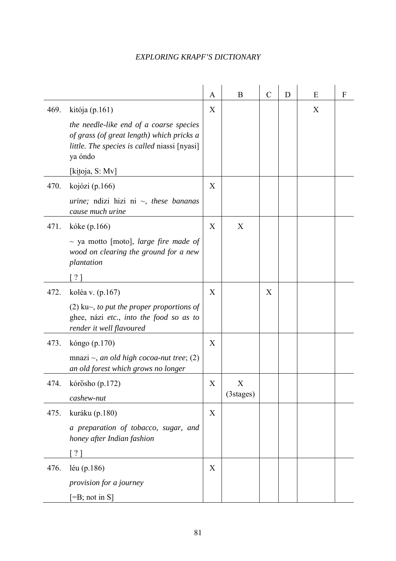|      |                                                                                                                                                                                      | A | B              | $\mathcal{C}$ | D | E | F |
|------|--------------------------------------------------------------------------------------------------------------------------------------------------------------------------------------|---|----------------|---------------|---|---|---|
| 469. | kitója (p.161)<br>the needle-like end of a coarse species<br>of grass (of great length) which pricks a<br>little. The species is called niassi [nyasi]<br>ya óndo<br>[kitoja, S: Mv] | X |                |               |   | X |   |
| 470. | kojózi (p.166)<br><i>urine</i> ; ndizi hizi ni $\sim$ , <i>these bananas</i><br>cause much urine                                                                                     | X |                |               |   |   |   |
| 471. | kóke (p.166)<br>$\sim$ ya motto [moto], large fire made of<br>wood on clearing the ground for a new<br>plantation<br>$?$ ]                                                           | X | X              |               |   |   |   |
| 472. | koléa v. (p.167)<br>$(2)$ ku $\sim$ , to put the proper proportions of<br>ghee, názi etc., into the food so as to<br>render it well flavoured                                        | X |                | X             |   |   |   |
| 473. | kóngo (p.170)<br>mnazi $\sim$ , an old high cocoa-nut tree; (2)<br>an old forest which grows no longer                                                                               | X |                |               |   |   |   |
| 474. | kórŏsho (p.172)<br>cashew-nut                                                                                                                                                        | X | X<br>(3stages) |               |   |   |   |
| 475. | kuráku (p.180)<br>a preparation of tobacco, sugar, and<br>honey after Indian fashion<br>[ ? ]                                                                                        | X |                |               |   |   |   |
| 476. | léu $(p.186)$<br>provision for a journey<br>$[=B; not in S]$                                                                                                                         | X |                |               |   |   |   |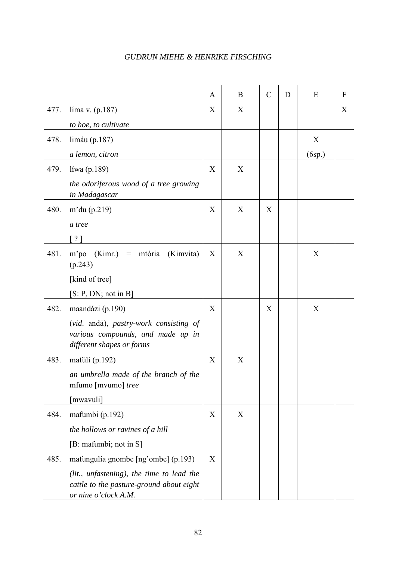|      |                                                                                                               | A | B | $\mathcal{C}$ | D | E      | $\boldsymbol{F}$ |
|------|---------------------------------------------------------------------------------------------------------------|---|---|---------------|---|--------|------------------|
| 477. | líma v. $(p.187)$                                                                                             | X | X |               |   |        | X                |
|      | to hoe, to cultivate                                                                                          |   |   |               |   |        |                  |
| 478. | limáu (p.187)                                                                                                 |   |   |               |   | X      |                  |
|      | a lemon, citron                                                                                               |   |   |               |   | (6sp.) |                  |
| 479. | líwa (p.189)                                                                                                  | X | X |               |   |        |                  |
|      | the odoriferous wood of a tree growing<br>in Madagascar                                                       |   |   |               |   |        |                  |
| 480. | m'du $(p.219)$                                                                                                | X | X | X             |   |        |                  |
|      | a tree                                                                                                        |   |   |               |   |        |                  |
|      | [?]                                                                                                           |   |   |               |   |        |                  |
| 481. | (Kimr.)<br>m'po<br>mtória<br>(Kimvita)<br>$=$ $\,$<br>(p.243)                                                 | X | X |               |   | X      |                  |
|      | [kind of tree]                                                                                                |   |   |               |   |        |                  |
|      | [S: P, DN; not in B]                                                                                          |   |   |               |   |        |                  |
| 482. | maandázi (p.190)                                                                                              | X |   | X             |   | X      |                  |
|      | (vid. andā), pastry-work consisting of<br>various compounds, and made up in<br>different shapes or forms      |   |   |               |   |        |                  |
| 483. | mafúli $(p.192)$                                                                                              | X | X |               |   |        |                  |
|      | an umbrella made of the branch of the<br>mfumo [mvumo] tree                                                   |   |   |               |   |        |                  |
|      | [mwavuli]                                                                                                     |   |   |               |   |        |                  |
| 484. | mafumbi (p.192)                                                                                               | X | X |               |   |        |                  |
|      | the hollows or ravines of a hill                                                                              |   |   |               |   |        |                  |
|      | [B: mafumbi; not in S]                                                                                        |   |   |               |   |        |                  |
| 485. | mafungulía gnombe [ng'ombe] (p.193)                                                                           | X |   |               |   |        |                  |
|      | (lit., unfastening), the time to lead the<br>cattle to the pasture-ground about eight<br>or nine o'clock A.M. |   |   |               |   |        |                  |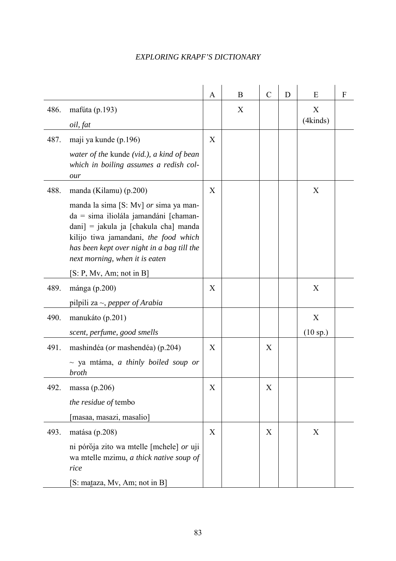|      |                                                                                                                                                                                                                                                            | $\mathbf{A}$ | B | $\mathcal{C}$ | D | E             | F |
|------|------------------------------------------------------------------------------------------------------------------------------------------------------------------------------------------------------------------------------------------------------------|--------------|---|---------------|---|---------------|---|
| 486. | mafúta (p.193)<br>oil, fat                                                                                                                                                                                                                                 |              | X |               |   | X<br>(4kinds) |   |
| 487. | maji ya kunde (p.196)                                                                                                                                                                                                                                      | X            |   |               |   |               |   |
|      | water of the kunde (vid.), a kind of bean<br>which in boiling assumes a redish col-<br>our                                                                                                                                                                 |              |   |               |   |               |   |
| 488. | manda (Kilamu) (p.200)                                                                                                                                                                                                                                     | X            |   |               |   | X             |   |
|      | manda la sima [S: Mv] or sima ya man-<br>$da = \text{sima}$ iliolála jamandáni [chaman-<br>$dani$ = jakula ja [chakula cha] manda<br>kilijo tiwa jamandani, the food which<br>has been kept over night in a bag till the<br>next morning, when it is eaten |              |   |               |   |               |   |
|      | [S: P, Mv, Am; not in B]                                                                                                                                                                                                                                   |              |   |               |   |               |   |
| 489. | mánga (p.200)                                                                                                                                                                                                                                              | X            |   |               |   | X             |   |
|      | pilpili za $\sim$ , pepper of Arabia                                                                                                                                                                                                                       |              |   |               |   |               |   |
| 490. | manukáto (p.201)                                                                                                                                                                                                                                           |              |   |               |   | X             |   |
|      | scent, perfume, good smells                                                                                                                                                                                                                                |              |   |               |   | (10 sp.)      |   |
| 491. | mashindéa (or mashendéa) (p.204)<br>$\sim$ ya mtáma, a thinly boiled soup or<br><b>broth</b>                                                                                                                                                               | X            |   | X             |   |               |   |
| 492. | massa $(p.206)$                                                                                                                                                                                                                                            | X            |   | X             |   |               |   |
|      | the residue of tembo                                                                                                                                                                                                                                       |              |   |               |   |               |   |
|      | [masaa, masazi, masalio]                                                                                                                                                                                                                                   |              |   |               |   |               |   |
| 493. | matása (p.208)                                                                                                                                                                                                                                             | X            |   | X             |   | X             |   |
|      | ni pórŏja zito wa mtelle [mchele] or uji<br>wa mtelle mzimu, a thick native soup of<br>rice                                                                                                                                                                |              |   |               |   |               |   |
|      | [S: mataza, Mv, Am; not in B]                                                                                                                                                                                                                              |              |   |               |   |               |   |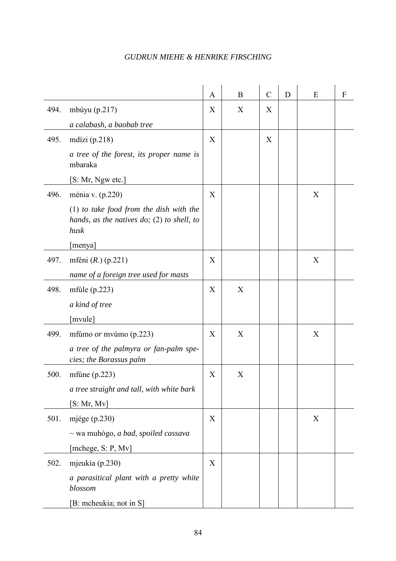|      |                                                                                                   | A | B | $\mathcal{C}$ | D | E | F |
|------|---------------------------------------------------------------------------------------------------|---|---|---------------|---|---|---|
| 494. |                                                                                                   | X | X | X             |   |   |   |
|      | mbúyu $(p.217)$                                                                                   |   |   |               |   |   |   |
|      | a calabash, a baobab tree                                                                         |   |   |               |   |   |   |
| 495. | mdízi $(p.218)$                                                                                   | X |   | X             |   |   |   |
|      | a tree of the forest, its proper name is<br>mbaraka                                               |   |   |               |   |   |   |
|      | [S: Mr, Ngw etc.]                                                                                 |   |   |               |   |   |   |
| 496. | ménia v. (p.220)                                                                                  | X |   |               |   | X |   |
|      | $(1)$ to take food from the dish with the<br>hands, as the natives do; $(2)$ to shell, to<br>husk |   |   |               |   |   |   |
|      | [menya]                                                                                           |   |   |               |   |   |   |
| 497. | mféni $(R.)$ (p.221)                                                                              | X |   |               |   | X |   |
|      | name of a foreign tree used for masts                                                             |   |   |               |   |   |   |
| 498. | mfúle $(p.223)$                                                                                   | X | X |               |   |   |   |
|      | a kind of tree                                                                                    |   |   |               |   |   |   |
|      | [mvule]                                                                                           |   |   |               |   |   |   |
| 499. | mfúmo or mvúmo (p.223)                                                                            | X | X |               |   | X |   |
|      | a tree of the palmyra or fan-palm spe-<br>cies; the Borassus palm                                 |   |   |               |   |   |   |
| 500. | mfúne $(p.223)$                                                                                   | X | X |               |   |   |   |
|      | a tree straight and tall, with white bark                                                         |   |   |               |   |   |   |
|      | [S: Mr, Mv]                                                                                       |   |   |               |   |   |   |
| 501. | mjége $(p.230)$                                                                                   | X |   |               |   | X |   |
|      | $\sim$ wa muhógo, <i>a bad, spoiled cassava</i>                                                   |   |   |               |   |   |   |
|      | [mchege, S: P, Mv]                                                                                |   |   |               |   |   |   |
| 502. | mjeukía (p.230)                                                                                   | X |   |               |   |   |   |
|      | a parasitical plant with a pretty white<br>blossom                                                |   |   |               |   |   |   |
|      | [B: mcheukia; not in S]                                                                           |   |   |               |   |   |   |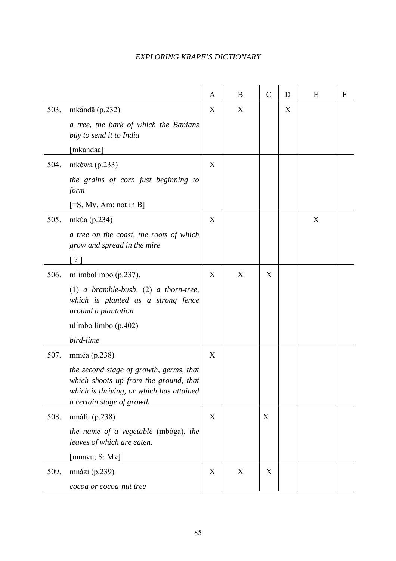|      |                                                                                                                                                           | A | B | $\mathcal{C}$ | D | E | F |
|------|-----------------------------------------------------------------------------------------------------------------------------------------------------------|---|---|---------------|---|---|---|
| 503. | mkăndā $(p.232)$                                                                                                                                          | X | X |               | X |   |   |
|      | a tree, the bark of which the Banians<br>buy to send it to India                                                                                          |   |   |               |   |   |   |
|      | [mkandaa]                                                                                                                                                 |   |   |               |   |   |   |
| 504. | mkéwa (p.233)                                                                                                                                             | X |   |               |   |   |   |
|      | the grains of corn just beginning to<br>form                                                                                                              |   |   |               |   |   |   |
|      | $[=S, Mv, Am; not in B]$                                                                                                                                  |   |   |               |   |   |   |
| 505. | mkúa (p.234)                                                                                                                                              | X |   |               |   | X |   |
|      | a tree on the coast, the roots of which<br>grow and spread in the mire                                                                                    |   |   |               |   |   |   |
|      | $\left[ \begin{array}{c} \text{?} \\ \text{?} \end{array} \right]$                                                                                        |   |   |               |   |   |   |
| 506. | mlimbolimbo (p.237),                                                                                                                                      | X | X | X             |   |   |   |
|      | $(1)$ a bramble-bush, $(2)$ a thorn-tree,<br>which is planted as a strong fence<br>around a plantation                                                    |   |   |               |   |   |   |
|      | ulímbo límbo (p.402)                                                                                                                                      |   |   |               |   |   |   |
|      | bird-lime                                                                                                                                                 |   |   |               |   |   |   |
| 507. | mméa (p.238)                                                                                                                                              | X |   |               |   |   |   |
|      | the second stage of growth, germs, that<br>which shoots up from the ground, that<br>which is thriving, or which has attained<br>a certain stage of growth |   |   |               |   |   |   |
| 508. | mnáfu (p.238)                                                                                                                                             | X |   | X             |   |   |   |
|      | the name of a vegetable (mbóga), the<br>leaves of which are eaten.                                                                                        |   |   |               |   |   |   |
|      | [mnavu; S: Mv]                                                                                                                                            |   |   |               |   |   |   |
| 509. | mnázi $(p.239)$                                                                                                                                           | X | X | X             |   |   |   |
|      | cocoa or cocoa-nut tree                                                                                                                                   |   |   |               |   |   |   |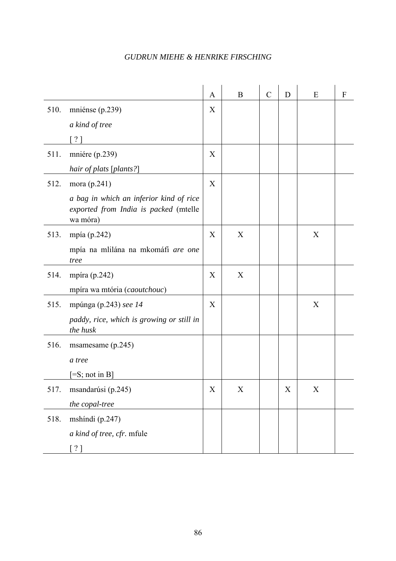|      |                                                                                              | A                         | B           | $\mathcal{C}$ | D | E           | F |
|------|----------------------------------------------------------------------------------------------|---------------------------|-------------|---------------|---|-------------|---|
| 510. | mniénse (p.239)                                                                              | X                         |             |               |   |             |   |
|      | a kind of tree                                                                               |                           |             |               |   |             |   |
|      | $\lceil$ ?                                                                                   |                           |             |               |   |             |   |
| 511. | mniére (p.239)                                                                               | X                         |             |               |   |             |   |
|      | hair of plats [plants?]                                                                      |                           |             |               |   |             |   |
| 512. | mora $(p.241)$                                                                               | X                         |             |               |   |             |   |
|      | a bag in which an inferior kind of rice<br>exported from India is packed (mtelle<br>wa móra) |                           |             |               |   |             |   |
| 513. | mpía (p.242)                                                                                 | X                         | X           |               |   | X           |   |
|      | mpía na mlilána na mkomáfi are one<br>tree                                                   |                           |             |               |   |             |   |
| 514. | mpíra (p.242)                                                                                | X                         | X           |               |   |             |   |
|      | mpíra wa mtória (caoutchouc)                                                                 |                           |             |               |   |             |   |
| 515. | mpúnga (p.243) see $14$                                                                      | X                         |             |               |   | X           |   |
|      | paddy, rice, which is growing or still in<br>the husk                                        |                           |             |               |   |             |   |
| 516. | msamesame $(p.245)$                                                                          |                           |             |               |   |             |   |
|      | a tree                                                                                       |                           |             |               |   |             |   |
|      | $[=S; not in B]$                                                                             |                           |             |               |   |             |   |
| 517. | msandarúsi (p.245)                                                                           | $\boldsymbol{\mathrm{X}}$ | $\mathbf X$ |               | X | $\mathbf X$ |   |
|      | the copal-tree                                                                               |                           |             |               |   |             |   |
| 518. | mshíndi (p.247)                                                                              |                           |             |               |   |             |   |
|      | a kind of tree, cfr. mfule                                                                   |                           |             |               |   |             |   |
|      | [ ? ]                                                                                        |                           |             |               |   |             |   |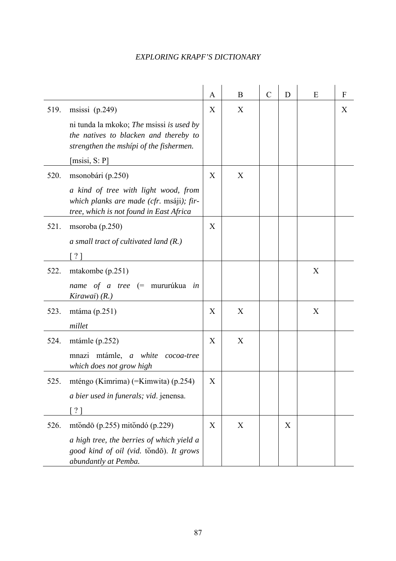|      |                                                                                                                              | A | B | $\mathcal{C}$ | D | E | F |
|------|------------------------------------------------------------------------------------------------------------------------------|---|---|---------------|---|---|---|
| 519. | msissi $(p.249)$                                                                                                             | X | X |               |   |   | X |
|      | ni tunda la mkoko; The msissi is used by<br>the natives to blacken and thereby to<br>strengthen the mshípi of the fishermen. |   |   |               |   |   |   |
|      | [msisi, S: P]                                                                                                                |   |   |               |   |   |   |
| 520. | msonobári (p.250)                                                                                                            | X | X |               |   |   |   |
|      | a kind of tree with light wood, from<br>which planks are made (cfr. msáji); fir-<br>tree, which is not found in East Africa  |   |   |               |   |   |   |
| 521. | msoroba $(p.250)$                                                                                                            | X |   |               |   |   |   |
|      | a small tract of cultivated land $(R)$                                                                                       |   |   |               |   |   |   |
|      | ? 1                                                                                                                          |   |   |               |   |   |   |
| 522. | mtakombe $(p.251)$                                                                                                           |   |   |               |   | X |   |
|      | name of a tree (= mururúkua in<br>Kirawai) (R.)                                                                              |   |   |               |   |   |   |
| 523. | mtáma $(p.251)$                                                                                                              | X | X |               |   | X |   |
|      | millet                                                                                                                       |   |   |               |   |   |   |
| 524. | mtámle $(p.252)$                                                                                                             | X | X |               |   |   |   |
|      | mnazi mtámle, a white cocoa-tree<br>which does not grow high                                                                 |   |   |               |   |   |   |
| 525. | mténgo (Kimrima) (=Kimwita) (p.254)                                                                                          | Χ |   |               |   |   |   |
|      | a bier used in funerals; vid. jenensa.                                                                                       |   |   |               |   |   |   |
|      | ?                                                                                                                            |   |   |               |   |   |   |
| 526. | mtŏndō (p.255) mitŏndó (p.229)                                                                                               | X | X |               | X |   |   |
|      | a high tree, the berries of which yield a<br>good kind of oil (vid. tondo). It grows<br>abundantly at Pemba.                 |   |   |               |   |   |   |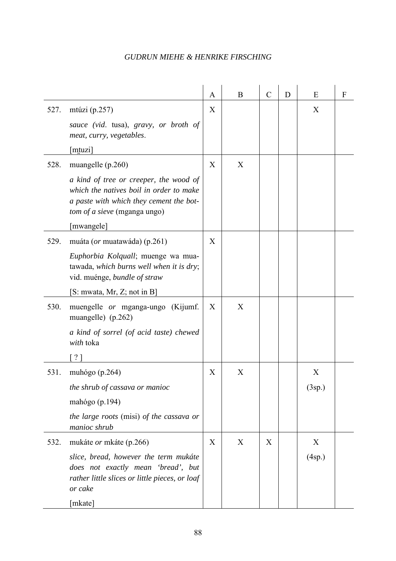|      |                                                                                                                                                                                                   | A | B | $\mathcal{C}$ | D | E           | F |
|------|---------------------------------------------------------------------------------------------------------------------------------------------------------------------------------------------------|---|---|---------------|---|-------------|---|
| 527. | mtúzi (p.257)<br>sauce (vid. tusa), gravy, or broth of<br>meat, curry, vegetables.<br>[mtuzi]                                                                                                     | X |   |               |   | X           |   |
| 528. | muangelle $(p.260)$<br>a kind of tree or creeper, the wood of<br>which the natives boil in order to make<br>a paste with which they cement the bot-<br>tom of a sieve (mganga ungo)<br>[mwangele] | X | X |               |   |             |   |
| 529. | muáta ( <i>or</i> muatawáda) (p.261)<br>Euphorbia Kolquall; muenge wa mua-<br>tawada, which burns well when it is dry;<br>vid. muénge, bundle of straw<br>[S: mwata, Mr, Z; not in B]             | X |   |               |   |             |   |
| 530. | muengelle or mganga-ungo (Kijumf.<br>muangelle) (p.262)<br>a kind of sorrel (of acid taste) chewed<br>with toka<br>$\left[ \begin{array}{c} \text{?} \\ \text{?} \end{array} \right]$             | X | X |               |   |             |   |
| 531. | muhógo (p.264)<br>the shrub of cassava or manioc<br>mahógo (p.194)<br>the large roots (misi) of the cassava or<br>manioc shrub                                                                    | X | X |               |   | X<br>(3sp.) |   |
| 532. | mukáte or mkáte (p.266)<br>slice, bread, however the term mukáte<br>does not exactly mean 'bread', but<br>rather little slices or little pieces, or loaf<br>or cake<br>[mkate]                    | X | X | X             |   | X<br>(4sp.) |   |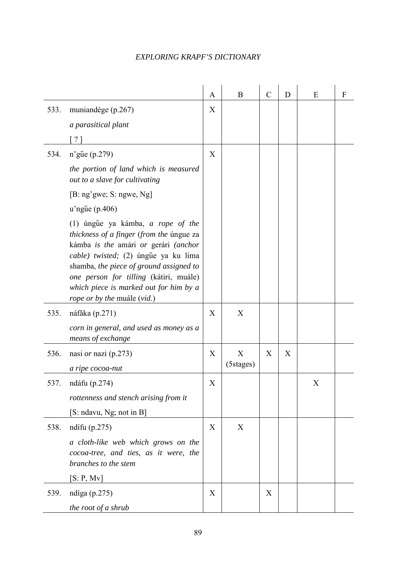|      |                                                                                                                                                                                                                                                                                                                             | A           | B         | $\mathcal{C}$ | D | E | $\boldsymbol{F}$ |
|------|-----------------------------------------------------------------------------------------------------------------------------------------------------------------------------------------------------------------------------------------------------------------------------------------------------------------------------|-------------|-----------|---------------|---|---|------------------|
| 533. | muniandége (p.267)                                                                                                                                                                                                                                                                                                          | X           |           |               |   |   |                  |
|      | a parasitical plant                                                                                                                                                                                                                                                                                                         |             |           |               |   |   |                  |
|      | $\left[ \begin{array}{c} \text{?} \\ \text{?} \end{array} \right]$                                                                                                                                                                                                                                                          |             |           |               |   |   |                  |
| 534. | n'gue (p.279)                                                                                                                                                                                                                                                                                                               | X           |           |               |   |   |                  |
|      | the portion of land which is measured<br>out to a slave for cultivating                                                                                                                                                                                                                                                     |             |           |               |   |   |                  |
|      | [B: ng'gwe; S: ngwe, Ng]                                                                                                                                                                                                                                                                                                    |             |           |               |   |   |                  |
|      | $u'$ ngue (p.406)                                                                                                                                                                                                                                                                                                           |             |           |               |   |   |                  |
|      | (1) úngue ya kámba, a rope of the<br>thickness of a finger (from the úngue za<br>kámba is the amári or gerári (anchor<br>cable) twisted; (2) úngue ya ku lima<br>shamba, the piece of ground assigned to<br>one person for tilling (kátiri, muále)<br>which piece is marked out for him by a<br>rope or by the muále (vid.) |             |           |               |   |   |                  |
| 535. | náfăka (p.271)                                                                                                                                                                                                                                                                                                              | X           | X         |               |   |   |                  |
|      | corn in general, and used as money as a<br>means of exchange                                                                                                                                                                                                                                                                |             |           |               |   |   |                  |
| 536. | nasi <i>or</i> nazi (p.273)                                                                                                                                                                                                                                                                                                 | X           | X         | X             | X |   |                  |
|      | a ripe cocoa-nut                                                                                                                                                                                                                                                                                                            |             | (5stages) |               |   |   |                  |
| 537. | ndáfu (p.274)                                                                                                                                                                                                                                                                                                               | $\mathbf X$ |           |               |   | X |                  |
|      | rottenness and stench arising from it                                                                                                                                                                                                                                                                                       |             |           |               |   |   |                  |
|      | [S: ndavu, Ng; not in B]                                                                                                                                                                                                                                                                                                    |             |           |               |   |   |                  |
| 538. | ndífu $(p.275)$                                                                                                                                                                                                                                                                                                             | X           | X         |               |   |   |                  |
|      | a cloth-like web which grows on the<br>cocoa-tree, and ties, as it were, the<br>branches to the stem                                                                                                                                                                                                                        |             |           |               |   |   |                  |
|      | [S: P, Mv]                                                                                                                                                                                                                                                                                                                  |             |           |               |   |   |                  |
| 539. | ndíga $(p.275)$                                                                                                                                                                                                                                                                                                             | X           |           | X             |   |   |                  |
|      | the root of a shrub                                                                                                                                                                                                                                                                                                         |             |           |               |   |   |                  |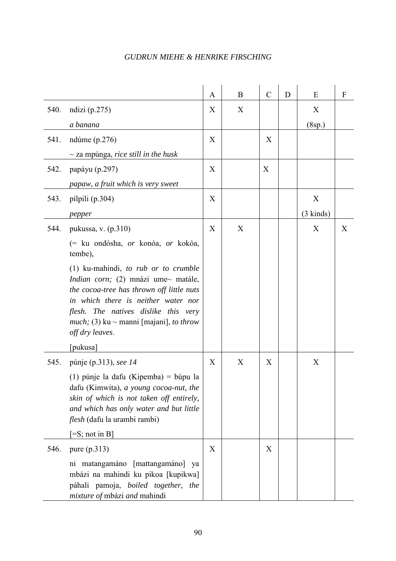|      |                                                                                                                                                                                                                                                                                                | A                | B | $\mathcal{C}$ | D | Ε                   | F |
|------|------------------------------------------------------------------------------------------------------------------------------------------------------------------------------------------------------------------------------------------------------------------------------------------------|------------------|---|---------------|---|---------------------|---|
| 540. | ndizi $(p.275)$                                                                                                                                                                                                                                                                                | X                | X |               |   | X                   |   |
|      | a banana                                                                                                                                                                                                                                                                                       |                  |   |               |   | (8sp.)              |   |
| 541. | ndúme $(p.276)$                                                                                                                                                                                                                                                                                | X                |   | X             |   |                     |   |
|      | $\sim$ za mpúnga, <i>rice still in the husk</i>                                                                                                                                                                                                                                                |                  |   |               |   |                     |   |
| 542. | papáyu (p.297)                                                                                                                                                                                                                                                                                 | X                |   | X             |   |                     |   |
|      | papaw, a fruit which is very sweet                                                                                                                                                                                                                                                             |                  |   |               |   |                     |   |
| 543. | pílpili (p.304)                                                                                                                                                                                                                                                                                | $\boldsymbol{X}$ |   |               |   | X                   |   |
|      | pepper                                                                                                                                                                                                                                                                                         |                  |   |               |   | $(3 \text{ kinds})$ |   |
| 544. | pukussa, v. (p.310)                                                                                                                                                                                                                                                                            | X                | X |               |   | X                   | X |
|      | (= ku ondósha, <i>or</i> konóa, <i>or</i> kokóa,<br>tembe),                                                                                                                                                                                                                                    |                  |   |               |   |                     |   |
|      | $(1)$ ku-mahindi, to rub or to crumble<br><i>Indian corn</i> ; (2) mnázi ume~ matále,<br>the cocoa-tree has thrown off little nuts<br>in which there is neither water nor<br>flesh. The natives dislike this very<br><i>much</i> ; (3) ku ~ manni [majani], <i>to throw</i><br>off dry leaves. |                  |   |               |   |                     |   |
|      | [pukusa]                                                                                                                                                                                                                                                                                       |                  |   |               |   |                     |   |
| 545. | púnje (p.313), see 14                                                                                                                                                                                                                                                                          | X                | X | X             |   | X                   |   |
|      | $(1)$ púnje la dafu (Kipemba) = búpu la<br>dafu (Kimwita), a young cocoa-nut, the<br>skin of which is not taken off entirely,<br>and which has only water and but little<br>flesh (dafu la urambi rambi)                                                                                       |                  |   |               |   |                     |   |
|      | $[=S; not in B]$                                                                                                                                                                                                                                                                               |                  |   |               |   |                     |   |
| 546. | pure $(p.313)$<br>ni matangamáno [mattangamáno]<br>ya<br>mbázi na mahindi ku pikoa [kupikwa]<br>páhali pamoja, boiled together, the<br>mixture of mbázi and mahindi                                                                                                                            | X                |   | X             |   |                     |   |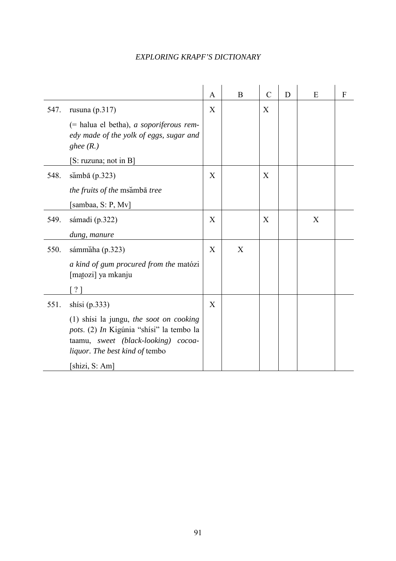|      |                                                                                                                                                                                       |   |   | $\mathcal{C}$ | D | E | F |
|------|---------------------------------------------------------------------------------------------------------------------------------------------------------------------------------------|---|---|---------------|---|---|---|
| 547. | rusuna $(p.317)$                                                                                                                                                                      | X |   | X             |   |   |   |
|      | (= halua el betha), a soporiferous rem-<br>edy made of the yolk of eggs, sugar and<br>ghee $(R.)$                                                                                     |   |   |               |   |   |   |
|      | [S: ruzuna; not in B]                                                                                                                                                                 |   |   |               |   |   |   |
| 548. | sămbā (p.323)                                                                                                                                                                         | X |   | X             |   |   |   |
|      | the fruits of the msămbā tree                                                                                                                                                         |   |   |               |   |   |   |
|      | [sambaa, S: P, Mv]                                                                                                                                                                    |   |   |               |   |   |   |
| 549. | sámadi (p.322)                                                                                                                                                                        | X |   | X             |   | X |   |
|      | dung, manure                                                                                                                                                                          |   |   |               |   |   |   |
| 550. | sámmáha (p.323)                                                                                                                                                                       | X | X |               |   |   |   |
|      | a kind of gum procured from the matózi<br>[matozi] ya mkanju                                                                                                                          |   |   |               |   |   |   |
|      | [?]                                                                                                                                                                                   |   |   |               |   |   |   |
| 551. | shisi $(p.333)$                                                                                                                                                                       | X |   |               |   |   |   |
|      | (1) shisi la jungu, the soot on cooking<br>pots. (2) In Kigúnia "shísi" la tembo la<br>taamu, sweet (black-looking) cocoa-<br><i>liquor. The best kind of tembo</i><br>[shizi, S: Am] |   |   |               |   |   |   |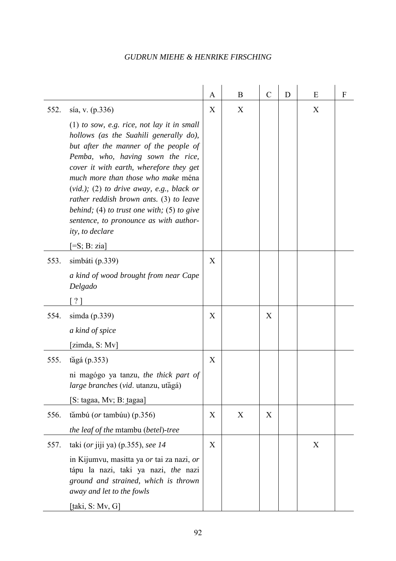|      |                                                                                                                                                                                                                                                                                                                                                                                                                                                                                                 | A | B | $\mathcal{C}$ | D | E | F |
|------|-------------------------------------------------------------------------------------------------------------------------------------------------------------------------------------------------------------------------------------------------------------------------------------------------------------------------------------------------------------------------------------------------------------------------------------------------------------------------------------------------|---|---|---------------|---|---|---|
| 552. | sía, v. (p.336)<br>$(1)$ to sow, e.g. rice, not lay it in small<br>hollows (as the Suahili generally do),<br>but after the manner of the people of<br>Pemba, who, having sown the rice,<br>cover it with earth, wherefore they get<br>much more than those who make ména<br>$(vid.);$ (2) to drive away, e.g., black or<br>rather reddish brown ants. (3) to leave<br>behind; (4) to trust one with; (5) to give<br>sentence, to pronounce as with author-<br>ity, to declare<br>$=$ S; B: zia] | X | X |               |   | X |   |
| 553. | simbáti (p.339)<br>a kind of wood brought from near Cape<br>Delgado<br>$?$ ]                                                                                                                                                                                                                                                                                                                                                                                                                    | X |   |               |   |   |   |
| 554. | simda $(p.339)$<br>a kind of spice<br>[zimda, S: Mv]                                                                                                                                                                                                                                                                                                                                                                                                                                            | X |   | X             |   |   |   |
| 555. | tăgá $(p.353)$<br>ni magógo ya tanzu, the thick part of<br>large branches (vid. utanzu, utăgá)<br>[S: tagaa, Mv; B: tagaa]                                                                                                                                                                                                                                                                                                                                                                      | X |   |               |   |   |   |
| 556. | tămbú ( $or$ tambúu) (p.356)<br>the leaf of the mtambu (betel)-tree                                                                                                                                                                                                                                                                                                                                                                                                                             | X | X | X             |   |   |   |
| 557. | taki (or jiji ya) (p.355), see $14$<br>in Kijumvu, masitta ya or tai za nazi, or<br>tápu la nazi, taki ya nazi, the nazi<br>ground and strained, which is thrown<br>away and let to the fowls<br>[taki, $S: Mv, G$ ]                                                                                                                                                                                                                                                                            | X |   |               |   | X |   |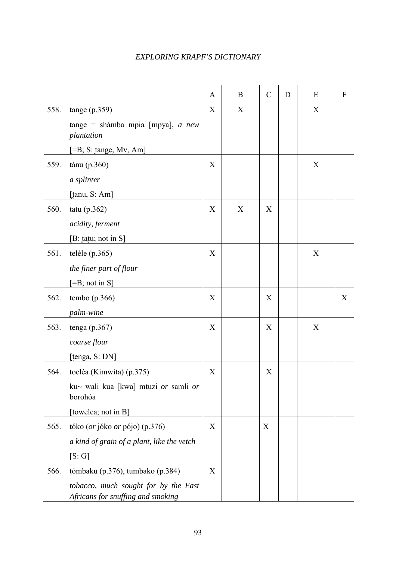|      |                                                                           | $\mathbf{A}$ | B | $\mathcal{C}$ | D | E | $\boldsymbol{F}$ |
|------|---------------------------------------------------------------------------|--------------|---|---------------|---|---|------------------|
| 558. | tange(p.359)                                                              | X            | X |               |   | X |                  |
|      | tange = shámba mpia [mpya], $a$ new<br>plantation                         |              |   |               |   |   |                  |
|      | $=$ B; S: tange, Mv, Am]                                                  |              |   |               |   |   |                  |
| 559. | tánu (p.360)                                                              | X            |   |               |   | X |                  |
|      | a splinter                                                                |              |   |               |   |   |                  |
|      | [tanu, S: Am]                                                             |              |   |               |   |   |                  |
| 560. | tatu $(p.362)$                                                            | X            | X | X             |   |   |                  |
|      | acidity, ferment                                                          |              |   |               |   |   |                  |
|      | [B: tatu; not in S]                                                       |              |   |               |   |   |                  |
| 561. | teléle $(p.365)$                                                          | X            |   |               |   | X |                  |
|      | the finer part of flour                                                   |              |   |               |   |   |                  |
|      | $[=B; not in S]$                                                          |              |   |               |   |   |                  |
| 562. | tembo $(p.366)$                                                           | X            |   | X             |   |   | X                |
|      | palm-wine                                                                 |              |   |               |   |   |                  |
| 563. | tenga $(p.367)$                                                           | X            |   | X             |   | X |                  |
|      | coarse flour                                                              |              |   |               |   |   |                  |
|      | [tenga, S: DN]                                                            |              |   |               |   |   |                  |
| 564. | toeléa (Kimwita) (p.375)                                                  | X            |   | X             |   |   |                  |
|      | ku~ wali kua [kwa] mtuzi or samli or<br>borohóa                           |              |   |               |   |   |                  |
|      | [towelea; not in B]                                                       |              |   |               |   |   |                  |
| 565. | tóko (or jóko or pójo) (p.376)                                            | X            |   | X             |   |   |                  |
|      | a kind of grain of a plant, like the vetch                                |              |   |               |   |   |                  |
|      | [S:G]                                                                     |              |   |               |   |   |                  |
| 566. | tómbaku (p.376), tumbako (p.384)                                          | X            |   |               |   |   |                  |
|      | tobacco, much sought for by the East<br>Africans for snuffing and smoking |              |   |               |   |   |                  |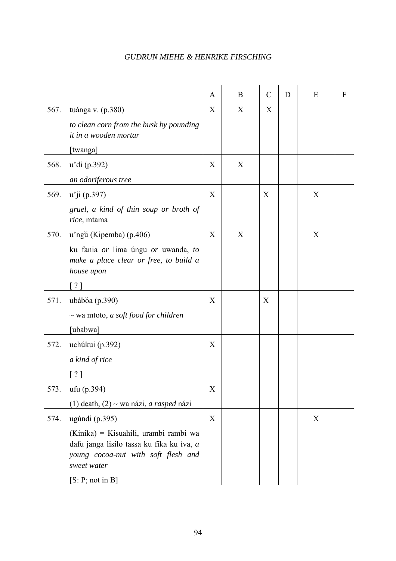|      |                                                                                                                                          | A | B | $\mathcal{C}$ | D | E | F |
|------|------------------------------------------------------------------------------------------------------------------------------------------|---|---|---------------|---|---|---|
| 567. | tuánga v. (p.380)                                                                                                                        | X | X | X             |   |   |   |
|      | to clean corn from the husk by pounding                                                                                                  |   |   |               |   |   |   |
|      | it in a wooden mortar                                                                                                                    |   |   |               |   |   |   |
|      | [twanga]                                                                                                                                 |   |   |               |   |   |   |
| 568. | u'di (p.392)                                                                                                                             | X | X |               |   |   |   |
|      | an odoriferous tree                                                                                                                      |   |   |               |   |   |   |
| 569. | $u'$ ji (p.397)                                                                                                                          | X |   | X             |   | X |   |
|      | gruel, a kind of thin soup or broth of<br>rice, mtama                                                                                    |   |   |               |   |   |   |
| 570. | u'ngŭ (Kipemba) (p.406)                                                                                                                  | X | X |               |   | X |   |
|      | ku fania or lima úngu or uwanda, to                                                                                                      |   |   |               |   |   |   |
|      | make a place clear or free, to build a                                                                                                   |   |   |               |   |   |   |
|      | house upon                                                                                                                               |   |   |               |   |   |   |
|      | ?]                                                                                                                                       |   |   |               |   |   |   |
| 571. | ubáboa (p.390)                                                                                                                           | X |   | X             |   |   |   |
|      | $\sim$ wa mtoto, a soft food for children                                                                                                |   |   |               |   |   |   |
|      | [ubabwa]                                                                                                                                 |   |   |               |   |   |   |
| 572. | uchúkui (p.392)                                                                                                                          | X |   |               |   |   |   |
|      | a kind of rice                                                                                                                           |   |   |               |   |   |   |
|      | $?$ ]                                                                                                                                    |   |   |               |   |   |   |
| 573. | ufu (p.394)                                                                                                                              | X |   |               |   |   |   |
|      | (1) death, $(2)$ ~ wa názi, <i>a rasped</i> názi                                                                                         |   |   |               |   |   |   |
| 574. | ugúndi (p.395)                                                                                                                           | X |   |               |   | X |   |
|      | (Kinika) = Kisuahili, urambi rambi wa<br>dafu janga lisilo tassa ku fika ku íva, a<br>young cocoa-nut with soft flesh and<br>sweet water |   |   |               |   |   |   |
|      | [S: P; not in B]                                                                                                                         |   |   |               |   |   |   |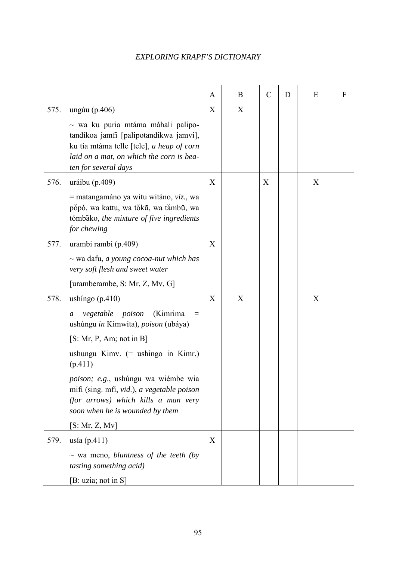|      |                                                                                                                                                                                                    | A | B | $\mathcal{C}$ | D | E | F |
|------|----------------------------------------------------------------------------------------------------------------------------------------------------------------------------------------------------|---|---|---------------|---|---|---|
| 575. | ungúu (p.406)                                                                                                                                                                                      | X | X |               |   |   |   |
|      | $\sim$ wa ku puria mtáma máhali palipo-<br>tandíkoa jamfi [palipotandikwa jamvi],<br>ku tia mtáma telle [tele], a heap of corn<br>laid on a mat, on which the corn is bea-<br>ten for several days |   |   |               |   |   |   |
| 576. | uráibu (p.409)                                                                                                                                                                                     | X |   | X             |   | X |   |
|      | $=$ matangamáno ya witu witáno, <i>viz.</i> , wa<br>popó, wa kattu, wa toka, wa tambū, wa<br>tómbako, the mixture of five ingredients<br>for chewing                                               |   |   |               |   |   |   |
| 577. | urambi rambi (p.409)                                                                                                                                                                               | X |   |               |   |   |   |
|      | $\sim$ wa dafu, <i>a young cocoa-nut which has</i><br>very soft flesh and sweet water                                                                                                              |   |   |               |   |   |   |
|      | [uramberambe, S: Mr, Z, Mv, G]                                                                                                                                                                     |   |   |               |   |   |   |
| 578. | ushingo $(p.410)$                                                                                                                                                                                  | X | X |               |   | X |   |
|      | poison<br>(Kimrima<br>vegetable<br>$\equiv$<br>a<br>ushúngu in Kimwita), poison (ubáya)                                                                                                            |   |   |               |   |   |   |
|      | [S: Mr, P, Am; not in B]                                                                                                                                                                           |   |   |               |   |   |   |
|      | ushungu Kimv. $(=$ ushingo in Kimr.)<br>(p.411)                                                                                                                                                    |   |   |               |   |   |   |
|      | poison; e.g., ushúngu wa wiémbe wia<br>mifi (sing. mfi, vid.), a vegetable poison<br>(for arrows) which kills a man very<br>soon when he is wounded by them                                        |   |   |               |   |   |   |
|      | [S: Mr, Z, Mv]                                                                                                                                                                                     |   |   |               |   |   |   |
| 579. | usía $(p.411)$                                                                                                                                                                                     | X |   |               |   |   |   |
|      | $\sim$ wa meno, bluntness of the teeth (by<br><i>tasting something acid)</i>                                                                                                                       |   |   |               |   |   |   |
|      | [B: uzia; not in S]                                                                                                                                                                                |   |   |               |   |   |   |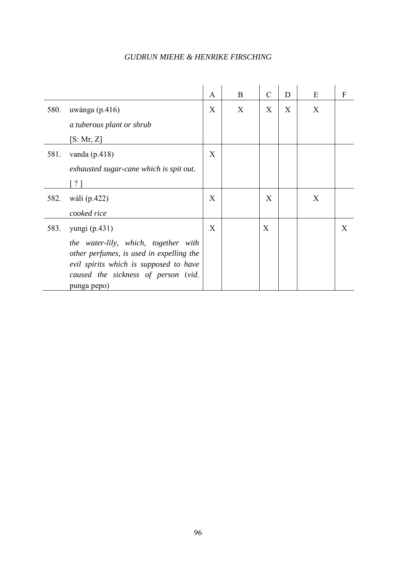|      |                                                                                                                                                                                  | A | B | $\mathcal{C}$ | D | E | F |
|------|----------------------------------------------------------------------------------------------------------------------------------------------------------------------------------|---|---|---------------|---|---|---|
| 580. | uwánga $(p.416)$                                                                                                                                                                 | X | X | X             | X | X |   |
|      | a tuberous plant or shrub                                                                                                                                                        |   |   |               |   |   |   |
|      | [S: Mr, Z]                                                                                                                                                                       |   |   |               |   |   |   |
| 581. | vanda $(p.418)$                                                                                                                                                                  | X |   |               |   |   |   |
|      | exhausted sugar-cane which is spit out.                                                                                                                                          |   |   |               |   |   |   |
|      | $\lceil ? \rceil$                                                                                                                                                                |   |   |               |   |   |   |
| 582. | wáli (p.422)                                                                                                                                                                     | X |   | X             |   | X |   |
|      | cooked rice                                                                                                                                                                      |   |   |               |   |   |   |
| 583. | yungi (p.431)                                                                                                                                                                    | X |   | X             |   |   | X |
|      | the water-lily, which, together with<br>other perfumes, is used in expelling the<br>evil spirits which is supposed to have<br>caused the sickness of person (vid.<br>punga pepo) |   |   |               |   |   |   |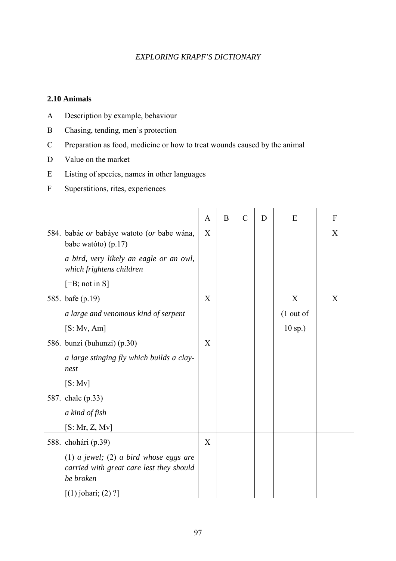#### **2.10 Animals**

- A Description by example, behaviour
- B Chasing, tending, men's protection
- C Preparation as food, medicine or how to treat wounds caused by the animal
- D Value on the market
- E Listing of species, names in other languages
- F Superstitions, rites, experiences

|                                                                                                 | A | B | $\mathcal{C}$ | D | E           | $\boldsymbol{F}$ |
|-------------------------------------------------------------------------------------------------|---|---|---------------|---|-------------|------------------|
| 584. babáe or babáye watoto (or babe wána,<br>babe watóto) (p.17)                               | X |   |               |   |             | X                |
| a bird, very likely an eagle or an owl,<br>which frightens children                             |   |   |               |   |             |                  |
| $[=B; not in S]$                                                                                |   |   |               |   |             |                  |
| 585. bafe (p.19)                                                                                | X |   |               |   | X           | X                |
| a large and venomous kind of serpent                                                            |   |   |               |   | $(1$ out of |                  |
| [S: Mv, Am]                                                                                     |   |   |               |   | $10$ sp.)   |                  |
| 586. bunzi (buhunzi) (p.30)                                                                     | X |   |               |   |             |                  |
| a large stinging fly which builds a clay-<br>nest                                               |   |   |               |   |             |                  |
| [S: Mv]                                                                                         |   |   |               |   |             |                  |
| 587. chale (p.33)                                                                               |   |   |               |   |             |                  |
| a kind of fish                                                                                  |   |   |               |   |             |                  |
| [S: Mr, Z, Mv]                                                                                  |   |   |               |   |             |                  |
| 588. chohári (p.39)                                                                             | X |   |               |   |             |                  |
| (1) a jewel; (2) a bird whose eggs are<br>carried with great care lest they should<br>be broken |   |   |               |   |             |                  |
| $[(1)$ johari; $(2)$ ?]                                                                         |   |   |               |   |             |                  |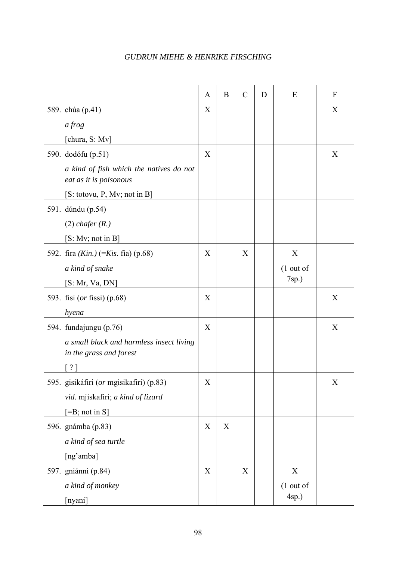|                                                                     | A           | $\, {\bf B}$              | $\mathcal{C}$ | D | E           | $\mathbf{F}$ |
|---------------------------------------------------------------------|-------------|---------------------------|---------------|---|-------------|--------------|
| 589. chúa (p.41)                                                    | X           |                           |               |   |             | X            |
| $a$ frog                                                            |             |                           |               |   |             |              |
| [chura, S: Mv]                                                      |             |                           |               |   |             |              |
| 590. dodófu (p.51)                                                  | X           |                           |               |   |             | X            |
| a kind of fish which the natives do not<br>eat as it is poisonous   |             |                           |               |   |             |              |
| [S: totovu, P, Mv; not in B]                                        |             |                           |               |   |             |              |
| 591. dúndu (p.54)                                                   |             |                           |               |   |             |              |
| $(2)$ chafer $(R.)$                                                 |             |                           |               |   |             |              |
| [S: Mv; not in B]                                                   |             |                           |               |   |             |              |
| 592. fira $(Kin.)$ (= <i>Kis.</i> fía) (p.68)                       | X           |                           | X             |   | X           |              |
| a kind of snake                                                     |             |                           |               |   | $(1$ out of |              |
| [S: Mr, Va, DN]                                                     |             |                           |               |   | $7sp.$ )    |              |
| 593. fisi (or fissi) (p.68)                                         | X           |                           |               |   |             | X            |
| hyena                                                               |             |                           |               |   |             |              |
| 594. fundajungu (p.76)                                              | X           |                           |               |   |             | X            |
| a small black and harmless insect living<br>in the grass and forest |             |                           |               |   |             |              |
| 2 <sup>1</sup>                                                      |             |                           |               |   |             |              |
| 595. gisikáfiri (or mgisikafiri) (p.83)                             | X           |                           |               |   |             | X            |
| vid. mjiskafiri; a kind of lizard                                   |             |                           |               |   |             |              |
| $[=B; not in S]$                                                    |             |                           |               |   |             |              |
| 596. gnámba (p.83)                                                  | $\mathbf X$ | $\boldsymbol{\mathrm{X}}$ |               |   |             |              |
| a kind of sea turtle                                                |             |                           |               |   |             |              |
| [ng'amba]                                                           |             |                           |               |   |             |              |
| 597. gniánni (p.84)                                                 | X           |                           | $\mathbf X$   |   | $\mathbf X$ |              |
| a kind of monkey                                                    |             |                           |               |   | $(1$ out of |              |
| [nyani]                                                             |             |                           |               |   | $4sp.$ )    |              |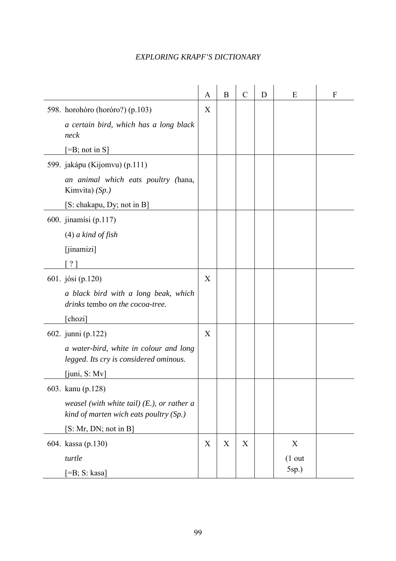|                                                                                         | $\mathbf{A}$ | B           | $\mathcal{C}$ | D | E        | F |
|-----------------------------------------------------------------------------------------|--------------|-------------|---------------|---|----------|---|
| 598. horohóro (horóro?) (p.103)                                                         | X            |             |               |   |          |   |
| a certain bird, which has a long black<br>neck                                          |              |             |               |   |          |   |
| $[=B; not in S]$                                                                        |              |             |               |   |          |   |
| 599. jakápu (Kijomvu) (p.111)                                                           |              |             |               |   |          |   |
| an animal which eats poultry (hana,<br>Kimvita) $(Sp.)$                                 |              |             |               |   |          |   |
| [S: chakapu, Dy; not in B]                                                              |              |             |               |   |          |   |
| 600. jinamísi (p.117)                                                                   |              |             |               |   |          |   |
| $(4)$ a kind of fish                                                                    |              |             |               |   |          |   |
| $[$ jinamizi]                                                                           |              |             |               |   |          |   |
| $\gamma$                                                                                |              |             |               |   |          |   |
| 601. jósi (p.120)                                                                       | X            |             |               |   |          |   |
| a black bird with a long beak, which<br>drinks tembo on the cocoa-tree.                 |              |             |               |   |          |   |
| [chozi]                                                                                 |              |             |               |   |          |   |
| 602. junni (p.122)                                                                      | X            |             |               |   |          |   |
| a water-bird, white in colour and long<br>legged. Its cry is considered ominous.        |              |             |               |   |          |   |
| $[$ juni, S: Mv $]$                                                                     |              |             |               |   |          |   |
| 603. kanu (p.128)                                                                       |              |             |               |   |          |   |
| weasel (with white tail) $(El)$ , or rather a<br>kind of marten wich eats poultry (Sp.) |              |             |               |   |          |   |
| [S: Mr, DN; not in B]                                                                   |              |             |               |   |          |   |
| 604. kassa (p.130)                                                                      | $\mathbf X$  | $\mathbf X$ | $\mathbf X$   |   | X        |   |
| turtle                                                                                  |              |             |               |   | $(1$ out |   |
| $[ =B; S: kasa]$                                                                        |              |             |               |   | $5sp.$ ) |   |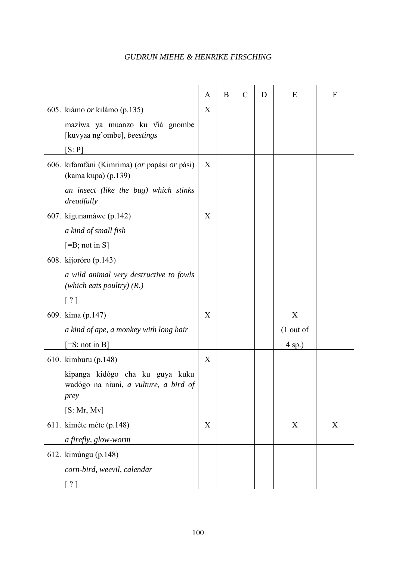|                                                                                  | A | B | $\mathcal{C}$ | D | E           | F |
|----------------------------------------------------------------------------------|---|---|---------------|---|-------------|---|
| 605. kiámo <i>or</i> kilámo (p.135)                                              | X |   |               |   |             |   |
| mazíwa ya muanzo ku viá gnombe<br>[kuvyaa ng'ombe], beestings                    |   |   |               |   |             |   |
| [S: P]                                                                           |   |   |               |   |             |   |
| 606. kifamfáni (Kimrima) (or papási or pási)<br>(kama kupa) (p.139)              | X |   |               |   |             |   |
| an insect (like the bug) which stinks<br>dreadfully                              |   |   |               |   |             |   |
| 607. kigunamáwe (p.142)                                                          | X |   |               |   |             |   |
| a kind of small fish                                                             |   |   |               |   |             |   |
| $[=B; not in S]$                                                                 |   |   |               |   |             |   |
| 608. kijoróro (p.143)                                                            |   |   |               |   |             |   |
| a wild animal very destructive to fowls<br>(which eats poultry) $(R.)$           |   |   |               |   |             |   |
| ?                                                                                |   |   |               |   |             |   |
| 609. kima (p.147)                                                                | X |   |               |   | X           |   |
| a kind of ape, a monkey with long hair                                           |   |   |               |   | $(1$ out of |   |
| $\equiv$ S; not in B                                                             |   |   |               |   | $4$ sp.)    |   |
| 610. kimburu (p.148)                                                             | X |   |               |   |             |   |
| kipanga kidógo cha ku guya kuku<br>wadógo na niuni, a vulture, a bird of<br>prey |   |   |               |   |             |   |
| [S: Mr, Mv]                                                                      |   |   |               |   |             |   |
| 611. kiméte méte (p.148)                                                         | X |   |               |   | X           | X |
| a firefly, glow-worm                                                             |   |   |               |   |             |   |
| 612. kimúngu (p.148)                                                             |   |   |               |   |             |   |
| corn-bird, weevil, calendar                                                      |   |   |               |   |             |   |
| [ ? ]                                                                            |   |   |               |   |             |   |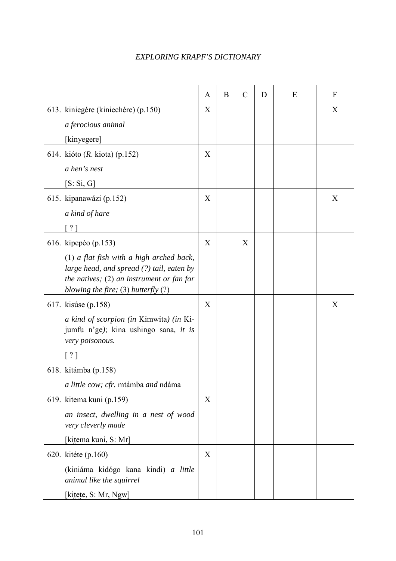|                                                                                                                                                                                                             | A | $\boldsymbol{B}$ | $\overline{C}$ | D | E | $\mathbf{F}$ |
|-------------------------------------------------------------------------------------------------------------------------------------------------------------------------------------------------------------|---|------------------|----------------|---|---|--------------|
| 613. kiniegére (kiniechére) (p.150)<br>a ferocious animal<br>[kinyegere]                                                                                                                                    | X |                  |                |   |   | X            |
| 614. kióto ( <i>R.</i> kiota) (p.152)<br>a hen's nest<br>$[S: S_1, G]$                                                                                                                                      | X |                  |                |   |   |              |
| 615. kipanawázi (p.152)<br>a kind of hare<br>$\lceil ? \rceil$                                                                                                                                              | X |                  |                |   |   | X            |
| 616. kipepéo (p.153)<br>$(1)$ a flat fish with a high arched back,<br>large head, and spread $(?)$ tail, eaten by<br>the natives; $(2)$ an instrument or fan for<br>blowing the fire; $(3)$ butterfly $(?)$ | X |                  | X              |   |   |              |
| 617. kisúse (p.158)<br>a kind of scorpion (in Kimwita) (in Ki-<br>jumfu n'ge); kina ushingo sana, it is<br>very poisonous.<br>[?]                                                                           | X |                  |                |   |   | X            |
| 618. kitámba (p.158)<br>a little cow; cfr. mtámba and ndáma                                                                                                                                                 |   |                  |                |   |   |              |
| 619. kitema kuni (p.159)<br>an insect, dwelling in a nest of wood<br>very cleverly made<br>[kitema kuni, S: Mr]                                                                                             | X |                  |                |   |   |              |
| 620. kitéte (p.160)<br>(kiniáma kidógo kana kindi) a little<br>animal like the squirrel<br>[kitete, S: Mr, Ngw]                                                                                             | X |                  |                |   |   |              |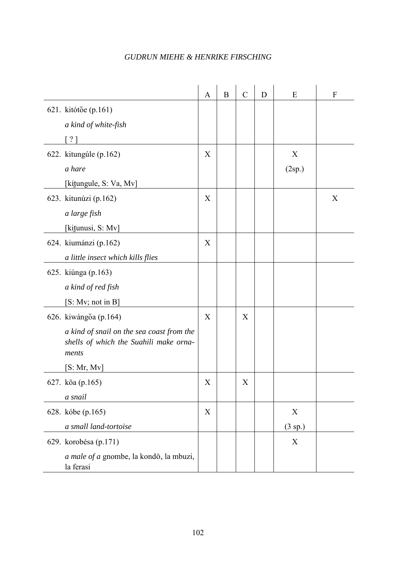|                                                                                              | $\mathbf{A}$     | $\, {\bf B}$ | $\mathcal{C}$ | D | E         | $\mathbf F$ |
|----------------------------------------------------------------------------------------------|------------------|--------------|---------------|---|-----------|-------------|
| 621. kitótŏe (p.161)                                                                         |                  |              |               |   |           |             |
| a kind of white-fish                                                                         |                  |              |               |   |           |             |
| [ ? ]                                                                                        |                  |              |               |   |           |             |
| 622. kitungúle (p.162)                                                                       | X                |              |               |   | X         |             |
| a hare                                                                                       |                  |              |               |   | (2sp.)    |             |
| [kitungule, S: Va, Mv]                                                                       |                  |              |               |   |           |             |
| 623. kitunúzi (p.162)                                                                        | X                |              |               |   |           | X           |
| a large fish                                                                                 |                  |              |               |   |           |             |
| [kitunusi, S: Mv]                                                                            |                  |              |               |   |           |             |
| 624. kiumánzi (p.162)                                                                        | X                |              |               |   |           |             |
| a little insect which kills flies                                                            |                  |              |               |   |           |             |
| 625. kiúnga (p.163)                                                                          |                  |              |               |   |           |             |
| a kind of red fish                                                                           |                  |              |               |   |           |             |
| [S: Mv; not in B]                                                                            |                  |              |               |   |           |             |
| 626. kiwángŏa (p.164)                                                                        | X                |              | X             |   |           |             |
| a kind of snail on the sea coast from the<br>shells of which the Suahili make orna-<br>ments |                  |              |               |   |           |             |
| [S: Mr, Mv]                                                                                  |                  |              |               |   |           |             |
| 627. kōa (p.165)                                                                             | $\boldsymbol{X}$ |              | X             |   |           |             |
| a snail                                                                                      |                  |              |               |   |           |             |
| 628. kóbe (p.165)                                                                            | X                |              |               |   | X         |             |
| a small land-tortoise                                                                        |                  |              |               |   | $(3$ sp.) |             |
| 629. korobésa (p.171)                                                                        |                  |              |               |   | X         |             |
| a male of a gnombe, la kondō, la mbuzi,<br>la ferasi                                         |                  |              |               |   |           |             |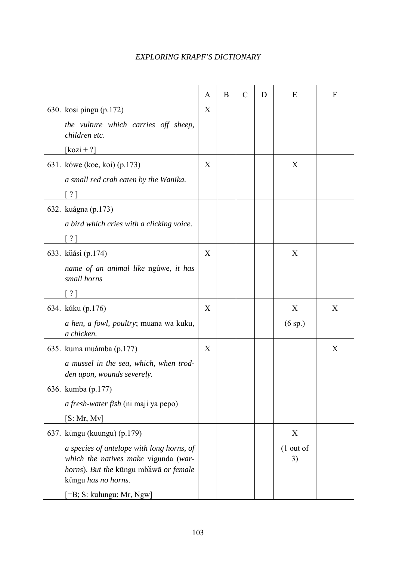|                                                                                                                                                   | A | B | $\mathcal{C}$ | D | E                 | F |
|---------------------------------------------------------------------------------------------------------------------------------------------------|---|---|---------------|---|-------------------|---|
| 630. kosi pingu (p.172)<br>the vulture which carries off sheep,<br>children etc.                                                                  | X |   |               |   |                   |   |
| $[\text{kozi} + ?]$                                                                                                                               |   |   |               |   |                   |   |
| 631. kówe (koe, koi) (p.173)<br>a small red crab eaten by the Wanika.                                                                             | X |   |               |   | X                 |   |
| $\lceil$ ? 1                                                                                                                                      |   |   |               |   |                   |   |
| 632. kuágna (p.173)<br>a bird which cries with a clicking voice.<br>[ ? ]                                                                         |   |   |               |   |                   |   |
| 633. kūási (p.174)                                                                                                                                | X |   |               |   | X                 |   |
| name of an animal like ngúwe, it has<br>small horns                                                                                               |   |   |               |   |                   |   |
| [?]                                                                                                                                               |   |   |               |   |                   |   |
| 634. kúku (p.176)                                                                                                                                 | X |   |               |   | X                 | X |
| a hen, a fowl, poultry; muana wa kuku,<br>a chicken.                                                                                              |   |   |               |   | $(6 \text{ sp.})$ |   |
| 635. kuma muámba (p.177)                                                                                                                          | X |   |               |   |                   | X |
| a mussel in the sea, which, when trod-<br>den upon, wounds severely.                                                                              |   |   |               |   |                   |   |
| 636. kumba (p.177)                                                                                                                                |   |   |               |   |                   |   |
| a fresh-water fish (ni maji ya pepo)                                                                                                              |   |   |               |   |                   |   |
| [S: Mr, Mv]                                                                                                                                       |   |   |               |   |                   |   |
| 637. kūngu (kuungu) (p.179)                                                                                                                       |   |   |               |   | X                 |   |
| a species of antelope with long horns, of<br>which the natives make vigunda (war-<br>horns). But the kūngu mbăwā or female<br>kūngu has no horns. |   |   |               |   | $(1$ out of<br>3) |   |
| [=B; S: kulungu; Mr, Ngw]                                                                                                                         |   |   |               |   |                   |   |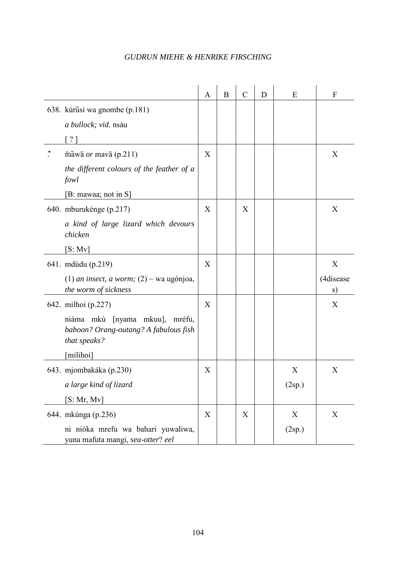|                                                                                         | $\mathbf{A}$ | $\boldsymbol{B}$ | $\mathcal{C}$ | D | E      | F               |
|-----------------------------------------------------------------------------------------|--------------|------------------|---------------|---|--------|-----------------|
| 638. kúrŭsi wa gnombe (p.181)                                                           |              |                  |               |   |        |                 |
| a bullock; vid. nsáu                                                                    |              |                  |               |   |        |                 |
| [ ? ]                                                                                   |              |                  |               |   |        |                 |
| $\overline{\text{mawa}}$ or mava (p.211)                                                | X            |                  |               |   |        | X               |
| the different colours of the feather of a<br>fowl                                       |              |                  |               |   |        |                 |
| [B: mawaa; not in S]                                                                    |              |                  |               |   |        |                 |
| 640. mburukénge (p.217)                                                                 | X            |                  | X             |   |        | X               |
| a kind of large lizard which devours<br>chicken                                         |              |                  |               |   |        |                 |
| [S: Mv]                                                                                 |              |                  |               |   |        |                 |
| 641. mdúdu (p.219)                                                                      | X            |                  |               |   |        | X               |
| (1) <i>an insect, a worm;</i> (2) $\sim$ wa ugónjoa,<br>the worm of sickness            |              |                  |               |   |        | (4disease<br>s) |
| 642. milhoi (p.227)                                                                     | X            |                  |               |   |        | X               |
| niáma mkú [nyama mkuu], mréfu,<br>baboon? Orang-outang? A fabulous fish<br>that speaks? |              |                  |               |   |        |                 |
| [milihoi]                                                                               |              |                  |               |   |        |                 |
| 643. mjombakáka (p.230)                                                                 | X            |                  |               |   | X      | X               |
| a large kind of lizard                                                                  |              |                  |               |   | (2sp.) |                 |
| [S: Mr, Mv]                                                                             |              |                  |               |   |        |                 |
| 644. mkúnga (p.236)                                                                     | X            |                  | X             |   | X      | X               |
| ni nióka mrefu wa bahari yuwaliwa,<br>yuna mafuta mangi, sea-otter? eel                 |              |                  |               |   | (2sp.) |                 |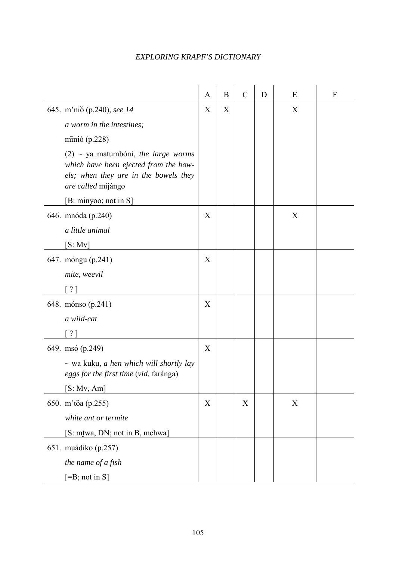|                                                                                                                                               | $\mathbf{A}$ | B | $\mathcal{C}$    | D | E                | $\mathbf{F}$ |
|-----------------------------------------------------------------------------------------------------------------------------------------------|--------------|---|------------------|---|------------------|--------------|
| 645. m'nio (p.240), see 14                                                                                                                    | X            | X |                  |   | X                |              |
| a worm in the intestines;                                                                                                                     |              |   |                  |   |                  |              |
| minió $(p.228)$                                                                                                                               |              |   |                  |   |                  |              |
| $(2)$ ~ ya matumbóni, the large worms<br>which have been ejected from the bow-<br>els; when they are in the bowels they<br>are called mijángo |              |   |                  |   |                  |              |
| [B: minyoo; not in S]                                                                                                                         |              |   |                  |   |                  |              |
| 646. mnóda (p.240)                                                                                                                            | X            |   |                  |   | X                |              |
| a little animal                                                                                                                               |              |   |                  |   |                  |              |
| [S: Mv]                                                                                                                                       |              |   |                  |   |                  |              |
| 647. móngu (p.241)                                                                                                                            | X            |   |                  |   |                  |              |
| mite, weevil                                                                                                                                  |              |   |                  |   |                  |              |
| ? 1                                                                                                                                           |              |   |                  |   |                  |              |
| 648. mónso (p.241)                                                                                                                            | X            |   |                  |   |                  |              |
| a wild-cat                                                                                                                                    |              |   |                  |   |                  |              |
| ? 1                                                                                                                                           |              |   |                  |   |                  |              |
| 649. msó (p.249)                                                                                                                              | X            |   |                  |   |                  |              |
| $\sim$ wa kuku, <i>a hen which will shortly lay</i><br>eggs for the first time (vid. faránga)                                                 |              |   |                  |   |                  |              |
| [S: Mv, Am]                                                                                                                                   |              |   |                  |   |                  |              |
| 650. m'toa (p.255)                                                                                                                            | X            |   | $\boldsymbol{X}$ |   | $\boldsymbol{X}$ |              |
| white ant or termite                                                                                                                          |              |   |                  |   |                  |              |
| [S: mtwa, DN; not in B, mchwa]                                                                                                                |              |   |                  |   |                  |              |
| 651. muádiko (p.257)                                                                                                                          |              |   |                  |   |                  |              |
| the name of a fish                                                                                                                            |              |   |                  |   |                  |              |
| $[=B; not in S]$                                                                                                                              |              |   |                  |   |                  |              |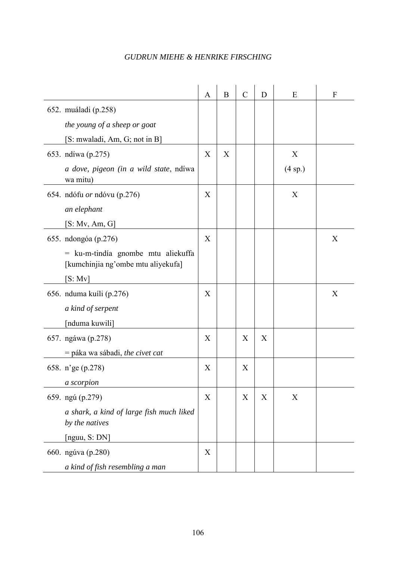|                                                                            | $\mathbf{A}$ | $\bf{B}$ | $\mathcal{C}$    | D | E       | $\boldsymbol{F}$ |
|----------------------------------------------------------------------------|--------------|----------|------------------|---|---------|------------------|
| 652. muáladi (p.258)                                                       |              |          |                  |   |         |                  |
| the young of a sheep or goat                                               |              |          |                  |   |         |                  |
| [S: mwaladi, Am, G; not in B]                                              |              |          |                  |   |         |                  |
| 653. ndíwa (p.275)                                                         | X            | X        |                  |   | X       |                  |
| a dove, pigeon (in a wild state, ndiwa<br>wa mitu)                         |              |          |                  |   | (4 sp.) |                  |
| 654. ndófu <i>or</i> ndóvu (p.276)                                         | X            |          |                  |   | X       |                  |
| an elephant                                                                |              |          |                  |   |         |                  |
| [S: Mv, Am, G]                                                             |              |          |                  |   |         |                  |
| 655. ndongóa (p.276)                                                       | X            |          |                  |   |         | X                |
| $=$ ku-m-tindía gnombe mtu aliekuffa<br>[kumchinjia ng'ombe mtu aliyekufa] |              |          |                  |   |         |                  |
| [S: Mv]                                                                    |              |          |                  |   |         |                  |
| 656. nduma kuíli (p.276)                                                   | X            |          |                  |   |         | X                |
| a kind of serpent                                                          |              |          |                  |   |         |                  |
| [nduma kuwili]                                                             |              |          |                  |   |         |                  |
| 657. ngáwa (p.278)                                                         | X            |          | X                | X |         |                  |
| = páka wa sábadi, the civet cat                                            |              |          |                  |   |         |                  |
| 658. n'ge (p.278)                                                          | X            |          | X                |   |         |                  |
| a scorpion                                                                 |              |          |                  |   |         |                  |
| 659. ngú (p.279)                                                           | X            |          | $\boldsymbol{X}$ | X | X       |                  |
| a shark, a kind of large fish much liked<br>by the natives                 |              |          |                  |   |         |                  |
| [nguu, S: DN]                                                              |              |          |                  |   |         |                  |
| 660. ngúva (p.280)                                                         | X            |          |                  |   |         |                  |
| a kind of fish resembling a man                                            |              |          |                  |   |         |                  |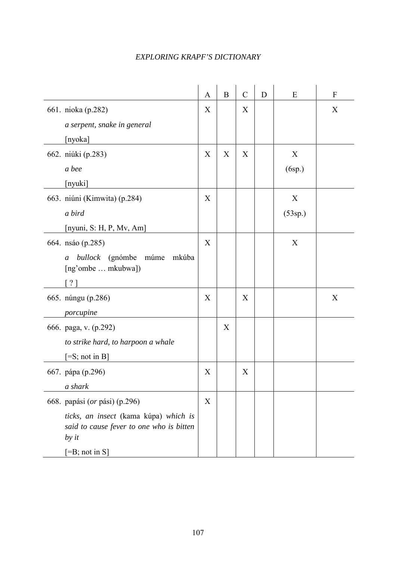|                                                                                              | $\mathbf{A}$ | $\, {\bf B}$ | $\mathcal{C}$ | D | E       | $\mathbf{F}$ |
|----------------------------------------------------------------------------------------------|--------------|--------------|---------------|---|---------|--------------|
| 661. nioka (p.282)                                                                           | X            |              | X             |   |         | X            |
| a serpent, snake in general                                                                  |              |              |               |   |         |              |
| [nyoka]                                                                                      |              |              |               |   |         |              |
| 662. niúki (p.283)                                                                           | X            | X            | X             |   | X       |              |
| a bee                                                                                        |              |              |               |   | (6sp.)  |              |
| [nyuki]                                                                                      |              |              |               |   |         |              |
| 663. niúni (Kimwita) (p.284)                                                                 | X            |              |               |   | X       |              |
| a bird                                                                                       |              |              |               |   | (53sp.) |              |
| [nyuni, S: H, P, Mv, Am]                                                                     |              |              |               |   |         |              |
| 664. nsáo (p.285)                                                                            | X            |              |               |   | X       |              |
| (gnómbe<br>múme<br>mkúba<br>bullock<br>$\boldsymbol{a}$<br>[ng'ombe  mkubwa])                |              |              |               |   |         |              |
| $\lceil ? \rceil$                                                                            |              |              |               |   |         |              |
| 665. núngu (p.286)                                                                           | X            |              | X             |   |         | X            |
| porcupine                                                                                    |              |              |               |   |         |              |
| 666. paga, v. (p.292)                                                                        |              | X            |               |   |         |              |
| to strike hard, to harpoon a whale                                                           |              |              |               |   |         |              |
| $[=S; not in B]$                                                                             |              |              |               |   |         |              |
| 667. pápa (p.296)                                                                            | X            |              | X             |   |         |              |
| a shark                                                                                      |              |              |               |   |         |              |
| 668. papási (or pási) (p.296)                                                                | X            |              |               |   |         |              |
| ticks, an insect (kama kúpa) which is<br>said to cause fever to one who is bitten<br>by $it$ |              |              |               |   |         |              |
| $[=B; not in S]$                                                                             |              |              |               |   |         |              |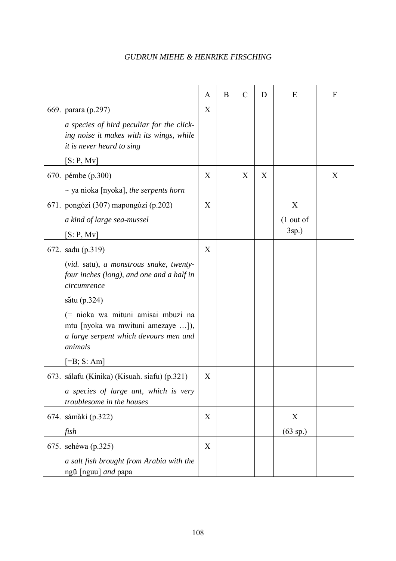|                                                                                                                                                                                                                                                                                                       | $\mathbf{A}$ | B | $\mathcal{C}$ | D | E                            | F |
|-------------------------------------------------------------------------------------------------------------------------------------------------------------------------------------------------------------------------------------------------------------------------------------------------------|--------------|---|---------------|---|------------------------------|---|
| 669. parara (p.297)<br>a species of bird peculiar for the click-<br>ing noise it makes with its wings, while<br>it is never heard to sing<br>[S: P, Mv]                                                                                                                                               | X            |   |               |   |                              |   |
| 670. pémbe (p.300)<br>$\sim$ ya nioka [nyoka], the serpents horn                                                                                                                                                                                                                                      | X            |   | X             | X |                              | X |
| 671. pongózi (307) mapongózi (p.202)<br>a kind of large sea-mussel<br>[S: P, Mv]                                                                                                                                                                                                                      | X            |   |               |   | X<br>$(1$ out of<br>$3sp.$ ) |   |
| 672. sadu (p.319)<br>(vid. satu), a monstrous snake, twenty-<br>four inches (long), and one and a half in<br>circumrence<br>sătu (p.324)<br>(= nioka wa mituni amisai mbuzi na<br>mtu [nyoka wa mwituni amezaye ]),<br>a large serpent which devours men and<br>animals<br>$\left[ =B; S: Am \right]$ | X            |   |               |   |                              |   |
| 673. sálafu (Kinika) (Kisuah. siafu) (p.321)<br>a species of large ant, which is very<br>troublesome in the houses                                                                                                                                                                                    | X            |   |               |   |                              |   |
| 674. sámaki (p.322)<br>fish                                                                                                                                                                                                                                                                           | X            |   |               |   | X<br>$(63$ sp.)              |   |
| 675. sehéwa (p.325)<br>a salt fish brought from Arabia with the<br>ngū [nguu] and papa                                                                                                                                                                                                                | X            |   |               |   |                              |   |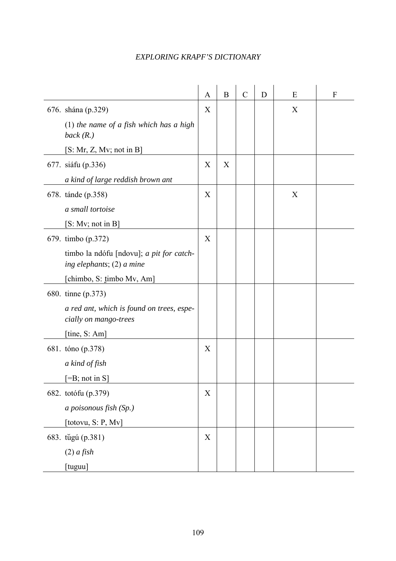|                                                                       | $\mathbf{A}$ | $\boldsymbol{B}$ | $\mathcal{C}$ | D | E | $\mathbf F$ |
|-----------------------------------------------------------------------|--------------|------------------|---------------|---|---|-------------|
| 676. shána (p.329)                                                    | X            |                  |               |   | X |             |
| (1) the name of a fish which has a high<br>back(R.)                   |              |                  |               |   |   |             |
| [S: Mr, Z, Mv; not in B]                                              |              |                  |               |   |   |             |
| 677. siáfu (p.336)                                                    | X            | X                |               |   |   |             |
| a kind of large reddish brown ant                                     |              |                  |               |   |   |             |
| 678. tánde (p.358)                                                    | X            |                  |               |   | X |             |
| a small tortoise                                                      |              |                  |               |   |   |             |
| [S: Mv; not in B]                                                     |              |                  |               |   |   |             |
| 679. timbo (p.372)                                                    | X            |                  |               |   |   |             |
| timbo la ndófu [ndovu]; a pit for catch-<br>ing elephants; (2) a mine |              |                  |               |   |   |             |
| [chimbo, S: timbo Mv, Am]                                             |              |                  |               |   |   |             |
| 680. tinne (p.373)                                                    |              |                  |               |   |   |             |
| a red ant, which is found on trees, espe-<br>cially on mango-trees    |              |                  |               |   |   |             |
| [tine, S: Am]                                                         |              |                  |               |   |   |             |
| 681. tóno (p.378)                                                     | X            |                  |               |   |   |             |
| a kind of fish                                                        |              |                  |               |   |   |             |
| $=$ B; not in S]                                                      |              |                  |               |   |   |             |
| 682. totófu (p.379)                                                   | X            |                  |               |   |   |             |
| a poisonous fish (Sp.)                                                |              |                  |               |   |   |             |
| [totovu, S: P, Mv]                                                    |              |                  |               |   |   |             |
| 683. tŭgú (p.381)                                                     | X            |                  |               |   |   |             |
| $(2)$ a fish                                                          |              |                  |               |   |   |             |
| [tuguu]                                                               |              |                  |               |   |   |             |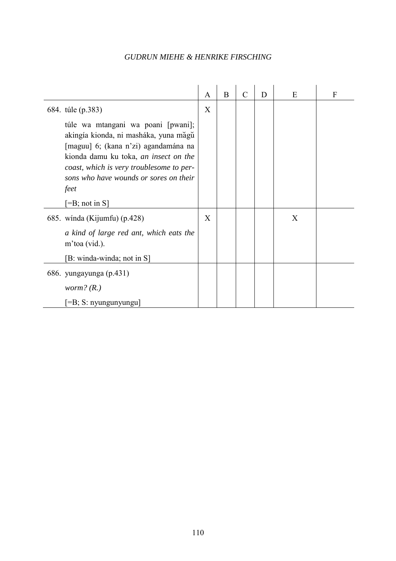|                                                                                                                                                                                                                                                            | A | B | $\mathcal{C}$ | D | E | F |
|------------------------------------------------------------------------------------------------------------------------------------------------------------------------------------------------------------------------------------------------------------|---|---|---------------|---|---|---|
| 684. túle (p.383)                                                                                                                                                                                                                                          | X |   |               |   |   |   |
| túle wa mtangani wa poani [pwani];<br>akingía kionda, ni masháka, yuna măgŭ<br>[maguu] 6; (kana n'zi) agandamána na<br>kionda damu ku toka, an insect on the<br>coast, which is very troublesome to per-<br>sons who have wounds or sores on their<br>feet |   |   |               |   |   |   |
| $\left[-B\right]$ ; not in S                                                                                                                                                                                                                               |   |   |               |   |   |   |
| 685. winda (Kijumfu) (p.428)                                                                                                                                                                                                                               | X |   |               |   | X |   |
| a kind of large red ant, which eats the<br>m'toa (vid.).                                                                                                                                                                                                   |   |   |               |   |   |   |
| [B: winda-winda; not in S]                                                                                                                                                                                                                                 |   |   |               |   |   |   |
| 686. yungayunga (p.431)                                                                                                                                                                                                                                    |   |   |               |   |   |   |
| <i>worm?</i> $(R.)$                                                                                                                                                                                                                                        |   |   |               |   |   |   |
| $=$ B; S: nyungunyungu]                                                                                                                                                                                                                                    |   |   |               |   |   |   |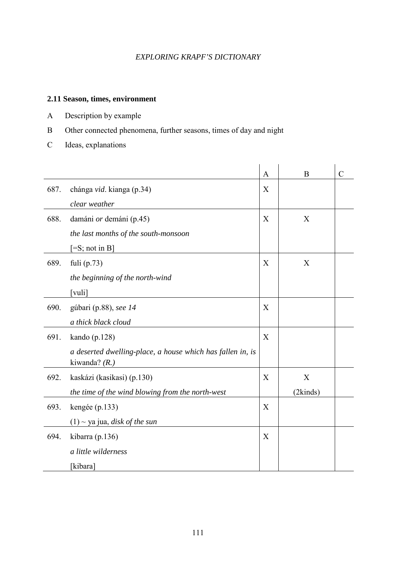#### **2.11 Season, times, environment**

- A Description by example
- B Other connected phenomena, further seasons, times of day and night
- C Ideas, explanations

|      |                                                                                | $\mathbf{A}$ | B        | $\mathcal{C}$ |
|------|--------------------------------------------------------------------------------|--------------|----------|---------------|
| 687. | chánga vid. kianga (p.34)                                                      | X            |          |               |
|      | clear weather                                                                  |              |          |               |
| 688. | damáni or demáni (p.45)                                                        | X            | X        |               |
|      | the last months of the south-monsoon                                           |              |          |               |
|      | $[=S; not in B]$                                                               |              |          |               |
| 689. | fuli $(p.73)$                                                                  | X            | X        |               |
|      | the beginning of the north-wind                                                |              |          |               |
|      | [vuli]                                                                         |              |          |               |
| 690. | gúbari (p.88), see 14                                                          | X            |          |               |
|      | a thick black cloud                                                            |              |          |               |
| 691. | kando $(p.128)$                                                                | X            |          |               |
|      | a deserted dwelling-place, a house which has fallen in, is<br>kiwanda? $(R. )$ |              |          |               |
| 692. | kaskázi (kasikasi) (p.130)                                                     | X            | X        |               |
|      | the time of the wind blowing from the north-west                               |              | (2kinds) |               |
| 693. | kengée $(p.133)$                                                               | X            |          |               |
|      | $(1)$ ~ ya jua, <i>disk of the sun</i>                                         |              |          |               |
| 694. | kibarra (p.136)                                                                | X            |          |               |
|      | a little wilderness                                                            |              |          |               |
|      | [kibara]                                                                       |              |          |               |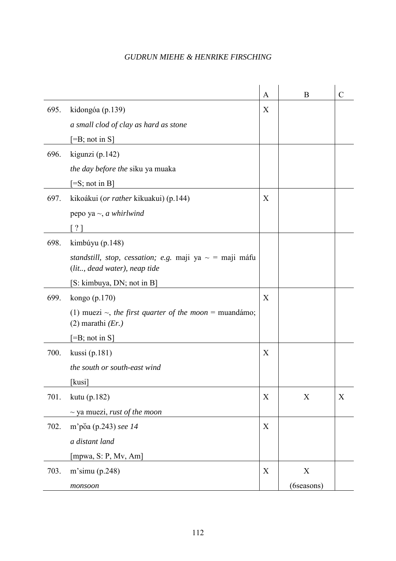|      |                                                                                              | $\mathbf{A}$ | B           | $\mathcal{C}$ |
|------|----------------------------------------------------------------------------------------------|--------------|-------------|---------------|
| 695. | kidongóa (p.139)                                                                             | X            |             |               |
|      | a small clod of clay as hard as stone                                                        |              |             |               |
|      | $[=B; not in S]$                                                                             |              |             |               |
| 696. | kigunzi (p.142)                                                                              |              |             |               |
|      | the day before the siku ya muaka                                                             |              |             |               |
|      | $[=S; not in B]$                                                                             |              |             |               |
| 697. | kikoákui ( <i>or rather</i> kikuakui) (p.144)                                                | X            |             |               |
|      | pepo ya $\sim$ , <i>a whirlwind</i>                                                          |              |             |               |
|      | ? 1                                                                                          |              |             |               |
| 698. | kimbúyu $(p.148)$                                                                            |              |             |               |
|      | standstill, stop, cessation; e.g. maji ya $\sim$ = maji máfu<br>(lit, dead water), neap tide |              |             |               |
|      | [S: kimbuya, DN; not in B]                                                                   |              |             |               |
| 699. | kongo $(p.170)$                                                                              | X            |             |               |
|      | (1) muezi $\sim$ , the first quarter of the moon = muandámo;<br>$(2)$ marathi $(Er.)$        |              |             |               |
|      | $[=B; not in S]$                                                                             |              |             |               |
| 700. | kussi (p.181)                                                                                | X            |             |               |
|      | the south or south-east wind                                                                 |              |             |               |
|      | [kusi]                                                                                       |              |             |               |
| 701. | kutu (p.182)                                                                                 | X            | X           | X             |
|      | $\sim$ ya muezi, rust of the moon                                                            |              |             |               |
| 702. | m'põa (p.243) see 14                                                                         | X            |             |               |
|      | a distant land                                                                               |              |             |               |
|      | [mpwa, S: P, Mv, Am]                                                                         |              |             |               |
| 703. | $m$ 'simu (p.248)                                                                            | X            | $\mathbf X$ |               |
|      | monsoon                                                                                      |              | (6seasons)  |               |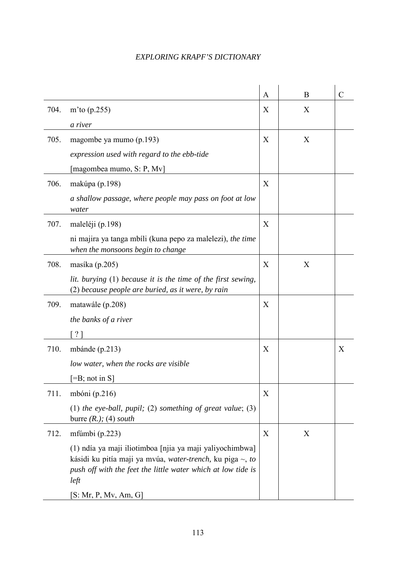|      |                                                                                                                                                                                                     | $\mathbf{A}$ | B | $\overline{C}$ |
|------|-----------------------------------------------------------------------------------------------------------------------------------------------------------------------------------------------------|--------------|---|----------------|
| 704. | m'to $(p.255)$                                                                                                                                                                                      | X            | X |                |
|      | a river                                                                                                                                                                                             |              |   |                |
| 705. | magombe ya mumo (p.193)                                                                                                                                                                             | X            | X |                |
|      | expression used with regard to the ebb-tide                                                                                                                                                         |              |   |                |
|      | [magombea mumo, S: P, Mv]                                                                                                                                                                           |              |   |                |
| 706. | makúpa (p.198)                                                                                                                                                                                      | X            |   |                |
|      | a shallow passage, where people may pass on foot at low<br>water                                                                                                                                    |              |   |                |
| 707. | maleléji (p.198)                                                                                                                                                                                    | X            |   |                |
|      | ni majira ya tanga mbili (kuna pepo za malelezi), the time<br>when the monsoons begin to change                                                                                                     |              |   |                |
| 708. | masíka (p.205)                                                                                                                                                                                      | X            | X |                |
|      | lit. burying $(1)$ because it is the time of the first sewing,<br>(2) because people are buried, as it were, by rain                                                                                |              |   |                |
| 709. | matawále (p.208)                                                                                                                                                                                    | X            |   |                |
|      | the banks of a river                                                                                                                                                                                |              |   |                |
|      | ?                                                                                                                                                                                                   |              |   |                |
| 710. | mbánde $(p.213)$                                                                                                                                                                                    | X            |   | X              |
|      | low water, when the rocks are visible                                                                                                                                                               |              |   |                |
|      | $[ =B; not in S]$                                                                                                                                                                                   |              |   |                |
| 711. | mbóni (p.216)                                                                                                                                                                                       | X            |   |                |
|      | (1) the eye-ball, pupil; (2) something of great value; (3)<br>burre $(R.); (4)$ south                                                                                                               |              |   |                |
| 712. | mfúmbi $(p.223)$                                                                                                                                                                                    | X            | X |                |
|      | (1) ndía ya maji iliotimboa [njia ya maji yaliyochimbwa]<br>kásidi ku pitía maji ya mvúa, water-trench, ku piga $\sim$ , to<br>push off with the feet the little water which at low tide is<br>left |              |   |                |
|      | [S: Mr, P, Mv, Am, G]                                                                                                                                                                               |              |   |                |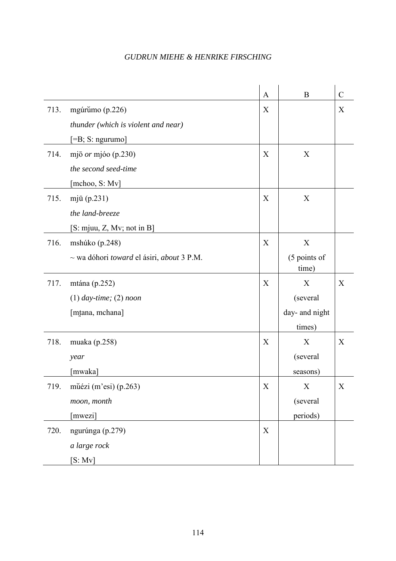|      |                                                              | $\mathbf{A}$ | B                     | $\mathcal{C}$             |
|------|--------------------------------------------------------------|--------------|-----------------------|---------------------------|
| 713. | mgúrumo (p.226)                                              | X            |                       | X                         |
|      | thunder (which is violent and near)                          |              |                       |                           |
|      | $[=B; S:$ ngurumo]                                           |              |                       |                           |
| 714. | mjō $or$ mjóo (p.230)                                        | X            | X                     |                           |
|      | the second seed-time                                         |              |                       |                           |
|      | [mchoo, S: Mv]                                               |              |                       |                           |
| 715. | mjū $(p.231)$                                                | X            | X                     |                           |
|      | the land-breeze                                              |              |                       |                           |
|      | $[S: m]$ au, Z, Mv; not in B]                                |              |                       |                           |
| 716. | mshúko (p.248)                                               | X            | X                     |                           |
|      | $\sim$ wa dóhori <i>toward</i> el ásiri, <i>about</i> 3 P.M. |              | (5 points of<br>time) |                           |
| 717. | mtána (p.252)                                                | X            | X                     | X                         |
|      | $(1)$ day-time; $(2)$ noon                                   |              | (several              |                           |
|      | [mtana, mchana]                                              |              | day- and night        |                           |
|      |                                                              |              | times)                |                           |
| 718. | muaka $(p.258)$                                              | X            | X                     | X                         |
|      | year                                                         |              | (several              |                           |
|      | [mwaka]                                                      |              | seasons)              |                           |
| 719. | mŭézi (m'esi) (p.263)                                        | $\mathbf X$  | X                     | $\boldsymbol{\mathrm{X}}$ |
|      | moon, month                                                  |              | (several              |                           |
|      | [mwezi]                                                      |              | periods)              |                           |
| 720. | ngurúnga (p.279)                                             | X            |                       |                           |
|      | a large rock                                                 |              |                       |                           |
|      | [S: Mv]                                                      |              |                       |                           |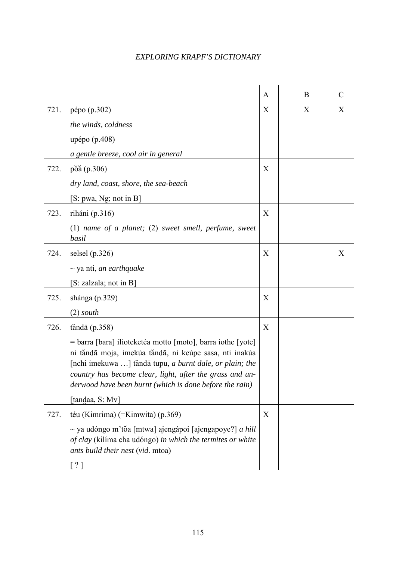|      |                                                                                                                                                                                                                                                                                                         | A | B | $\mathcal{C}$ |
|------|---------------------------------------------------------------------------------------------------------------------------------------------------------------------------------------------------------------------------------------------------------------------------------------------------------|---|---|---------------|
| 721. | pépo (p.302)                                                                                                                                                                                                                                                                                            | X | X | X             |
|      | the winds, coldness                                                                                                                                                                                                                                                                                     |   |   |               |
|      | upépo (p.408)                                                                                                                                                                                                                                                                                           |   |   |               |
|      | a gentle breeze, cool air in general                                                                                                                                                                                                                                                                    |   |   |               |
| 722. | poa (p.306)                                                                                                                                                                                                                                                                                             | X |   |               |
|      | dry land, coast, shore, the sea-beach                                                                                                                                                                                                                                                                   |   |   |               |
|      | [S: pwa, Ng; not in B]                                                                                                                                                                                                                                                                                  |   |   |               |
| 723. | riháni (p.316)                                                                                                                                                                                                                                                                                          | X |   |               |
|      | $(1)$ name of a planet; $(2)$ sweet smell, perfume, sweet<br>basil                                                                                                                                                                                                                                      |   |   |               |
| 724. | selsel $(p.326)$                                                                                                                                                                                                                                                                                        | X |   | X             |
|      | $\sim$ ya nti, <i>an earthquake</i>                                                                                                                                                                                                                                                                     |   |   |               |
|      | [S: zalzala; not in B]                                                                                                                                                                                                                                                                                  |   |   |               |
| 725. | shánga (p.329)                                                                                                                                                                                                                                                                                          | X |   |               |
|      | $(2)$ south                                                                                                                                                                                                                                                                                             |   |   |               |
| 726. | tăndā $(p.358)$                                                                                                                                                                                                                                                                                         | X |   |               |
|      | = barra [bara] ilioteketéa motto [moto], barra iothe [yote]<br>ni tăndā moja, imekúa tăndā, ni keúpe sasa, nti inakúa<br>[nchi imekuwa ] tăndā tupu, a burnt dale, or plain; the<br>country has become clear, light, after the grass and un-<br>derwood have been burnt (which is done before the rain) |   |   |               |
|      | [tandaa, S: Mv]                                                                                                                                                                                                                                                                                         |   |   |               |
| 727. | téu (Kimrima) (=Kimwita) (p.369)                                                                                                                                                                                                                                                                        | X |   |               |
|      | $\sim$ ya udóngo m'tŏa [mtwa] ajengápoi [ajengapoye?] <i>a hill</i><br>of clay (kilíma cha udóngo) in which the termites or white<br>ants build their nest (vid. mtoa)                                                                                                                                  |   |   |               |
|      | $\lceil ? \rceil$                                                                                                                                                                                                                                                                                       |   |   |               |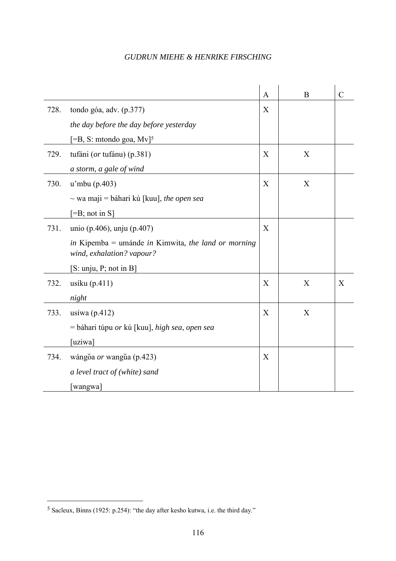|      |                                                                                  | A                | B | $\overline{C}$ |
|------|----------------------------------------------------------------------------------|------------------|---|----------------|
| 728. | tondo góa, adv. (p.377)                                                          | X                |   |                |
|      | the day before the day before yesterday                                          |                  |   |                |
|      | $[=B, S:$ mtondo goa, $Mv$ <sup>5</sup>                                          |                  |   |                |
| 729. | tufáni (or tufánu) (p.381)                                                       | X                | X |                |
|      | a storm, a gale of wind                                                          |                  |   |                |
| 730. | $u2$ mbu (p.403)                                                                 | X                | X |                |
|      | $\sim$ wa maji = báhari kú [kuu], the open sea                                   |                  |   |                |
|      | $[=B; not in S]$                                                                 |                  |   |                |
| 731. | unio (p.406), unju (p.407)                                                       | X                |   |                |
|      | in Kipemba = umánde in Kimwita, the land or morning<br>wind, exhalation? vapour? |                  |   |                |
|      | [S: unju, P; not in B]                                                           |                  |   |                |
| 732. | usíku $(p.411)$                                                                  | X                | X | X              |
|      | night                                                                            |                  |   |                |
| 733. | usíwa $(p.412)$                                                                  | X                | X |                |
|      | = báhari túpu <i>or</i> kú [kuu], <i>high sea, open sea</i>                      |                  |   |                |
|      | [uziwa]                                                                          |                  |   |                |
| 734. | wángoa or wangua (p.423)                                                         | $\boldsymbol{X}$ |   |                |
|      | a level tract of (white) sand                                                    |                  |   |                |
|      | [wangwa]                                                                         |                  |   |                |

 $\overline{a}$ 

<sup>5</sup> Sacleux, Binns (1925: p.254): "the day after kesho kutwa, i.e. the third day."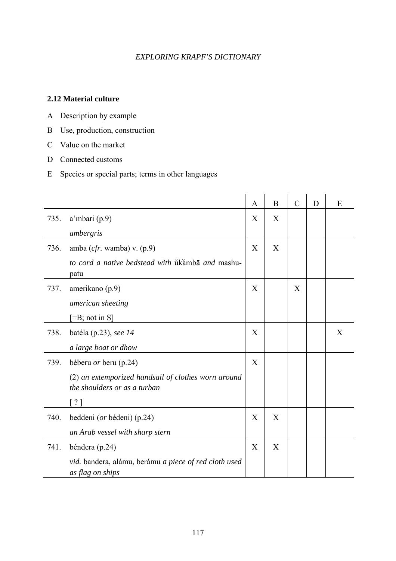#### **2.12 Material culture**

- A Description by example
- B Use, production, construction
- C Value on the market
- D Connected customs
- E Species or special parts; terms in other languages

|      |                                                                                     | A | B | $\mathcal{C}$ | D | E |
|------|-------------------------------------------------------------------------------------|---|---|---------------|---|---|
| 735. | $a'$ mbari (p.9)                                                                    | X | X |               |   |   |
|      | ambergris                                                                           |   |   |               |   |   |
| 736. | amba $(cfr.$ wamba) v. $(p.9)$                                                      | X | X |               |   |   |
|      | to cord a native bedstead with ukamba and mashu-<br>patu                            |   |   |               |   |   |
| 737. | amerikano (p.9)                                                                     | X |   | X             |   |   |
|      | american sheeting                                                                   |   |   |               |   |   |
|      | $[=B; not in S]$                                                                    |   |   |               |   |   |
| 738. | batéla (p.23), see 14                                                               | X |   |               |   | X |
|      | a large boat or dhow                                                                |   |   |               |   |   |
| 739. | béberu <i>or</i> beru (p.24)                                                        | X |   |               |   |   |
|      | (2) an extemporized handsail of clothes worn around<br>the shoulders or as a turban |   |   |               |   |   |
|      | $\lceil ? \rceil$                                                                   |   |   |               |   |   |
| 740. | beddeni (or bédeni) (p.24)                                                          | X | X |               |   |   |
|      | an Arab vessel with sharp stern                                                     |   |   |               |   |   |
| 741. | béndera (p.24)                                                                      | X | X |               |   |   |
|      | vid. bandera, alámu, berámu a piece of red cloth used<br>as flag on ships           |   |   |               |   |   |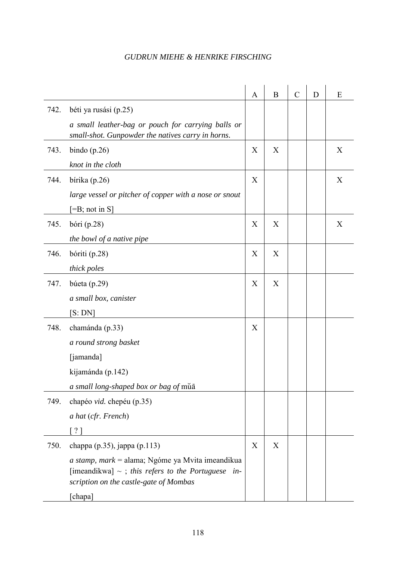|      |                                                                                                                                                         | A | $\mathbf B$ | $\mathcal{C}$ | D | E |
|------|---------------------------------------------------------------------------------------------------------------------------------------------------------|---|-------------|---------------|---|---|
| 742. | béti ya rusási (p.25)                                                                                                                                   |   |             |               |   |   |
|      | a small leather-bag or pouch for carrying balls or<br>small-shot. Gunpowder the natives carry in horns.                                                 |   |             |               |   |   |
| 743. | bindo $(p.26)$                                                                                                                                          | X | X           |               |   | X |
|      | knot in the cloth                                                                                                                                       |   |             |               |   |   |
| 744. | bírika $(p.26)$                                                                                                                                         | X |             |               |   | X |
|      | large vessel or pitcher of copper with a nose or snout                                                                                                  |   |             |               |   |   |
|      | $=$ B; not in S]                                                                                                                                        |   |             |               |   |   |
| 745. | bóri $(p.28)$                                                                                                                                           | X | X           |               |   | X |
|      | the bowl of a native pipe                                                                                                                               |   |             |               |   |   |
| 746. | bóriti (p.28)                                                                                                                                           | X | X           |               |   |   |
|      | thick poles                                                                                                                                             |   |             |               |   |   |
| 747. | búeta (p.29)                                                                                                                                            | X | X           |               |   |   |
|      | a small box, canister                                                                                                                                   |   |             |               |   |   |
|      | [S:DN]                                                                                                                                                  |   |             |               |   |   |
| 748. | chamánda (p.33)                                                                                                                                         | X |             |               |   |   |
|      | a round strong basket                                                                                                                                   |   |             |               |   |   |
|      | [jamanda]                                                                                                                                               |   |             |               |   |   |
|      | kijamánda (p.142)                                                                                                                                       |   |             |               |   |   |
|      | a small long-shaped box or bag of muā                                                                                                                   |   |             |               |   |   |
| 749. | chapéo vid. chepéu (p.35)                                                                                                                               |   |             |               |   |   |
|      | a hat (cfr. French)                                                                                                                                     |   |             |               |   |   |
|      | ?                                                                                                                                                       |   |             |               |   |   |
| 750. | chappa (p.35), jappa (p.113)                                                                                                                            | X | X           |               |   |   |
|      | $a$ stamp, mark = alama; Ngóme ya Mvita imeandikua<br>[imeandikwa] $\sim$ ; this refers to the Portuguese in-<br>scription on the castle-gate of Mombas |   |             |               |   |   |
|      | [chapa]                                                                                                                                                 |   |             |               |   |   |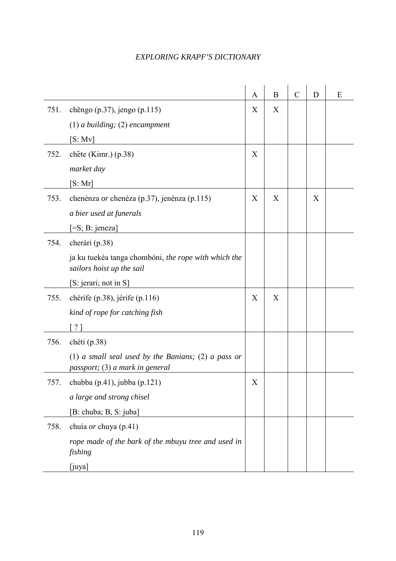|      |                                                                                        | A            | B | $\mathcal{C}$ | D | E |
|------|----------------------------------------------------------------------------------------|--------------|---|---------------|---|---|
| 751. | chēngo (p.37), jengo (p.115)                                                           | X            | X |               |   |   |
|      | $(1)$ a building; $(2)$ encampment                                                     |              |   |               |   |   |
|      | [S: Mv]                                                                                |              |   |               |   |   |
| 752. | chete (Kimr.) (p.38)                                                                   | X            |   |               |   |   |
|      | market day                                                                             |              |   |               |   |   |
|      | [S:Mr]                                                                                 |              |   |               |   |   |
| 753. | chenénza <i>or</i> chenéza (p.37), jenénza (p.115)                                     | X            | X |               | X |   |
|      | a bier used at funerals                                                                |              |   |               |   |   |
|      | $[=S; B: jeneza]$                                                                      |              |   |               |   |   |
| 754. | cherári (p.38)                                                                         |              |   |               |   |   |
|      | ja ku tuekéa tanga chombóni, the rope with which the<br>sailors hoist up the sail      |              |   |               |   |   |
|      | [S: jerari; not in S]                                                                  |              |   |               |   |   |
| 755. | chérife (p.38), jérife (p.116)                                                         | X            | X |               |   |   |
|      | kind of rope for catching fish                                                         |              |   |               |   |   |
|      | $\lceil ? \rceil$                                                                      |              |   |               |   |   |
| 756. | chéti (p.38)                                                                           |              |   |               |   |   |
|      | (1) a small seal used by the Banians; (2) a pass or<br>passport; (3) a mark in general |              |   |               |   |   |
| 757. | chubba $(p.41)$ , jubba $(p.121)$                                                      | $\mathbf{X}$ |   |               |   |   |
|      | a large and strong chisel                                                              |              |   |               |   |   |
|      | [B: chuba; B, S: juba]                                                                 |              |   |               |   |   |
| 758. | chuía or chuya (p.41)                                                                  |              |   |               |   |   |
|      | rope made of the bark of the mbuyu tree and used in<br>fishing                         |              |   |               |   |   |
|      | [juya]                                                                                 |              |   |               |   |   |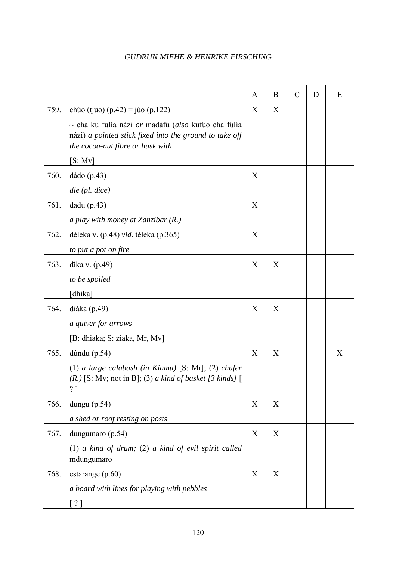|      |                                                                                                                                                                                                        | A | $\boldsymbol{B}$ | $\mathcal{C}$ | D | E |
|------|--------------------------------------------------------------------------------------------------------------------------------------------------------------------------------------------------------|---|------------------|---------------|---|---|
| 759. | chúo (tjúo) (p.42) = júo (p.122)<br>$\sim$ cha ku fulía názi or madáfu (also kufúo cha fulía<br>názi) a pointed stick fixed into the ground to take off<br>the cocoa-nut fibre or husk with<br>[S: Mv] | X | X                |               |   |   |
| 760. | dádo (p.43)                                                                                                                                                                                            | X |                  |               |   |   |
|      | $die$ (pl. $dice$ )                                                                                                                                                                                    |   |                  |               |   |   |
| 761. | $d$ adu (p.43)                                                                                                                                                                                         | X |                  |               |   |   |
|      | a play with money at Zanzibar (R.)                                                                                                                                                                     |   |                  |               |   |   |
| 762. | déleka v. (p.48) vid. téleka (p.365)                                                                                                                                                                   | X |                  |               |   |   |
|      | to put a pot on fire                                                                                                                                                                                   |   |                  |               |   |   |
| 763. | dika v. (p.49)                                                                                                                                                                                         | X | X                |               |   |   |
|      | to be spoiled                                                                                                                                                                                          |   |                  |               |   |   |
|      | [dhika]                                                                                                                                                                                                |   |                  |               |   |   |
| 764. | diáka (p.49)                                                                                                                                                                                           | X | X                |               |   |   |
|      | <i>a quiver for arrows</i>                                                                                                                                                                             |   |                  |               |   |   |
|      | [B: dhiaka; S: ziaka, Mr, Mv]                                                                                                                                                                          |   |                  |               |   |   |
| 765. | dúndu (p.54)                                                                                                                                                                                           | X | X                |               |   | X |
|      | (1) a large calabash (in Kiamu) $[S: Mr]$ ; (2) chafer<br>$(R.)$ [S: Mv; not in B]; (3) a kind of basket [3 kinds] [<br>$\gamma$                                                                       |   |                  |               |   |   |
| 766. | dungu $(p.54)$                                                                                                                                                                                         | X | X                |               |   |   |
|      | a shed or roof resting on posts                                                                                                                                                                        |   |                  |               |   |   |
| 767. | dungumaro (p.54)                                                                                                                                                                                       | X | X                |               |   |   |
|      | (1) a kind of drum; (2) a kind of evil spirit called<br>mdungumaro                                                                                                                                     |   |                  |               |   |   |
| 768. | estarange $(p.60)$                                                                                                                                                                                     | X | X                |               |   |   |
|      | a board with lines for playing with pebbles                                                                                                                                                            |   |                  |               |   |   |
|      | $\lceil ? \rceil$                                                                                                                                                                                      |   |                  |               |   |   |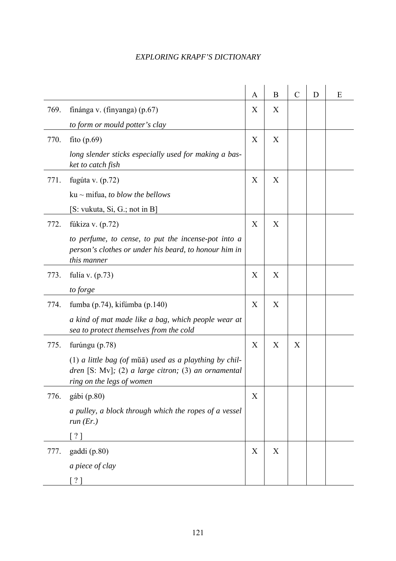|      |                                                                                                                                              | A | B | $\mathcal{C}$ | D | E |
|------|----------------------------------------------------------------------------------------------------------------------------------------------|---|---|---------------|---|---|
| 769. | finánga v. (finyanga) (p.67)                                                                                                                 | X | X |               |   |   |
|      | to form or mould potter's clay                                                                                                               |   |   |               |   |   |
| 770. | fito $(p.69)$                                                                                                                                | X | X |               |   |   |
|      | long slender sticks especially used for making a bas-<br>ket to catch fish                                                                   |   |   |               |   |   |
| 771. | fugúta v. $(p.72)$                                                                                                                           | X | X |               |   |   |
|      | $ku \sim m$ ifua, to blow the bellows                                                                                                        |   |   |               |   |   |
|      | [S: vukuta, Si, G.; not in B]                                                                                                                |   |   |               |   |   |
| 772. | fúkiza v. $(p.72)$                                                                                                                           | X | X |               |   |   |
|      | to perfume, to cense, to put the incense-pot into a<br>person's clothes or under his beard, to honour him in<br>this manner                  |   |   |               |   |   |
| 773. | fulía v. $(p.73)$                                                                                                                            | X | X |               |   |   |
|      | to forge                                                                                                                                     |   |   |               |   |   |
| 774. | fumba (p.74), kifúmba (p.140)                                                                                                                | X | X |               |   |   |
|      | a kind of mat made like a bag, which people wear at<br>sea to protect themselves from the cold                                               |   |   |               |   |   |
| 775. | furúngu (p.78)                                                                                                                               | X | X | X             |   |   |
|      | $(1)$ a little bag (of mua) used as a plaything by chil-<br>dren [S: Mv]; (2) a large citron; (3) an ornamental<br>ring on the legs of women |   |   |               |   |   |
| 776. | gábi (p.80)                                                                                                                                  | X |   |               |   |   |
|      | a pulley, a block through which the ropes of a vessel<br>run $(Er.)$                                                                         |   |   |               |   |   |
|      | $\lceil$ ?                                                                                                                                   |   |   |               |   |   |
| 777. | gaddi (p.80)                                                                                                                                 | X | X |               |   |   |
|      | a piece of clay                                                                                                                              |   |   |               |   |   |
|      | [ ? ]                                                                                                                                        |   |   |               |   |   |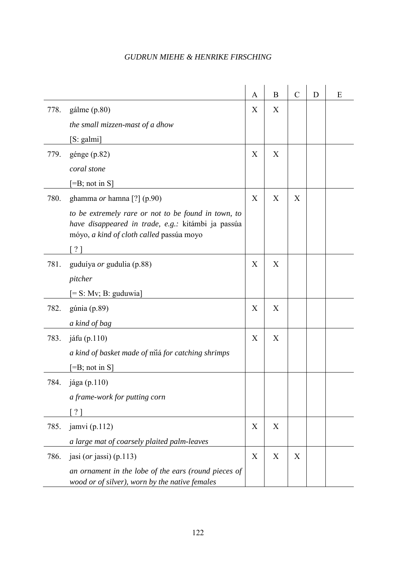|      |                                                                                                                                                       | A | B | $\mathcal{C}$ | D | E |
|------|-------------------------------------------------------------------------------------------------------------------------------------------------------|---|---|---------------|---|---|
| 778. | gálme (p.80)                                                                                                                                          | X | X |               |   |   |
|      | the small mizzen-mast of a dhow                                                                                                                       |   |   |               |   |   |
|      | $[S: \text{galmi}]$                                                                                                                                   |   |   |               |   |   |
| 779. | génge $(p.82)$                                                                                                                                        | X | X |               |   |   |
|      | coral stone                                                                                                                                           |   |   |               |   |   |
|      | $\left[ =B; \text{ not in } S \right]$                                                                                                                |   |   |               |   |   |
| 780. | ghamma or hamna [?] (p.90)                                                                                                                            | X | X | X             |   |   |
|      | to be extremely rare or not to be found in town, to<br>have disappeared in trade, e.g.: kitámbi ja passúa<br>móyo, a kind of cloth called passúa moyo |   |   |               |   |   |
|      | $?$ ]                                                                                                                                                 |   |   |               |   |   |
| 781. | guduíya or gudulia (p.88)                                                                                                                             | X | X |               |   |   |
|      | pitcher                                                                                                                                               |   |   |               |   |   |
|      | $[= S: Mv; B: guduwia]$                                                                                                                               |   |   |               |   |   |
| 782. | gúnia (p.89)                                                                                                                                          | X | X |               |   |   |
|      | a kind of bag                                                                                                                                         |   |   |               |   |   |
| 783. | jáfu (p.110)                                                                                                                                          | X | X |               |   |   |
|      | a kind of basket made of miá for catching shrimps                                                                                                     |   |   |               |   |   |
|      | $\left[ =B; \text{not in } S \right]$                                                                                                                 |   |   |               |   |   |
| 784. | jága (p.110)                                                                                                                                          |   |   |               |   |   |
|      | a frame-work for putting corn                                                                                                                         |   |   |               |   |   |
|      | [ ? ]                                                                                                                                                 |   |   |               |   |   |
| 785. | jamvi $(p.112)$                                                                                                                                       | X | X |               |   |   |
|      | a large mat of coarsely plaited palm-leaves                                                                                                           |   |   |               |   |   |
| 786. | jasi ( <i>or</i> jassi) (p.113)                                                                                                                       | X | X | X             |   |   |
|      | an ornament in the lobe of the ears (round pieces of<br>wood or of silver), worn by the native females                                                |   |   |               |   |   |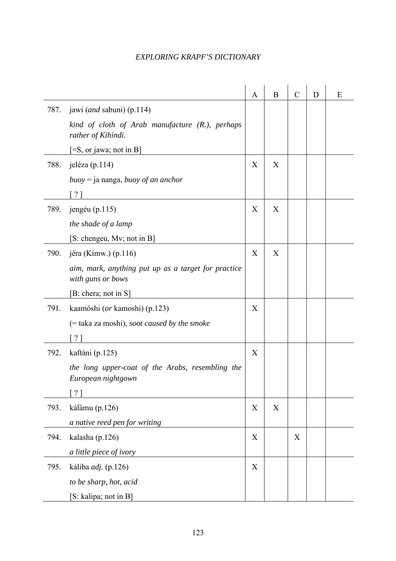|      |                                                                          | A | B | $\mathcal{C}$ | D | E |
|------|--------------------------------------------------------------------------|---|---|---------------|---|---|
| 787. | jawi ( <i>and</i> sabuni) (p.114)                                        |   |   |               |   |   |
|      | kind of cloth of Arab manufacture $(R1)$ , perhaps<br>rather of Kihindi. |   |   |               |   |   |
|      | $[=S,$ or jawa; not in B]                                                |   |   |               |   |   |
| 788. | jeléza (p.114)                                                           | X | X |               |   |   |
|      | $buoy = ja nanga, buoy of an anchor$                                     |   |   |               |   |   |
|      | ?                                                                        |   |   |               |   |   |
| 789. | jengéu $(p.115)$                                                         | X | X |               |   |   |
|      | the shade of a lamp                                                      |   |   |               |   |   |
|      | [S: chengeu, Mv; not in B]                                               |   |   |               |   |   |
| 790. | jéra (Kimw.) $(p.116)$                                                   | X | X |               |   |   |
|      | aim, mark, anything put up as a target for practice<br>with guns or bows |   |   |               |   |   |
|      | [B: chera; not in S]                                                     |   |   |               |   |   |
| 791. | kaamóshi ( <i>or</i> kamoshi) (p.123)                                    | X |   |               |   |   |
|      | $(=$ taka za moshi), soot caused by the smoke                            |   |   |               |   |   |
|      |                                                                          |   |   |               |   |   |
| 792. | kaftáni (p.125)                                                          | X |   |               |   |   |
|      | the long upper-coat of the Arabs, resembling the<br>European nightgown   |   |   |               |   |   |
|      | ? 1                                                                      |   |   |               |   |   |
| 793. | kálămu (p.126)                                                           | X | X |               |   |   |
|      | a native reed pen for writing                                            |   |   |               |   |   |
| 794. | kalasha (p.126)                                                          | X |   | X             |   |   |
|      | a little piece of ivory                                                  |   |   |               |   |   |
| 795. | káliba <i>adj</i> . (p.126)                                              | X |   |               |   |   |
|      | to be sharp, hot, acid                                                   |   |   |               |   |   |
|      | [S: kalipa; not in B]                                                    |   |   |               |   |   |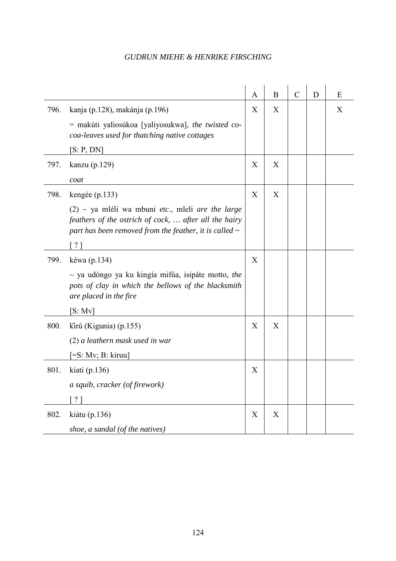|      |                                                                                                                                                                             | A | B | $\mathcal{C}$ | D | E |
|------|-----------------------------------------------------------------------------------------------------------------------------------------------------------------------------|---|---|---------------|---|---|
| 796. | kanja (p.128), makánja (p.196)                                                                                                                                              | X | X |               |   | X |
|      | = makúti yaliosúkoa [yaliyosukwa], the twisted co-<br>coa-leaves used for thatching native cottages                                                                         |   |   |               |   |   |
|      | [S: P, DN]                                                                                                                                                                  |   |   |               |   |   |
| 797. | kanzu (p.129)                                                                                                                                                               | X | X |               |   |   |
|      | coat                                                                                                                                                                        |   |   |               |   |   |
| 798. | kengée (p.133)                                                                                                                                                              | X | X |               |   |   |
|      | $(2)$ ~ ya mléli wa mbuni etc., mleli are the large<br>feathers of the ostrich of cock,  after all the hairy<br>part has been removed from the feather, it is called $\sim$ |   |   |               |   |   |
|      | [ ? ]                                                                                                                                                                       |   |   |               |   |   |
| 799. | kéwa (p.134)                                                                                                                                                                | X |   |               |   |   |
|      | $\sim$ ya udóngo ya ku kingía mifúa, isipáte motto, the<br>pots of clay in which the bellows of the blacksmith<br>are placed in the fire                                    |   |   |               |   |   |
|      | [S: Mv]                                                                                                                                                                     |   |   |               |   |   |
| 800. | kirú (Kigunia) (p.155)                                                                                                                                                      | X | X |               |   |   |
|      | (2) a leathern mask used in war                                                                                                                                             |   |   |               |   |   |
|      | $[=S: Mv; B: kiruu]$                                                                                                                                                        |   |   |               |   |   |
| 801. | kiati $(p.136)$                                                                                                                                                             | X |   |               |   |   |
|      | a squib, cracker (of firework)                                                                                                                                              |   |   |               |   |   |
|      | $\gamma$                                                                                                                                                                    |   |   |               |   |   |
| 802. | kiátu (p.136)                                                                                                                                                               | X | X |               |   |   |
|      | shoe, a sandal (of the natives)                                                                                                                                             |   |   |               |   |   |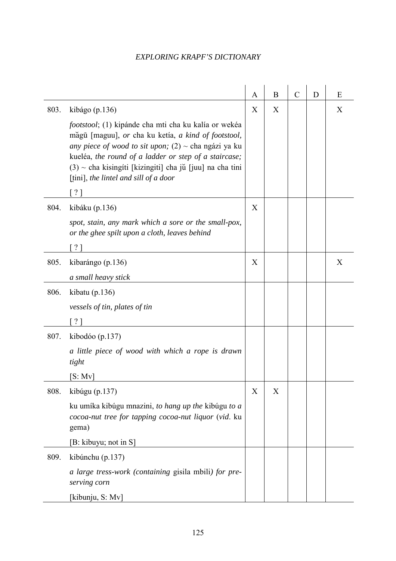|      |                                                                                                                                                                                                                                                                                                                                               | A | $\bf{B}$ | $\mathcal{C}$ | D | E |
|------|-----------------------------------------------------------------------------------------------------------------------------------------------------------------------------------------------------------------------------------------------------------------------------------------------------------------------------------------------|---|----------|---------------|---|---|
| 803. | kibágo (p.136)                                                                                                                                                                                                                                                                                                                                | X | X        |               |   | X |
|      | <i>footstool</i> ; (1) kipánde cha mti cha ku kalía or wekéa<br>măgū [maguu], or cha ku ketía, a kind of footstool,<br>any piece of wood to sit upon; $(2)$ ~ cha ngázi ya ku<br>kueléa, the round of a ladder or step of a staircase;<br>$(3)$ ~ cha kisingíti [kizingiti] cha jŭ [juu] na cha tini<br>[tini], the lintel and sill of a door |   |          |               |   |   |
|      | $\lceil$ ? ]                                                                                                                                                                                                                                                                                                                                  |   |          |               |   |   |
| 804. | kibáku (p.136)                                                                                                                                                                                                                                                                                                                                | X |          |               |   |   |
|      | spot, stain, any mark which a sore or the small-pox,<br>or the ghee spilt upon a cloth, leaves behind                                                                                                                                                                                                                                         |   |          |               |   |   |
|      | ?]                                                                                                                                                                                                                                                                                                                                            |   |          |               |   |   |
| 805. | kibarángo (p.136)                                                                                                                                                                                                                                                                                                                             | X |          |               |   | X |
|      | a small heavy stick                                                                                                                                                                                                                                                                                                                           |   |          |               |   |   |
| 806. | kibatu $(p.136)$                                                                                                                                                                                                                                                                                                                              |   |          |               |   |   |
|      | vessels of tin, plates of tin                                                                                                                                                                                                                                                                                                                 |   |          |               |   |   |
|      | $\lceil$ ? ]                                                                                                                                                                                                                                                                                                                                  |   |          |               |   |   |
| 807. | kibodóo (p.137)                                                                                                                                                                                                                                                                                                                               |   |          |               |   |   |
|      | a little piece of wood with which a rope is drawn<br>tight                                                                                                                                                                                                                                                                                    |   |          |               |   |   |
|      | [S: Mv]                                                                                                                                                                                                                                                                                                                                       |   |          |               |   |   |
| 808. | kibúgu (p.137)                                                                                                                                                                                                                                                                                                                                | X | X        |               |   |   |
|      | ku umíka kibúgu mnazini, to hang up the kibúgu to a<br>cocoa-nut tree for tapping cocoa-nut liquor (vid. ku<br>gema)                                                                                                                                                                                                                          |   |          |               |   |   |
|      | [B: kibuyu; not in S]                                                                                                                                                                                                                                                                                                                         |   |          |               |   |   |
| 809. | kibúnchu (p.137)                                                                                                                                                                                                                                                                                                                              |   |          |               |   |   |
|      | a large tress-work (containing gisila mbili) for pre-<br>serving corn                                                                                                                                                                                                                                                                         |   |          |               |   |   |
|      | [kibunju, S: Mv]                                                                                                                                                                                                                                                                                                                              |   |          |               |   |   |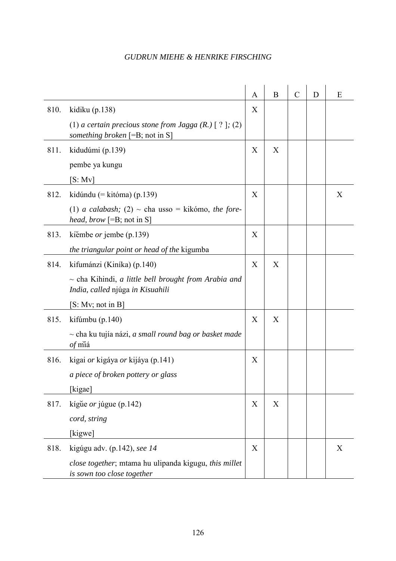|      |                                                                                               | A | B | $\mathcal{C}$ | D | E |
|------|-----------------------------------------------------------------------------------------------|---|---|---------------|---|---|
| 810. | kidiku $(p.138)$                                                                              | X |   |               |   |   |
|      | (1) a certain precious stone from Jagga $(R.)$ [ ? ]; (2)<br>something broken [=B; not in S]  |   |   |               |   |   |
| 811. | kidudúmi (p.139)                                                                              | X | X |               |   |   |
|      | pembe ya kungu                                                                                |   |   |               |   |   |
|      | [S: Mv]                                                                                       |   |   |               |   |   |
| 812. | kidúndu (= kitóma) (p.139)                                                                    | X |   |               |   | X |
|      | (1) <i>a calabash</i> ; (2) $\sim$ cha usso = kikómo, the fore-<br>head, brow [=B; not in S]  |   |   |               |   |   |
| 813. | kiembe <i>or</i> jembe (p.139)                                                                | X |   |               |   |   |
|      | the triangular point or head of the kigumba                                                   |   |   |               |   |   |
| 814. | kifumánzi (Kiníka) (p.140)                                                                    | X | X |               |   |   |
|      | $\sim$ cha Kihindi, a little bell brought from Arabia and<br>India, called njúga in Kisuahili |   |   |               |   |   |
|      | [S: Mv; not in B]                                                                             |   |   |               |   |   |
| 815. | kifúmbu (p.140)                                                                               | X | X |               |   |   |
|      | $\sim$ cha ku tujía názi, a small round bag or basket made<br>of miá                          |   |   |               |   |   |
| 816. | kigai <i>or</i> kigáya <i>or</i> kijáya (p.141)                                               | X |   |               |   |   |
|      | a piece of broken pottery or glass                                                            |   |   |               |   |   |
|      | [kigae]                                                                                       |   |   |               |   |   |
| 817. | kígue or júgue (p.142)                                                                        | X | X |               |   |   |
|      | cord, string                                                                                  |   |   |               |   |   |
|      | [kigwe]                                                                                       |   |   |               |   |   |
| 818. | kigúgu adv. (p.142), see 14                                                                   | X |   |               |   | X |
|      | close together; mtama hu ulipanda kigugu, this millet<br>is sown too close together           |   |   |               |   |   |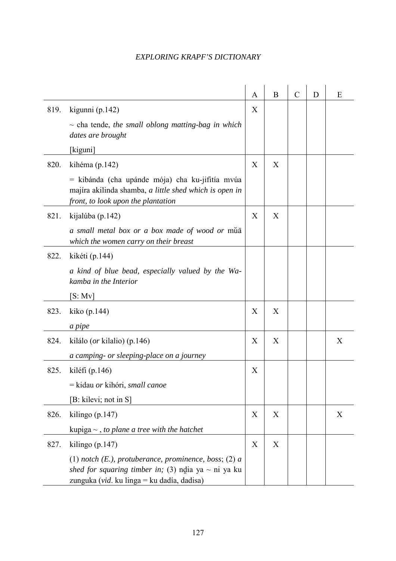|      |                                                                                                                                                                     | A | B | $\mathcal{C}$ | D | E |
|------|---------------------------------------------------------------------------------------------------------------------------------------------------------------------|---|---|---------------|---|---|
| 819. | kigunni (p.142)                                                                                                                                                     | X |   |               |   |   |
|      | $\sim$ cha tende, the small oblong matting-bag in which<br>dates are brought                                                                                        |   |   |               |   |   |
|      | [kiguni]                                                                                                                                                            |   |   |               |   |   |
| 820. | kihéma (p.142)                                                                                                                                                      | X | X |               |   |   |
|      | $=$ kibánda (cha upánde mója) cha ku-jifitía mvúa<br>majíra akilinda shamba, a little shed which is open in<br>front, to look upon the plantation                   |   |   |               |   |   |
| 821. | kijalúba (p.142)                                                                                                                                                    | X | X |               |   |   |
|      | a small metal box or a box made of wood or mua<br>which the women carry on their breast                                                                             |   |   |               |   |   |
| 822. | kikéti (p.144)                                                                                                                                                      |   |   |               |   |   |
|      | a kind of blue bead, especially valued by the Wa-<br>kamba in the Interior                                                                                          |   |   |               |   |   |
|      | [S: Mv]                                                                                                                                                             |   |   |               |   |   |
| 823. | kiko (p. 144)                                                                                                                                                       | X | X |               |   |   |
|      | a pipe                                                                                                                                                              |   |   |               |   |   |
| 824. | kilálo ( <i>or</i> kilalio) (p.146)                                                                                                                                 | X | X |               |   | X |
|      | a camping- or sleeping-place on a journey                                                                                                                           |   |   |               |   |   |
| 825. | kiléfi (p. 146)                                                                                                                                                     | X |   |               |   |   |
|      | = kidau or kihóri, small canoe                                                                                                                                      |   |   |               |   |   |
|      | [B: kilevi; not in S]                                                                                                                                               |   |   |               |   |   |
| 826. | kilingo $(p.147)$                                                                                                                                                   | X | X |               |   | X |
|      | kupiga $\sim$ , to plane a tree with the hatchet                                                                                                                    |   |   |               |   |   |
| 827. | kilingo $(p.147)$                                                                                                                                                   | X | X |               |   |   |
|      | (1) notch $(E)$ , protuberance, prominence, boss; $(2)$ a<br>shed for squaring timber in; (3) ndia ya $\sim$ ni ya ku<br>zunguka (vid. ku linga = ku dadía, dadisa) |   |   |               |   |   |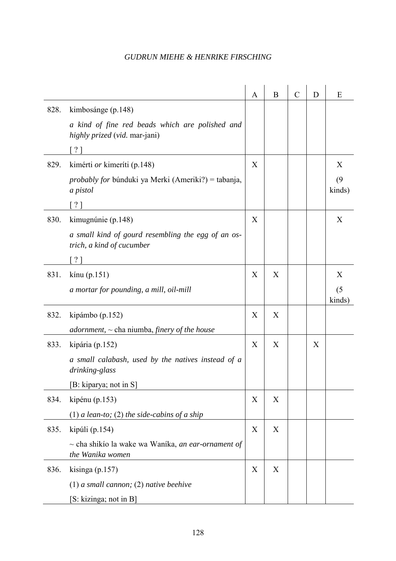|      |                                                                                    | A | B | $\mathcal{C}$ | D | E             |
|------|------------------------------------------------------------------------------------|---|---|---------------|---|---------------|
| 828. | kimbosánge (p.148)                                                                 |   |   |               |   |               |
|      | a kind of fine red beads which are polished and<br>highly prized (vid. mar-jani)   |   |   |               |   |               |
|      | $\lceil ? \rceil$                                                                  |   |   |               |   |               |
| 829. | kimérti <i>or</i> kimeríti (p.148)                                                 | X |   |               |   | X             |
|      | <i>probably for b</i> únduki ya Merki (Ameriki?) = tabanja,<br>a pistol            |   |   |               |   | (9)<br>kinds) |
|      | $\left\lceil \frac{2}{3} \right\rceil$                                             |   |   |               |   |               |
| 830. | kimugnúnie (p.148)                                                                 | X |   |               |   | X             |
|      | a small kind of gourd resembling the egg of an os-<br>trich, a kind of cucumber    |   |   |               |   |               |
|      | $\left\lceil \cdot \right\rceil$                                                   |   |   |               |   |               |
| 831. | $\text{kinu}$ (p.151)                                                              | X | X |               |   | X             |
|      | a mortar for pounding, a mill, oil-mill                                            |   |   |               |   | (5)<br>kinds) |
| 832. | kipámbo (p.152)                                                                    | X | X |               |   |               |
|      | adornment, $\sim$ cha niumba, finery of the house                                  |   |   |               |   |               |
| 833. | kipária (p.152)                                                                    | X | X |               | X |               |
|      | a small calabash, used by the natives instead of a<br>drinking-glass               |   |   |               |   |               |
|      | [B: kiparya; not in S]                                                             |   |   |               |   |               |
| 834. | kipénu $(p.153)$                                                                   | X | X |               |   |               |
|      | (1) a lean-to; (2) the side-cabins of a ship                                       |   |   |               |   |               |
| 835. | kipúli (p.154)                                                                     | X | X |               |   |               |
|      | $\sim$ cha shikío la wake wa Waníka, <i>an ear-ornament of</i><br>the Wanika women |   |   |               |   |               |
| 836. | kisinga $(p.157)$                                                                  | X | X |               |   |               |
|      | $(1)$ a small cannon; $(2)$ native beehive                                         |   |   |               |   |               |
|      | [S: kizinga; not in B]                                                             |   |   |               |   |               |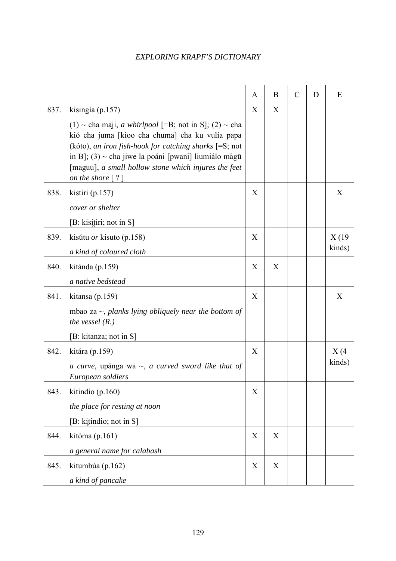|      |                                                                                                                                                                                                                                                                                                                        | A | $\bf{B}$    | $\mathcal{C}$ | D | E      |
|------|------------------------------------------------------------------------------------------------------------------------------------------------------------------------------------------------------------------------------------------------------------------------------------------------------------------------|---|-------------|---------------|---|--------|
| 837. | kisingía (p.157)                                                                                                                                                                                                                                                                                                       | X | X           |               |   |        |
|      | (1) ~ cha maji, <i>a whirlpool</i> [=B; not in S]; (2) ~ cha<br>kió cha juma [kioo cha chuma] cha ku vulía papa<br>(kóto), an iron fish-hook for catching sharks $[=S; not]$<br>in B]; $(3)$ ~ cha jiwe la poáni [pwani] liumiálo măgū<br>[maguu], a small hollow stone which injures the feet<br>on the shore $[ ? ]$ |   |             |               |   |        |
| 838. | kistiri (p.157)                                                                                                                                                                                                                                                                                                        | X |             |               |   | X      |
|      | cover or shelter                                                                                                                                                                                                                                                                                                       |   |             |               |   |        |
|      | [B: kisitiri; not in S]                                                                                                                                                                                                                                                                                                |   |             |               |   |        |
| 839. | kisútu <i>or</i> kisuto (p.158)                                                                                                                                                                                                                                                                                        | X |             |               |   | X(19)  |
|      | a kind of coloured cloth                                                                                                                                                                                                                                                                                               |   |             |               |   | kinds) |
| 840. | kitánda (p.159)                                                                                                                                                                                                                                                                                                        | X | X           |               |   |        |
|      | a native bedstead                                                                                                                                                                                                                                                                                                      |   |             |               |   |        |
| 841. | kitansa (p.159)                                                                                                                                                                                                                                                                                                        | X |             |               |   | X      |
|      | mbao za $\sim$ , planks lying obliquely near the bottom of<br>the vessel $(R.)$                                                                                                                                                                                                                                        |   |             |               |   |        |
|      | [B: kitanza; not in S]                                                                                                                                                                                                                                                                                                 |   |             |               |   |        |
| 842. | kitára (p.159)                                                                                                                                                                                                                                                                                                         | X |             |               |   | X(4)   |
|      | a curve, upánga wa $\sim$ , a curved sword like that of<br>European soldiers                                                                                                                                                                                                                                           |   |             |               |   | kinds) |
| 843. | kitindio (p.160)                                                                                                                                                                                                                                                                                                       | X |             |               |   |        |
|      | the place for resting at noon                                                                                                                                                                                                                                                                                          |   |             |               |   |        |
|      | [B: kitindio; not in S]                                                                                                                                                                                                                                                                                                |   |             |               |   |        |
| 844. | kitóma (p.161)                                                                                                                                                                                                                                                                                                         | X | $\mathbf X$ |               |   |        |
|      | a general name for calabash                                                                                                                                                                                                                                                                                            |   |             |               |   |        |
| 845. | kitumbúa (p.162)                                                                                                                                                                                                                                                                                                       | X | X           |               |   |        |
|      | a kind of pancake                                                                                                                                                                                                                                                                                                      |   |             |               |   |        |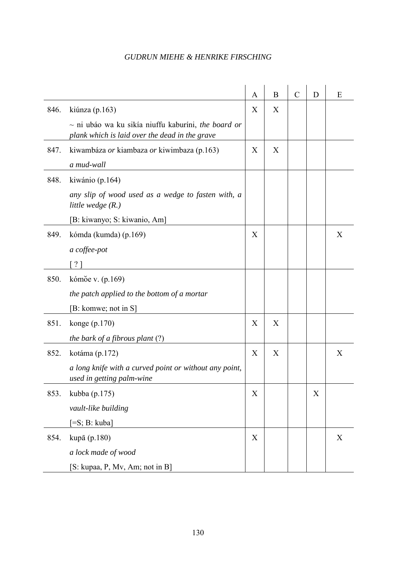|      |                                                                                                            | A | B | $\mathcal{C}$ | D | Ε |
|------|------------------------------------------------------------------------------------------------------------|---|---|---------------|---|---|
| 846. | kiúnza (p.163)                                                                                             | X | X |               |   |   |
|      | $\sim$ ni ubáo wa ku sikía niuffu kaburíni, the board or<br>plank which is laid over the dead in the grave |   |   |               |   |   |
| 847. | kiwambáza or kiambaza or kiwimbaza (p.163)                                                                 | X | X |               |   |   |
|      | a mud-wall                                                                                                 |   |   |               |   |   |
| 848. | kiwánio (p.164)                                                                                            |   |   |               |   |   |
|      | any slip of wood used as a wedge to fasten with, a<br>little wedge $(R.)$                                  |   |   |               |   |   |
|      | [B: kiwanyo; S: kiwanio, Am]                                                                               |   |   |               |   |   |
| 849. | kómda (kumda) (p.169)                                                                                      | X |   |               |   | X |
|      | a coffee-pot                                                                                               |   |   |               |   |   |
|      | $\gamma$                                                                                                   |   |   |               |   |   |
| 850. | kómŏe v. (p.169)                                                                                           |   |   |               |   |   |
|      | the patch applied to the bottom of a mortar                                                                |   |   |               |   |   |
|      | [B: komwe; not in S]                                                                                       |   |   |               |   |   |
| 851. | konge $(p.170)$                                                                                            | X | X |               |   |   |
|      | the bark of a fibrous plant $(?)$                                                                          |   |   |               |   |   |
| 852. | kotáma (p.172)                                                                                             | X | X |               |   | X |
|      | a long knife with a curved point or without any point,<br>used in getting palm-wine                        |   |   |               |   |   |
| 853. | kubba (p.175)                                                                                              | X |   |               | X |   |
|      | vault-like building                                                                                        |   |   |               |   |   |
|      | $[=S; B: kuba]$                                                                                            |   |   |               |   |   |
| 854. | kupā (p.180)                                                                                               | X |   |               |   | X |
|      | a lock made of wood                                                                                        |   |   |               |   |   |
|      | [S: kupaa, P, Mv, Am; not in B]                                                                            |   |   |               |   |   |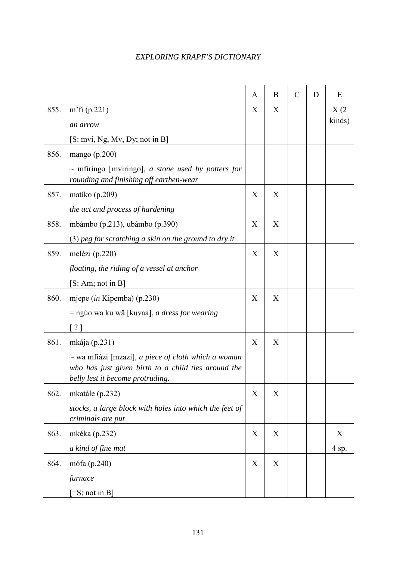|      |                                                                                                    | A | B | $\mathcal{C}$ | D | E      |
|------|----------------------------------------------------------------------------------------------------|---|---|---------------|---|--------|
| 855. | m'fi $(p.221)$                                                                                     | X | X |               |   | X(2)   |
|      | an arrow                                                                                           |   |   |               |   | kinds) |
|      | [S: mvi, Ng, Mv, Dy; not in B]                                                                     |   |   |               |   |        |
| 856. | mango $(p.200)$                                                                                    |   |   |               |   |        |
|      | $\sim$ mfiringo [mviringo], a stone used by potters for<br>rounding and finishing off earthen-wear |   |   |               |   |        |
| 857. | matiko (p. 209)                                                                                    | X | X |               |   |        |
|      | the act and process of hardening                                                                   |   |   |               |   |        |
| 858. | mbámbo (p.213), ubámbo (p.390)                                                                     | X | X |               |   |        |
|      | $(3)$ peg for scratching a skin on the ground to dry it                                            |   |   |               |   |        |
| 859. | melézi (p.220)                                                                                     | X | X |               |   |        |
|      | floating, the riding of a vessel at anchor                                                         |   |   |               |   |        |
|      | [S: Am; not in B]                                                                                  |   |   |               |   |        |
| 860. | mjepe (in Kipemba) (p.230)                                                                         | X | X |               |   |        |
|      | = ngúo wa ku wā [kuvaa], <i>a dress for wearing</i>                                                |   |   |               |   |        |
|      | $\lceil ? \rceil$                                                                                  |   |   |               |   |        |
| 861. | mkája $(p.231)$                                                                                    | X | X |               |   |        |
|      | $\sim$ wa mfiázi [mzazi], <i>a piece of cloth which a woman</i>                                    |   |   |               |   |        |
|      | who has just given birth to a child ties around the<br>belly lest it become protruding.            |   |   |               |   |        |
| 862. | mkatále (p.232)                                                                                    | X | X |               |   |        |
|      | stocks, a large block with holes into which the feet of<br>criminals are put                       |   |   |               |   |        |
| 863. | mkéka (p.232)                                                                                      | X | X |               |   | X      |
|      | a kind of fine mat                                                                                 |   |   |               |   | 4 sp.  |
| 864. | mófa (p.240)                                                                                       | X | X |               |   |        |
|      | furnace                                                                                            |   |   |               |   |        |
|      | $[=S; not in B]$                                                                                   |   |   |               |   |        |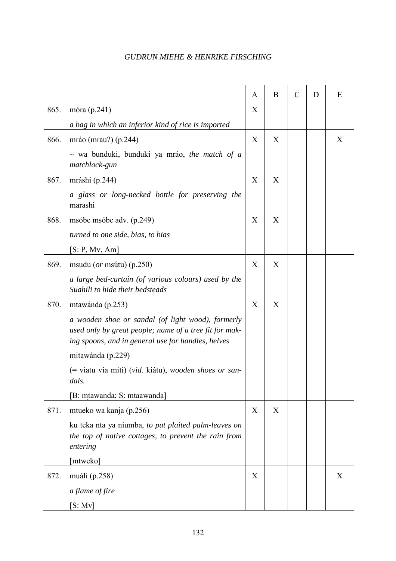|      |                                                                                                                                                                   | A | B | $\mathcal{C}$ | D | Ε |
|------|-------------------------------------------------------------------------------------------------------------------------------------------------------------------|---|---|---------------|---|---|
| 865. | móra (p.241)                                                                                                                                                      | X |   |               |   |   |
|      | a bag in which an inferior kind of rice is imported                                                                                                               |   |   |               |   |   |
| 866. | mráo (mrau?) (p.244)                                                                                                                                              | X | X |               |   | X |
|      | $\sim$ wa bunduki, bunduki ya mráo, the match of a<br>matchlock-gun                                                                                               |   |   |               |   |   |
| 867. | mráshi (p.244)                                                                                                                                                    | X | X |               |   |   |
|      | a glass or long-necked bottle for preserving the<br>marashi                                                                                                       |   |   |               |   |   |
| 868. | msóbe msóbe adv. (p.249)                                                                                                                                          | X | X |               |   |   |
|      | turned to one side, bias, to bias                                                                                                                                 |   |   |               |   |   |
|      | [S: P, Mv, Am]                                                                                                                                                    |   |   |               |   |   |
| 869. | msudu ( <i>or</i> msútu) (p.250)                                                                                                                                  | X | X |               |   |   |
|      | a large bed-curtain (of various colours) used by the<br>Suahili to hide their bedsteads                                                                           |   |   |               |   |   |
| 870. | mtawánda (p.253)                                                                                                                                                  | X | X |               |   |   |
|      | a wooden shoe or sandal (of light wood), formerly<br>used only by great people; name of a tree fit for mak-<br>ing spoons, and in general use for handles, helves |   |   |               |   |   |
|      | mitawánda (p.229)                                                                                                                                                 |   |   |               |   |   |
|      | (= viatu via miti) (vid. kiátu), wooden shoes or san-<br>dals.                                                                                                    |   |   |               |   |   |
|      | [B: mtawanda; S: mtaawanda]                                                                                                                                       |   |   |               |   |   |
| 871. | mtueko wa kanja (p.256)                                                                                                                                           | X | X |               |   |   |
|      | ku teka nta ya niumba, to put plaited palm-leaves on<br>the top of native cottages, to prevent the rain from<br>entering                                          |   |   |               |   |   |
|      | [mtweko]                                                                                                                                                          |   |   |               |   |   |
| 872. | muáli (p.258)                                                                                                                                                     | X |   |               |   | X |
|      | a flame of fire                                                                                                                                                   |   |   |               |   |   |
|      | [S: Mv]                                                                                                                                                           |   |   |               |   |   |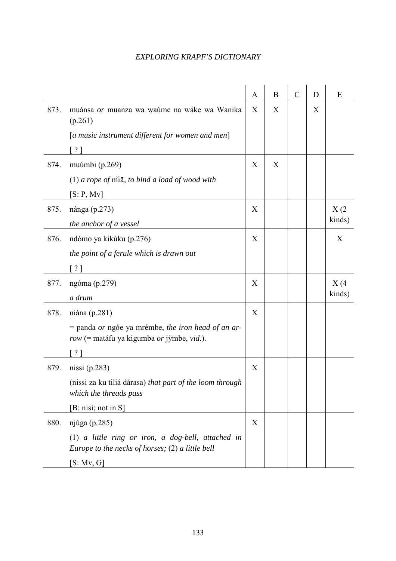|      |                                                                                                            | A | B | $\mathcal{C}$ | D | E      |
|------|------------------------------------------------------------------------------------------------------------|---|---|---------------|---|--------|
| 873. | muánsa or muanza wa waúme na wáke wa Wanika<br>(p.261)                                                     | X | X |               | X |        |
|      | [a music instrument different for women and men]                                                           |   |   |               |   |        |
|      | $?$ ]                                                                                                      |   |   |               |   |        |
| 874. | muúmbi (p.269)                                                                                             | X | X |               |   |        |
|      | $(1)$ a rope of $\overline{m}$ <i>a</i> , to bind a load of wood with                                      |   |   |               |   |        |
|      | [S: P, Mv]                                                                                                 |   |   |               |   |        |
| 875. | nánga (p.273)                                                                                              | X |   |               |   | X(2)   |
|      | the anchor of a vessel                                                                                     |   |   |               |   | kinds) |
| 876. | ndómo ya kikúku (p.276)                                                                                    | X |   |               |   | X      |
|      | the point of a ferule which is drawn out                                                                   |   |   |               |   |        |
|      | [ ? ]                                                                                                      |   |   |               |   |        |
| 877. | ngóma (p.279)                                                                                              | X |   |               |   | X(4)   |
|      | a drum                                                                                                     |   |   |               |   | kinds) |
| 878. | niána (p.281)                                                                                              | X |   |               |   |        |
|      | $=$ panda <i>or</i> ngóe ya mrémbe, the iron head of an ar-<br>row (= matáfu ya kigumba or jÿmbe, vid.).   |   |   |               |   |        |
|      |                                                                                                            |   |   |               |   |        |
| 879. | nissi $(p.283)$                                                                                            | X |   |               |   |        |
|      | (nissi za ku tiliá dárasa) that part of the loom through<br>which the threads pass                         |   |   |               |   |        |
|      | [B: nisi; not in S]                                                                                        |   |   |               |   |        |
| 880. | njúga (p.285)                                                                                              | X |   |               |   |        |
|      | $(1)$ a little ring or iron, a dog-bell, attached in<br>Europe to the necks of horses; $(2)$ a little bell |   |   |               |   |        |
|      | [S: Mv, G]                                                                                                 |   |   |               |   |        |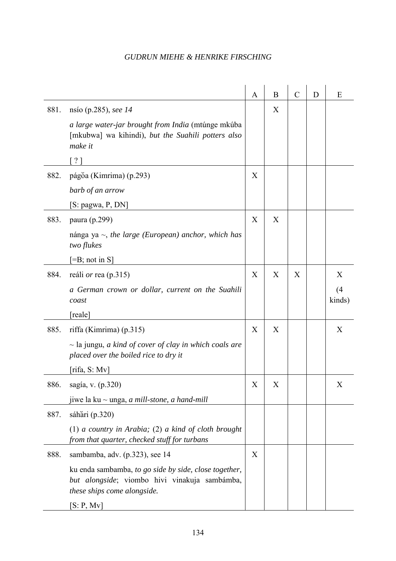|      |                                                                                                                                       | A | B | $\mathcal{C}$ | D | E             |
|------|---------------------------------------------------------------------------------------------------------------------------------------|---|---|---------------|---|---------------|
| 881. | nsio (p.285), see 14                                                                                                                  |   | X |               |   |               |
|      | a large water-jar brought from India (mtúnge mkúba<br>[mkubwa] wa kihindi), but the Suahili potters also<br>make it                   |   |   |               |   |               |
|      | $\lceil ? \rceil$                                                                                                                     |   |   |               |   |               |
| 882. | págŏa (Kimrima) (p.293)                                                                                                               | X |   |               |   |               |
|      | barb of an arrow                                                                                                                      |   |   |               |   |               |
|      | [S: pagwa, P, DN]                                                                                                                     |   |   |               |   |               |
| 883. | paura (p.299)                                                                                                                         | X | X |               |   |               |
|      | nánga ya $\sim$ , the large (European) anchor, which has<br>two flukes                                                                |   |   |               |   |               |
|      | $\left[ =B; \text{ not in } S \right]$                                                                                                |   |   |               |   |               |
| 884. | reáli or rea (p.315)                                                                                                                  | X | X | X             |   | X             |
|      | a German crown or dollar, current on the Suahili<br>coast                                                                             |   |   |               |   | (4)<br>kinds) |
|      | [reale]                                                                                                                               |   |   |               |   |               |
| 885. | riffa (Kimrima) $(p.315)$                                                                                                             | X | X |               |   | X             |
|      | $\sim$ la jungu, <i>a kind of cover of clay in which coals are</i><br>placed over the boiled rice to dry it                           |   |   |               |   |               |
|      | [rifa, S: Mv]                                                                                                                         |   |   |               |   |               |
| 886. | sagía, v. (p.320)                                                                                                                     | X | X |               |   | X             |
|      | jiwe la ku $\sim$ unga, <i>a mill-stone</i> , <i>a hand-mill</i>                                                                      |   |   |               |   |               |
| 887. | sáhari (p.320)                                                                                                                        |   |   |               |   |               |
|      | $(1)$ a country in Arabia; $(2)$ a kind of cloth brought<br>from that quarter, checked stuff for turbans                              |   |   |               |   |               |
| 888. | sambamba, adv. (p.323), see 14                                                                                                        | X |   |               |   |               |
|      | ku enda sambamba, to go side by side, close together,<br>but alongside; viombo hivi vinakuja sambámba,<br>these ships come alongside. |   |   |               |   |               |
|      | [S: P, Mv]                                                                                                                            |   |   |               |   |               |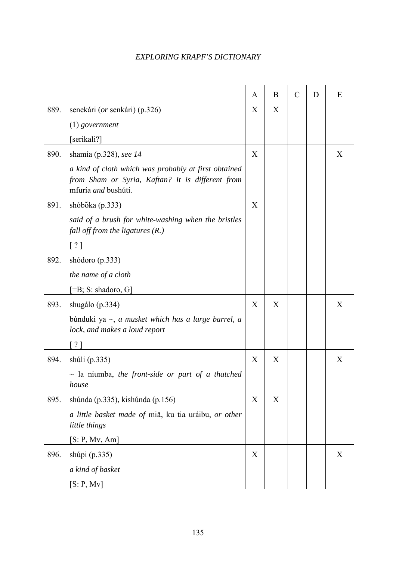|      |                                                                                                                                 | A | B | $\mathcal{C}$ | D | E |
|------|---------------------------------------------------------------------------------------------------------------------------------|---|---|---------------|---|---|
| 889. | senekári ( <i>or</i> senkári) (p.326)                                                                                           | X | X |               |   |   |
|      | $(1)$ government                                                                                                                |   |   |               |   |   |
|      | [serikali?]                                                                                                                     |   |   |               |   |   |
| 890. | shamía (p.328), see 14                                                                                                          | X |   |               |   | X |
|      | a kind of cloth which was probably at first obtained<br>from Sham or Syria, Kaftan? It is different from<br>mfuría and bushúti. |   |   |               |   |   |
| 891. | shóbŏka (p.333)                                                                                                                 | X |   |               |   |   |
|      | said of a brush for white-washing when the bristles<br>fall off from the ligatures $(R)$ .)                                     |   |   |               |   |   |
|      | $?$ ]                                                                                                                           |   |   |               |   |   |
| 892. | shódoro $(p.333)$                                                                                                               |   |   |               |   |   |
|      | the name of a cloth                                                                                                             |   |   |               |   |   |
|      | $[=B; S: shadoro, G]$                                                                                                           |   |   |               |   |   |
| 893. | shugálo (p.334)                                                                                                                 | X | X |               |   | X |
|      | búnduki ya $\sim$ , a musket which has a large barrel, a<br>lock, and makes a loud report                                       |   |   |               |   |   |
|      | 21                                                                                                                              |   |   |               |   |   |
| 894. | shúli $(p.335)$                                                                                                                 | X | X |               |   | X |
|      | $\sim$ la niumba, the front-side or part of a thatched<br>house                                                                 |   |   |               |   |   |
| 895. | shúnda (p.335), kishúnda (p.156)                                                                                                | X | X |               |   |   |
|      | a little basket made of miā, ku tia uráibu, or other<br>little things                                                           |   |   |               |   |   |
|      | [S: P, Mv, Am]                                                                                                                  |   |   |               |   |   |
| 896. | shúpi (p.335)                                                                                                                   | X |   |               |   | X |
|      | a kind of basket                                                                                                                |   |   |               |   |   |
|      | [S: P, Mv]                                                                                                                      |   |   |               |   |   |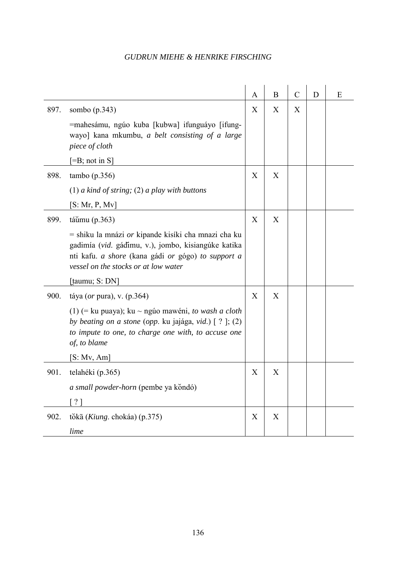|      |                                                                                                                                                                                                                                                                    | A | B           | $\mathcal{C}$ | D | Ε |
|------|--------------------------------------------------------------------------------------------------------------------------------------------------------------------------------------------------------------------------------------------------------------------|---|-------------|---------------|---|---|
| 897. | sombo $(p.343)$<br>=mahesámu, ngúo kuba [kubwa] ifunguáyo [ifung-<br>wayo] kana mkumbu, a belt consisting of a large<br>piece of cloth<br>$[=B; not in S]$                                                                                                         | X | X           | X             |   |   |
| 898. | tambo(p.356)<br>$(1)$ a kind of string; $(2)$ a play with buttons<br>[S: Mr, P, Mv]                                                                                                                                                                                | X | X           |               |   |   |
| 899. | táŭmu $(p.363)$<br>= shiku la mnázi <i>or</i> kipande kisíki cha mnazi cha ku<br>gadimía (vid. gádimu, v.), jombo, kisiangúke katika<br>nti kafu. <i>a shore</i> (kana gádi <i>or</i> gógo) to support a<br>vessel on the stocks or at low water<br>[taumu; S: DN] | X | X           |               |   |   |
| 900. | táya ( <i>or</i> pura), v. $(p.364)$<br>(1) (= ku puaya); ku ~ ngúo mawéni, to wash a cloth<br>by beating on a stone (opp. ku jajága, vid.) [ ? ]; (2)<br>to impute to one, to charge one with, to accuse one<br>of, to blame<br>[S: Mv, Am]                       | X | X           |               |   |   |
| 901. | telahéki (p.365)<br><i>a small powder-horn</i> (pembe ya kondó)<br>$\lceil ? \rceil$                                                                                                                                                                               | X | X           |               |   |   |
| 902. | tŏkā (Kiung. chokáa) (p.375)<br>lime                                                                                                                                                                                                                               | X | $\mathbf X$ |               |   |   |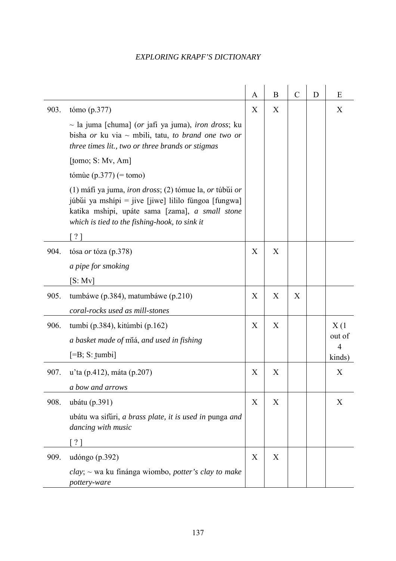|      |                                                                                                                                                                                                                                               | A | B | $\mathcal{C}$ | D | E              |
|------|-----------------------------------------------------------------------------------------------------------------------------------------------------------------------------------------------------------------------------------------------|---|---|---------------|---|----------------|
| 903. | tómo $(p.377)$<br>$\sim$ la juma [chuma] (or jafi ya juma), <i>iron dross</i> ; ku<br>bisha <i>or</i> ku via $\sim$ mbili, tatu, <i>to brand one two or</i><br>three times lit., two or three brands or stigmas                               | X | X |               |   | X              |
|      | [tomo; $S: Mv, Am$ ]                                                                                                                                                                                                                          |   |   |               |   |                |
|      | tómùe $(p.377)$ (= tomo)                                                                                                                                                                                                                      |   |   |               |   |                |
|      | $(1)$ máfi ya juma, <i>iron dross</i> ; $(2)$ tómue la, <i>or</i> túbui <i>or</i><br>júbŭi ya mshípi = jive [jiwe] lililo fúngoa [fungwa]<br>katika mshipi, upáte sama [zama], a small stone<br>which is tied to the fishing-hook, to sink it |   |   |               |   |                |
|      | $\lceil ? \rceil$                                                                                                                                                                                                                             |   |   |               |   |                |
| 904. | tósa <i>or</i> tóza (p.378)                                                                                                                                                                                                                   | X | X |               |   |                |
|      | a pipe for smoking                                                                                                                                                                                                                            |   |   |               |   |                |
|      | [S: Mv]                                                                                                                                                                                                                                       |   |   |               |   |                |
| 905. | tumbáwe (p.384), matumbáwe (p.210)                                                                                                                                                                                                            | X | X | X             |   |                |
|      | coral-rocks used as mill-stones                                                                                                                                                                                                               |   |   |               |   |                |
| 906. | tumbi (p. 384), kitúmbi (p. 162)                                                                                                                                                                                                              | X | X |               |   | X(1)<br>out of |
|      | a basket made of miá, and used in fishing                                                                                                                                                                                                     |   |   |               |   | $\overline{4}$ |
|      | $[=B; S: \text{tumbi}]$                                                                                                                                                                                                                       |   |   |               |   | kinds)         |
| 907. | u'ta (p.412), máta (p.207)                                                                                                                                                                                                                    | X | X |               |   | X              |
|      | a bow and arrows                                                                                                                                                                                                                              |   |   |               |   |                |
| 908. | ubátu (p.391)                                                                                                                                                                                                                                 | X | X |               |   | X              |
|      | ubátu wa sifuri, a brass plate, it is used in punga and<br>dancing with music                                                                                                                                                                 |   |   |               |   |                |
|      | ? 1                                                                                                                                                                                                                                           |   |   |               |   |                |
| 909. | udóngo (p.392)                                                                                                                                                                                                                                | X | X |               |   |                |
|      | $clay$ ; ~ wa ku finánga wiombo, <i>potter's clay to make</i><br>pottery-ware                                                                                                                                                                 |   |   |               |   |                |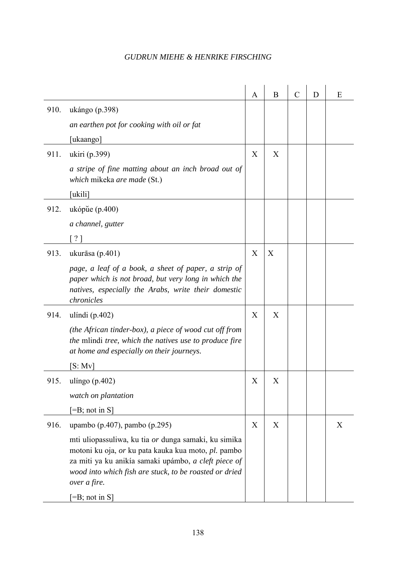|      |                                                                                                                                                                                                                                               | A | B | $\mathcal{C}$ | D | E |
|------|-----------------------------------------------------------------------------------------------------------------------------------------------------------------------------------------------------------------------------------------------|---|---|---------------|---|---|
| 910. | ukángo (p.398)                                                                                                                                                                                                                                |   |   |               |   |   |
|      | an earthen pot for cooking with oil or fat                                                                                                                                                                                                    |   |   |               |   |   |
|      | [ukaango]                                                                                                                                                                                                                                     |   |   |               |   |   |
| 911. | ukiri (p.399)                                                                                                                                                                                                                                 | X | X |               |   |   |
|      | a stripe of fine matting about an inch broad out of<br>which mikeka are made (St.)                                                                                                                                                            |   |   |               |   |   |
|      | [ukili]                                                                                                                                                                                                                                       |   |   |               |   |   |
| 912. | ukópue $(p.400)$                                                                                                                                                                                                                              |   |   |               |   |   |
|      | a channel, gutter                                                                                                                                                                                                                             |   |   |               |   |   |
|      | $\lceil ? \rceil$                                                                                                                                                                                                                             |   |   |               |   |   |
| 913. | ukurāsa $(p.401)$                                                                                                                                                                                                                             | X | X |               |   |   |
|      | page, a leaf of a book, a sheet of paper, a strip of<br>paper which is not broad, but very long in which the<br>natives, especially the Arabs, write their domestic<br>chronicles                                                             |   |   |               |   |   |
| 914. | ulíndi $(p.402)$                                                                                                                                                                                                                              | X | X |               |   |   |
|      | (the African tinder-box), a piece of wood cut off from<br>the mlindi tree, which the natives use to produce fire<br>at home and especially on their journeys.                                                                                 |   |   |               |   |   |
|      | [S: Mv]                                                                                                                                                                                                                                       |   |   |               |   |   |
| 915. | ulíngo $(p.402)$                                                                                                                                                                                                                              | X | X |               |   |   |
|      | watch on plantation                                                                                                                                                                                                                           |   |   |               |   |   |
|      | $\left[-B\right]$ ; not in S]                                                                                                                                                                                                                 |   |   |               |   |   |
| 916. | upambo (p.407), pambo (p.295)                                                                                                                                                                                                                 | X | X |               |   | X |
|      | mti uliopassuliwa, ku tia or dunga samaki, ku simika<br>motoni ku oja, or ku pata kauka kua moto, pl. pambo<br>za miti ya ku anikía samaki upámbo, a cleft piece of<br>wood into which fish are stuck, to be roasted or dried<br>over a fire. |   |   |               |   |   |
|      | $[=B; not in S]$                                                                                                                                                                                                                              |   |   |               |   |   |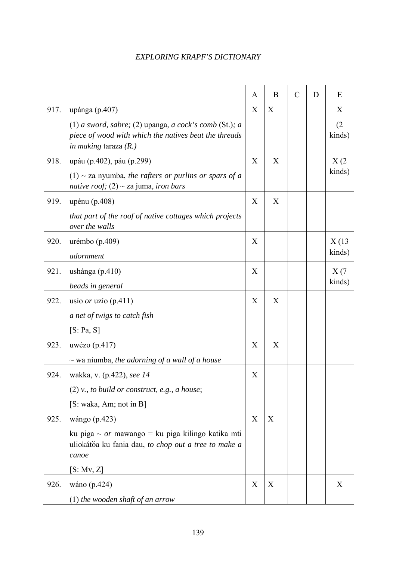|      |                                                                                                                                            | A | B | $\mathcal{C}$ | D | Ε             |
|------|--------------------------------------------------------------------------------------------------------------------------------------------|---|---|---------------|---|---------------|
| 917. | upánga (p.407)                                                                                                                             | X | X |               |   | X             |
|      | (1) a sword, sabre; (2) upanga, a cock's comb (St.); a<br>piece of wood with which the natives beat the threads<br>in making taraza $(R.)$ |   |   |               |   | (2)<br>kinds) |
| 918. | upáu (p.402), páu (p.299)                                                                                                                  | X | X |               |   | X(2)          |
|      | $(1)$ ~ za nyumba, the rafters or purlins or spars of a<br>native roof; $(2) \sim$ za juma, iron bars                                      |   |   |               |   | kinds)        |
| 919. | upénu (p.408)                                                                                                                              | X | X |               |   |               |
|      | that part of the roof of native cottages which projects<br>over the walls                                                                  |   |   |               |   |               |
| 920. | urémbo $(p.409)$                                                                                                                           | X |   |               |   | X(13)         |
|      | adornment                                                                                                                                  |   |   |               |   | kinds)        |
| 921. | ushánga $(p.410)$                                                                                                                          | X |   |               |   | X(7)          |
|      | beads in general                                                                                                                           |   |   |               |   | kinds)        |
| 922. | usío <i>or</i> uzío (p.411)                                                                                                                | X | X |               |   |               |
|      | a net of twigs to catch fish                                                                                                               |   |   |               |   |               |
|      | [S: Pa, S]                                                                                                                                 |   |   |               |   |               |
| 923. | uwézo $(p.417)$                                                                                                                            | X | X |               |   |               |
|      | $\sim$ wa niumba, the adorning of a wall of a house                                                                                        |   |   |               |   |               |
| 924. | wakka, v. (p.422), see 14                                                                                                                  | X |   |               |   |               |
|      | $(2)$ v., to build or construct, e.g., a house;                                                                                            |   |   |               |   |               |
|      | [S: waka, Am; not in B]                                                                                                                    |   |   |               |   |               |
| 925. | wángo (p.423)                                                                                                                              | X | X |               |   |               |
|      | ku piga ~ $or$ mawango = ku piga kilingo katika mti<br>uliokátoa ku fania dau, to chop out a tree to make a<br>canoe                       |   |   |               |   |               |
|      | [S: Mv, Z]                                                                                                                                 |   |   |               |   |               |
| 926. | wáno (p.424)                                                                                                                               | X | X |               |   | X             |
|      | $(1)$ the wooden shaft of an arrow                                                                                                         |   |   |               |   |               |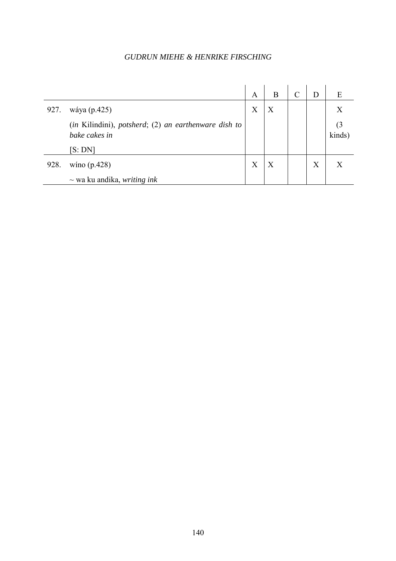|      |                                                                       | A | В | D | E      |
|------|-----------------------------------------------------------------------|---|---|---|--------|
| 927. | wáya (p.425)                                                          | Χ | X |   |        |
|      | (in Kilindini), potsherd; (2) an earthenware dish to<br>bake cakes in |   |   |   | kinds) |
|      | [S:DN]                                                                |   |   |   |        |
| 928. | wino $(p.428)$                                                        | Χ | X | X |        |
|      | $\sim$ wa ku andika, <i>writing ink</i>                               |   |   |   |        |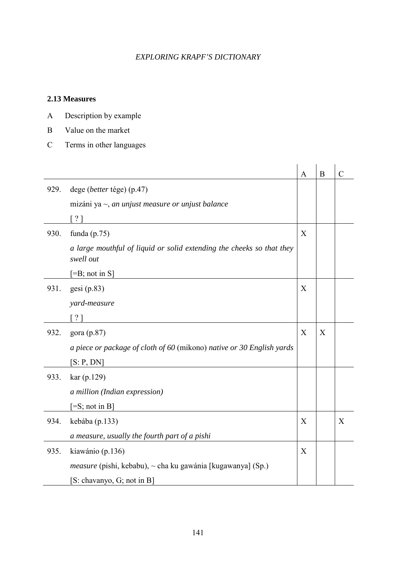#### **2.13 Measures**

- A Description by example
- B Value on the market
- C Terms in other languages

|      |                                                                                    | A | B | $\mathcal{C}$ |
|------|------------------------------------------------------------------------------------|---|---|---------------|
| 929. | dege (better tége) (p.47)                                                          |   |   |               |
|      | mizáni ya $\sim$ , an unjust measure or unjust balance                             |   |   |               |
|      | $\lceil$ ? 1                                                                       |   |   |               |
| 930. | funda $(p.75)$                                                                     | X |   |               |
|      | a large mouthful of liquid or solid extending the cheeks so that they<br>swell out |   |   |               |
|      | $[=B; not in S]$                                                                   |   |   |               |
| 931. | gesi (p.83)                                                                        | X |   |               |
|      | yard-measure                                                                       |   |   |               |
|      | $\left  \frac{2}{3} \right $                                                       |   |   |               |
| 932. | gora (p.87)                                                                        | X | X |               |
|      | a piece or package of cloth of 60 (mikono) native or 30 English yards              |   |   |               |
|      | [S: P, DN]                                                                         |   |   |               |
| 933. | kar (p.129)                                                                        |   |   |               |
|      | a million (Indian expression)                                                      |   |   |               |
|      | $\left[ =S; \text{not in } B \right]$                                              |   |   |               |
| 934. | kebába (p.133)                                                                     | X |   | X             |
|      | a measure, usually the fourth part of a pishi                                      |   |   |               |
| 935. | kiawánio (p.136)                                                                   | X |   |               |
|      | <i>measure</i> (pishi, kebabu), $\sim$ cha ku gawánia [kugawanya] (Sp.)            |   |   |               |
|      | [S: chavanyo, G; not in B]                                                         |   |   |               |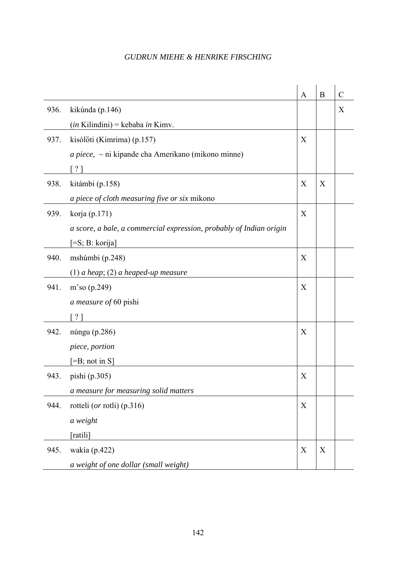|      |                                                                     | $\mathbf{A}$ | B | $\overline{C}$   |
|------|---------------------------------------------------------------------|--------------|---|------------------|
| 936. | kikúnda (p.146)                                                     |              |   | $\boldsymbol{X}$ |
|      | $(in$ Kilindini $)$ = kebaba <i>in</i> Kimv.                        |              |   |                  |
| 937. | kisólóti (Kimrima) (p.157)                                          | X            |   |                  |
|      | $a piece, \sim ni$ kipande cha Amerikano (mikono minne)             |              |   |                  |
|      | $?$ ]                                                               |              |   |                  |
| 938. | kitámbi (p.158)                                                     | X            | X |                  |
|      | a piece of cloth measuring five or six mikono                       |              |   |                  |
| 939. | korja (p.171)                                                       | X            |   |                  |
|      | a score, a bale, a commercial expression, probably of Indian origin |              |   |                  |
|      | [=S; B: korija]                                                     |              |   |                  |
| 940. | mshúmbi (p.248)                                                     | X            |   |                  |
|      | $(1)$ a heap; $(2)$ a heaped-up measure                             |              |   |                  |
| 941. | m'so (p.249)                                                        | X            |   |                  |
|      | a measure of 60 pishi                                               |              |   |                  |
|      | ? 1                                                                 |              |   |                  |
| 942. | núngu (p.286)                                                       | X            |   |                  |
|      | piece, portion                                                      |              |   |                  |
|      | $[=B; not in S]$                                                    |              |   |                  |
| 943. | pishi (p.305)                                                       | X            |   |                  |
|      | a measure for measuring solid matters                               |              |   |                  |
| 944. | rotteli (or rotli) (p.316)                                          | X            |   |                  |
|      | a weight                                                            |              |   |                  |
|      | [ratili]                                                            |              |   |                  |
| 945. | wakía (p.422)                                                       | X            | X |                  |
|      | a weight of one dollar (small weight)                               |              |   |                  |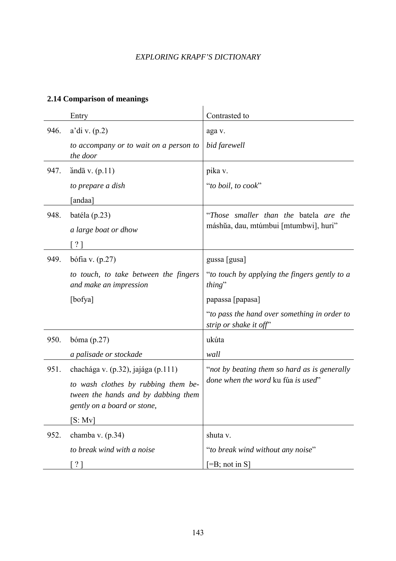# **2.14 Comparison of meanings**

|      | Entry                                                                                                     | Contrasted to                                                          |
|------|-----------------------------------------------------------------------------------------------------------|------------------------------------------------------------------------|
| 946. | a'di v. (p.2)                                                                                             | aga v.                                                                 |
|      | to accompany or to wait on a person to<br>the door                                                        | bid farewell                                                           |
| 947. | anda v. $(p.11)$                                                                                          | pika v.                                                                |
|      | to prepare a dish                                                                                         | "to boil, to cook"                                                     |
|      | andaa]                                                                                                    |                                                                        |
| 948. | batéla (p.23)                                                                                             | "Those smaller than the batela are the                                 |
|      | a large boat or dhow                                                                                      | máshŭa, dau, mtúmbui [mtumbwi], huri"                                  |
|      | $\lceil$ ? ]                                                                                              |                                                                        |
| 949. | bófia v. $(p.27)$                                                                                         | gussa [gusa]                                                           |
|      | to touch, to take between the fingers<br>and make an impression                                           | "to touch by applying the fingers gently to a<br>thing"                |
|      | [bofya]                                                                                                   | papassa [papasa]                                                       |
|      |                                                                                                           | "to pass the hand over something in order to<br>strip or shake it off" |
| 950. | bóma $(p.27)$                                                                                             | ukúta                                                                  |
|      | a palisade or stockade                                                                                    | wall                                                                   |
| 951. | chachága v. (p.32), jajága (p.111)                                                                        | "not by beating them so hard as is generally                           |
|      | to wash clothes by rubbing them be-<br>tween the hands and by dabbing them<br>gently on a board or stone, | done when the word ku fúa is used"                                     |
|      | [S: Mv]                                                                                                   |                                                                        |
| 952. | chamba v. $(p.34)$                                                                                        | shuta v.                                                               |
|      | to break wind with a noise                                                                                | "to break wind without any noise"                                      |
|      | $\lceil ? \rceil$                                                                                         | $[=B; not in S]$                                                       |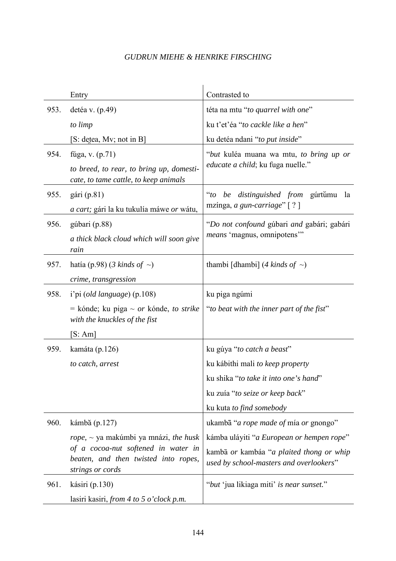|      | Entry                                                                                           | Contrasted to                                                                       |
|------|-------------------------------------------------------------------------------------------------|-------------------------------------------------------------------------------------|
| 953. | detéa v. $(p.49)$                                                                               | téta na mtu "to quarrel with one"                                                   |
|      | to limp                                                                                         | ku t'et'éa "to cackle like a hen"                                                   |
|      | [S: detea, Mv; not in B]                                                                        | ku detéa ndani "to put inside"                                                      |
| 954. | fúga, v. (p.71)                                                                                 | "but kuléa muana wa mtu, to bring up or                                             |
|      | to breed, to rear, to bring up, domesti-<br>cate, to tame cattle, to keep animals               | <i>educate a child</i> ; ku fuga nuelle."                                           |
| 955. | $gári$ (p.81)                                                                                   | <i>distinguished from gurtumu</i><br>$\mathcal{L}$<br>la<br>be                      |
|      | <i>a cart</i> ; gári la ku tukulía máwe <i>or</i> wátu,                                         | mzínga, a gun-carriage" [?]                                                         |
| 956. | gúbari (p.88)                                                                                   | "Do not confound gúbari and gabári; gabári                                          |
|      | a thick black cloud which will soon give<br>rain                                                | means 'magnus, omnipotens'"                                                         |
| 957. | hatía (p.98) (3 kinds of $\sim$ )                                                               | thambi [dhambi] (4 kinds of $\sim$ )                                                |
|      | crime, transgression                                                                            |                                                                                     |
| 958. | i'pi (old language) (p.108)                                                                     | ku piga ngúmi                                                                       |
|      | = kónde; ku piga $\sim$ or kónde, to strike<br>with the knuckles of the fist                    | "to beat with the inner part of the fist"                                           |
|      | [S:Am]                                                                                          |                                                                                     |
| 959. | kamáta (p.126)                                                                                  | ku gúya "to catch a beast"                                                          |
|      | to catch, arrest                                                                                | ku kábithi mali to keep property                                                    |
|      |                                                                                                 | ku shika "to take it into one's hand"                                               |
|      |                                                                                                 | ku zuía "to seize or keep back"                                                     |
|      |                                                                                                 | ku kuta to find somebody                                                            |
| 960. | kámba (p.127)                                                                                   | ukambā " <i>a rope made of</i> mía <i>or</i> gnongo"                                |
|      | $rope, \sim ya$ makúmbi ya mnázi, the husk                                                      | kámba uláyiti "a European or hempen rope"                                           |
|      | of a cocoa-nut softened in water in<br>beaten, and then twisted into ropes,<br>strings or cords | kambā or kambáa "a plaited thong or whip<br>used by school-masters and overlookers" |
| 961. | kásiri (p.130)                                                                                  | "but 'jua likiaga miti' is near sunset."                                            |
|      | lasiri kasiri, from 4 to 5 o'clock p.m.                                                         |                                                                                     |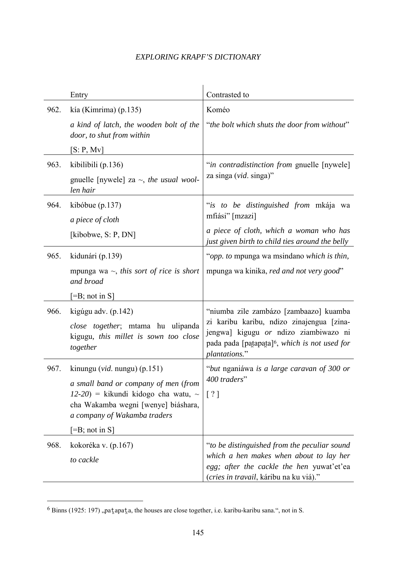|      | Entry                                                                                                         | Contrasted to                                                                                                                                                    |
|------|---------------------------------------------------------------------------------------------------------------|------------------------------------------------------------------------------------------------------------------------------------------------------------------|
| 962. | kía (Kimrima) (p.135)                                                                                         | Koméo                                                                                                                                                            |
|      | a kind of latch, the wooden bolt of the<br>door, to shut from within                                          | "the bolt which shuts the door from without"                                                                                                                     |
|      | [S: P, Mv]                                                                                                    |                                                                                                                                                                  |
| 963. | kibilibili (p.136)                                                                                            | "in contradistinction from gnuelle [nywele]                                                                                                                      |
|      | gnuelle [nywele] za $\sim$ , the usual wool-<br>len hair                                                      | za singa (vid. singa)"                                                                                                                                           |
| 964. | kibóbue $(p.137)$                                                                                             | "is to be distinguished from mkája wa                                                                                                                            |
|      | a piece of cloth                                                                                              | mfiási" [mzazi]                                                                                                                                                  |
|      | [kibobwe, $S: P, DN$ ]                                                                                        | a piece of cloth, which a woman who has<br>just given birth to child ties around the belly                                                                       |
| 965. | kidunári (p.139)                                                                                              | "opp. to mpunga wa msindano which is thin,                                                                                                                       |
|      | mpunga wa $\sim$ , this sort of rice is short<br>and broad                                                    | mpunga wa kinika, red and not very good"                                                                                                                         |
|      | $[=B; not in S]$                                                                                              |                                                                                                                                                                  |
| 966. | kigúgu adv. (p.142)                                                                                           | "niumba zile zambázo [zambaazo] kuamba                                                                                                                           |
|      | close together; mtama hu ulipanda<br>kigugu, this millet is sown too close<br>together                        | zi karibu karibu, ndizo zinajengua [zina-<br>jengwa] kigugu or ndizo ziambiwazo ni<br>pada pada [patapata] <sup>6</sup> , which is not used for<br>plantations." |
| 967. | kinungu ( <i>vid.</i> nungu) (p.151)                                                                          | "but nganiáwa is a large caravan of 300 or                                                                                                                       |
|      | a small band or company of men (from                                                                          | 400 traders"                                                                                                                                                     |
|      | $12-20$ ) = kikundi kidogo cha watu, ~<br>cha Wakamba wegni [wenye] biáshara,<br>a company of Wakamba traders | $\lceil ? \rceil$                                                                                                                                                |
|      | $\left[ =B; \text{ not in } S \right]$                                                                        |                                                                                                                                                                  |
| 968. | kokoréka v. (p.167)                                                                                           | "to be distinguished from the peculiar sound                                                                                                                     |
|      | to cackle                                                                                                     | which a hen makes when about to lay her<br>egg; after the cackle the hen yuwat'et'ea<br>(cries in travail, káribu na ku viá)."                                   |

 $6$  Binns (1925: 197), pat apat a, the houses are close together, i.e. karibu-karibu sana.", not in S.

 $\overline{a}$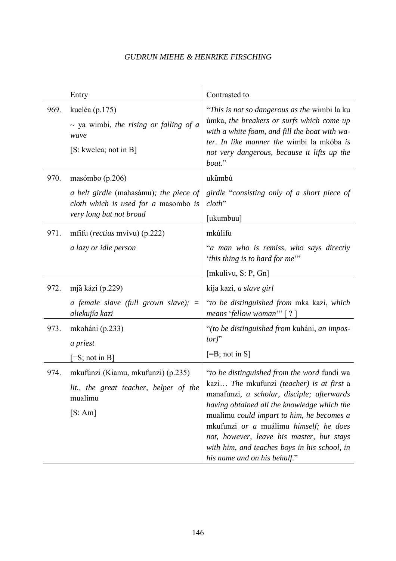|      | Entry                                                                                                     | Contrasted to                                                                                                                                                                                                                                                                                                                                                                                             |
|------|-----------------------------------------------------------------------------------------------------------|-----------------------------------------------------------------------------------------------------------------------------------------------------------------------------------------------------------------------------------------------------------------------------------------------------------------------------------------------------------------------------------------------------------|
| 969. | kueléa (p.175)<br>$\sim$ ya wimbi, the rising or falling of a<br>wave<br>[S: kwelea; not in B]            | "This is not so dangerous as the wimbi la ku<br>úmka, the breakers or surfs which come up<br>with a white foam, and fill the boat with wa-<br>ter. In like manner the wimbi la mkóba is<br>not very dangerous, because it lifts up the<br>boat."                                                                                                                                                          |
| 970. | masómbo (p.206)                                                                                           | ukumbú                                                                                                                                                                                                                                                                                                                                                                                                    |
|      | a belt girdle (mahasámu); the piece of<br>cloth which is used for a masombo is<br>very long but not broad | girdle "consisting only of a short piece of<br>$cloth$ "<br>[ukumbuu]                                                                                                                                                                                                                                                                                                                                     |
| 971. | mfifu ( <i>rectius</i> mvívu) $(p.222)$                                                                   | mkúlifu                                                                                                                                                                                                                                                                                                                                                                                                   |
|      | a lazy or idle person                                                                                     | "a man who is remiss, who says directly<br>'this thing is to hard for me"                                                                                                                                                                                                                                                                                                                                 |
|      |                                                                                                           | [mkulivu, S: P, Gn]                                                                                                                                                                                                                                                                                                                                                                                       |
| 972. | mjă kázi (p.229)                                                                                          | kija kazi, a slave girl                                                                                                                                                                                                                                                                                                                                                                                   |
|      | a female slave (full grown slave);<br>$\equiv$<br>aliekujía kazi                                          | "to be distinguished from mka kazi, which<br>means 'fellow woman'" $[ ? ]$                                                                                                                                                                                                                                                                                                                                |
| 973. | mkoháni (p.233)<br>a priest                                                                               | "(to be distinguished from kuháni, an impos-<br>$tor)$ "                                                                                                                                                                                                                                                                                                                                                  |
|      | $[=S; not in B]$                                                                                          | $[=B; not in S]$                                                                                                                                                                                                                                                                                                                                                                                          |
| 974. | mkufúnzi (Kiamu, mkufunzi) (p.235)<br>lit., the great teacher, helper of the<br>mualimu<br>[S:Am]         | "to be distinguished from the word fundi wa<br>kazi The mkufunzi (teacher) is at first a<br>manafunzi, a scholar, disciple; afterwards<br>having obtained all the knowledge which the<br>mualimu could impart to him, he becomes a<br>mkufunzi or a muálimu himself; he does<br>not, however, leave his master, but stays<br>with him, and teaches boys in his school, in<br>his name and on his behalf." |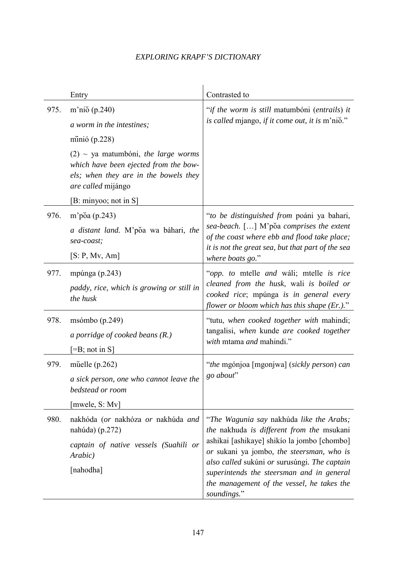|      | Entry                                                                                                                                                                                                                                     | Contrasted to                                                                                                                                                                                                                                                                                                                               |
|------|-------------------------------------------------------------------------------------------------------------------------------------------------------------------------------------------------------------------------------------------|---------------------------------------------------------------------------------------------------------------------------------------------------------------------------------------------------------------------------------------------------------------------------------------------------------------------------------------------|
| 975. | m'nio $(p.240)$<br>a worm in the intestines;<br>minió $(p.228)$<br>$(2)$ ~ ya matumbóni, the large worms<br>which have been ejected from the bow-<br>els; when they are in the bowels they<br>are called mijángo<br>[B: minyoo; not in S] | "if the worm is still matumbóni (entrails) it<br>is called mjango, if it come out, it is m'nio."                                                                                                                                                                                                                                            |
| 976. | m'põa (p.243)<br>a distant land. M'poa wa báhari, the<br>sea-coast;<br>[S: P, Mv, Am]                                                                                                                                                     | "to be distinguished from poáni ya bahari,<br>sea-beach. [] M'poa comprises the extent<br>of the coast where ebb and flood take place;<br>it is not the great sea, but that part of the sea<br>where boats go."                                                                                                                             |
| 977. | mpúnga (p.243)<br>paddy, rice, which is growing or still in<br>the husk                                                                                                                                                                   | "opp. to mtelle and wáli; mtelle is rice<br>cleaned from the husk, wali is boiled or<br>cooked rice; mpúnga is in general every<br>flower or bloom which has this shape $(Er.)$ ."                                                                                                                                                          |
| 978. | msómbo $(p.249)$<br>a porridge of cooked beans $(R.)$<br>$\left[ =B; \text{ not in } S \right]$                                                                                                                                           | "tutu, when cooked together with mahindi;<br>tangalisi, when kunde are cooked together<br>with mtama and mahindi."                                                                                                                                                                                                                          |
| 979. | muelle $(p.262)$<br>a sick person, one who cannot leave the<br>bedstead or room<br>[mwele, S: Mv]                                                                                                                                         | "the mgónjoa [mgonjwa] (sickly person) can<br>go about"                                                                                                                                                                                                                                                                                     |
| 980. | nakhóda (or nakhóza or nakhúda and<br>nahúda) $(p.272)$<br>captain of native vessels (Suahili or<br>Arabic)<br>[nahodha]                                                                                                                  | "The Wagunia say nakhúda like the Arabs;<br>the nakhuda is different from the msukani<br>ashikai [ashikaye] shikio la jombo [chombo]<br>or sukani ya jombo, the steersman, who is<br>also called sukúni or surusúngi. The captain<br>superintends the steersman and in general<br>the management of the vessel, he takes the<br>soundings." |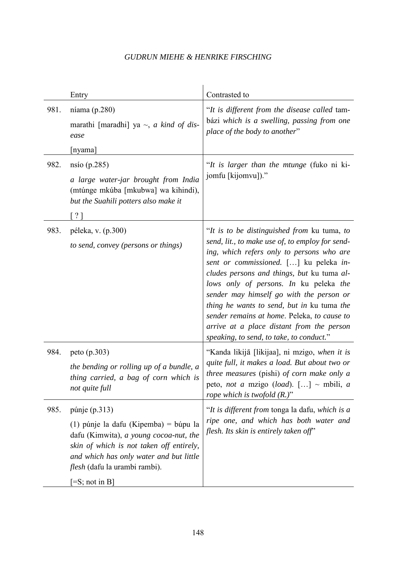|      | Entry                                                                                                                                                                                                                                                                      | Contrasted to                                                                                                                                                                                                                                                                                                                                                                                                                                                                                                   |
|------|----------------------------------------------------------------------------------------------------------------------------------------------------------------------------------------------------------------------------------------------------------------------------|-----------------------------------------------------------------------------------------------------------------------------------------------------------------------------------------------------------------------------------------------------------------------------------------------------------------------------------------------------------------------------------------------------------------------------------------------------------------------------------------------------------------|
| 981. | níama (p.280)<br>marathi [maradhi] ya $\sim$ , <i>a kind of dis-</i><br>ease<br>[nyama]                                                                                                                                                                                    | "It is different from the disease called tam-<br>bázi which is a swelling, passing from one<br>place of the body to another"                                                                                                                                                                                                                                                                                                                                                                                    |
| 982. | nsio(p.285)<br>a large water-jar brought from India<br>(mtúnge mkúba [mkubwa] wa kihindi),<br>but the Suahili potters also make it<br>$\lceil ? \rceil$                                                                                                                    | "It is larger than the mtunge (fuko ni ki-<br>jomfu [kijomvu])."                                                                                                                                                                                                                                                                                                                                                                                                                                                |
| 983. | péleka, v. (p.300)<br>to send, convey (persons or things)                                                                                                                                                                                                                  | "It is to be distinguished from ku tuma, to<br>send, lit., to make use of, to employ for send-<br>ing, which refers only to persons who are<br>sent or commissioned. [] ku peleka in-<br>cludes persons and things, but ku tuma al-<br>lows only of persons. In ku peleka the<br>sender may himself go with the person or<br>thing he wants to send, but in ku tuma the<br>sender remains at home. Peleka, to cause to<br>arrive at a place distant from the person<br>speaking, to send, to take, to conduct." |
| 984. | peto (p.303)<br>the bending or rolling up of a bundle, a<br>thing carried, a bag of corn which is<br>not quite full                                                                                                                                                        | "Kanda likijā [likijaa], ni mzigo, when it is<br>quite full, it makes a load. But about two or<br><i>three measures</i> (pishi) of corn make only a<br>peto, not a mzigo (load). [] ~ mbili, a<br>rope which is twofold $(R.)$ "                                                                                                                                                                                                                                                                                |
| 985. | púnje $(p.313)$<br>(1) púnje la dafu (Kipemba) = búpu la<br>dafu (Kimwita), a young cocoa-nut, the<br>skin of which is not taken off entirely,<br>and which has only water and but little<br><i>flesh</i> (dafu la urambi rambi).<br>$\left[ =S; \text{not in } B \right]$ | "It is different from tonga la dafu, which is a<br>ripe one, and which has both water and<br>flesh. Its skin is entirely taken off"                                                                                                                                                                                                                                                                                                                                                                             |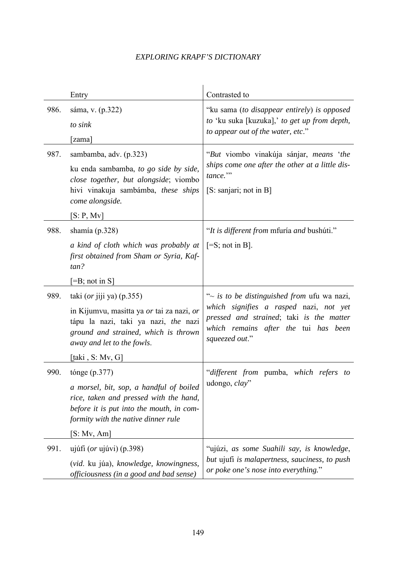|      | Entry                                                                                                                                                                | Contrasted to                                                                                                                                |
|------|----------------------------------------------------------------------------------------------------------------------------------------------------------------------|----------------------------------------------------------------------------------------------------------------------------------------------|
| 986. | sáma, v. (p.322)                                                                                                                                                     | "ku sama (to disappear entirely) is opposed<br>to 'ku suka [kuzuka],' to get up from depth,                                                  |
|      | to sink                                                                                                                                                              | to appear out of the water, etc."                                                                                                            |
|      | [zama]                                                                                                                                                               |                                                                                                                                              |
| 987. | sambamba, adv. (p.323)                                                                                                                                               | "But viombo vinakúja sánjar, means 'the                                                                                                      |
|      | ku enda sambamba, to go side by side,<br>close together, but alongside; viombo                                                                                       | ships come one after the other at a little dis-<br>tance."                                                                                   |
|      | hivi vinakuja sambámba, these ships<br>come alongside.                                                                                                               | [S: sanjari; not in B]                                                                                                                       |
|      | [S: P, Mv]                                                                                                                                                           |                                                                                                                                              |
| 988. | shamía $(p.328)$                                                                                                                                                     | "It is different from mfuria and bushuti."                                                                                                   |
|      | a kind of cloth which was probably at<br>first obtained from Sham or Syria, Kaf-<br>tan?                                                                             | $[=S; not in B].$                                                                                                                            |
|      | $\left[ =B; \text{ not in } S \right]$                                                                                                                               |                                                                                                                                              |
| 989. | taki $(or$ jiji ya) $(p.355)$                                                                                                                                        | "~ is to be distinguished from ufu wa nazi,                                                                                                  |
|      | in Kijumvu, masitta ya or tai za nazi, or<br>tápu la nazi, taki ya nazi, the nazi<br>ground and strained, which is thrown<br>away and let to the fowls.              | which signifies a rasped nazi, not yet<br>pressed and strained; taki is the matter<br>which remains after the tui has been<br>squeezed out." |
|      | [taki , S: Mv, G]                                                                                                                                                    |                                                                                                                                              |
| 990. | tónge $(p.377)$                                                                                                                                                      | "different from pumba, which refers to                                                                                                       |
|      | a morsel, bit, sop, a handful of boiled<br>rice, taken and pressed with the hand,<br>before it is put into the mouth, in com-<br>formity with the native dinner rule | udongo, clay"                                                                                                                                |
|      | [S: Mv, Am]                                                                                                                                                          |                                                                                                                                              |
| 991. | ujúfi $(or$ ujúvi) $(p.398)$                                                                                                                                         | "ujúzi, as some Suahili say, is knowledge,                                                                                                   |
|      | (vid. ku júa), knowledge, knowingness,<br>officiousness (in a good and bad sense)                                                                                    | but ujufi is malapertness, sauciness, to push<br>or poke one's nose into everything."                                                        |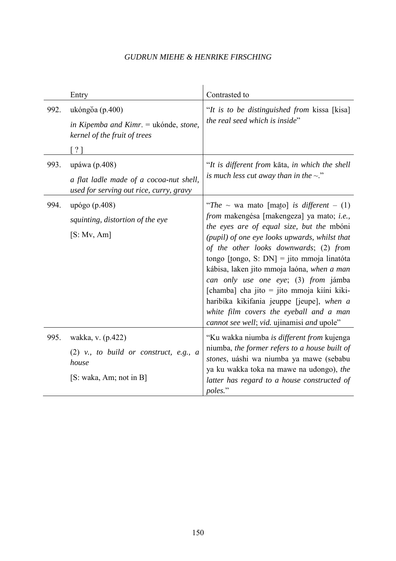|      | Entry                                                                                                    | Contrasted to                                                                                                                                                                                                                                                                                                                                                                                                                                                                                                                                              |
|------|----------------------------------------------------------------------------------------------------------|------------------------------------------------------------------------------------------------------------------------------------------------------------------------------------------------------------------------------------------------------------------------------------------------------------------------------------------------------------------------------------------------------------------------------------------------------------------------------------------------------------------------------------------------------------|
| 992. | ukóngŏa (p.400)<br>in Kipemba and Kimr. = ukónde, stone,<br>kernel of the fruit of trees<br>$\lceil$ ? 1 | "It is to be distinguished from kissa [kisa]<br>the real seed which is inside"                                                                                                                                                                                                                                                                                                                                                                                                                                                                             |
| 993. | upáwa (p.408)<br>a flat ladle made of a cocoa-nut shell,<br>used for serving out rice, curry, gravy      | "It is different from kāta, in which the shell<br>is much less cut away than in the $\sim$ ."                                                                                                                                                                                                                                                                                                                                                                                                                                                              |
| 994. | upógo (p.408)<br>squinting, distortion of the eye<br>[S: Mv, Am]                                         | "The $\sim$ wa mato [mato] is different - (1)<br>from makengésa [makengeza] ya mato; i.e.,<br>the eyes are of equal size, but the mbóni<br>(pupil) of one eye looks upwards, whilst that<br>of the other looks downwards; (2) from<br>tongo [tongo, S: DN] = jito mmoja linatóta<br>kábisa, laken jito mmoja laóna, when a man<br>can only use one eye; (3) from jámba<br>[chamba] cha jito = jito mmoja kiini kiki-<br>haribíka kikifania jeuppe [jeupe], when a<br>white film covers the eyeball and a man<br>cannot see well; vid. ujinamisi and upole" |
| 995. | wakka, v. (p.422)<br>$(2)$ v., to build or construct, e.g., a<br>house<br>[S: waka, Am; not in B]        | "Ku wakka niumba is different from kujenga<br>niumba, the former refers to a house built of<br>stones, uáshi wa niumba ya mawe (sebabu<br>ya ku wakka toka na mawe na udongo), the<br>latter has regard to a house constructed of<br>poles."                                                                                                                                                                                                                                                                                                               |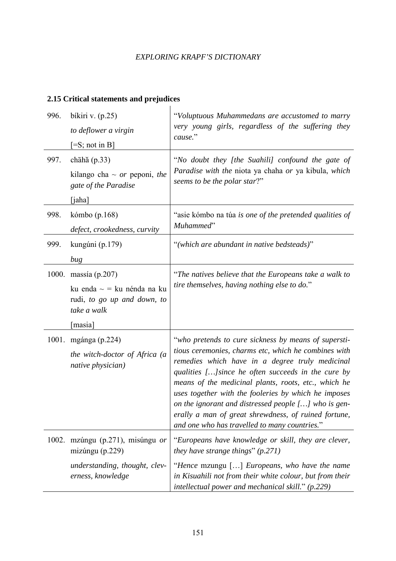# **2.15 Critical statements and prejudices**

| 996. | bíkiri v. $(p.25)$                                                            | "Voluptuous Muhammedans are accustomed to marry<br>very young girls, regardless of the suffering they<br>cause."                                                                                                                                                                                                                                                                                                                                  |
|------|-------------------------------------------------------------------------------|---------------------------------------------------------------------------------------------------------------------------------------------------------------------------------------------------------------------------------------------------------------------------------------------------------------------------------------------------------------------------------------------------------------------------------------------------|
|      | to deflower a virgin                                                          |                                                                                                                                                                                                                                                                                                                                                                                                                                                   |
|      | $=$ S; not in B]                                                              |                                                                                                                                                                                                                                                                                                                                                                                                                                                   |
| 997. | chāhă $(p.33)$                                                                | "No doubt they [the Suahili] confound the gate of                                                                                                                                                                                                                                                                                                                                                                                                 |
|      | kilango cha $\sim$ or peponi, the<br>gate of the Paradise                     | Paradise with the niota ya chaha or ya kibula, which<br>seems to be the polar star?"                                                                                                                                                                                                                                                                                                                                                              |
|      | [iaha]                                                                        |                                                                                                                                                                                                                                                                                                                                                                                                                                                   |
| 998. | kómbo (p.168)<br>defect, crookedness, curvity                                 | "asie kómbo na túa is one of the pretended qualities of<br>Muhammed"                                                                                                                                                                                                                                                                                                                                                                              |
|      |                                                                               |                                                                                                                                                                                                                                                                                                                                                                                                                                                   |
| 999. | kungúni (p.179)                                                               | "(which are abundant in native bedsteads)"                                                                                                                                                                                                                                                                                                                                                                                                        |
|      | bug                                                                           |                                                                                                                                                                                                                                                                                                                                                                                                                                                   |
|      | 1000. massía (p.207)                                                          | "The natives believe that the Europeans take a walk to                                                                                                                                                                                                                                                                                                                                                                                            |
|      | ku enda $\sim$ = ku nénda na ku<br>rudi, to go up and down, to<br>take a walk | tire themselves, having nothing else to do."                                                                                                                                                                                                                                                                                                                                                                                                      |
|      | [masia]                                                                       |                                                                                                                                                                                                                                                                                                                                                                                                                                                   |
|      | 1001. mgánga (p.224)                                                          | "who pretends to cure sickness by means of supersti-                                                                                                                                                                                                                                                                                                                                                                                              |
|      | the witch-doctor of Africa (a<br>native physician)                            | tious ceremonies, charms etc, which he combines with<br>remedies which have in a degree truly medicinal<br>qualities [] since he often succeeds in the cure by<br>means of the medicinal plants, roots, etc., which he<br>uses together with the fooleries by which he imposes<br>on the ignorant and distressed people $[]$ who is gen-<br>erally a man of great shrewdness, of ruined fortune,<br>and one who has travelled to many countries." |
|      | 1002. mzúngu (p.271), misúngu or<br>mizúngu $(p.229)$                         | "Europeans have knowledge or skill, they are clever,<br>they have strange things" $(p.271)$                                                                                                                                                                                                                                                                                                                                                       |
|      | understanding, thought, clev-<br>erness, knowledge                            | "Hence mzungu [] Europeans, who have the name<br>in Kisuahili not from their white colour, but from their<br>intellectual power and mechanical skill." $(p.229)$                                                                                                                                                                                                                                                                                  |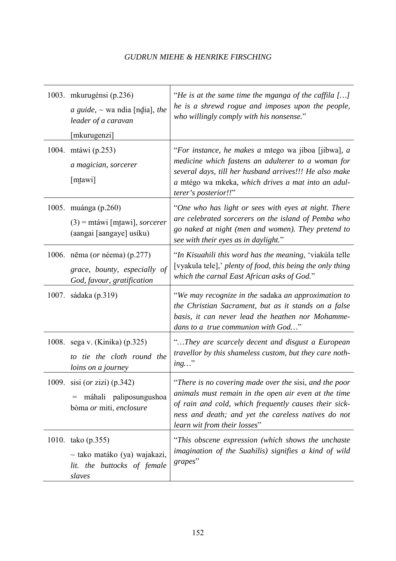|       | 1003. mkurugénsi (p.236)<br><i>a guide</i> , $\sim$ wa ndia [ndia], the<br>leader of a caravan<br>[mkurugenzi] | "He is at the same time the mganga of the caffila $[]$<br>he is a shrewd rogue and imposes upon the people,<br>who willingly comply with his nonsense."                                                                                                        |
|-------|----------------------------------------------------------------------------------------------------------------|----------------------------------------------------------------------------------------------------------------------------------------------------------------------------------------------------------------------------------------------------------------|
|       | 1004. mtáwi (p.253)<br>a magician, sorcerer<br>[mtawi]                                                         | "For instance, he makes a mtego wa jiboa [jibwa], a<br>medicine which fastens an adulterer to a woman for<br>several days, till her husband arrives!!! He also make<br>a mtégo wa mkeka, which drives a mat into an adul-<br>terer's posterior!!"              |
|       | 1005. muánga (p.260)<br>$(3)$ = mtáwi [mtawi], <i>sorcerer</i><br>(aangai [aangaye] usíku)                     | "One who has light or sees with eyes at night. There<br>are celebrated sorcerers on the island of Pemba who<br>go naked at night (men and women). They pretend to<br>see with their eyes as in daylight."                                                      |
|       | 1006. nēma ( <i>or</i> néema) (p.277)<br>grace, bounty, especially of<br>God, favour, gratification            | "In Kisuahili this word has the meaning, 'viakúla telle<br>[vyakula tele],' plenty of food, this being the only thing<br>which the carnal East African asks of God."                                                                                           |
|       | 1007. sádaka (p.319)                                                                                           | "We may recognize in the sadaka an approximation to<br>the Christian Sacrament, but as it stands on a false<br>basis, it can never lead the heathen nor Mohamme-<br>dans to a true communion with God"                                                         |
|       | 1008. sega v. (Kinika) (p.325)<br>to tie the cloth round the<br>loins on a journey                             | "They are scarcely decent and disgust a European<br>travellor by this shameless custom, but they care noth-<br>$ing$ "                                                                                                                                         |
| 1009. | sisi (or zizi) (p.342)<br>máhali paliposungushoa<br>$=$<br>bóma or miti, enclosure                             | "There is no covering made over the sisi, and the poor<br>animals must remain in the open air even at the time<br>of rain and cold, which frequently causes their sick-<br>ness and death; and yet the careless natives do not<br>learn wit from their losses" |
|       | 1010. tako (p.355)<br>$\sim$ tako matáko (ya) wajakazi,<br>lit. the buttocks of female<br>slaves               | "This obscene expression (which shows the unchaste<br>imagination of the Suahilis) signifies a kind of wild<br>grapes"                                                                                                                                         |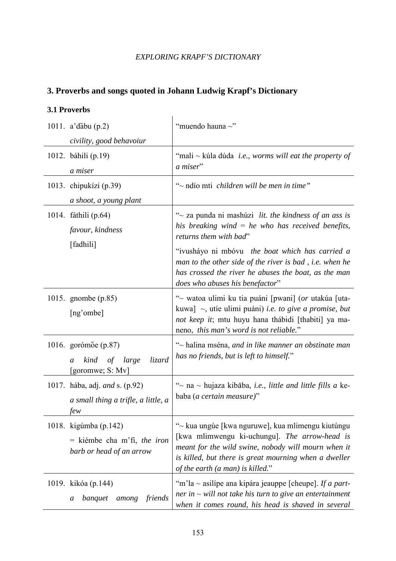# **3. Proverbs and songs quoted in Johann Ludwig Krapf's Dictionary**

#### **3.1 Proverbs**

| 1011. $a'$ dăbu (p.2)                                                               | "muendo hauna $\sim$ "                                                                                                                                                                                                                                 |
|-------------------------------------------------------------------------------------|--------------------------------------------------------------------------------------------------------------------------------------------------------------------------------------------------------------------------------------------------------|
| civility, good behavoiur                                                            |                                                                                                                                                                                                                                                        |
| 1012. báhili (p.19)                                                                 | "mali ~ kúla dúda <i>i.e.</i> , worms will eat the property of<br>a miser"                                                                                                                                                                             |
| a miser                                                                             |                                                                                                                                                                                                                                                        |
| 1013. chipukízi (p.39)                                                              | "~ ndio mti children will be men in time"                                                                                                                                                                                                              |
| a shoot, a young plant                                                              |                                                                                                                                                                                                                                                        |
| 1014. fáthili (p.64)<br>favour, kindness                                            | "~ za punda ni mashúzi lit. the kindness of an ass is<br>his breaking wind $=$ he who has received benefits,<br>returns them with bad"                                                                                                                 |
| [fadhili]                                                                           | "ivusháyo ni mbóvu <i>the boat which has carried a</i><br>man to the other side of the river is bad, i.e. when he<br>has crossed the river he abuses the boat, as the man<br>does who abuses his benefactor"                                           |
| 1015. gnombe (p.85)<br>[ng'ombe]                                                    | "~ watoa ulimi ku tia puáni [pwani] (or utakúa [uta-<br>kuwa] $\sim$ , utie ulimi puáni) <i>i.e. to give a promise, but</i><br>not keep it; mtu huyu hana thábidi [thabiti] ya ma-<br>neno, this man's word is not reliable."                          |
| 1016. gorómõe (p.87)<br>kind of large<br>lizard<br>a<br>[goromwe; S: Mv]            | "~ halina mséna, and in like manner an obstinate man<br>has no friends, but is left to himself."                                                                                                                                                       |
| 1017. hába, adj. <i>and</i> s. (p.92)<br>a small thing a trifle, a little, a<br>few | "~ na ~ hujaza kibāba, i.e., little and little fills a ke-<br>baba (a certain measure)"                                                                                                                                                                |
| 1018. kigúmba (p.142)<br>$=$ kiémbe cha m'fi, the iron<br>barb or head of an arrow  | "~ kua ungúe [kwa nguruwe], kua mlimengu kiutúngu<br>[kwa mlimwengu ki-uchungu]. The arrow-head is<br>meant for the wild swine, nobody will mourn when it<br>is killed, but there is great mourning when a dweller<br>of the earth (a man) is killed." |
| 1019. kikóa (p.144)<br>friends<br>banquet<br>among<br>a                             | "m'la ~ asilípe ana kipára jeauppe [cheupe]. If a part-<br>ner in $\sim$ will not take his turn to give an entertainment<br>when it comes round, his head is shaved in several                                                                         |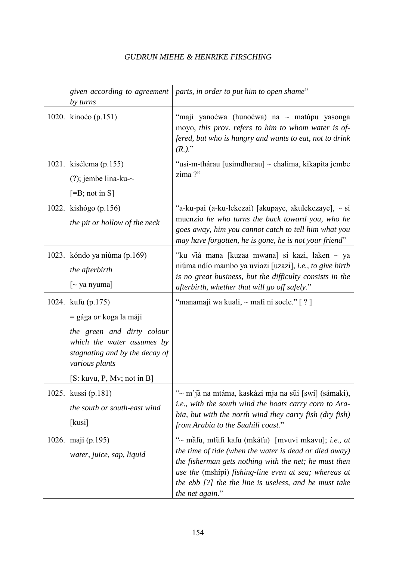| given according to agreement<br>by turns                                                                                                                                                            | parts, in order to put him to open shame"                                                                                                                                                                                                                                                                   |
|-----------------------------------------------------------------------------------------------------------------------------------------------------------------------------------------------------|-------------------------------------------------------------------------------------------------------------------------------------------------------------------------------------------------------------------------------------------------------------------------------------------------------------|
| 1020. kinoéo (p.151)                                                                                                                                                                                | "maji yanoéwa (hunoéwa) na ~ matúpu yasonga<br>moyo, this prov. refers to him to whom water is of-<br>fered, but who is hungry and wants to eat, not to drink<br>$(R.)^{''}$                                                                                                                                |
| 1021. kisélema (p.155)<br>$(?)$ ; jembe lina-ku- $\sim$<br>$[=B; not in S]$                                                                                                                         | "usi-m-thárau [usimdharau] ~ chalima, kikapita jembe<br>zima?"                                                                                                                                                                                                                                              |
| 1022. kishógo (p.156)<br>the pit or hollow of the neck                                                                                                                                              | "a-ku-pai (a-ku-lekezai) [akupaye, akulekezaye], ~ si<br>muenzio he who turns the back toward you, who he<br>goes away, him you cannot catch to tell him what you<br>may have forgotten, he is gone, he is not your friend"                                                                                 |
| 1023. kóndo ya niúma (p.169)<br>the afterbirth<br>$\lceil$ ya nyuma]                                                                                                                                | "ku viá mana [kuzaa mwana] si kazi, laken ~ ya<br>niúma ndío mambo ya uviazi [uzazi], i.e., to give birth<br>is no great business, but the difficulty consists in the<br>afterbirth, whether that will go off safely."                                                                                      |
| 1024. kufu (p.175)<br>$=$ gága <i>or</i> koga la máji<br>the green and dirty colour<br>which the water assumes by<br>stagnating and by the decay of<br>various plants<br>[S: kuvu, P, Mv; not in B] | "manamaji wa kuali, $\sim$ mafi ni soele." [ ? ]                                                                                                                                                                                                                                                            |
| 1025. kussi (p.181)<br>the south or south-east wind<br>[kusi]                                                                                                                                       | "~ m'jă na mtáma, kaskázi mja na sŭi [swi] (sámaki),<br><i>i.e., with the south wind the boats carry corn to Ara-</i><br>bia, but with the north wind they carry fish (dry fish)<br>from Arabia to the Suahili coast."                                                                                      |
| 1026. maji (p.195)<br>water, juice, sap, liquid                                                                                                                                                     | "~ măfu, mfúfi kafu (mkáfu) [mvuvi mkavu]; i.e., at<br>the time of tide (when the water is dead or died away)<br>the fisherman gets nothing with the net; he must then<br>use the (mshipi) fishing-line even at sea; whereas at<br>the ebb [?] the the line is useless, and he must take<br>the net again." |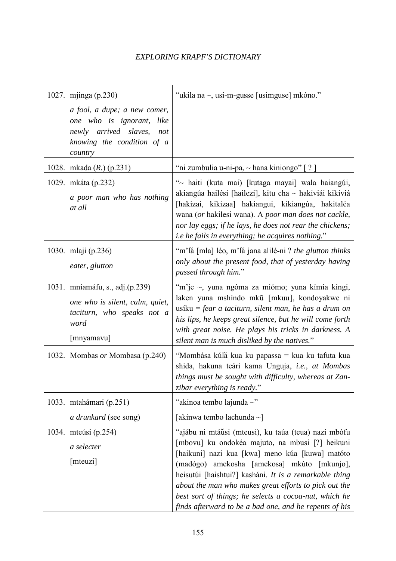| 1027. mjinga (p.230)                                                                                                                  | "ukíla na ~, usi-m-gusse [usimguse] mkóno."                                                                                                                                                                                                                                                                                                                                                                                                     |
|---------------------------------------------------------------------------------------------------------------------------------------|-------------------------------------------------------------------------------------------------------------------------------------------------------------------------------------------------------------------------------------------------------------------------------------------------------------------------------------------------------------------------------------------------------------------------------------------------|
| a fool, a dupe; a new comer,<br>one who is ignorant,<br>like<br>newly arrived slaves,<br>not<br>knowing the condition of a<br>country |                                                                                                                                                                                                                                                                                                                                                                                                                                                 |
| 1028. mkada $(R.)$ (p.231)                                                                                                            | "ni zumbulia u-ni-pa, ~ hana kiniongo" [?]                                                                                                                                                                                                                                                                                                                                                                                                      |
| 1029. mkáta (p.232)<br>a poor man who has nothing<br>at all                                                                           | "~ haiti (kuta mai) [kutaga mayai] wala haiangúi,<br>akiangúa hailési [hailezi], kitu cha ~ hakiviái kikiviá<br>[hakizai, kikizaa] hakiangui, kikiangúa, hakitaléa<br>wana (or hakilesi wana). A poor man does not cackle,<br>nor lay eggs; if he lays, he does not rear the chickens;<br><i>i.e he fails in everything; he acquires nothing.</i> "                                                                                             |
| 1030. mlaji (p.236)<br>eater, glutton                                                                                                 | "m'lă [mla] léo, m'lă jana alilé-ni ? the glutton thinks<br>only about the present food, that of yesterday having<br>passed through him."                                                                                                                                                                                                                                                                                                       |
| 1031. mniamáfu, s., adj.(p.239)<br>one who is silent, calm, quiet,<br>taciturn, who speaks not a<br>word<br>[mnyamavu]                | "m'je ~, yuna ngóma za miómo; yuna kímia kingi,<br>laken yuna mshindo mkū [mkuu], kondoyakwe ni<br>usiku = fear a taciturn, silent man, he has a drum on<br>his lips, he keeps great silence, but he will come forth<br>with great noise. He plays his tricks in darkness. A<br>silent man is much disliked by the natives."                                                                                                                    |
| 1032. Mombas or Mombasa (p.240)                                                                                                       | "Mombása kúlă kua ku papassa = kua ku tafuta kua<br>shida, hakuna teári kama Unguja, i.e., at Mombas<br>things must be sought with difficulty, whereas at Zan-<br>zibar everything is ready."                                                                                                                                                                                                                                                   |
| 1033. mtahámari (p.251)<br>a drunkard (see song)                                                                                      | "akinoa tembo lajunda $\sim$ "<br>[akinwa tembo lachunda ~]                                                                                                                                                                                                                                                                                                                                                                                     |
| 1034. mteúsi (p.254)<br>a selecter<br>[mteuzi]                                                                                        | "ajábu ni mtáŭsi (mteusi), ku taúa (teua) nazi mbófu<br>[mbovu] ku ondokéa majuto, na mbusi [?] heikuni<br>[haikuni] nazi kua [kwa] meno kúa [kuwa] matóto<br>(madógo) amekosha [amekosa] mkúto [mkunjo],<br>heisutúi [haishtui?] kasháni. It is a remarkable thing<br>about the man who makes great efforts to pick out the<br>best sort of things; he selects a cocoa-nut, which he<br>finds afterward to be a bad one, and he repents of his |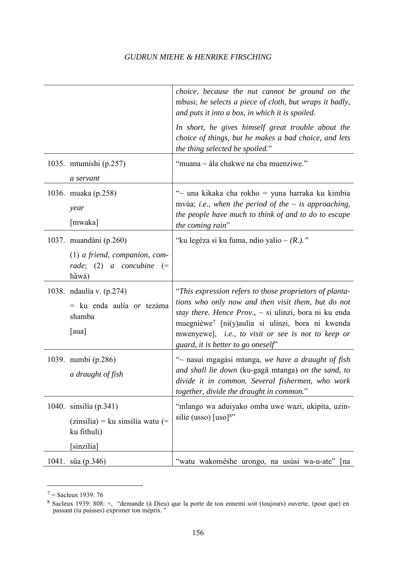|                                                                          | choice, because the nut cannot be ground on the<br>mbusi; he selects a piece of cloth, but wraps it badly,<br>and puts it into a box, in which it is spoiled.                                                                                                                                                                           |
|--------------------------------------------------------------------------|-----------------------------------------------------------------------------------------------------------------------------------------------------------------------------------------------------------------------------------------------------------------------------------------------------------------------------------------|
|                                                                          | In short, he gives himself great trouble about the<br>choice of things, but he makes a bad choice, and lets<br>the thing selected be spoiled."                                                                                                                                                                                          |
| 1035. mtumíshi (p.257)                                                   | "muana ~ ála chakwe na cha muenziwe."                                                                                                                                                                                                                                                                                                   |
| a servant                                                                |                                                                                                                                                                                                                                                                                                                                         |
| 1036. muaka (p.258)<br>year                                              | "~ una kikaka cha rokho = yuna harraka ku kimbia<br>mvúa; <i>i.e.</i> , when the period of the $\sim$ is approaching,                                                                                                                                                                                                                   |
| [mwaka]                                                                  | the people have much to think of and to do to escape<br>the coming rain"                                                                                                                                                                                                                                                                |
| 1037. muandáni (p.260)                                                   | "ku legéza si ku fuma, ndio yalio ~ $(R_+)$ ."                                                                                                                                                                                                                                                                                          |
| $(1)$ a friend, companion, com-<br>rade; (2) a concubine $(=$<br>hăwá)   |                                                                                                                                                                                                                                                                                                                                         |
| 1038. ndaulía v. (p.274)<br>= ku enda aulía or tezáma<br>shamba<br>[aua] | "This expression refers to those proprietors of planta-<br>tions who only now and then visit them, but do not<br>stay there. Hence Prov., $\sim$ si ulinzi, bora ni ku enda<br>muegniéwe <sup>7</sup> [ni(y)aulia si ulinzi, bora ni kwenda<br>mwenyewe], i.e., to visit or see is not to keep or<br>guard, it is better to go oneself" |
| 1039. numbi (p.286)<br>a draught of fish                                 | "~ nasui mgagási mtanga, we have a draught of fish<br>and shall lie down (ku-gagā mtanga) on the sand, to<br>divide it in common. Several fishermen, who work<br>together, divide the draught in common."                                                                                                                               |
| 1040. sinsilía (p.341)                                                   | "mlango wa aduiyako omba uwe wazi, ukipita, uzin-                                                                                                                                                                                                                                                                                       |
| $(zinsilia) = ku sinsilía watu (=$<br>ku fithuli)                        | silíe (usso) [uso] <sup>8"</sup>                                                                                                                                                                                                                                                                                                        |
| [sinzilia]                                                               |                                                                                                                                                                                                                                                                                                                                         |
| 1041. sūa (p.346)                                                        | "watu wakoméshe urongo, na usúsi wa-u-ate"<br>  na                                                                                                                                                                                                                                                                                      |

 $7 =$  Sacleux 1939: 76

 $\overline{a}$ 

<sup>&</sup>lt;sup>8</sup> Sacleux 1939: 808: =, "demande (à Dieu) que la porte de ton ennemi soit (toujours) ouverte, (pour que) en passant (tu puisses) exprimer ton mépris. "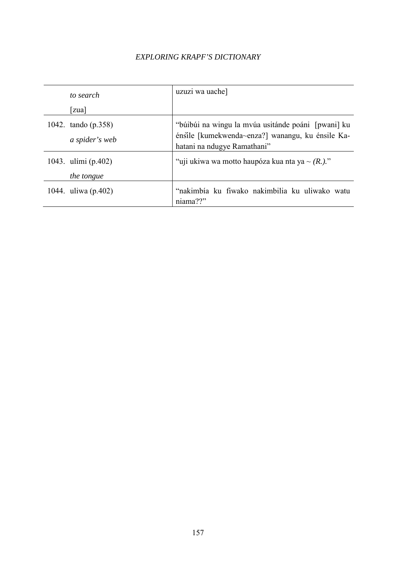| to search                             | uzuzi wa uache]                                                                                                                       |
|---------------------------------------|---------------------------------------------------------------------------------------------------------------------------------------|
| zua                                   |                                                                                                                                       |
| 1042. tando (p.358)<br>a spider's web | "búibúi na wingu la mvúa usitánde poáni [pwani] ku<br>énsile [kumekwenda~enza?] wanangu, ku énsile Ka-<br>hatani na ndugye Ramathani" |
| 1043. ulími (p.402)<br>the tongue     | "uji ukiwa wa motto haupóza kua nta ya ~ $(R_1)$ ."                                                                                   |
| 1044. uliwa (p.402)                   | "nakimbia ku fiwako nakimbilia ku uliwako watu<br>niama??"                                                                            |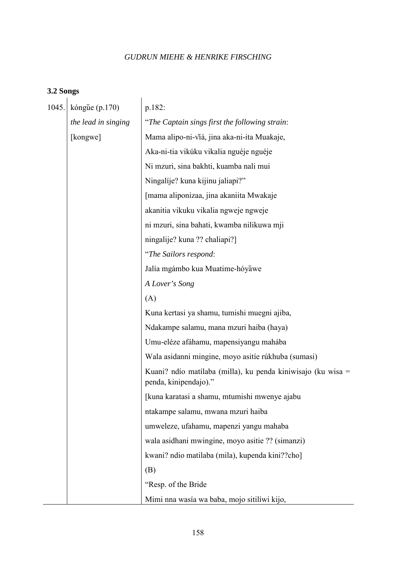#### **3.2 Songs**

| 1045. | kóngue $(p.170)$    | p.182:                                                                                |
|-------|---------------------|---------------------------------------------------------------------------------------|
|       | the lead in singing | "The Captain sings first the following strain:                                        |
|       | [kongwe]            | Mama alipo-ni-viá, jina aka-ni-ita Muakaje,                                           |
|       |                     | Aka-ni-tia vikúku vikalia nguéje nguéje                                               |
|       |                     | Ni mzuri, sina bakhti, kuamba nali mui                                                |
|       |                     | Ningalije? kuna kijinu jaliapi?"                                                      |
|       |                     | [mama aliponizaa, jina akaniita Mwakaje                                               |
|       |                     | akanitia vikuku vikalia ngweje ngweje                                                 |
|       |                     | ni mzuri, sina bahati, kwamba nilikuwa mji                                            |
|       |                     | ningalije? kuna ?? chaliapi?]                                                         |
|       |                     | "The Sailors respond:                                                                 |
|       |                     | Jalía mgámbo kua Muatime-hóyăwe                                                       |
|       |                     | A Lover's Song                                                                        |
|       |                     | (A)                                                                                   |
|       |                     | Kuna kertasi ya shamu, tumishi muegni ajiba,                                          |
|       |                     | Ndakampe salamu, mana mzuri haiba (haya)                                              |
|       |                     | Umu-eléze afáhamu, mapensiyangu mahába                                                |
|       |                     | Wala asidanni mingine, moyo asitie rúkhuba (sumasi)                                   |
|       |                     | Kuani? ndio matilaba (milla), ku penda kiniwisajo (ku wisa =<br>penda, kinipendajo)." |
|       |                     | [kuna karatasi a shamu, mtumishi mwenye ajabu                                         |
|       |                     | ntakampe salamu, mwana mzuri haiba                                                    |
|       |                     | umweleze, ufahamu, mapenzi yangu mahaba                                               |
|       |                     | wala asidhani mwingine, moyo asitie ?? (simanzi)                                      |
|       |                     | kwani? ndio matilaba (mila), kupenda kini??cho]                                       |
|       |                     | (B)                                                                                   |
|       |                     | "Resp. of the Bride                                                                   |
|       |                     | Mimi nna wasía wa baba, mojo sitilíwi kijo,                                           |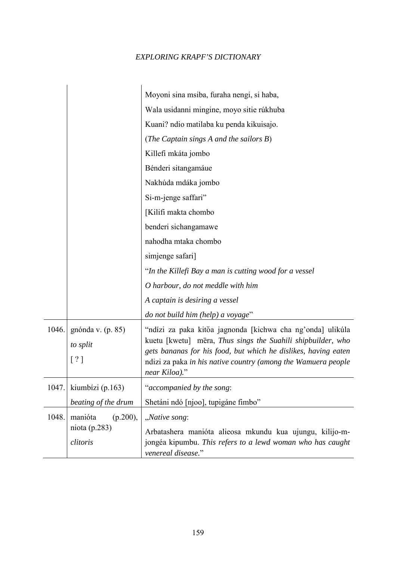|       |                                                     | Moyoni sina msiba, furaha nengi, si haba,                                                                                                                                                                                                                                     |
|-------|-----------------------------------------------------|-------------------------------------------------------------------------------------------------------------------------------------------------------------------------------------------------------------------------------------------------------------------------------|
|       |                                                     | Wala usidanni mingine, moyo sitie rúkhuba                                                                                                                                                                                                                                     |
|       |                                                     | Kuani? ndio matilaba ku penda kikuisajo.                                                                                                                                                                                                                                      |
|       |                                                     | (The Captain sings A and the sailors B)                                                                                                                                                                                                                                       |
|       |                                                     | Killefi mkáta jombo                                                                                                                                                                                                                                                           |
|       |                                                     | Bénderi sitangamáue                                                                                                                                                                                                                                                           |
|       |                                                     | Nakhúda mdáka jombo                                                                                                                                                                                                                                                           |
|       |                                                     | Si-m-jenge saffari"                                                                                                                                                                                                                                                           |
|       |                                                     | [Kilifi makta chombo                                                                                                                                                                                                                                                          |
|       |                                                     | benderi sichangamawe                                                                                                                                                                                                                                                          |
|       |                                                     | nahodha mtaka chombo                                                                                                                                                                                                                                                          |
|       |                                                     | simjenge safari]                                                                                                                                                                                                                                                              |
|       |                                                     | "In the Killefi Bay a man is cutting wood for a vessel                                                                                                                                                                                                                        |
|       |                                                     | O harbour, do not meddle with him                                                                                                                                                                                                                                             |
|       |                                                     | A captain is desiring a vessel                                                                                                                                                                                                                                                |
|       |                                                     | do not build him (help) a voyage"                                                                                                                                                                                                                                             |
| 1046. | gnónda v. (p. 85)<br>to split<br>$\lceil ? \rceil$  | "ndízi za paka kitŏa jagnonda [kichwa cha ng'onda] ulikúla<br>kuetu [kwetu] mēra, Thus sings the Suahili shipbuilder, who<br>gets bananas for his food, but which he dislikes, having eaten<br>ndizi za paka in his native country (among the Wamuera people<br>near Kiloa)." |
| 1047. | kiumbízi (p.163)                                    | "accompanied by the song:                                                                                                                                                                                                                                                     |
|       | beating of the drum                                 | Shetáni ndó [njoo], tupigáne fimbo"                                                                                                                                                                                                                                           |
| 1048. | manióta<br>$(p.200)$ ,<br>niota (p.283)<br>clitoris | "Native song:<br>Arbatashera manióta alieosa mkundu kua ujungu, kilijo-m-<br>jongéa kipumbu. This refers to a lewd woman who has caught                                                                                                                                       |
|       |                                                     | venereal disease."                                                                                                                                                                                                                                                            |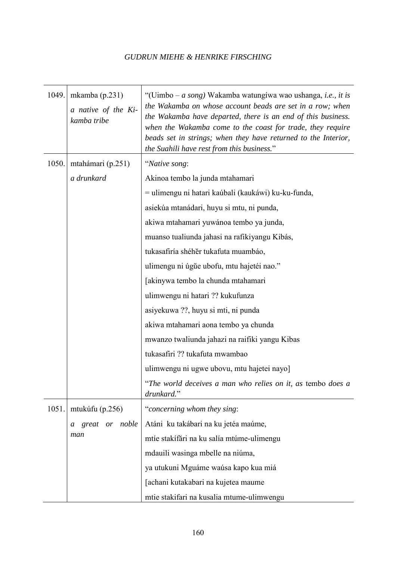| 1049. | mkamba $(p.231)$<br>a native of the Ki-<br>kamba tribe | "(Uimbo – a song) Wakamba watungiwa wao ushanga, i.e., it is<br>the Wakamba on whose account beads are set in a row; when<br>the Wakamba have departed, there is an end of this business.<br>when the Wakamba come to the coast for trade, they require<br>beads set in strings; when they have returned to the Interior,<br>the Suahili have rest from this business." |
|-------|--------------------------------------------------------|-------------------------------------------------------------------------------------------------------------------------------------------------------------------------------------------------------------------------------------------------------------------------------------------------------------------------------------------------------------------------|
| 1050. | mtahámari (p.251)                                      | "Native song:                                                                                                                                                                                                                                                                                                                                                           |
|       | a drunkard                                             | Akinoa tembo la junda mtahamari                                                                                                                                                                                                                                                                                                                                         |
|       |                                                        | = ulimengu ni hatari kaúbali (kaukáwi) ku-ku-funda,                                                                                                                                                                                                                                                                                                                     |
|       |                                                        | asiekúa mtanádari, huyu si mtu, ni punda,                                                                                                                                                                                                                                                                                                                               |
|       |                                                        | akiwa mtahamari yuwánoa tembo ya junda,                                                                                                                                                                                                                                                                                                                                 |
|       |                                                        | muanso tualiunda jahasi na rafikiyangu Kibás,                                                                                                                                                                                                                                                                                                                           |
|       |                                                        | tukasafiría shéhěr tukafuta muambáo,                                                                                                                                                                                                                                                                                                                                    |
|       |                                                        | ulimengu ni úgŭe ubofu, mtu hajetéi nao."                                                                                                                                                                                                                                                                                                                               |
|       |                                                        | [akinywa tembo la chunda mtahamari                                                                                                                                                                                                                                                                                                                                      |
|       |                                                        | ulimwengu ni hatari ?? kukufunza                                                                                                                                                                                                                                                                                                                                        |
|       |                                                        | asiyekuwa ??, huyu si mti, ni punda                                                                                                                                                                                                                                                                                                                                     |
|       |                                                        | akiwa mtahamari aona tembo ya chunda                                                                                                                                                                                                                                                                                                                                    |
|       |                                                        | mwanzo twaliunda jahazi na raifiki yangu Kibas                                                                                                                                                                                                                                                                                                                          |
|       |                                                        | tukasafiri ?? tukafuta mwambao                                                                                                                                                                                                                                                                                                                                          |
|       |                                                        | ulimwengu ni ugwe ubovu, mtu hajetei nayo                                                                                                                                                                                                                                                                                                                               |
|       |                                                        | "The world deceives a man who relies on it, as tembo does a<br>drunkard."                                                                                                                                                                                                                                                                                               |
| 1051. | mtukúfu (p.256)                                        | "concerning whom they sing:                                                                                                                                                                                                                                                                                                                                             |
|       | great or noble<br>a                                    | Atáni ku takábari na ku jetéa maúme,                                                                                                                                                                                                                                                                                                                                    |
|       | man                                                    | mtíe stakífări na ku salía mtúme-ulimengu                                                                                                                                                                                                                                                                                                                               |
|       |                                                        | mdauili wasinga mbelle na niúma,                                                                                                                                                                                                                                                                                                                                        |
|       |                                                        | ya utukuni Mguáme waúsa kapo kua miá                                                                                                                                                                                                                                                                                                                                    |
|       |                                                        | [achani kutakabari na kujetea maume                                                                                                                                                                                                                                                                                                                                     |
|       |                                                        | mtie stakifari na kusalia mtume-ulimwengu                                                                                                                                                                                                                                                                                                                               |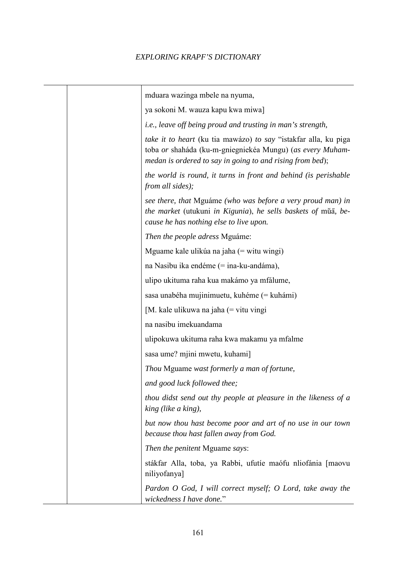| mduara wazinga mbele na nyuma,                                                                                                                                                            |
|-------------------------------------------------------------------------------------------------------------------------------------------------------------------------------------------|
| ya sokoni M. wauza kapu kwa miwa]                                                                                                                                                         |
| <i>i.e., leave off being proud and trusting in man's strength,</i>                                                                                                                        |
| take it to heart (ku tia mawázo) to say "istakfar alla, ku piga<br>toba or shaháda (ku-m-gniegniekéa Mungu) (as every Muham-<br>medan is ordered to say in going to and rising from bed); |
| the world is round, it turns in front and behind (is perishable<br>from all sides);                                                                                                       |
| see there, that Mguáme (who was before a very proud man) in<br>the market (utukuni in Kigunia), he sells baskets of muā, be-<br>cause he has nothing else to live upon.                   |
| Then the people adress Mguáme:                                                                                                                                                            |
| Mguame kale ulikúa na jaha (= witu wingi)                                                                                                                                                 |
| na Nasibu ika endéme (= ina-ku-andáma),                                                                                                                                                   |
| ulipo ukituma raha kua makámo ya mfálume,                                                                                                                                                 |
| sasa unabéha mujinimuetu, kuhéme (= kuhámi)                                                                                                                                               |
| $[M.$ kale ulikuwa na jaha $(=$ vitu vingi                                                                                                                                                |
| na nasibu imekuandama                                                                                                                                                                     |
| ulipokuwa ukituma raha kwa makamu ya mfalme                                                                                                                                               |
| sasa ume? mjini mwetu, kuhami]                                                                                                                                                            |
| Thou Mguame wast formerly a man of fortune,                                                                                                                                               |
| and good luck followed thee;                                                                                                                                                              |
| thou didst send out thy people at pleasure in the likeness of a<br>king (like a king),                                                                                                    |
| but now thou hast become poor and art of no use in our town<br>because thou hast fallen away from God.                                                                                    |
| Then the penitent Mguame says:                                                                                                                                                            |
| stákfar Alla, toba, ya Rabbi, ufutíe maófu nliofánia [maovu<br>niliyofanya]                                                                                                               |
| Pardon O God, I will correct myself; O Lord, take away the<br>wickedness I have done."                                                                                                    |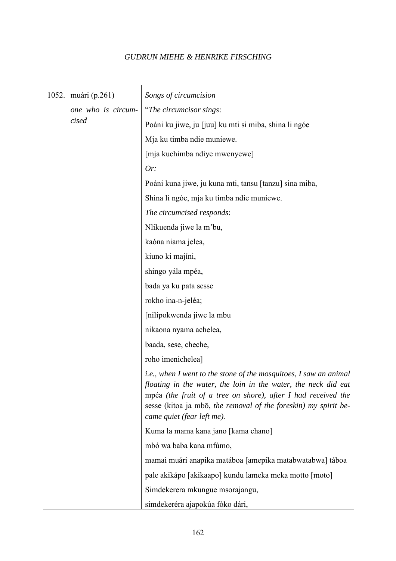| 1052.                       | muári (p.261)                                         | Songs of circumcision                                                                                                                                                                                                                                                                                           |
|-----------------------------|-------------------------------------------------------|-----------------------------------------------------------------------------------------------------------------------------------------------------------------------------------------------------------------------------------------------------------------------------------------------------------------|
| one who is circum-<br>cised |                                                       | "The circumcisor sings:                                                                                                                                                                                                                                                                                         |
|                             | Poáni ku jiwe, ju [juu] ku mti si miba, shina li ngóe |                                                                                                                                                                                                                                                                                                                 |
|                             | Mja ku timba ndie muniewe.                            |                                                                                                                                                                                                                                                                                                                 |
|                             |                                                       | [mja kuchimba ndiye mwenyewe]                                                                                                                                                                                                                                                                                   |
|                             |                                                       | Or:                                                                                                                                                                                                                                                                                                             |
|                             |                                                       | Poáni kuna jiwe, ju kuna mti, tansu [tanzu] sina miba,                                                                                                                                                                                                                                                          |
|                             |                                                       | Shina li ngóe, mja ku timba ndie muniewe.                                                                                                                                                                                                                                                                       |
|                             |                                                       | The circumcised responds:                                                                                                                                                                                                                                                                                       |
|                             |                                                       | Nlikuenda jiwe la m'bu,                                                                                                                                                                                                                                                                                         |
|                             |                                                       | kaóna niama jelea,                                                                                                                                                                                                                                                                                              |
|                             |                                                       | kiuno ki majíni,                                                                                                                                                                                                                                                                                                |
|                             |                                                       | shingo yála mpéa,                                                                                                                                                                                                                                                                                               |
|                             |                                                       | bada ya ku pata sesse                                                                                                                                                                                                                                                                                           |
|                             | rokho ina-n-jeléa;                                    |                                                                                                                                                                                                                                                                                                                 |
|                             | [nilipokwenda jiwe la mbu                             |                                                                                                                                                                                                                                                                                                                 |
|                             |                                                       | nikaona nyama achelea,                                                                                                                                                                                                                                                                                          |
|                             |                                                       | baada, sese, cheche,                                                                                                                                                                                                                                                                                            |
|                             |                                                       | roho imenichelea]                                                                                                                                                                                                                                                                                               |
|                             |                                                       | <i>i.e.</i> , when I went to the stone of the mosquitoes, I saw an animal<br>floating in the water, the loin in the water, the neck did eat<br>mpéa (the fruit of a tree on shore), after $I$ had received the<br>sesse (kitoa ja mbō, the removal of the foreskin) my spirit be-<br>came quiet (fear left me). |
|                             |                                                       | Kuma la mama kana jano [kama chano]                                                                                                                                                                                                                                                                             |
|                             |                                                       | mbó wa baba kana mfúmo,                                                                                                                                                                                                                                                                                         |
|                             |                                                       | mamai muári anapika matáboa [amepika matabwatabwa] táboa                                                                                                                                                                                                                                                        |
|                             |                                                       | pale akikápo [akikaapo] kundu lameka meka motto [moto]                                                                                                                                                                                                                                                          |
|                             |                                                       | Simdekerera mkungue msorajangu,                                                                                                                                                                                                                                                                                 |
|                             |                                                       | simdekeréra ajapokúa fóko dári,                                                                                                                                                                                                                                                                                 |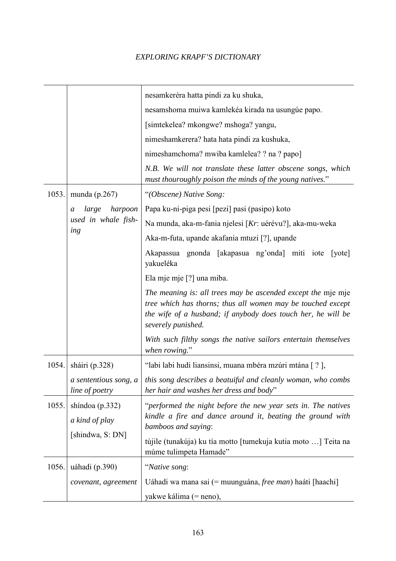|       |                                                       | nesamkeréra hatta pindi za ku shuka,                                                                                                                                                                                 |
|-------|-------------------------------------------------------|----------------------------------------------------------------------------------------------------------------------------------------------------------------------------------------------------------------------|
|       |                                                       | nesamshoma muiwa kamlekéa kirada na usungúe papo.                                                                                                                                                                    |
|       |                                                       | [simtekelea? mkongwe? mshoga? yangu,                                                                                                                                                                                 |
|       |                                                       | nimeshamkerera? hata hata pindi za kushuka,                                                                                                                                                                          |
|       |                                                       | nimeshamchoma? mwiba kamlelea? ? na ? papo]                                                                                                                                                                          |
|       |                                                       | N.B. We will not translate these latter obscene songs, which<br>must thouroughly poison the minds of the young natives."                                                                                             |
| 1053. | munda (p.267)                                         | "(Obscene) Native Song:                                                                                                                                                                                              |
|       | large<br>harpoon<br>a                                 | Papa ku-ni-piga pesi [pezi] pasi (pasipo) koto                                                                                                                                                                       |
|       | used in whale fish-                                   | Na munda, aka-m-fania njelesi [Kr: uérévu?], aka-mu-weka                                                                                                                                                             |
|       | ing                                                   | Aka-m-futa, upande akafania mtuzi [?], upande                                                                                                                                                                        |
|       |                                                       | gnonda [akapasua ng'onda] miti iote<br>Akapassua<br>[yote]<br>yakueléka                                                                                                                                              |
|       |                                                       | Ela mje mje [?] una miba.                                                                                                                                                                                            |
|       |                                                       | The meaning is: all trees may be ascended except the mje mje<br>tree which has thorns; thus all women may be touched except<br>the wife of a husband; if anybody does touch her, he will be<br>severely punished.    |
|       |                                                       | With such filthy songs the native sailors entertain themselves<br>when rowing."                                                                                                                                      |
| 1054. | sháiri (p.328)                                        | "labi labi hudi liansinsi, muana mbéra mzúri mtána [?],                                                                                                                                                              |
|       | a sententious song, a<br>line of poetry               | this song describes a beatuiful and cleanly woman, who combs<br>her hair and washes her dress and body"                                                                                                              |
| 1055. | shíndoa (p.332)<br>a kind of play<br>[shindwa, S: DN] | "performed the night before the new year sets in. The natives<br>kindle a fire and dance around it, beating the ground with<br>bamboos and saying:<br>tújile (tunakúja) ku tía motto [tumekuja kutia moto ] Teita na |
|       |                                                       | múme tulimpeta Hamade"                                                                                                                                                                                               |
| 1056. | uáhadi (p.390)                                        | "Native song:                                                                                                                                                                                                        |
|       | covenant, agreement                                   | Uáhadi wa mana sai (= muunguána, free man) haáti [haachi]                                                                                                                                                            |
|       |                                                       | yakwe kálima (= neno),                                                                                                                                                                                               |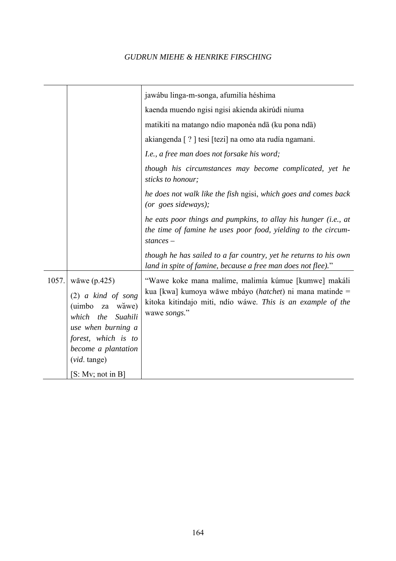|       |                                                                                                                                                                                   | jawábu linga-m-songa, afumilía héshima                                                                                                                                                                  |
|-------|-----------------------------------------------------------------------------------------------------------------------------------------------------------------------------------|---------------------------------------------------------------------------------------------------------------------------------------------------------------------------------------------------------|
|       |                                                                                                                                                                                   | kaenda muendo ngisi ngisi akienda akirúdi niuma                                                                                                                                                         |
|       |                                                                                                                                                                                   | matikiti na matango ndio maponéa nda (ku pona nda)                                                                                                                                                      |
|       |                                                                                                                                                                                   | akiangenda [?] tesi [tezi] na omo ata rudía ngamani.                                                                                                                                                    |
|       |                                                                                                                                                                                   | I.e., a free man does not forsake his word;                                                                                                                                                             |
|       |                                                                                                                                                                                   | though his circumstances may become complicated, yet he<br>sticks to honour;                                                                                                                            |
|       |                                                                                                                                                                                   | he does not walk like the fish ngisi, which goes and comes back<br>(or goes sideways);                                                                                                                  |
|       |                                                                                                                                                                                   | he eats poor things and pumpkins, to allay his hunger (i.e., at<br>the time of famine he uses poor food, yielding to the circum-<br>$stances -$                                                         |
|       |                                                                                                                                                                                   | though he has sailed to a far country, yet he returns to his own<br>land in spite of famine, because a free man does not flee)."                                                                        |
| 1057. | wāwe $(p.425)$<br>$(2)$ a kind of song<br>(uimbo<br>wăwe)<br>za<br>which the<br>Suahili<br>use when burning a<br>forest, which is to<br>become a plantation<br>$(vid. \t{tange})$ | "Wawe koke mana malíme, malimía kúmue [kumwe] makáli<br>kua [kwa] kumoya wāwe mbáyo ( <i>hatchet</i> ) ni mana matinde =<br>kitoka kitindajo miti, ndío wáwe. This is an example of the<br>wawe songs." |
|       | [S: Mv; not in B]                                                                                                                                                                 |                                                                                                                                                                                                         |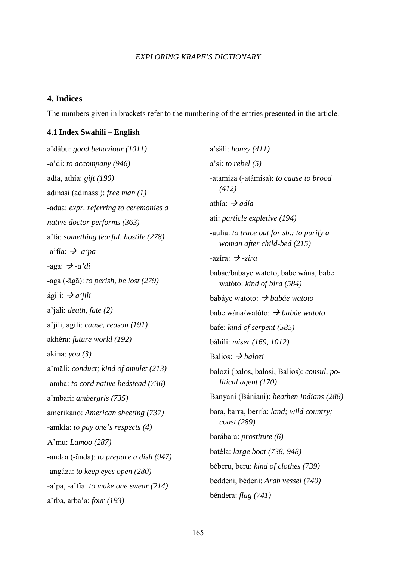#### **4. Indices**

The numbers given in brackets refer to the numbering of the entries presented in the article.

#### **4.1 Index Swahili – English**

a'dabu: *good behaviour (1011)*  -a'di: *to accompany (946)*  adía, athía: *gift (190)*  adinasi (adinassi): *free man (1)*  -adúa: *expr. referring to ceremonies a native doctor performs (363)*  a'fa: *something fearful, hostile (278)*   $-a'$ fía:  $\rightarrow$  *-a'pa* -aga:  $\rightarrow$  -a'di -aga (-ăgā): *to perish, be lost (279)* ágili:  $\rightarrow a'$ *iili* a'jali: *death, fate (2)*  a'jili, ágili: *cause, reason (191)*  akhéra: *future world (192)*  akina: *you (3)*  a'mali: *conduct; kind of amulet (213)*  -amba: *to cord native bedstead (736)*  a'mbari: *ambergris (735)*  amerikano: *American sheeting (737)*  -amkía: *to pay one's respects (4)*  A'mu: *Lamoo (287)*  -andaa (-ănda): *to prepare a dish (947)* -angáza: *to keep eyes open (280)*  -a'pa, -a'fía: *to make one swear (214)*  a'rba, arba'a: *four (193)* 

a'sali: *honey (411)*  a'si: *to rebel (5)*  -atamiza (-atámisa): *to cause to brood (412)*  athía:  *adía*  ati: *particle expletive (194)*  -aulia: *to trace out for sb.; to purify a woman after child-bed (215)*   $-axis$ ira:  $\rightarrow$  *-zira* babáe/babáye watoto, babe wána, babe watóto: *kind of bird (584)*  babáye watoto:  *babáe watoto*  babe wána/watóto:  *babáe watoto*  bafe: *kind of serpent (585)*  báhili: *miser (169, 1012)*  Balios:  *balozi*  balozi (balos, balosi, Balios): *consul, po litical agent (170)*  Banyani (Bániani): *heathen Indians (288)*  bara, barra, berría: *land; wild country; coast (289)*  barábara: *prostitute (6)*  batéla: *large boat (738, 948)*  béberu, beru: *kind of clothes (739)*  beddeni, bédeni: *Arab vessel (740)*  béndera: *flag (741)*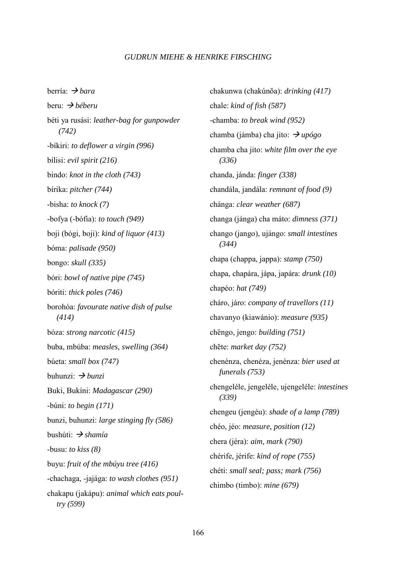berría:  *bara*  beru:  *béberu*  béti ya rusási: *leather-bag for gunpowder (742)*  -bíkiri: *to deflower a virgin (996)*  bílisi: *evil spirit (216)*  bindo: *knot in the cloth (743)*  bírika: *pitcher (744)*  -bisha: *to knock (7)*  -bofya (-bófia): *to touch (949)*  boji (bógi, boji): *kind of liquor (413)*  bóma: *palisade (950)*  bongo: *skull (335)*  bóri: *bowl of native pipe (745)*  bóriti: *thick poles (746)*  borohóa: *favourate native dish of pulse (414)*  bóza: *strong narcotic (415)*  buba, mbúba: *measles, swelling (364)*  búeta: *small box (747)*  buhunzi:  $\rightarrow$  *bunzi* Buki, Bukíni: *Madagascar (290)*  -búni: *to begin (171)*  bunzi, buhunzi: *large stinging fly (586)*  bushúti:  *shamía*  -busu: *to kiss (8)*  buyu: *fruit of the mbúyu tree (416)*  -chachaga, -jajága: *to wash clothes (951)*  chakapu (jakápu): *animal which eats poul try (599)* 

chakunwa (chakúnŏa): *drinking (417)* chale: *kind of fish (587)*  -chamba: *to break wind (952)*  chamba (jámba) cha jito:  $\rightarrow \mu \nu \sigma g \sigma$ chamba cha jito: *white film over the eye (336)*  chanda, jánda: *finger (338)*  chandála, jandála: *remnant of food (9)*  chánga: *clear weather (687)*  changa (jánga) cha máto: *dimness (371)*  chango (jango), ujángo: *small intestines (344)*  chapa (chappa, jappa): *stamp (750)*  chapa, chapára, jápa, japára: *drunk (10)*  chapéo: *hat (749)*  cháro, járo: *company of travellors (11)*  chavanyo (kiawánio): *measure (935)*  chēngo, jengo: *building (751)* chete: *market day (752)*  chenénza, chenéza, jenénza: *bier used at funerals (753)*  chengeléle, jengeléle, ujengeléle: *intestines (339)*  chengeu (jengéu): *shade of a lamp (789)*  chéo, jéo: *measure, position (12)*  chera (jéra): *aim, mark (790)*  chérife, jérife: *kind of rope (755)*  chéti: *small seal; pass; mark (756)*  chimbo (timbo): *mine (679)*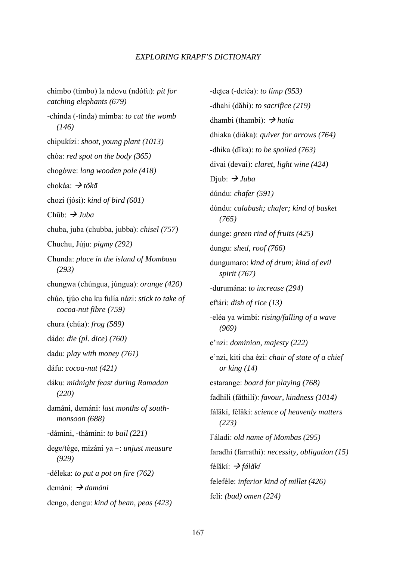chimbo (timbo) la ndovu (ndófu): *pit for catching elephants (679)*  -chinda (-tínda) mimba: *to cut the womb (146)*  chipukízi: *shoot, young plant (1013)*  chóa: *red spot on the body (365)*  chogówe: *long wooden pole (418)*  chokáa:  *to-ka* chozi (jósi): *kind of bird (601)*  Chub:  *Juba*  chuba, juba (chubba, jubba): *chisel (757)*  Chuchu, Júju: *pigmy (292)*  Chunda: *place in the island of Mombasa (293)*  chungwa (chúngua, júngua): *orange (420)*  chúo, tjúo cha ku fulía názi: *stick to take of cocoa-nut fibre (759)*  chura (chúa): *frog (589)*  dádo: *die (pl. dice) (760)*  dadu: *play with money (761)*  dáfu: *cocoa-nut (421)*  dáku: *midnight feast during Ramadan (220)*  damáni, demáni: *last months of south monsoon (688)*  -dámini, -thámini: *to bail (221)*  dege/tége, mizáni ya ~: *unjust measure (929)*  -déleka: *to put a pot on fire (762)*  demáni:  *damáni*  dengo, dengu: *kind of bean, peas (423)* 

-dețea (-detéa): *to limp* (953) -dhahi (dahi): *to sacrifice (219)*  dhambi (thambi):  *hatía*  dhiaka (diáka): *quiver for arrows (764)*  -dhika (dika): *to be spoiled (763)* divai (devai): *claret, light wine (424)*  Diub:  $\rightarrow$  *Juba* dúndu: *chafer (591)*  dúndu: *calabash; chafer; kind of basket (765)*  dunge: *green rind of fruits (425)*  dungu: *shed, roof (766)*  dungumaro: *kind of drum; kind of evil spirit (767)*  -durumána: *to increase (294)*  eftári: *dish of rice (13)*  -eléa ya wimbi: *rising/falling of a wave (969)*  e'nzi: *dominion, majesty (222)*  e'nzi, kiti cha ézi: *chair of state of a chief or king (14)*  estarange: *board for playing (768)*  fadhili (fáthili): *favour, kindness (1014)*  fálakí, félakí: *science of heavenly matters (223)*  Fáladi: *old name of Mombas (295)*  faradhi (farrathi): *necessity, obligation (15)*  félăkí: *→ fálăkí* feleféle: *inferior kind of millet (426)*  feli: *(bad) omen (224)*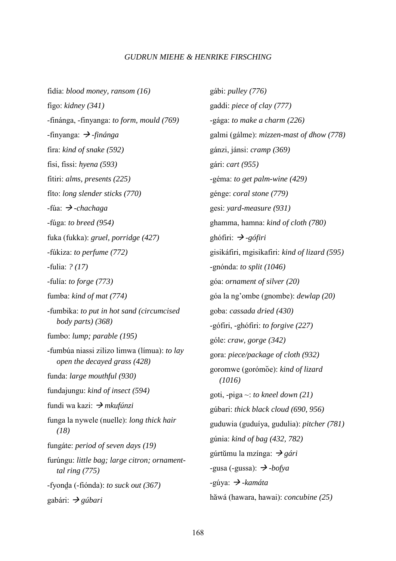fidía: *blood money, ransom (16)*  figo: *kidney (341)*  -finánga, -finyanga: *to form, mould (769)*   $-\text{finyanga}: \rightarrow -\text{fin\,diag}$ fira: *kind of snake (592)*  fisi, fissi: *hyena (593)*  fitiri: *alms, presents (225)*  fíto: *long slender sticks (770)*  -fúa:  *-chachaga*  -fúga: *to breed (954)*  fuka (fukka): *gruel, porridge (427)*  -fúkiza: *to perfume (772)*  -fulia: *? (17)*  -fulía: *to forge (773)*  fumba: *kind of mat (774)*  -fumbika: *to put in hot sand (circumcised body parts) (368)*  fumbo: *lump; parable (195)*  -fumbúa niassi zilizo limwa (límua): *to lay open the decayed grass (428)*  funda: *large mouthful (930)*  fundajungu: *kind of insect (594)*  fundi wa kazi:  *mkufúnzi*  funga la nywele (nuelle): *long thick hair (18)*  fungáte: *period of seven days (19)*  furúngu: *little bag; large citron; ornament tal ring (775)*  fyonda (-fiónda): *to suck out (367)* gabári:  *gúbari* 

gábi: *pulley (776)*  gaddi: *piece of clay (777)*  -gága: *to make a charm (226)*  galmi (gálme): *mizzen-mast of dhow (778)*  gánzi, jánsi: *cramp (369)*  gári: *cart (955)*  -géma: *to get palm-wine (429)*  génge: *coral stone (779)*  gesi: *yard-measure (931)*  ghamma, hamna: *kind of cloth (780)*  ghófiri: *→ -gófiri* gisikáfiri, mgisikafiri: *kind of lizard (595)*  -gnónda: *to split (1046)*  góa: *ornament of silver (20)*  góa la ng'ombe (gnombe): *dewlap (20)*  goba: *cassada dried (430)*  -gófiri, -ghófiri: *to forgive (227)*  góle: *craw, gorge (342)*  gora: *piece/package of cloth (932)*  goromwe (gorómoe): *kind of lizard (1016)*  goti, -piga ~: *to kneel down (21)*  gúbari: *thick black cloud (690, 956)*  guduwia (guduíya, gudulia): *pitcher (781)*  gúnia: *kind of bag (432, 782)*  gúrtumu la mzínga:  *gári*   $-$ gusa ( $-$ gussa):  $\rightarrow$   $-$ *bofya* -gúya:  *-kamáta*  hawá (hawara, hawai): *concubine (25)*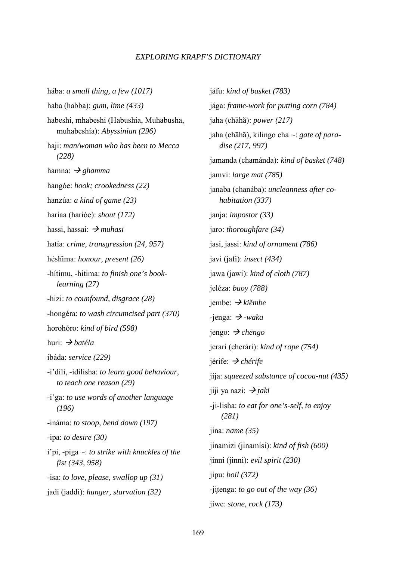hába: *a small thing, a few (1017)*  haba (habba): *gum, lime (433)*  habeshi, mhabeshi (Habushia, Muhabusha, muhabeshía): *Abyssinian (296)*  haji: *man/woman who has been to Mecca (228)*  hamna:  *ghamma*  hangóe: *hook; crookedness (22)*  hanzúa: *a kind of game (23)*  hariaa (harióe): *shout (172)*  hassi, hassai:  $\rightarrow$  *muhasi* hatía: *crime, transgression (24, 957)*  héshima: *honour, present (26)*  -hítimu, -hitima: *to finish one's book learning (27)*  -hizi: *to counfound, disgrace (28)*  -hongéra: *to wash circumcised part (370)*  horohóro: *kind of bird (598)*  huri:  *batéla*  ibáda: *service (229)*  -i'dili, -idilisha: *to learn good behaviour, to teach one reason (29)*  -i'ga: *to use words of another language (196)*  -ináma: *to stoop, bend down (197)*  -ipa: *to desire (30)*  i'pi, -piga ~: *to strike with knuckles of the fist (343, 958)*  -isa: *to love, please, swallop up (31)*  jadi (jaddi): *hunger, starvation (32)* 

jáfu: *kind of basket (783)*  jága: *frame-work for putting corn (784)*  jaha (chāhă): *power (217)* jaha (chāhă), kilingo cha ~: *gate of para dise (217, 997)*  jamanda (chamánda): *kind of basket (748)*  jamvi: *large mat (785)*  janaba (chanába): *uncleanness after co habitation (337)*  janja: *impostor (33)*  jaro: *thoroughfare (34)*  jasi, jassi: *kind of ornament (786)*  javi (jafi): *insect (434)*  jawa (jawi): *kind of cloth (787)*  jeléza: *buoy (788)*  jembe:  *kie-mbe*   $-i$ enga:  $\rightarrow$  *-waka* jengo:  *chengo*  jerari (cherári): *kind of rope (754)*  jérife:  *chérife*  jíja: *squeezed substance of cocoa-nut (435)*  jiji ya nazi:  $\rightarrow$  *taki* -ji-lisha: *to eat for one's-self, to enjoy (281)*  jina: *name (35)*  jinamizi (jinamísi): *kind of fish (600)*  jinni (jinni): *evil spirit (230)*  jípu: *boil (372)*  -jitenga: *to go out of the way* (36) jíwe: *stone, rock (173)*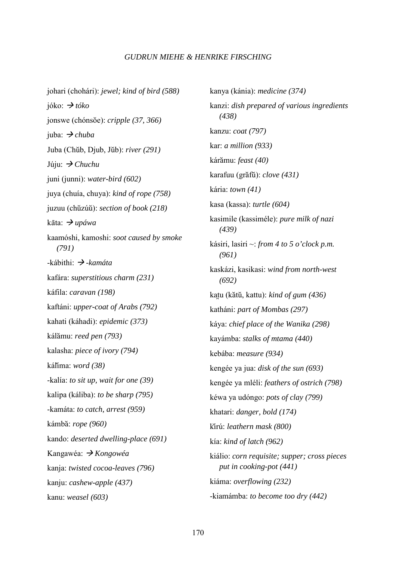johari (chohári): *jewel; kind of bird (588)*  jóko:  $\rightarrow t$ *óko* ionswe (chónsŏe): *cripple* (37, 366) juba:  *chuba*  Juba (Chub, Djub, Jub): *river (291)*  Júju:  *Chuchu*  juni (junni): *water-bird (602)*  juya (chuía, chuya): *kind of rope (758)*  juzuu (chuzúu): *section of book (218)*  kāta: *→ upáwa* kaamóshi, kamoshi: *soot caused by smoke (791)*  -kábithi:  *-kamáta*  kafára: *superstitious charm (231)*  káfila: *caravan (198)*  kaftáni: *upper-coat of Arabs (792)*  kahati (káhadi): *epidemic (373)*  kálamu: *reed pen (793)*  kalasha: *piece of ivory (794)*  kálima: *word (38)*  -kalía: *to sit up, wait for one (39)*  kalipa (káliba): *to be sharp (795)*  -kamáta: *to catch, arrest (959)*  kámba: *rope (960)*  kando: *deserted dwelling-place (691)*  Kangawéa:  *Kongowéa*  kanja: *twisted cocoa-leaves (796)*  kanju: *cashew-apple (437)*  kanu: *weasel (603)* 

kanya (kánia): *medicine (374)*  kanzi: *dish prepared of various ingredients (438)*  kanzu: *coat (797)*  kar: *a million (933)*  káramu: *feast (40)*  karafuu (grafu): *clove (431)*  kária: *town (41)*  kasa (kassa): *turtle (604)*  kasimile (kassiméle): *pure milk of nazi (439)*  kásiri, lasiri ~: *from 4 to 5 o'clock p.m. (961)*  kaskázi, kasikasi: *wind from north-west (692)*  katu (kătŭ, kattu): *kind of gum (436)* katháni: *part of Mombas (297)*  káya: *chief place of the Wanika (298)*  kayámba: *stalks of mtama (440)*  kebába: *measure (934)*  kengée ya jua: *disk of the sun (693)*  kengée ya mléli: *feathers of ostrich (798)*  kéwa ya udóngo: *pots of clay (799)*  khatari: *danger, bold (174)*  kirú: *leathern mask (800)*  kía: *kind of latch (962)*  kiálio: *corn requisite; supper; cross pieces put in cooking-pot (441)*  kiáma: *overflowing (232)*  -kiamámba: *to become too dry (442)*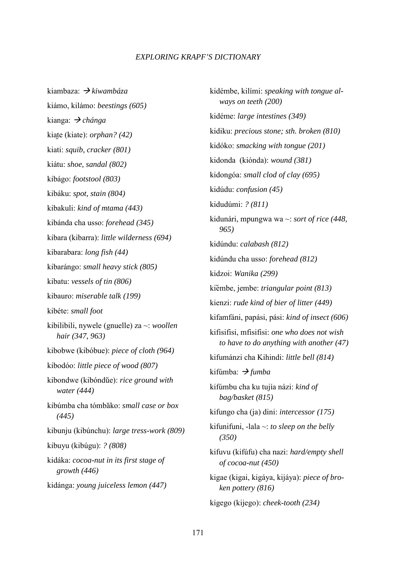kiambaza:  *kiwambáza*  kiámo, kilámo: *beestings (605)*  kianga:  *chánga*  kiate (kiate): *orphan? (42)* kiati: *squib, cracker (801)*  kiátu: *shoe, sandal (802)*  kibágo: *footstool (803)*  kibáku: *spot, stain (804)*  kibakuli: *kind of mtama (443)*  kibánda cha usso: *forehead (345)*  kibara (kibarra): *little wilderness (694)*  kibarabara: *long fish (44)*  kibarángo: *small heavy stick (805)*  kibatu: *vessels of tin (806)*  kibauro: *miserable talk (199)*  kibéte: *small foot*  kibilibili, nywele (gnuelle) za ~: *woollen hair (347, 963)*  kibobwe (kibóbue): *piece of cloth (964)*  kibodóo: *little piece of wood (807)*  kibondwe (kibóndue): *rice ground with water (444)*  kibúmba cha tómbako: *small case or box (445)*  kibunju (kibúnchu): *large tress-work (809)*  kibuyu (kibúgu): *? (808)*  kidáka: *cocoa-nut in its first stage of growth (446)*  kidánga: *young juiceless lemon (447)* 

kidémbe, kilími: *speaking with tongue al ways on teeth (200)*  kidéme: *large intestines (349)*  kidiku: *precious stone; sth. broken (810)*  kidóko: *smacking with tongue (201)*  kidonda (kiónda): *wound (381)*  kidongóa: *small clod of clay (695)*  kidúdu: *confusion (45)*  kidudúmi: *? (811)*  kidunári, mpungwa wa ~: *sort of rice (448, 965)*  kidúndu: *calabash (812)*  kidúndu cha usso: *forehead (812)*  kidzoi: *Wanika (299)*  kiembe, jembe: *triangular point (813)*  kienzi: *rude kind of bier of litter (449)*  kifamfáni, papási, pási: *kind of insect (606)*  kifisifisi, mfisifisi: *one who does not wish to have to do anything with another (47)*  kifumánzi cha Kihindi: *little bell (814)*  kifúmba:  *fumba*  kifúmbu cha ku tujía názi: *kind of bag/basket (815)*  kifungo cha (ja) dini: *intercessor (175)*  kifunifuni, -lala ~: *to sleep on the belly (350)*  kifuvu (kifúfu) cha nazi: *hard/empty shell of cocoa-nut (450)*  kigae (kigai, kigáya, kijáya): *piece of bro ken pottery (816)*  kigego (kijego): *cheek-tooth (234)*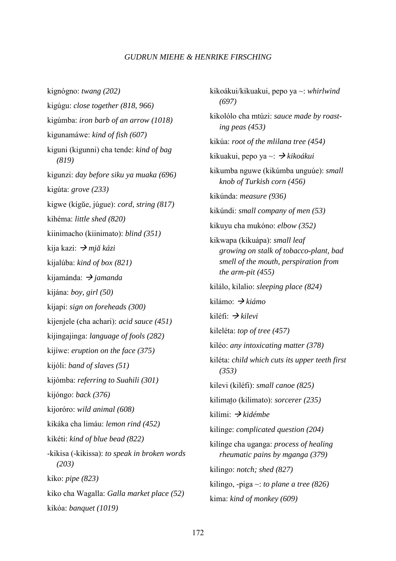kignógno: *twang (202)*  kigúgu: *close together (818, 966)*  kigúmba: *iron barb of an arrow (1018)*  kigunamáwe: *kind of fish (607)*  kiguni (kigunni) cha tende: *kind of bag (819)*  kigunzi: *day before siku ya muaka (696)*  kigúta: *grove (233)*  kigwe (kígue, júgue): *cord, string (817)*  kihéma: *little shed (820)*  kiinimacho (kiinimato): *blind (351)*  kija kazi:  *mja- kázi*  kijalúba: *kind of box (821)*  kijamánda:  *jamanda*  kijána: *boy, girl (50)*  kijapi: *sign on foreheads (300)*  kijenjele (cha achari): *acid sauce (451)*  kijingajinga: *language of fools (282)*  kijíwe: *eruption on the face (375)*  kijóli: *band of slaves (51)*  kijómba: *referring to Suahili (301)*  kijóngo: *back (376)*  kijoróro: *wild animal (608)*  kikáka cha limáu: *lemon rind (452)*  kikéti: *kind of blue bead (822)*  -kikisa (-kikissa): *to speak in broken words (203)*  kiko: *pipe (823)*  kiko cha Wagalla: *Galla market place (52)*  kikóa: *banquet (1019)* 

kikoákui/kikuakui, pepo ya ~: *whirlwind (697)*  kikolólo cha mtúzi: *sauce made by roast ing peas (453)*  kikúa: *root of the mlilana tree (454)*  kikuakui, pepo ya ~:  *kikoákui*  kikumba nguwe (kikúmba unguúe): *small knob of Turkish corn (456)*  kikúnda: *measure (936)*  kikúndi: *small company of men (53)*  kikuyu cha mukóno: *elbow (352)*  kikwapa (kikuápa): *small leaf growing on stalk of tobacco-plant, bad smell of the mouth, perspiration from the arm-pit (455)*  kilálo, kilalio: *sleeping place (824)*  kilámo:  *kiámo*  kiléfi:  *kilevi*  kileléta: *top of tree (457)*  kiléo: *any intoxicating matter (378)*  kiléta: *child which cuts its upper teeth first (353)*  kilevi (kiléfi): *small canoe (825)*  kilimato (kilimato): *sorcerer (235)* kilími:  *kidémbe*  kilínge: *complicated question (204)*  kilínge cha uganga: *process of healing rheumatic pains by mganga (379)*  kilingo: *notch; shed (827)*  kilingo, -piga ~: *to plane a tree (826)*  kima: *kind of monkey (609)*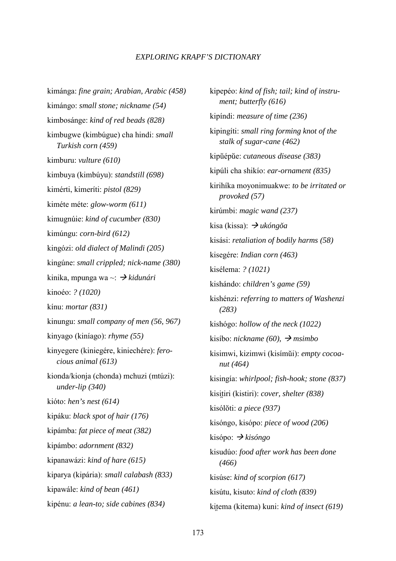kimánga: *fine grain; Arabian, Arabic (458)*  kimángo: *small stone; nickname (54)*  kimbosánge: *kind of red beads (828)*  kimbugwe (kimbúgue) cha hindi: *small Turkish corn (459)*  kimburu: *vulture (610)*  kimbuya (kimbúyu): *standstill (698)*  kimérti, kimeríti: *pistol (829)*  kiméte méte: *glow-worm (611)*  kimugnúie: *kind of cucumber (830)*  kimúngu: *corn-bird (612)*  kingózi: *old dialect of Malindi (205)*  kingúne: *small crippled; nick-name (380)*  kinika, mpunga wa ~:  *kidunári*  kinoéo: *? (1020)*  kínu: *mortar (831)*  kinungu: *small company of men (56, 967)*  kinyago (kiníago): *rhyme (55)*  kinyegere (kiniegére, kiniechére): *fero cious animal (613)*  kionda/kionja (chonda) mchuzi (mtúzi): *under-lip (340)*  kióto: *hen's nest (614)*  kipáku: *black spot of hair (176)*  kipámba: *fat piece of meat (382)*  kipámbo: *adornment (832)*  kipanawázi: *kind of hare (615)*  kiparya (kipária): *small calabash (833)*  kipawále: *kind of bean (461)*  kipénu: *a lean-to; side cabines (834)* 

kipepéo: *kind of fish; tail; kind of instru ment; butterfly (616)*  kipíndi: *measure of time (236)*  kipingíti: *small ring forming knot of the stalk of sugar-cane (462)*  kipuépue: *cutaneous disease (383)*  kipúli cha shikío: *ear-ornament (835)*  kirihíka moyonimuakwe: *to be irritated or provoked (57)*  kirúmbi: *magic wand (237)*  kisa (kissa):  *ukóngo-a*  kisási: *retaliation of bodily harms (58)*  kisegére: *Indian corn (463)*  kisélema: *? (1021)*  kishándo: *children's game (59)*  kishénzi: *referring to matters of Washenzi (283)*  kishógo: *hollow of the neck (1022)*  kisíbo: *nickname (60), msimbo*  kisimwi, kizimwi (kisímui): *empty cocoa nut (464)*  kisingía: *whirlpool; fish-hook; stone (837)*  kisitiri (kistiri): *cover, shelter (838)* kisóloti: *a piece (937)*  kisóngo, kisópo: *piece of wood (206)*  kisópo:  *kisóngo*  kisudúo: *food after work has been done (466)*  kisúse: *kind of scorpion (617)*  kisútu, kisuto: *kind of cloth (839)*  kitema (kitema) kuni: *kind of insect* (619)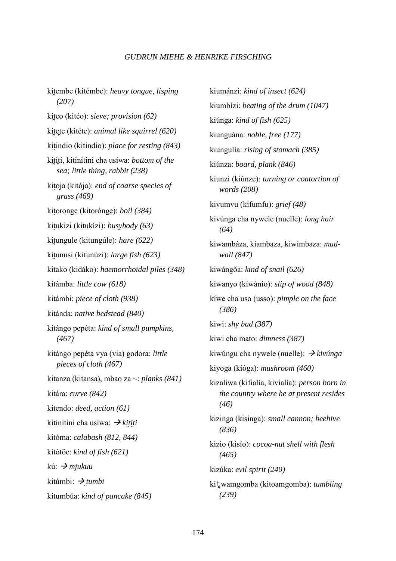kitembe (kitémbe): *heavy tongue, lisping (207)*  kit-eo (kitéo): *sieve; provision (62)*  kitete (kitéte): *animal like squirrel (620)* kitindio (kitindio): *place for resting (843)* kititi, kitinitini cha usíwa: *bottom of the sea; little thing, rabbit (238)*  kitoja (kitója): *end of coarse species of grass (469)*  kitoronge (kitorónge): *boil (384)* kitukizi (kitukízi): *busybody (63)* kitungule (kitungúle): *hare (622)* kitunusi (kitunúzi): *large fish (623)* kitako (kidáko): *haemorrhoidal piles (348)*  kitámba: *little cow (618)*  kitámbi: *piece of cloth (938)*  kitánda: *native bedstead (840)*  kitángo pepéta: *kind of small pumpkins, (467)*  kitángo pepéta vya (via) godora: *little pieces of cloth (467)*  kitanza (kitansa), mbao za ~: *planks (841)*  kitára: *curve (842)*  kitendo: *deed, action (61)*  kitinitini cha usíwa:  *kititi*  kitóma: *calabash (812, 844)*  kitótŏe: *kind of fish* (621) kú:  *mjukuu*  kitúmbi:  *tumbi*  kitumbúa: *kind of pancake (845)* 

kiumánzi: *kind of insect (624)*  kiumbízi: *beating of the drum (1047)*  kiúnga: *kind of fish (625)*  kiunguána: *noble, free (177)*  kiungulía: *rising of stomach (385)*  kiúnza: *board, plank (846)*  kiunzi (kiúnze): *turning or contortion of words (208)*  kivumvu (kifumfu): *grief (48)*  kivúnga cha nywele (nuelle): *long hair (64)*  kiwambáza, kiambaza, kiwimbaza: *mud wall (847)*  kiwángoa: *kind of snail (626)*  kiwanyo (kiwánio): *slip of wood (848)*  kíwe cha uso (usso): *pimple on the face (386)*  kiwi: *shy bad (387)*  kiwi cha mato: *dimness (387)*  kiwúngu cha nywele (nuelle):  *kivúnga*  kiyoga (kióga): *mushroom (460)*  kizaliwa (kifialía, kivialía): *person born in the country where he at present resides (46)*  kizinga (kisinga): *small cannon; beehive (836)*  kizio (kisío): *cocoa-nut shell with flesh (465)*  kizúka: *evil spirit (240)*  kit-wamgomba (kitoamgomba): *tumbling (239)*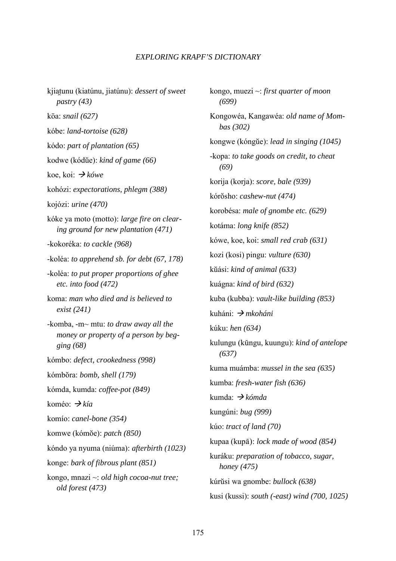kjiat-unu (kiatúnu, jiatúnu): *dessert of sweet pastry (43)*  kōa: *snail (627)* kóbe: *land-tortoise (628)*  kódo: *part of plantation (65)*  kodwe (kódue): *kind of game (66)*  koe, koi:  *kówe*  kohózi: *expectorations, phlegm (388)*  kojózi: *urine (470)*  kóke ya moto (motto): *large fire on clear ing ground for new plantation (471)*  -kokoréka: *to cackle (968)*  -koléa: *to apprehend sb. for debt (67, 178)*  -koléa: *to put proper proportions of ghee etc. into food (472)*  koma: *man who died and is believed to exist (241)*  -komba, -m~ mtu: *to draw away all the money or property of a person by beg ging (68)*  kómbo: *defect, crookedness (998)*  kómbora: *bomb, shell (179)*  kómda, kumda: *coffee-pot (849)*  koméo:  *kía*  komío: *canel-bone (354)*  komwe (kómoe): *patch (850)*  kóndo ya nyuma (niúma): *afterbirth (1023)*  konge: *bark of fibrous plant (851)*  kongo, mnazi ~: *old high cocoa-nut tree; old forest (473)* 

kongo, muezi ~: *first quarter of moon (699)*  Kongowéa, Kangawéa: *old name of Mom bas (302)*  kongwe (kóngue): *lead in singing (1045)*  -kopa: *to take goods on credit, to cheat (69)*  korija (korja): *score, bale (939)*  kórosho: *cashew-nut (474)*  korobésa: *male of gnombe etc. (629)*  kotáma: *long knife (852)*  kówe, koe, koi: *small red crab (631)*  kozi (kosi) pingu: *vulture (630)*  kuási: *kind of animal (633)*  kuágna: *kind of bird (632)*  kuba (kubba): *vault-like building (853)*  kuháni:  *mkoháni*  kúku: *hen (634)*  kulungu (kūngu, kuungu): *kind of antelope (637)*  kuma muámba: *mussel in the sea (635)*  kumba: *fresh-water fish (636)*  kumda:  *kómda*  kungúni: *bug (999)*  kúo: *tract of land (70)*  kupaa (kupā): *lock made of wood (854)* kuráku: *preparation of tobacco, sugar, honey (475)*  kúrusi wa gnombe: *bullock (638)*  kusi (kussi): *south (-east) wind (700, 1025)*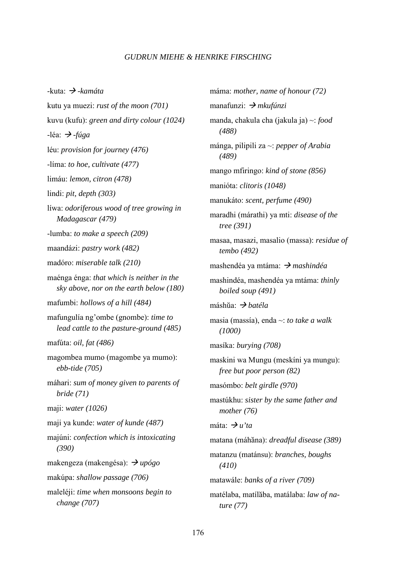-kuta:  *-kamáta*  kutu ya muezi: *rust of the moon (701)*  kuvu (kufu): *green and dirty colour (1024)*   $-$ léa:  $\rightarrow$ *-fúga* léu: *provision for journey (476)*  -líma: *to hoe, cultivate (477)*  limáu: *lemon, citron (478)*  lindi: *pit, depth (303)*  líwa: *odoriferous wood of tree growing in Madagascar (479)*  -lumba: *to make a speech (209)*  maandázi: *pastry work (482)*  madóro: *miserable talk (210)*  maénga énga: *that which is neither in the sky above, nor on the earth below (180)*  mafumbi: *hollows of a hill (484)*  mafungulía ng'ombe (gnombe): *time to lead cattle to the pasture-ground (485)*  mafúta: *oil, fat (486)*  magombea mumo (magombe ya mumo): *ebb-tide (705)*  máhari: *sum of money given to parents of bride (71)*  maji: *water (1026)*  maji ya kunde: *water of kunde (487)*  majúni: *confection which is intoxicating (390)*  makengeza (makengésa):  *upógo*  makúpa: *shallow passage (706)*  maleléji: *time when monsoons begin to change (707)* 

máma: *mother, name of honour (72)*  manafunzi:  *mkufúnzi*  manda, chakula cha (jakula ja) ~: *food (488)*  mánga, pilipili za ~: *pepper of Arabia (489)*  mango mfiringo: *kind of stone (856)*  manióta: *clitoris (1048)*  manukáto: *scent, perfume (490)*  maradhi (márathi) ya mti: *disease of the tree (391)*  masaa, masazi, masalio (massa): *residue of tembo (492)*  mashendéa ya mtáma:  *mashindéa*  mashindéa, mashendéa ya mtáma: *thinly boiled soup (491)*  máshŭa: *→ batéla* masia (massía), enda ~: *to take a walk (1000)*  masíka: *burying (708)*  maskini wa Mungu (meskíni ya mungu): *free but poor person (82)*  masómbo: *belt girdle (970)*  mastúkhu: *sister by the same father and mother (76)*  máta:  $\rightarrow u'$ ta matana (máhăna): *dreadful disease* (389) matanzu (matánsu): *branches, boughs (410)*  matawále: *banks of a river (709)*  matélaba, matílaba, matálaba: *law of na ture (77)*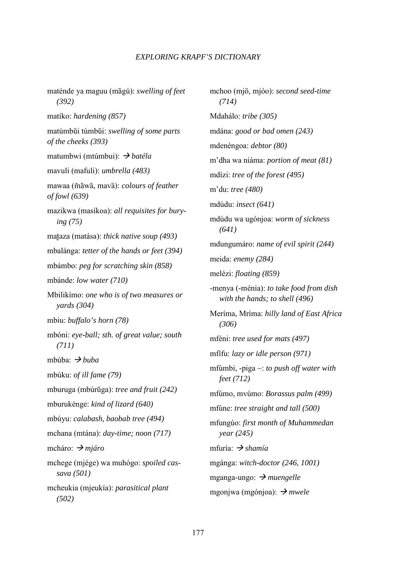maténde ya maguu (magú): *swelling of feet (392)*  matíko: *hardening (857)*  matúmbui túmbui: *swelling of some parts of the cheeks (393)*  matumbwi (mtúmbui):  *batéla*  mavuli (mafuli): *umbrella (483)*  mawaa (mawa, mava): *colours of feather of fowl (639)*  mazikwa (masíkoa): *all requisites for bury ing (75)*  mataza (matása): *thick native soup (493)*  mbalánga: *tetter of the hands or feet (394)*  mbámbo: *peg for scratching skin (858)*  mbánde: *low water (710)*  Mbilikímo: *one who is of two measures or yards (304)*  mbiu: *buffalo's horn (78)*  mbóni: *eye-ball; sth. of great value; south (711)*  mbúba:  *buba*  mbúku: *of ill fame (79)*  mburuga (mbúrŭga): *tree and fruit (242)* mburukénge: *kind of lizard (640)*  mbúyu: *calabash, baobab tree (494)*  mchana (mtána): *day-time; noon (717)*  mcháro:  *mjáro*  mchege (mjége) wa muhógo: *spoiled cas sava (501)*  mcheukia (mjeukía): *parasitical plant (502)* 

mchoo (mjō, mjóo): *second seed-time (714)*  Mdahálo: *tribe (305)*  mdána: *good or bad omen (243)*  mdenéngoa: *debtor (80)*  m'dha wa niáma: *portion of meat (81)*  mdízi: *tree of the forest (495)*  m'du: *tree (480)*  mdúdu: *insect (641)*  mdúdu wa ugónjoa: *worm of sickness (641)*  mdungumáro: *name of evil spirit (244)*  meida: *enemy (284)*  melézi: *floating (859)*  -menya (-ménia): *to take food from dish with the hands; to shell (496)*  Meríma, Mríma: *hilly land of East Africa (306)*  mféni: *tree used for mats (497)*  mfífu: *lazy or idle person (971)*  mfúmbi, -piga ~: *to push off water with feet (712)*  mfúmo, mvúmo: *Borassus palm (499)*  mfúne: *tree straight and tall (500)*  mfungúo: *first month of Muhammedan year (245)*  mfuría:  *shamía*  mgánga: *witch-doctor (246, 1001)*  mganga-ungo:  *muengelle*  mgonjwa (mgónjoa):  *mwele*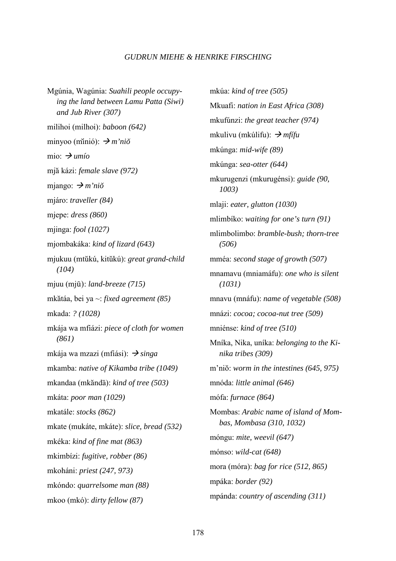Mgúnia, Wagúnia: *Suahili people occupy ing the land between Lamu Patta (Siwi) and Jub River (307)*  milihoi (milhoi): *baboon (642)*  minyoo (minió): *→ m'niŏ* mio:  $\rightarrow$  *umío* mja kázi: *female slave (972)*  mjango: *→ m'niŏ* mjáro: *traveller (84)*  mjepe: *dress (860)*  mjinga: *fool (1027)*  mjombakáka: *kind of lizard (643)*  mjukuu (mtukú, kitukú): *great grand-child (104)*  mjuu (mjū): *land-breeze* (715) mkatáa, bei ya ~: *fixed agreement (85)*  mkada: *? (1028)*  mkája wa mfiázi: *piece of cloth for women (861)*  mkája wa mzazi (mfiási):  $\rightarrow$  *singa* mkamba: *native of Kikamba tribe (1049)*  mkandaa (mkăndā): *kind of tree (503)* mkáta: *poor man (1029)*  mkatále: *stocks (862)*  mkate (mukáte, mkáte): *slice, bread (532)*  mkéka: *kind of fine mat (863)*  mkimbízi: *fugitive, robber (86)*  mkoháni: *priest (247, 973)*  mkóndo: *quarrelsome man (88)*  mkoo (mkó): *dirty fellow (87)* 

mkúa: *kind of tree (505)*  Mkuafi: *nation in East Africa (308)*  mkufúnzi: *the great teacher (974)*  mkulivu (mkúlifu):  *mfífu*  mkúnga: *mid-wife (89)*  mkúnga: *sea-otter (644)*  mkurugenzi (mkurugénsi): *guide (90, 1003)*  mlaji: *eater, glutton (1030)*  mlimbíko: *waiting for one's turn (91)*  mlimbolimbo: *bramble-bush; thorn-tree (506)*  mméa: *second stage of growth (507)*  mnamavu (mniamáfu): *one who is silent (1031)*  mnavu (mnáfu): *name of vegetable (508)*  mnázi: *cocoa; cocoa-nut tree (509)*  mniénse: *kind of tree (510)*  Mníka, Nika, uníka: *belonging to the Ki nika tribes (309)*  m'nio: *worm in the intestines (645, 975)*  mnóda: *little animal (646)*  mófa: *furnace (864)*  Mombas: *Arabic name of island of Mom bas, Mombasa (310, 1032)*  móngu: *mite, weevil (647)*  mónso: *wild-cat (648)*  mora (móra): *bag for rice (512, 865)*  mpáka: *border (92)*  mpánda: *country of ascending (311)*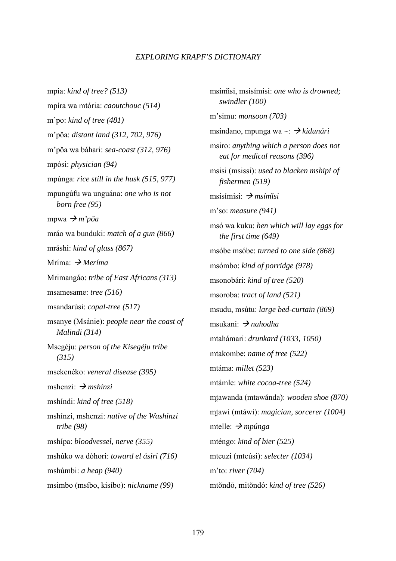mpía: *kind of tree? (513)*  mpíra wa mtória: *caoutchouc (514)*  m'po: *kind of tree (481)*  m'poa: *distant land (312, 702, 976)*  m'poa wa báhari: *sea-coast (312, 976)*  mpósi: *physician (94)*  mpúnga: *rice still in the husk (515, 977)*  mpungúfu wa unguána: *one who is not born free (95)*  mpwa  $\rightarrow m'p\breve{o}a$ mráo wa bunduki: *match of a gun (866)*  mráshi: *kind of glass (867)*  Mríma:  *Meríma*  Mrimangáo: *tribe of East Africans (313)*  msamesame: *tree (516)*  msandarúsi: *copal-tree (517)*  msanye (Msánie): *people near the coast of Malindi (314)*  Msegéju: *person of the Kisegéju tribe (315)*  msekenéko: *veneral disease (395)*  mshenzi:  *mshínzi*  mshíndi: *kind of tree (518)*  mshínzi, mshenzi: *native of the Washinzi tribe (98)*  mshípa: *bloodvessel, nerve (355)*  mshúko wa dóhori: *toward el ásiri (716)*  mshúmbi: *a heap (940)*  msimbo (msíbo, kisíbo): *nickname (99)* 

msímisi, msisímisi: *one who is drowned; swindler (100)*  m'simu: *monsoon (703)*  msindano, mpunga wa ~:  *kidunári*  msiro: *anything which a person does not eat for medical reasons (396)*  msisi (msissi): *used to blacken mshipi of fishermen (519)*  msisímisi:  *msími-si*  m'so: *measure (941)*  msó wa kuku: *hen which will lay eggs for the first time (649)*  msóbe msóbe: *turned to one side (868)*  msómbo: *kind of porridge (978)*  msonobári: *kind of tree (520)*  msoroba: *tract of land (521)*  msudu, msútu: *large bed-curtain (869)*  msukani:  *nahodha*  mtahámari: *drunkard (1033, 1050)*  mtakombe: *name of tree (522)*  mtáma: *millet (523)*  mtámle: *white cocoa-tree (524)*  mtawanda (mtawánda): *wooden shoe (870)* mt-awi (mtáwi): *magician, sorcerer (1004)*  mtelle:  *mpúnga*  mténgo: *kind of bier (525)*  mteuzi (mteúsi): *selecter (1034)*  m'to: *river (704)*  mtondō, mitondó: *kind of tree* (526)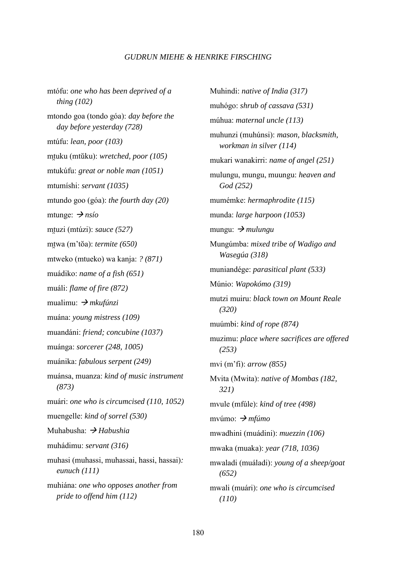mtófu: *one who has been deprived of a thing (102)*  mtondo goa (tondo góa): *day before the day before yesterday (728)*  mtúfu: *lean, poor (103)*  mtuku (mtŭku): *wretched, poor (105)* mtukúfu: *great or noble man (1051)*  mtumíshi: *servant (1035)*  mtundo goo (góa): *the fourth day (20)*  mtunge:  $\rightarrow$  *nsío* mtuzi (mtúzi): *sauce (527)* mtwa (m'tŏa): *termite (650)* mtweko (mtueko) wa kanja: *? (871)*  muádiko: *name of a fish (651)*  muáli: *flame of fire (872)*  mualimu:  *mkufúnzi*  muána: *young mistress (109)*  muandáni: *friend; concubine (1037)*  muánga: *sorcerer (248, 1005)*  muánika: *fabulous serpent (249)*  muánsa, muanza: *kind of music instrument (873)*  muári: *one who is circumcised (110, 1052)*  muengelle: *kind of sorrel (530)*  Muhabusha:  *Habushia*  muhádimu: *servant (316)*  muhasi (muhassi, muhassai, hassi, hassai)*: eunuch (111)*  muhiána: *one who opposes another from pride to offend him (112)* 

Muhindi: *native of India (317)*  muhógo: *shrub of cassava (531)*  múhua: *maternal uncle (113)*  muhunzi (muhúnsi): *mason, blacksmith, workman in silver (114)*  mukari wanakirri: *name of angel (251)*  mulungu, mungu, muungu: *heaven and God (252)*  mumémke: *hermaphrodite (115)*  munda: *large harpoon (1053)*  mungu:  $\rightarrow$  *mulungu* Mungúmba: *mixed tribe of Wadigo and Wasegúa (318)*  muniandége: *parasitical plant (533)*  Múnio: *Wapokómo (319)*  mutzi muiru: *black town on Mount Reale (320)*  muúmbi: *kind of rope (874)*  muzimu: *place where sacrifices are offered (253)*  mvi (m'fi): *arrow (855)*  Mvita (Mwita): *native of Mombas (182, 321)*  mvule (mfúle): *kind of tree (498)*  mvúmo:  *mfúmo*  mwadhini (muádini): *muezzin (106)*  mwaka (muaka): *year (718, 1036)*  mwaladi (muáladi): *young of a sheep/goat (652)*  mwali (muári): *one who is circumcised (110)*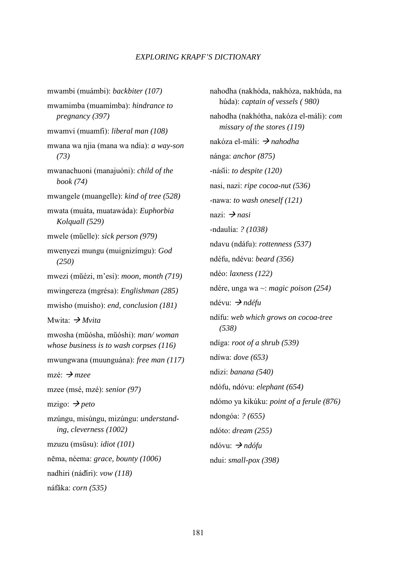mwambi (muámbi): *backbiter (107)*  mwamimba (muamímba): *hindrance to pregnancy (397)*  mwamvi (muamfi): *liberal man (108)*  mwana wa njia (mana wa ndia): *a way-son (73)*  mwanachuoni (manajuóni): *child of the book (74)*  mwangele (muangelle): *kind of tree (528)*  mwata (muáta, muatawáda): *Euphorbia Kolquall (529)*  mwele (muelle): *sick person (979)*  mwenyezi mungu (muignizímgu): *God (250)*  mwezi (muézi, m'esi): *moon, month (719)*  mwingereza (mgrésa): *Englishman (285)*  mwisho (muisho): *end, conclusion (181)*  Mwita:  *Mvita*  mwosha (muósha, muóshi): *man/ woman whose business is to wash corpses (116)*  mwungwana (muunguána): *free man (117)*  mzé:  *mzee*  mzee (msé, mzé): *senior (97)*  mzigo:  $\rightarrow$  *peto* mzúngu, misúngu, mizúngu: *understand ing, cleverness (1002)*  mzuzu (msūsu): *idiot (101)* nēma, néema: *grace, bounty (1006)* nadhiri (nádiri): *vow (118)*  náfaka: *corn (535)* 

nahodha (nakhóda, nakhóza, nakhúda, na húda): *captain of vessels ( 980)*  nahodha (nakhótha, nakóza el-máli): *com missary of the stores (119)*  nakóza el-máli: *→ nahodha* nánga: *anchor (875)*  -násii: *to despite (120)*  nasi, nazi: *ripe cocoa-nut (536)*  -nawa: *to wash oneself (121)*  nazi:  $\rightarrow$  *nasi* -ndaulía: *? (1038)*  ndavu (ndáfu): *rottenness (537)*  ndéfu, ndévu: *beard (356)*  ndéo: *laxness (122)*  ndére, unga wa ~: *magic poison (254)*  ndévu:  *ndéfu*  ndífu: *web which grows on cocoa-tree (538)*  ndíga: *root of a shrub (539)*  ndíwa: *dove (653)*  ndizi: *banana (540)*  ndófu, ndóvu: *elephant (654)*  ndómo ya kikúku: *point of a ferule (876)*  ndongóa: *? (655)*  ndóto: *dream (255)*  ndóvu:  *ndófu*  ndui: *small-pox (398)*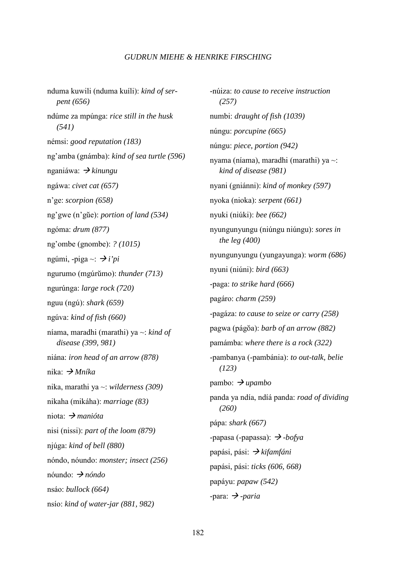nduma kuwili (nduma kuíli): *kind of ser pent (656)*  ndúme za mpúnga: *rice still in the husk (541)*  némsi: *good reputation (183)*  ng'amba (gnámba): *kind of sea turtle (596)*  nganiáwa:  *kinungu*  ngáwa: *civet cat (657)*  n'ge: *scorpion (658)*  ng'gwe (n'gue): *portion of land (534)*  ngóma: *drum (877)*  ng'ombe (gnombe): *? (1015)*  ngúmi, -piga ~:  $\rightarrow i'pi$ ngurumo (mgúrumo): *thunder (713)*  ngurúnga: *large rock (720)*  nguu (ngú): *shark (659)*  ngúva: *kind of fish (660)*  níama, maradhi (marathi) ya ~: *kind of disease (399, 981)*  niána: *iron head of an arrow (878)*  nika:  *Mníka*  nika, marathi ya ~: *wilderness (309)*  nikaha (mikáha): *marriage (83)*  niota:  *manióta*  nisi (nissi): *part of the loom (879)*  njúga: *kind of bell (880)*  nóndo, nóundo: *monster; insect (256)*  nóundo:  *nóndo*  nsáo: *bullock (664)*  nsío: *kind of water-jar (881, 982)* 

-núiza: *to cause to receive instruction (257)*  numbi: *draught of fish (1039)*  núngu: *porcupine (665)*  núngu: *piece, portion (942)*  nyama (níama), maradhi (marathi) ya ~: *kind of disease (981)*  nyani (gniánni): *kind of monkey (597)*  nyoka (nioka): *serpent (661)*  nyuki (niúki): *bee (662)*  nyungunyungu (niúngu niúngu): *sores in the leg (400)*  nyungunyungu (yungayunga): *worm (686)*  nyuni (niúni): *bird (663)*  -paga: *to strike hard (666)*  pagáro: *charm (259)*  -pagáza: *to cause to seize or carry (258)*  pagwa (págŏa): *barb of an arrow (882)* pamámba: *where there is a rock (322)*  -pambanya (-pambánia): *to out-talk, belie (123)*   $pambo: \rightarrow upambo$ panda ya ndía, ndíá panda: *road of dividing (260)*  pápa: *shark (667)*  -papasa (-papassa):  *-bofya*  papási, pási:  *kifamfáni*  papási, pási: *ticks (606, 668)*  papáyu: *papaw (542)*  -para:  $\rightarrow$  -paria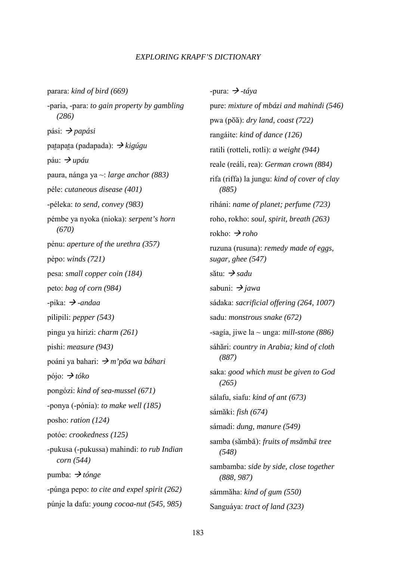parara: *kind of bird (669)*  -paria, -para: *to gain property by gambling (286)*  pási:  *papási*  patapata (padapada): *→ kigúgu* páu:  *upáu*  paura, nánga ya ~: *large anchor (883)*  péle: *cutaneous disease (401)*  -péleka: *to send, convey (983)*  pémbe ya nyoka (nioka): *serpent's horn (670)*  pénu: *aperture of the urethra (357)*  pépo: *winds (721)*  pesa: *small copper coin (184)*  peto: *bag of corn (984)*   $-i$ pika:  $\rightarrow$ *-andaa* pílipili: *pepper (543)*  pingu ya hirizi: *charm (261)*  pishi: *measure (943)*  poáni ya bahari:  $\rightarrow$ *m'pŏa wa báhari* pójo:  $\rightarrow t$ óko pongózi: *kind of sea-mussel (671)*  -ponya (-pónia): *to make well (185)*  posho: *ration (124)*  potóe: *crookedness (125)*  -pukusa (-pukussa) mahindi: *to rub Indian corn (544)*  pumba:  *tónge*  -púnga pepo: *to cite and expel spirit (262)*  púnje la dafu: *young cocoa-nut (545, 985)* 

-pura:  $\rightarrow$  -táya pure: *mixture of mbázi and mahindi (546)*  pwa (poa): *dry land, coast (722)*  rangáite: *kind of dance (126)*  ratili (rotteli, rotli): *a weight (944)*  reale (reáli, rea): *German crown (884)*  rifa (riffa) la jungu: *kind of cover of clay (885)*  riháni: *name of planet; perfume (723)*  roho, rokho: *soul, spirit, breath (263)*  rokho:  *roho*  ruzuna (rusuna): *remedy made of eggs, sugar, ghee (547)*  sătu: → *sadu* sabuni:  $\rightarrow$  *jawa* sádaka: *sacrificial offering (264, 1007)*  sadu: *monstrous snake (672)*  -sagía, jiwe la ~ unga: *mill-stone (886)*  sáhari: *country in Arabia; kind of cloth (887)*  saka: *good which must be given to God (265)*  sálafu, siafu: *kind of ant (673)*  sámaki: *fish (674)*  sámadi: *dung, manure (549)*  samba (sămbā): *fruits of msămbā tree (548)*  sambamba: *side by side, close together (888, 987)*  sámmaha: *kind of gum (550)*  Sanguáya: *tract of land (323)*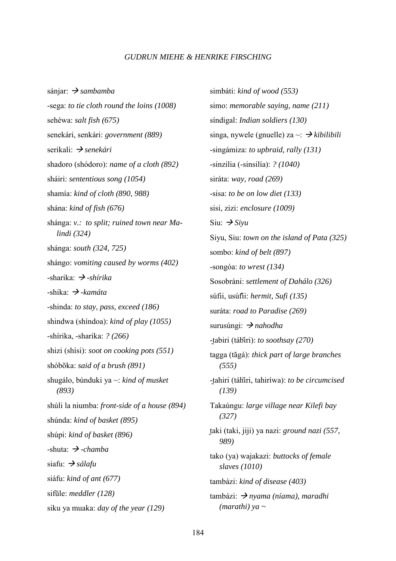sánjar:  *sambamba*  -sega: *to tie cloth round the loins (1008)*  sehéwa: *salt fish (675)*  senekári, senkári: *government (889)*  serikali:  *senekári*  shadoro (shódoro): *name of a cloth (892)*  sháiri: *sententious song (1054)*  shamía: *kind of cloth (890, 988)*  shána: *kind of fish (676)*  shánga: *v.: to split; ruined town near Ma lindi (324)*  shánga: *south (324, 725)*  shángo: *vomiting caused by worms (402)*  -sharika:  *-shírika*  -shika:  *-kamáta*  -shinda: *to stay, pass, exceed (186)*  shindwa (shíndoa): *kind of play (1055)*  -shírika, -sharika: *? (266)*  shizi (shísi): *soot on cooking pots (551)*  shóbŏka: *said of a brush* (891) shugálo, búnduki ya ~: *kind of musket (893)*  shúli la niumba: *front-side of a house (894)*  shúnda: *kind of basket (895)*  shúpi: *kind of basket (896)*  -shuta:  *-chamba*  siafu:  *sálafu*  siáfu: *kind of ant (677)*  sifule: *meddler (128)*  siku ya muaka: *day of the year (129)* 

simbáti: *kind of wood (553)*  simo: *memorable saying, name (211)*  síndigal: *Indian soldiers (130)*  singa, nywele (gnuelle) za ~:  *kibilibili*  -singámiza: *to upbraid, rally (131)*  -sinzilia (-sinsilía): *? (1040)*  siráta: *way, road (269)*  -sisa: *to be on low diet (133)*  sisi, zizi: *enclosure (1009)*  Siu:  $\rightarrow$  Siyu Siyu, Siu: *town on the island of Pata (325)*  sombo: *kind of belt (897)*  -songóa: *to wrest (134)*  Sosobráni: *settlement of Dahálo (326)*  súfii, usúfii: *hermit, Sufi (135)*  suráta: *road to Paradise (269)*  surusúngi: *> nahodha* -t-abiri (tábiri): *to soothsay (270)*  tagga (tagá): *thick part of large branches (555)*  -t-ahiri (táhiri, tahiríwa): *to be circumcised (139)*  Takaúngu: *large village near Kilefi bay (327)*  taki (taki, jiji) ya nazi: *ground nazi (557, 989)*  tako (ya) wajakazi: *buttocks of female slaves (1010)*  tambázi: *kind of disease (403)*  tambázi: *→ nyama (níama), maradhi (marathi) ya ~*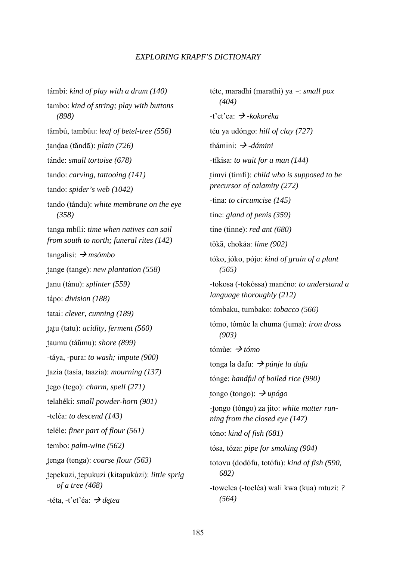támbi: *kind of play with a drum (140)*  tambo: *kind of string; play with buttons (898)*  tambú, tambúu: *leaf of betel-tree (556)*  tandaa (tăndā): *plain (726)* tánde: *small tortoise (678)*  tando: *carving, tattooing (141)*  tando: *spider's web (1042)*  tando (tándu): *white membrane on the eye (358)*  tanga mbíli: *time when natives can sail from south to north; funeral rites (142)*  tangalisi:  *msómbo*  tange (tange): *new plantation* (558) tanu (tánu): *splinter (559)* tápo: *division (188)*  tatai: *clever, cunning (189)*  tatu (tatu): *acidity, ferment (560)* t-aumu (táumu): *shore (899)*  -táya, -pura: *to wash; impute (900)*  tazia (tasía, taazia): *mourning (137)* tego (tego): *charm, spell (271)* telahéki: *small powder-horn (901)*  -teléa: *to descend (143)*  teléle: *finer part of flour (561)*  tembo: *palm-wine (562)*  tenga (tenga): *coarse flour* (563) tepekuzi, tepukuzi (kitapukúzi): *little sprig of a tree (468)*  -téta, -t'et'éa:  *detea* 

téte, maradhi (marathi) ya ~: *small pox (404)*  -t'et'ea:  *-kokoréka*  téu ya udóngo: *hill of clay (727)*  thámini: *→ -dámini* -tíkisa: *to wait for a man (144)*  timvi (tímfi): *child who is supposed to be precursor of calamity (272)*  -tina: *to circumcise (145)*  tíne: *gland of penis (359)*  tine (tinne): *red ant (680)*  tŏkā, chokáa: *lime (902)* tóko, jóko, pójo: *kind of grain of a plant (565)*  -tokosa (-tokóssa) manéno: *to understand a language thoroughly (212)*  tómbaku, tumbako: *tobacco (566)*  tómo, tómùe la chuma (juma): *iron dross (903)*  tómùe:  *tómo*  tonga la dafu:  *púnje la dafu*  tónge: *handful of boiled rice (990)*  tongo (tongo): *→ upógo* -tongo (tóngo) za jito: *white matter running from the closed eye (147)*  tóno: *kind of fish (681)*  tósa, tóza: *pipe for smoking (904)*  totovu (dodófu, totófu): *kind of fish (590, 682)*  -towelea (-toeléa) wali kwa (kua) mtuzi: *? (564)*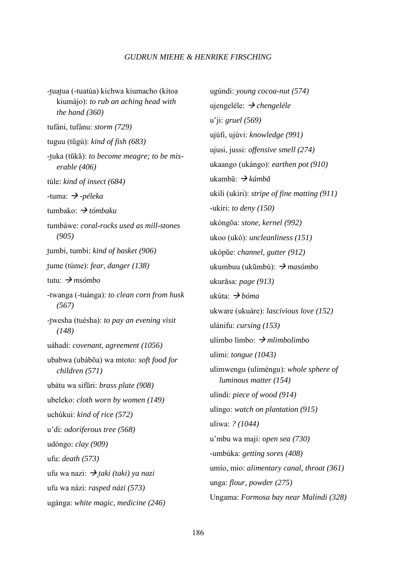-tuatua (-tuatúa) kichwa kiumacho (kítoa kiumájo): *to rub an aching head with the hand (360)*  tufáni, tufánu: *storm (729)*  tuguu (tugú): *kind of fish (683)*  -tuka (tŭkă): *to become meagre; to be mis erable (406)*  túle: *kind of insect (684)*  -tuma:  *-péleka*  tumbako:  *tómbaku*  tumbáwe: *coral-rocks used as mill-stones (905)*  tumbi, tumbi: *kind of basket (906)* tume (túme): *fear, danger (138)* tutu:  *msómbo*  -twanga (-tuánga): *to clean corn from husk (567)*  -t-wesha (tuésha): *to pay an evening visit (148)*  uáhadi: *covenant, agreement (1056)*  ubabwa (ubáboa) wa mtoto: *soft food for children (571)*  ubátu wa sifuri: *brass plate (908)*  ubeleko: *cloth worn by women (149)*  uchúkui: *kind of rice (572)*  u'di: *odoriferous tree (568)*  udóngo: *clay (909)*  ufu: *death (573)*  ufu wa nazi:  *taki (taki) ya nazi*  ufu wa názi: *rasped názi (573)*  ugánga: *white magic, medicine (246)* 

ugúndi: *young cocoa-nut (574)*  ujengeléle:  *chengeléle*  u'ji: *gruel (569)*  ujúfi, ujúvi: *knowledge (991)*  ujusi, jussi: *offensive smell (274)*  ukaango (ukángo): *earthen pot (910)*  ukambā: *→ kámbă* ukili (ukiri): *stripe of fine matting (911)*  -ukiri: *to deny (150)*  ukóngoa: *stone, kernel (992)*  ukoo (ukó): *uncleanliness (151)*  ukópue: *channel, gutter (912)*  ukumbuu (ukumbú):  *masómbo*  ukur1asa: *page (913)*  ukúta:  *bóma*  ukware (ukuáre): *lascivious love (152)*  ulánifu: *cursing (153)*  ulímbo límbo:  *mlimbolimbo*  ulími: *tongue (1043)*  ulimwengu (uliméngu): *whole sphere of luminous matter (154)*  ulíndi: *piece of wood (914)*  ulíngo: *watch on plantation (915)*  uliwa: *? (1044)*  u'mbu wa maji: *open sea (730)*  -umbúka: *getting sores (408)*  umío, mio: *alimentary canal, throat (361)*  unga: *flour, powder (275)*  Ungama: *Formosa bay near Malindi (328)*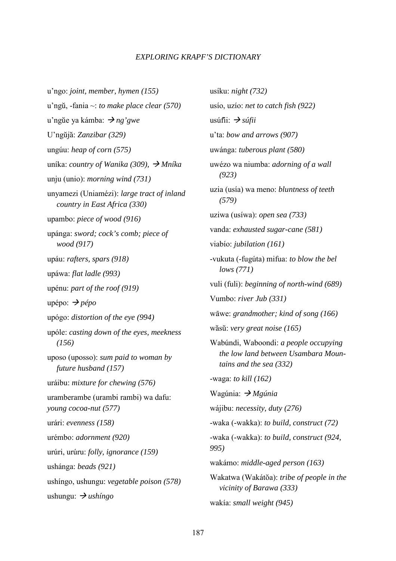u'ngo: *joint, member, hymen (155)*  u'ngu, -fania ~: *to make place clear (570)*  u'ngue ya kámba:  *ng'gwe*  U'nguja: *Zanzibar (329)*  ungúu: *heap of corn (575)*  uníka: *country of Wanika (309), Mníka*  unju (unio): *morning wind (731)*  unyamezi (Uniamézi): *large tract of inland country in East Africa (330)*  upambo: *piece of wood (916)*  upánga: *sword; cock's comb; piece of wood (917)*  upáu: *rafters, spars (918)*  upáwa: *flat ladle (993)*  upénu: *part of the roof (919)*  upépo:  $\rightarrow$  *pépo* upógo: *distortion of the eye (994)*  upóle: *casting down of the eyes, meekness (156)*  uposo (uposso): *sum paid to woman by future husband (157)*  uráibu: *mixture for chewing (576)*  uramberambe (urambi rambi) wa dafu: *young cocoa-nut (577)*  urári: *evenness (158)*  urémbo: *adornment (920)*  urúri, urúru: *folly, ignorance (159)*  ushánga: *beads (921)*  ushíngo, ushungu: *vegetable poison (578)*  ushungu:  $\rightarrow$  *ushingo* 

usíku: *night (732)*  usío, uzío: *net to catch fish (922)*  usúfii:  $\rightarrow$  *súfii* u'ta: *bow and arrows (907)*  uwánga: *tuberous plant (580)*  uwézo wa niumba: *adorning of a wall (923)*  uzia (usía) wa meno: *bluntness of teeth (579)*  uziwa (usíwa): *open sea (733)*  vanda: *exhausted sugar-cane (581)*  viabío: *jubilation (161)*  -vukuta (-fugúta) mifua: *to blow the bel lows (771)*  vuli (fuli): *beginning of north-wind (689)*  Vumbo: *river Jub (331)*  wāwe: *grandmother; kind of song (166)* wăsu: *very great noise* (165) Wabúndi, Waboondi: *a people occupying the low land between Usambara Moun tains and the sea (332)*  -waga: *to kill (162)*  Wagúnia:  *Mgúnia*  wájibu: *necessity, duty (276)*  -waka (-wakka): *to build, construct (72)*  -waka (-wakka): *to build, construct (924, 995)*  wakámo: *middle-aged person (163)*  Wakatwa (Wakátŏa): *tribe of people in the vicinity of Barawa (333)*  wakía: *small weight (945)*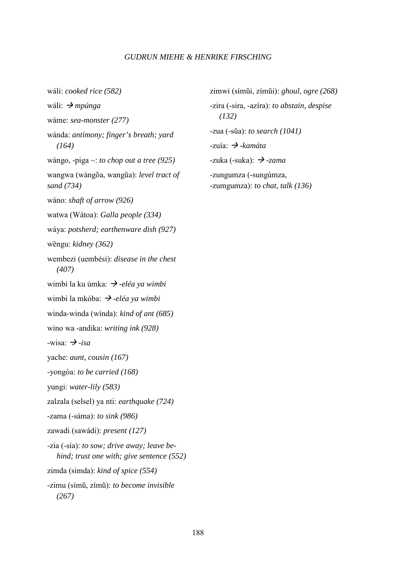wáli: *cooked rice (582)*  wáli:  *mpúnga*  wáme: *sea-monster (277)*  wánda: *antimony; finger's breath; yard (164)*  wángo, -piga ~: *to chop out a tree (925)*  wangwa (wángŏa, wangŭa): *level tract of sand (734)*  wáno: *shaft of arrow (926)*  watwa (Wátoa): *Galla people (334)*  wáya: *potsherd; earthenware dish (927)*  wēngu: *kidney (362)* wembezi (uembési): *disease in the chest (407)*  wimbi la ku úmka: *→ -eléa ya wimbi* wimbi la mkóba:  $\rightarrow$ -eléa ya wimbi winda-winda (wínda): *kind of ant (685)*  wino wa -andika: *writing ink (928)*   $-wisa: \rightarrow -isa$ yache: *aunt, cousin (167)*  -yongóa: *to be carried (168)*  yungi: *water-lily (583)*  zalzala (selsel) ya nti: *earthquake (724)*  -zama (-sáma): *to sink (986)*  zawadi (sawádi): *present (127)*  -zia (-sía): *to sow; drive away; leave be hind; trust one with; give sentence (552)*  zimda (simda): *kind of spice (554)*  -zimu (símu, zímu): *to become invisible (267)* 

zimwi (símui, zímui): *ghoul, ogre (268)*  -zira (-sira, -azíra): *to abstain, despise (132)*  -zua (-sūa): *to search* (1041) -zuía:  *-kamáta*   $-zuka$  ( $-suka$ ):  $\rightarrow$   $-zama$ -zungumza (-sungúmza, -zumgumza): *to chat, talk (136)*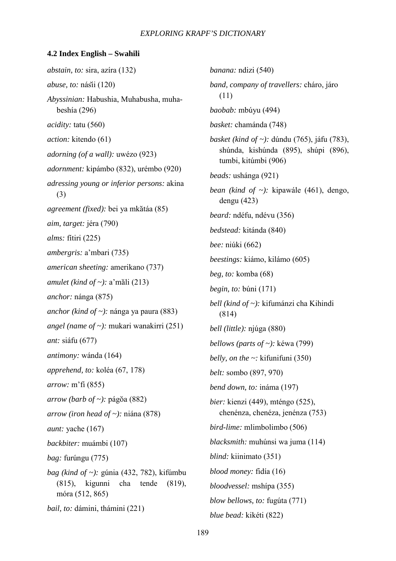#### **4.2 Index English – Swahili**

*abstain, to:* sira, azíra (132) *abuse, to:* násii (120) *Abyssinian:* Habushia, Muhabusha, muha beshía (296) *acidity:* tatu (560) *action:* kitendo (61) *adorning (of a wall):* uwézo (923) *adornment:* kipámbo (832), urémbo (920) *adressing young or inferior persons:* akina (3) *agreement (fixed):* bei ya mkatáa (85) *aim, target:* jéra (790) *alms:* fítiri (225) *ambergris:* a'mbari (735) *american sheeting:* amerikano (737) *amulet (kind of ~):* a'mali (213) *anchor:* nánga (875) *anchor (kind of ~):* nánga ya paura (883) *angel (name of ~):* mukari wanakirri (251) *ant:* siáfu (677) *antimony:* wánda (164) *apprehend, to:* koléa (67, 178) *arrow:* m'fi (855) *arrow (barb of ~):* págŏa (882) *arrow (iron head of ~):* niána (878) *aunt:* yache (167) *backbiter:* muámbi (107) *bag:* furúngu (775) *bag (kind of ~):* gúnia (432, 782), kifúmbu (815), kigunni cha tende (819), móra (512, 865) *bail, to:* dámini, thámini (221)

*banana:* ndizi (540) *band, company of travellers:* cháro, járo (11) *baobab:* mbúyu (494) *basket:* chamánda (748) *basket (kind of ~):* dúndu (765), jáfu (783), shúnda, kishúnda (895), shúpi (896), tumbi, kitúmbi (906) *beads:* ushánga (921) *bean (kind of ~):* kipawále (461), dengo, dengu (423) *beard:* ndéfu, ndévu (356) *bedstead:* kitánda (840) *bee:* niúki (662) *beestings:* kiámo, kilámo (605) *beg, to:* komba (68) *begin, to:* búni (171) *bell (kind of ~):* kifumánzi cha Kihindi (814) *bell (little):* njúga (880) *bellows (parts of ~):* kéwa (799) *belly, on the ~:* kifunifuni (350) *belt:* sombo (897, 970) *bend down, to:* ináma (197) *bier:* kienzi (449), mténgo (525), chenénza, chenéza, jenénza (753) *bird-lime:* mlimbolimbo (506) *blacksmith:* muhúnsi wa juma (114) *blind:* kiinimato (351) *blood money:* fidía (16) *bloodvessel:* mshípa (355) *blow bellows, to:* fugúta (771) *blue bead:* kikéti (822)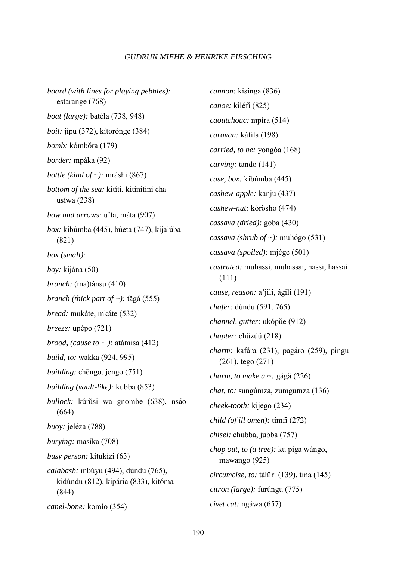*board (with lines for playing pebbles):*  estarange (768) *boat (large):* batéla (738, 948) *boil:* jípu (372), kitorónge (384) *bomb:* kómbora (179) *border:* mpáka (92) *bottle (kind of ~):* mráshi (867) *bottom of the sea:* kitíti, kitinitini cha usíwa (238) *bow and arrows:* u'ta, máta (907) *box:* kibúmba (445), búeta (747), kijalúba (821) *box (small): boy:* kijána (50) *branch:* (ma)tánsu (410) *branch (thick part of ~)*: *t*ăgá (555) *bread:* mukáte, mkáte (532) *breeze:* upépo (721) *brood, (cause to ~ ):* atámisa (412) *build, to:* wakka (924, 995) *building:* chēngo, jengo (751) *building (vault-like):* kubba (853) *bullock:* kúrŭsi wa gnombe (638), nsáo (664) *buoy:* jeléza (788) *burying:* masíka (708) *busy person:* kitukízi (63) *calabash:* mbúyu (494), dúndu (765), kidúndu (812), kipária (833), kitóma (844) *canel-bone:* komío (354) *cannon:* kisinga (836) *canoe:* kiléfi (825) *caoutchouc:* mpíra (514) *caravan:* káfila (198) *carried, to be:* yongóa (168) *carving:* tando (141) *case, box:* kibúmba (445) *cashew-apple:* kanju (437) *cashew-nut:* kórŏsho (474) *cassava (dried):* goba (430) *cassava (shrub of ~):* muhógo (531) *cassava (spoiled):* mjége (501) *castrated:* muhassi, muhassai, hassi, hassai (111) *cause, reason:* a'jili, ágili (191) *chafer:* dúndu (591, 765) *channel, gutter:* ukópue (912) *chapter:* chuzúu (218) *charm:* kafára (231), pagáro (259), pingu (261), tego (271) *charm, to make a ~: gága (226) chat, to:* sungúmza, zumgumza (136) *cheek-tooth:* kijego (234) *child (of ill omen):* tímfi (272) *chisel:* chubba, jubba (757) *chop out, to (a tree):* ku piga wángo, mawango (925) *circumcise, to:* táhiri (139), tina (145) *citron (large):* furúngu (775) *civet cat:* ngáwa (657)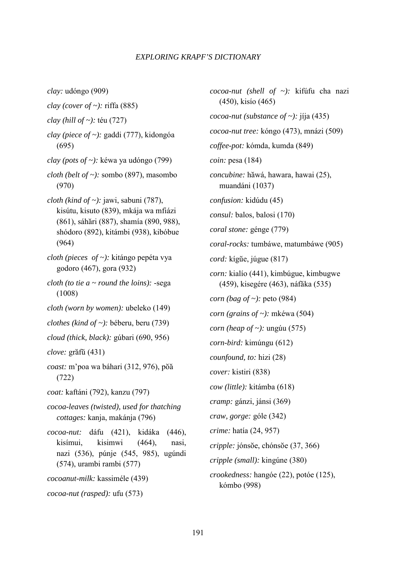*clay:* udóngo (909) *clay (cover of ~):* riffa (885) *clay (hill of ~):* téu (727) *clay (piece of ~):* gaddi (777), kidongóa (695) *clay (pots of ~):* kéwa ya udóngo (799) *cloth (belt of ~):* sombo (897), masombo (970) *cloth (kind of ~):* jawi, sabuni (787), kisútu, kisuto (839), mkája wa mfiázi (861), sáhari (887), shamía (890, 988), shódoro (892), kitámbi (938), kibóbue (964) *cloth (pieces of ~):* kitángo pepéta vya godoro (467), gora (932) *cloth (to tie a ~ round the loins):* -sega (1008) *cloth (worn by women):* ubeleko (149) *clothes (kind of ~):* béberu, beru (739) *cloud (thick, black):* gúbari (690, 956) *clove:* grafu (431) *coast:* m'poa wa báhari (312, 976), poa (722) *coat:* kaftáni (792), kanzu (797) *cocoa-leaves (twisted), used for thatching cottages:* kanja, makánja (796) *cocoa-nut:* dáfu (421), kidáka (446), kisímui, kisimwi (464), nasi, nazi (536), púnje (545, 985), ugúndi (574), urambi rambi (577) *cocoanut-milk:* kassiméle (439) *cocoa-nut (rasped):* ufu (573)

*cocoa-nut (shell of ~):* kifúfu cha nazi (450), kisío (465) *cocoa-nut (substance of ~):* jíja (435) *cocoa-nut tree:* kóngo (473), mnázi (509) *coffee-pot:* kómda, kumda (849) *coin:* pesa (184) *concubine:* hawá, hawara, hawai (25), muandáni (1037) *confusion:* kidúdu (45) *consul:* balos, balosi (170) *coral stone:* génge (779) *coral-rocks:* tumbáwe, matumbáwe (905) *cord:* kígue, júgue (817) *corn:* kialío (441), kimbúgue, kimbugwe (459), kisegére (463), náfaka (535) *corn (bag of ~):* peto (984) *corn (grains of ~):* mkéwa (504) *corn (heap of ~):* ungúu (575) *corn-bird:* kimúngu (612) *counfound, to:* hizi (28) *cover:* kistiri (838) *cow (little):* kitámba (618) *cramp:* gánzi, jánsi (369) *craw, gorge:* góle (342) *crime:* hatía (24, 957) *cripple: jónsoe*, *chónsoe* (37, 366) *cripple (small):* kingúne (380) *crookedness:* hangóe (22), potóe (125), kómbo (998)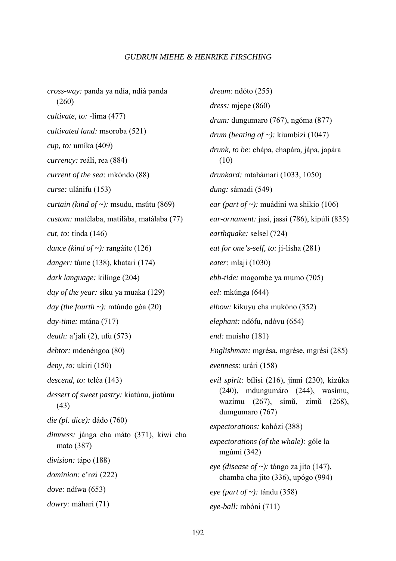*cross-way:* panda ya ndía, ndíá panda (260) *cultivate, to:* -lima (477) *cultivated land:* msoroba (521) *cup, to:* umíka (409) *currency:* reáli, rea (884) *current of the sea:* mkóndo (88) *curse:* ulánifu (153) *curtain (kind of ~):* msudu, msútu (869) *custom:* matélaba, matílaba, matálaba (77) *cut, to:* tínda (146) *dance (kind of ~):* rangáite (126) *danger:* túme (138), khatari (174) *dark language:* kilínge (204) *day of the year:* síku ya muaka (129) *day (the fourth ~):* mtúndo góa (20) *day-time:* mtána (717) *death:* a'jali (2), ufu (573) *debtor:* mdenéngoa (80) *deny, to:* ukiri (150) *descend, to:* teléa (143) *dessert of sweet pastry:* kiatúnu, jiatúnu (43) *die (pl. dice):* dádo (760) *dimness:* jánga cha máto (371), kiwi cha mato (387) *division:* tápo (188) *dominion:* e'nzi (222) *dove:* ndíwa (653) *dowry:* máhari (71)

*dream:* ndóto (255) *dress:* mjepe (860) *drum:* dungumaro (767), ngóma (877) *drum (beating of ~):* kiumbízi (1047) *drunk, to be:* chápa, chapára, jápa, japára (10) *drunkard:* mtahámari (1033, 1050) *dung:* sámadi (549) *ear (part of ~):* muádini wa shikio (106) *ear-ornament:* jasi, jassi (786), kipúli (835) *earthquake:* selsel (724) *eat for one's-self, to:* ji-lisha (281) *eater:* mlaji (1030) *ebb-tide:* magombe ya mumo (705) *eel:* mkúnga (644) *elbow:* kikuyu cha mukóno (352) *elephant:* ndófu, ndóvu (654) *end:* muisho (181) *Englishman:* mgrésa, mgrése, mgrési (285) *evenness:* urári (158) *evil spirit:* bílisi (216), jinni (230), kizúka (240), mdungumáro (244), wasímu, wazímu (267), símu, zímu (268), dumgumaro (767) *expectorations:* kohózi (388) *expectorations (of the whale):* góle la mgúmi (342) *eye (disease of ~):* tóngo za jito (147), chamba cha jito (336), upógo (994) *eye (part of ~):* tándu (358) *eye-ball:* mbóni (711)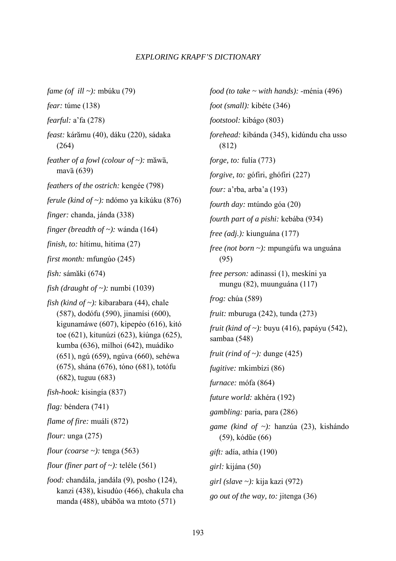*fame (of ill ~):* mbúku (79) *fear:* túme (138) *fearful:* a'fa (278) *feast:* káramu (40), dáku (220), sádaka (264) feather of a fowl (colour of ~): măwā, mavā (639) *feathers of the ostrich:* kengée (798) *ferule (kind of ~):* ndómo ya kikúku (876) *finger:* chanda, jánda (338) *finger (breadth of ~):* wánda (164) *finish, to:* hítimu, hitima (27) *first month:* mfungúo (245) *fish:* sámaki (674) *fish (draught of ~):* numbi (1039) *fish (kind of ~):* kibarabara (44), chale (587), dodófu (590), jinamísi (600), kigunamáwe (607), kipepéo (616), kitó toe (621), kitunúzi (623), kiúnga (625), kumba (636), milhoi (642), muádiko (651), ngú (659), ngúva (660), sehéwa (675), shána (676), tóno (681), totófu (682), tuguu (683) *fish-hook:* kisingía (837) *flag:* béndera (741) *flame of fire:* muáli (872) *flour:* unga (275) *flour (coarse ~):* tenga (563) *flour (finer part of ~):* teléle (561) *food:* chandála, jandála (9), posho (124), kanzi (438), kisudúo (466), chakula cha manda (488), ubábŏa wa mtoto (571)

*food (to take ~ with hands):* -ménia (496) *foot (small):* kibéte (346) *footstool:* kibágo (803) *forehead:* kibánda (345), kidúndu cha usso (812) *forge, to:* fulía (773) *forgive, to:* gófiri, ghófiri (227) *four:* a'rba, arba'a (193) *fourth day:* mtúndo góa (20) *fourth part of a pishi:* kebába (934) *free (adj.):* kiunguána (177) *free (not born ~):* mpungúfu wa unguána (95) *free person:* adinassi (1), meskíni ya mungu (82), muunguána (117) *frog:* chúa (589) *fruit:* mburuga (242), tunda (273) *fruit (kind of ~):* buyu (416), papáyu (542), sambaa (548) *fruit (rind of ~):* dunge (425) *fugitive:* mkimbízi (86) *furnace:* mófa (864) *future world:* akhéra (192) *gambling:* paria, para (286) *game (kind of ~):* hanzúa (23), kishándo (59), kódue (66) *gift:* adía, athía (190) *girl:* kijána (50) *girl (slave ~):* kija kazi (972) *go out of the way, to:* jitenga (36)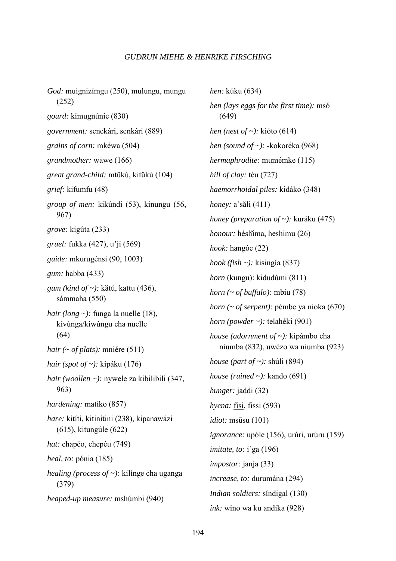*God:* muignizímgu (250), mulungu, mungu (252) *gourd:* kimugnúnie (830) *government:* senekári, senkári (889) *grains of corn:* mkéwa (504) *grandmother:* wāwe (166) *great grand-child:* mtukú, kitukú (104) *grief:* kifumfu (48) *group of men:* kikúndi (53), kinungu (56, 967) *grove:* kigúta (233) *gruel:* fukka (427), u'ji (569) *guide:* mkurugénsi (90, 1003) *gum:* habba (433) *gum (kind of ~):* katu, kattu (436), sámmaha (550) *hair (long ~):* funga la nuelle (18), kivúnga/kiwúngu cha nuelle (64) *hair (~ of plats):* mniére (511) *hair (spot of ~):* kipáku (176) *hair (woollen ~):* nywele za kibilibili (347, 963) *hardening:* matíko (857) *hare:* kitíti, kitinitini (238), kipanawázi (615), kitungúle (622) *hat:* chapéo, chepéu (749) *heal, to:* pónia (185) *healing (process of ~):* kilínge cha uganga (379) *heaped-up measure:* mshúmbi (940)

*hen:* kúku (634) *hen (lays eggs for the first time):* msó (649) *hen (nest of ~):* kióto (614) *hen (sound of ~):* -kokoréka (968) *hermaphrodite:* mumémke (115) *hill of clay:* téu (727) *haemorrhoidal piles:* kidáko (348) *honey:* a'sali (411) *honey (preparation of ~):* kuráku (475) *honour:* héshima, heshimu (26) *hook:* hangóe (22) *hook (fish ~):* kisingía (837) *horn* (kungu): kidudúmi (811) *horn (~ of buffalo):* mbiu (78) *horn (~ of serpent):* pémbe ya nioka (670) *horn (powder ~):* telahéki (901) *house (adornment of ~):* kipámbo cha niumba (832), uwézo wa niumba (923) *house (part of ~):* shúli (894) *house (ruined ~):* kando (691) *hunger:* jaddi (32) *hyena:* fisi, fissi (593) *idiot:* msūsu (101) *ignorance:* upóle (156), urúri, urúru (159) *imitate, to:* i'ga (196) *impostor:* janja (33) *increase, to:* durumána (294) *Indian soldiers:* síndigal (130) *ink:* wino wa ku andika (928)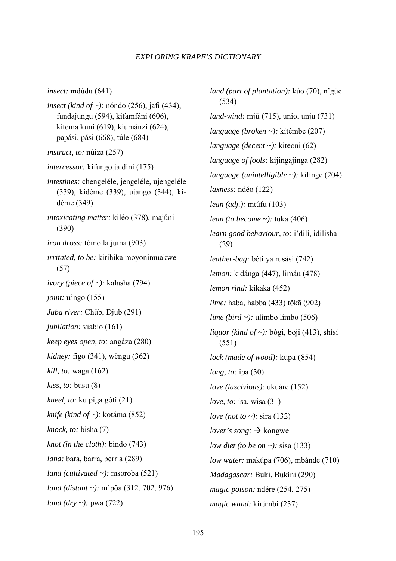*insect:* mdúdu (641)

- *insect (kind of ~):* nóndo (256), jafi (434), fundajungu (594), kifamfáni (606), kitema kuni (619), kiumánzi (624), papási, pási (668), túle (684)
- *instruct, to:* núiza (257)
- *intercessor:* kifungo ja dini (175)
- *intestines:* chengeléle, jengeléle, ujengeléle (339), kidéme (339), ujango (344), ki déme (349)
- *intoxicating matter:* kiléo (378), majúni (390)
- *iron dross:* tómo la juma (903)
- *irritated, to be:* kirihíka moyonimuakwe (57)
- *ivory (piece of ~):* kalasha (794)
- *joint:* u'ngo (155)
- *Juba river:* Chub, Djub (291)
- *jubilation:* viabío (161)
- *keep eyes open, to:* angáza (280)
- *kidney:* figo (341), wēngu (362)
- *kill, to:* waga (162)
- *kiss, to:* busu (8)
- *kneel, to:* ku piga góti (21)
- *knife (kind of ~):* kotáma (852)
- *knock, to:* bisha (7)
- *knot (in the cloth):* bindo (743)
- *land:* bara, barra, berría (289)
- *land (cultivated ~):* msoroba (521)
- *land (distant ~):* m'pŏa (312, 702, 976)
- *land (dry ~):* pwa (722)

*land (part of plantation):* kúo (70), n'gue (534) *land-wind:* mjū (715), unio, unju (731) *language (broken ~):* kitémbe (207) *language (decent ~):* kiteoni (62) *language of fools:* kijingajinga (282) *language (unintelligible ~):* kilínge (204) *laxness:* ndéo (122) *lean (adj.):* mtúfu (103) *lean (to become ~):* tuka (406) *learn good behaviour, to:* i'dili, idilisha (29) *leather-bag:* béti ya rusási (742) *lemon:* kidánga (447), limáu (478) *lemon rind:* kikaka (452) *lime:* haba, habba (433) tŏkā (902) *lime (bird ~):* ulímbo límbo (506) *liquor (kind of ~):* bógi, boji (413), shísi (551) *lock (made of wood):* kupā (854) *long, to:* ipa (30) *love (lascivious):* ukuáre (152) *love, to:* isa, wisa (31) *love (not to ~):* sira (132) *lover's song:*  $\rightarrow$  kongwe *low diet (to be on ~):* sisa (133) *low water:* makúpa (706), mbánde (710) *Madagascar:* Buki, Bukíni (290) *magic poison:* ndére (254, 275) *magic wand:* kirúmbi (237)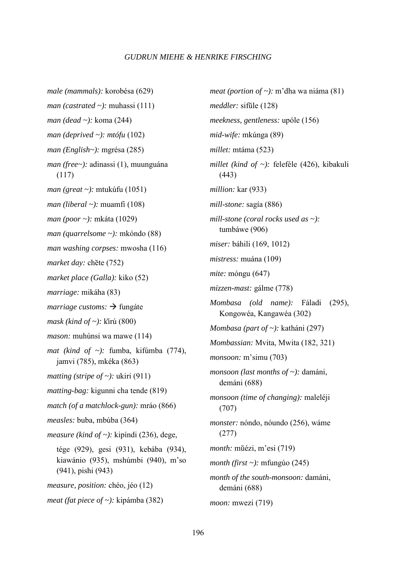*male (mammals):* korobésa (629) *man (castrated ~):* muhassi (111) *man (dead ~):* koma (244) *man (deprived ~): mtófu* (102) *man (English~):* mgrésa (285) *man (free~):* adinassi (1), muunguána (117) *man (great ~):* mtukúfu (1051) *man (liberal ~):* muamfi (108) *man (poor ~):* mkáta (1029) *man (quarrelsome ~):* mkóndo (88) *man washing corpses:* mwosha (116) *market day: chete (752) market place (Galla):* kiko (52) *marriage:* mikáha (83) *marriage customs:*  $\rightarrow$  fungate *mask (kind of ~):* kirú (800) *mason:* muhúnsi wa mawe (114) *mat (kind of ~):* fumba, kifúmba (774), jamvi (785), mkéka (863) *matting (stripe of ~):* ukiri (911) *matting-bag:* kigunni cha tende (819) *match (of a matchlock-gun):* mráo (866) *measles:* buba, mbúba (364) *measure (kind of ~):* kipíndi (236), dege, tége (929), gesi (931), kebába (934), kiawánio (935), mshúmbi (940), m'so (941), pishi (943) *measure, position:* chéo, jéo (12) *meat (fat piece of ~):* kipámba (382)

*meat (portion of ~):* m'dha wa niáma (81) *meddler:* sifule (128) *meekness, gentleness:* upóle (156) *mid-wife:* mkúnga (89) *millet:* mtáma (523) *millet (kind of ~):* feleféle (426), kibakuli (443) *million:* kar (933) *mill-stone:* sagía (886) *mill-stone (coral rocks used as ~):* tumbáwe (906) *miser:* báhili (169, 1012) *mistress:* muána (109) *mite:* móngu (647) *mizzen-mast:* gálme (778) *Mombasa (old name):* Fáladi (295), Kongowéa, Kangawéa (302) *Mombasa (part of ~):* katháni (297) *Mombassian:* Mvita, Mwita (182, 321) *monsoon:* m'simu (703) *monsoon (last months of ~):* damáni, demáni (688) *monsoon (time of changing):* maleléji (707) *monster:* nóndo, nóundo (256), wáme (277) *month:* mũ*ézi*, m'esi (719) *month (first ~):* mfungúo (245) *month of the south-monsoon:* damáni, demáni (688) *moon:* mwezi (719)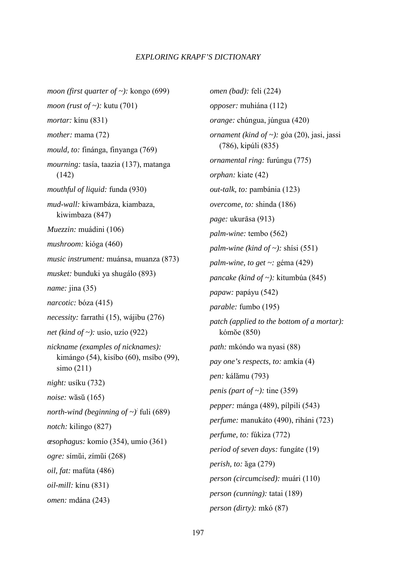*moon (first quarter of ~):* kongo (699) *moon (rust of ~):* kutu (701) *mortar:* kínu (831) *mother:* mama (72) *mould, to:* finánga, finyanga (769) *mourning:* tasía, taazia (137), matanga (142) *mouthful of liquid:* funda (930) *mud-wall:* kiwambáza, kiambaza, kiwimbaza (847) *Muezzin:* muádini (106) *mushroom:* kióga (460) *music instrument:* muánsa, muanza (873) *musket:* bunduki ya shugálo (893) *name:* jina (35) *narcotic:* bóza (415) *necessity:* farrathi (15), wájibu (276) *net (kind of ~):* usío, uzío (922) *nickname (examples of nicknames):*  kimángo (54), kisíbo (60), msíbo (99), simo (211) *night:* usíku (732) *noise:* wasu (165) *north-wind (beginning of ~):* fuli (689) *notch:* kilingo (827) *œsophagus:* komío (354), umío (361) *ogre:* símui, zímui (268) *oil, fat:* mafúta (486) *oil-mill:* kínu (831) *omen:* mdána (243)

*omen (bad):* feli (224) *opposer:* muhiána (112) *orange:* chúngua, júngua (420) *ornament (kind of ~):* góa (20), jasi, jassi (786), kipúli (835) *ornamental ring:* furúngu (775) *orphan:* kiate (42) *out-talk, to:* pambánia (123) *overcome, to:* shinda (186) *page:* ukurāsa (913) *palm-wine:* tembo (562) *palm-wine (kind of ~):* shísi (551) *palm-wine, to get ~:* géma (429) *pancake (kind of ~):* kitumbúa (845) *papaw:* papáyu (542) *parable:* fumbo (195) *patch (applied to the bottom of a mortar):*  kómŏe (850) *path:* mkóndo wa nyasi (88) *pay one's respects, to:* amkía (4) *pen:* kálamu (793) *penis (part of ~):* tine (359) *pepper:* mánga (489), pílpili (543) *perfume:* manukáto (490), riháni (723) *perfume, to:* fúkiza (772) *period of seven days:* fungáte (19) *perish, to:* aga (279) *person (circumcised):* muári (110) *person (cunning):* tatai (189) *person (dirty):* mkó (87)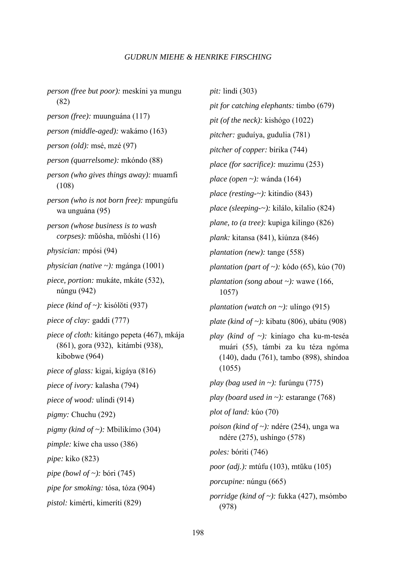*person (free but poor):* meskíni ya mungu (82) *person (free):* muunguána (117) *person (middle-aged):* wakámo (163) *person (old):* msé, mzé (97) *person (quarrelsome):* mkóndo (88) *person (who gives things away):* muamfi (108) *person (who is not born free):* mpungúfu wa unguána (95) *person (whose business is to wash corpses):* muósha, muóshi (116) *physician:* mpósi (94) *physician (native ~):* mgánga (1001) *piece, portion:* mukáte, mkáte (532), núngu (942) *piece (kind of ~):* kisólŏti (937) *piece of clay:* gaddi (777) *piece of cloth:* kitángo pepeta (467), mkája (861), gora (932),kitámbi (938), kibobwe (964) *piece of glass:* kigai, kigáya (816) *piece of ivory:* kalasha (794) *piece of wood:* ulíndi (914) *pigmy:* Chuchu (292) *pigmy (kind of ~):* Mbilikímo (304) *pimple:* kíwe cha usso (386) *pipe:* kiko (823) *pipe (bowl of ~):* bóri (745) *pipe for smoking:* tósa, tóza (904) *pistol:* kimérti, kimeríti (829)

*pit:* lindi (303) *pit for catching elephants:* timbo (679) *pit (of the neck):* kishógo (1022) *pitcher:* guduíya, gudulia (781) *pitcher of copper:* bírika (744) *place (for sacrifice):* muzimu (253) *place (open ~):* wánda (164) *place (resting-~):* kitindio (843) *place (sleeping-~):* kilálo, kilalio (824) *plane, to (a tree):* kupiga kilingo (826) *plank:* kitansa (841), kiúnza (846) *plantation (new):* tange (558) *plantation (part of ~):* kódo (65), kúo (70) *plantation (song about ~):* wawe (166, 1057) *plantation (watch on ~):* ulíngo  $(915)$ *plate (kind of ~):* kibatu (806), ubátu (908) *play (kind of ~):* kiníago cha ku-m-teséa muári (55), támbi za ku téza ngóma (140), dadu (761), tambo (898), shíndoa (1055) *play (bag used in ~):* furúngu (775) *play (board used in ~):* estarange (768) *plot of land:* kúo (70) *poison (kind of ~):* ndére (254), unga wa ndére (275), ushíngo (578) *poles:* bóriti (746) *poor (adj.):* mtúfu (103), mtuku (105) *porcupine:* núngu (665) *porridge (kind of ~):* fukka (427), msómbo (978)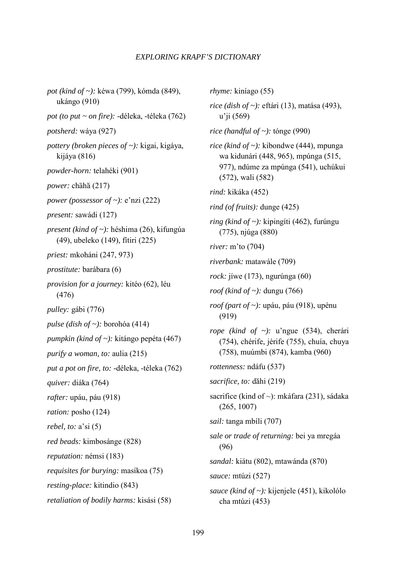*pot (kind of ~):* kéwa (799), kómda (849), ukángo (910) *pot (to put ~ on fire):* -déleka, -téleka (762) *potsherd:* wáya (927) *pottery (broken pieces of ~):* kigai, kigáya, kijáya (816) *powder-horn:* telahéki (901) power: chāhă (217) *power (possessor of ~):* e'nzi (222) *present:* sawádi (127) *present (kind of ~):* héshima (26), kifungúa (49), ubeleko (149), fítiri (225) *priest:* mkoháni (247, 973) *prostitute:* barábara (6) *provision for a journey:* kitéo (62), léu (476) *pulley:* gábi (776) *pulse (dish of ~):* borohóa (414) *pumpkin (kind of ~):* kitángo pepéta (467) *purify a woman, to:* aulia (215) *put a pot on fire, to:* -déleka, -téleka (762) *quiver:* diáka (764) *rafter:* upáu, páu (918) *ration:* posho (124) *rebel, to:* a'si (5) *red beads:* kimbosánge (828) *reputation:* némsi (183) *requisites for burying:* masíkoa (75) *resting-place:* kitindio (843) *retaliation of bodily harms:* kisási (58)

*rhyme:* kiníago (55) *rice (dish of ~):* eftári (13), matása (493), u'ji (569) *rice (handful of ~):* tónge (990) *rice (kind of ~):* kibondwe (444), mpunga wa kidunári (448, 965), mpúnga (515, 977), ndúme za mpúnga (541), uchúkui (572), wali (582) *rind:* kikáka (452) *rind (of fruits):* dunge (425) *ring (kind of ~):* kipingíti (462), furúngu (775), njúga (880) *river:* m'to (704) *riverbank:* matawále (709) *rock:* jíwe (173), ngurúnga (60) *roof (kind of ~):* dungu (766) *roof (part of ~):* upáu, páu (918), upénu (919) *rope (kind of ~):* u'ngue (534), cherári (754), chérife, jérife (755), chuía, chuya (758), muúmbi (874), kamba (960) *rottenness:* ndáfu (537) *sacrifice, to:* dahi (219) sacrifice (kind of ~): mkáfara (231), sádaka (265, 1007) *sail:* tanga mbíli (707) *sale or trade of returning:* bei ya mregáa (96) *sandal:* kiátu (802), mtawánda (870) *sauce:* mtúzi (527) *sauce (kind of ~):* kijenjele (451), kikolólo cha mtúzi (453)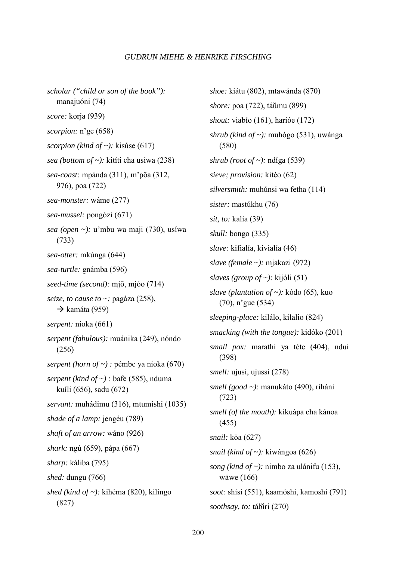*scholar ("child or son of the book"):*  manajuóni (74) *score:* korja (939) *scorpion:* n'ge (658) *scorpion (kind of ~):* kisúse (617) *sea (bottom of ~):* kitíti cha usiwa (238) *sea-coast:* mpánda (311), m'poa (312, 976), poa (722) *sea-monster:* wáme (277) *sea-mussel:* pongózi (671) *sea (open ~):* u'mbu wa maji (730), usíwa (733) *sea-otter:* mkúnga (644) *sea-turtle:* gnámba (596) seed-time (second): mjō, mjóo (714) *seize, to cause to ~:* pagáza (258),  $\rightarrow$  kamáta (959) *serpent:* nioka (661) *serpent (fabulous):* muánika (249), nóndo (256) *serpent (horn of ~) :* pémbe ya nioka (670) *serpent (kind of ~) :* bafe (585), nduma kuíli (656), sadu (672) *servant:* muhádimu (316), mtumíshi (1035) *shade of a lamp:* jengéu (789) *shaft of an arrow:* wáno (926) *shark:* ngú (659), pápa (667) *sharp:* káliba (795) *shed:* dungu (766) *shed (kind of ~):* kihéma (820), kilingo (827)

*shoe:* kiátu (802), mtawánda (870) *shore:* poa (722), táumu (899) *shout:* viabío (161), harióe (172) *shrub (kind of ~):* muhógo (531), uwánga (580) *shrub (root of ~):* ndíga (539) *sieve; provision:* kitéo (62) *silversmith:* muhúnsi wa fetha (114) *sister:* mastúkhu (76) *sit, to:* kalía (39) *skull:* bongo (335) *slave:* kifialía, kivialía (46) *slave (female ~):* mjakazi (972) *slaves (group of ~):* kijóli (51) *slave (plantation of ~):* kódo (65), kuo (70), n'gue (534) *sleeping-place:* kilálo, kilalio (824) *smacking (with the tongue):* kidóko (201) *small pox:* marathi ya téte (404), ndui (398) *smell:* ujusi, ujussi (278) *smell (good ~):* manukáto (490), riháni (723) *smell (of the mouth):* kikuápa cha kánoa (455) *snail: k*ōa (627) *snail (kind of ~):* kiwángoa (626) *song (kind of ~):* nimbo za ulánifu (153), wāwe  $(166)$ *soot:* shísi (551), kaamóshi, kamoshi (791) *soothsay, to:* tábiri (270)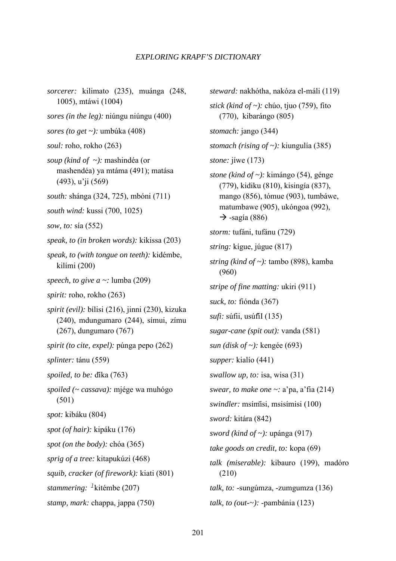*sorcerer:* kilimato (235), muánga (248, 1005), mtáwi (1004) *sores (in the leg):* niúngu niúngu (400) *sores (to get ~):* umbúka (408) *soul:* roho, rokho (263) *soup (kind of ~):* mashindéa (or mashendéa) ya mtáma (491); matása (493), u'ji (569) *south:* shánga (324, 725), mbóni (711) *south wind:* kussi (700, 1025) *sow, to:* sía (552) *speak, to (in broken words):* kikissa (203) *speak, to (with tongue on teeth):* kidémbe, kilími (200) *speech, to give a ~:* lumba (209) *spirit:* roho, rokho (263) *spirit (evil):* bílisi (216), jinni (230), kizuka (240), mdungumaro (244), símui, zímu (267), dungumaro (767) *spirit (to cite, expel):* púnga pepo (262) *splinter:* tánu (559) spoiled, to be: díka (763) *spoiled (~ cassava):* mjége wa muhógo (501) *spot:* kibáku (804) *spot (of hair):* kipáku (176) *spot (on the body):* chóa (365) *sprig of a tree:* kitapukúzi (468) *squib, cracker (of firework):* kiati (801) *stammering: -*kitémbe (207) *stamp, mark:* chappa, jappa (750)

*steward:* nakhótha, nakóza el-máli (119) *stick (kind of ~):* chúo, tjuo (759), fito (770),kibarángo (805) *stomach:* jango (344) *stomach (rising of ~):* kiungulía (385) *stone:* jíwe (173) *stone (kind of ~):* kimángo (54), génge (779), kidiku (810), kisingía (837), mango (856), tómue (903), tumbáwe, matumbawe (905), ukóngoa (992),  $\rightarrow$  -sagía (886) *storm:* tufáni, tufánu (729) *string:* kígue, júgue (817) *string (kind of ~):* tambo (898), kamba (960) *stripe of fine matting:* ukiri (911) *suck, to:* fiónda (367) *sufi:* súfii, usúfiI (135) *sugar-cane (spit out):* vanda (581) *sun (disk of ~):* kengée (693) *supper:* kialío (441) *swallow up, to:* isa, wisa (31) *swear, to make one ~:* a'pa, a'fia (214) *swindler:* msímisi, msisímisi (100) *sword:* kitára (842) *sword (kind of ~):* upánga (917) *take goods on credit, to:* kopa (69) *talk (miserable):* kibauro (199), madóro (210) *talk, to:* -sungúmza, -zumgumza (136) *talk, to (out-~):* -pambánia (123)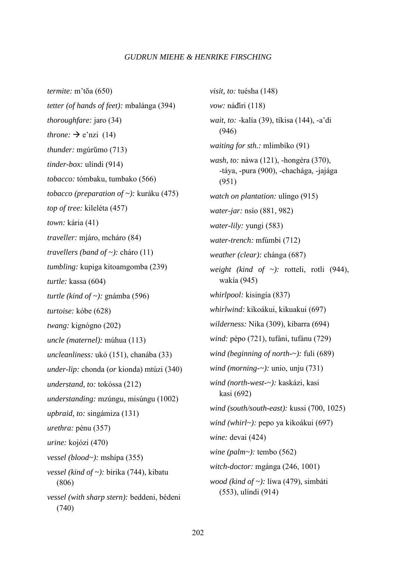*termite:* m'toa (650) *tetter (of hands of feet):* mbalánga (394) *thoroughfare:* jaro (34) *throne:*  $\rightarrow$  e'nzi (14) *thunder:* mgúrumo (713) *tinder-box:* ulíndi (914) *tobacco:* tómbaku, tumbako (566) *tobacco (preparation of ~):* kuráku (475) *top of tree:* kileléta (457) *town:* kária (41) *traveller:* mjáro, mcháro (84) *travellers (band of ~):* cháro (11) *tumbling:* kupiga kitoamgomba (239) *turtle:* kassa (604) *turtle (kind of ~):* gnámba (596) *turtoise:* kóbe (628) *twang:* kignógno (202) *uncle (maternel):* múhua (113) *uncleanliness:* ukó (151), chanába (33) *under-lip:* chonda (*or* kionda) mtúzi (340) *understand, to:* tokóssa (212) *understanding:* mzúngu, misúngu (1002) *upbraid, to:* singámiza (131) *urethra:* pénu (357) *urine:* kojózi (470) *vessel (blood~):* mshípa (355) *vessel (kind of ~):* bírika (744), kibatu (806) *vessel (with sharp stern):* beddeni, bédeni (740)

*visit, to:* tuésha (148) *vow:* nádiri (118) *wait, to:* -kalía (39), tíkisa (144), -a'di (946) *waiting for sth.:* mlimbíko (91) *wash, to:* náwa (121), -hongéra (370), -táya, -pura (900), -chachága, -jajága (951) *watch on plantation:* ulíngo (915) *water-jar:* nsío (881, 982) *water-lily:* yungi (583) *water-trench:* mfúmbi (712) *weather (clear):* chánga (687) *weight (kind of ~):* rotteli, rotli (944), wakía (945) *whirlpool:* kisingía (837) *whirlwind:* kikoákui, kikuakui (697) *wilderness:* Nika (309), kibarra (694) *wind:* pépo (721), tufáni, tufánu (729) *wind (beginning of north-~):* fuli (689) *wind (morning-~):* unio, unju (731) *wind (north-west-~):* kaskázi, kasi kasi (692) *wind (south/south-east):* kussi (700, 1025) *wind (whirl~):* pepo ya kikoákui (697) *wine:* devai (424) *wine (palm~):* tembo (562) *witch-doctor:* mgánga (246, 1001) *wood (kind of ~):* líwa (479), simbáti (553), ulíndi (914)